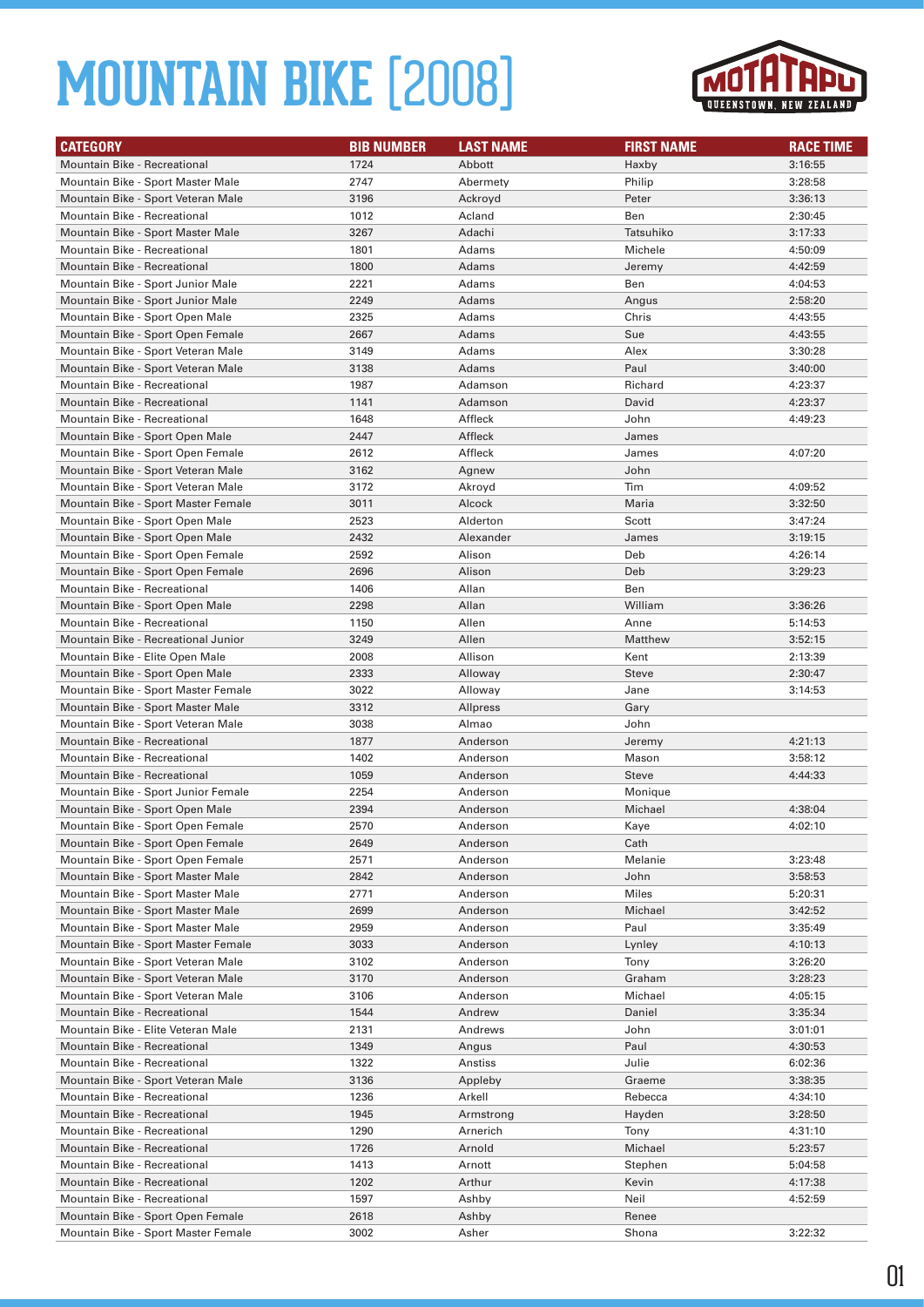

| <b>CATEGORY</b>                                                   | <b>BIB NUMBER</b> | <b>LAST NAME</b> | <b>FIRST NAME</b> | <b>RACE TIME</b> |
|-------------------------------------------------------------------|-------------------|------------------|-------------------|------------------|
| Mountain Bike - Recreational                                      | 1724              | Abbott           | Haxby             | 3:16:55          |
| Mountain Bike - Sport Master Male                                 | 2747              | Abermety         | Philip            | 3:28:58          |
| Mountain Bike - Sport Veteran Male                                | 3196              | Ackroyd          | Peter             | 3:36:13          |
| <b>Mountain Bike - Recreational</b>                               | 1012              | Acland           | Ben               | 2:30:45          |
| Mountain Bike - Sport Master Male                                 | 3267              | Adachi           | Tatsuhiko         | 3:17:33          |
| Mountain Bike - Recreational                                      | 1801              | Adams            | Michele           | 4:50:09          |
| <b>Mountain Bike - Recreational</b>                               | 1800              | Adams            | Jeremy            | 4:42:59          |
| Mountain Bike - Sport Junior Male                                 | 2221              | Adams            | Ben               |                  |
| Mountain Bike - Sport Junior Male                                 | 2249              |                  |                   | 4:04:53          |
|                                                                   | 2325              | Adams            | Angus             | 2:58:20          |
| Mountain Bike - Sport Open Male                                   |                   | Adams            | Chris             | 4:43:55          |
| Mountain Bike - Sport Open Female                                 | 2667              | Adams            | Sue               | 4:43:55          |
| Mountain Bike - Sport Veteran Male                                | 3149              | Adams            | Alex              | 3:30:28          |
| Mountain Bike - Sport Veteran Male                                | 3138              | Adams            | Paul              | 3:40:00          |
| Mountain Bike - Recreational                                      | 1987              | Adamson          | Richard           | 4:23:37          |
| <b>Mountain Bike - Recreational</b>                               | 1141              | Adamson          | David             | 4:23:37          |
| Mountain Bike - Recreational                                      | 1648              | Affleck          | John              | 4:49:23          |
| Mountain Bike - Sport Open Male                                   | 2447              | Affleck          | James             |                  |
| Mountain Bike - Sport Open Female                                 | 2612              | Affleck          | James             | 4:07:20          |
| Mountain Bike - Sport Veteran Male                                | 3162              | Agnew            | John              |                  |
| Mountain Bike - Sport Veteran Male                                | 3172              | Akroyd           | Tim               | 4:09:52          |
| Mountain Bike - Sport Master Female                               | 3011              | Alcock           | Maria             | 3:32:50          |
| Mountain Bike - Sport Open Male                                   | 2523              | Alderton         | Scott             | 3:47:24          |
| Mountain Bike - Sport Open Male                                   | 2432              | Alexander        | James             | 3:19:15          |
| Mountain Bike - Sport Open Female                                 | 2592              | Alison           | Deb               | 4:26:14          |
| Mountain Bike - Sport Open Female                                 | 2696              | Alison           | Deb               | 3:29:23          |
| Mountain Bike - Recreational                                      | 1406              | Allan            | Ben               |                  |
| Mountain Bike - Sport Open Male                                   | 2298              | Allan            | William           | 3:36:26          |
| Mountain Bike - Recreational                                      | 1150              | Allen            | Anne              | 5:14:53          |
| Mountain Bike - Recreational Junior                               | 3249              | Allen            | Matthew           | 3:52:15          |
| Mountain Bike - Elite Open Male                                   | 2008              | Allison          | Kent              | 2:13:39          |
| Mountain Bike - Sport Open Male                                   | 2333              | Alloway          | <b>Steve</b>      | 2:30:47          |
| Mountain Bike - Sport Master Female                               | 3022              | Alloway          | Jane              | 3:14:53          |
| Mountain Bike - Sport Master Male                                 | 3312              | Allpress         | Gary              |                  |
| Mountain Bike - Sport Veteran Male                                | 3038              | Almao            | John              |                  |
| <b>Mountain Bike - Recreational</b>                               | 1877              | Anderson         | Jeremy            | 4:21:13          |
| Mountain Bike - Recreational                                      | 1402              | Anderson         | Mason             | 3:58:12          |
| Mountain Bike - Recreational                                      | 1059              | Anderson         | Steve             | 4:44:33          |
| Mountain Bike - Sport Junior Female                               | 2254              | Anderson         | Monique           |                  |
| Mountain Bike - Sport Open Male                                   | 2394              | Anderson         | Michael           | 4:38:04          |
| Mountain Bike - Sport Open Female                                 | 2570              | Anderson         | Kaye              | 4:02:10          |
| Mountain Bike - Sport Open Female                                 | 2649              | Anderson         | Cath              |                  |
| Mountain Bike - Sport Open Female                                 | 2571              | Anderson         | Melanie           | 3:23:48          |
| Mountain Bike - Sport Master Male                                 | 2842              | Anderson         | John              | 3:58:53          |
| Mountain Bike - Sport Master Male                                 | 2771              | Anderson         | Miles             | 5:20:31          |
| Mountain Bike - Sport Master Male                                 | 2699              | Anderson         | Michael           | 3:42:52          |
| Mountain Bike - Sport Master Male                                 | 2959              | Anderson         | Paul              | 3:35:49          |
| Mountain Bike - Sport Master Female                               | 3033              | Anderson         | Lynley            | 4:10:13          |
| Mountain Bike - Sport Veteran Male                                | 3102              | Anderson         | Tony              | 3:26:20          |
| Mountain Bike - Sport Veteran Male                                | 3170              | Anderson         | Graham            | 3:28:23          |
| Mountain Bike - Sport Veteran Male                                | 3106              | Anderson         | Michael           | 4:05:15          |
| Mountain Bike - Recreational                                      | 1544              | Andrew           | Daniel            | 3:35:34          |
| Mountain Bike - Elite Veteran Male                                | 2131              | Andrews          | John              | 3:01:01          |
| Mountain Bike - Recreational                                      | 1349              | Angus            | Paul              | 4:30:53          |
| Mountain Bike - Recreational                                      | 1322              | Anstiss          | Julie             | 6:02:36          |
| Mountain Bike - Sport Veteran Male                                | 3136              | Appleby          | Graeme            | 3:38:35          |
| Mountain Bike - Recreational                                      | 1236              | Arkell           | Rebecca           | 4:34:10          |
| Mountain Bike - Recreational                                      | 1945              | Armstrong        | Hayden            | 3:28:50          |
| Mountain Bike - Recreational                                      | 1290              | Arnerich         | Tony              | 4:31:10          |
| Mountain Bike - Recreational                                      | 1726              | Arnold           | Michael           | 5:23:57          |
| Mountain Bike - Recreational                                      |                   |                  | Stephen           | 5:04:58          |
| Mountain Bike - Recreational                                      |                   |                  |                   |                  |
|                                                                   | 1413              | Arnott           |                   |                  |
|                                                                   | 1202              | Arthur           | Kevin             | 4:17:38          |
| Mountain Bike - Recreational<br>Mountain Bike - Sport Open Female | 1597<br>2618      | Ashby<br>Ashby   | Neil<br>Renee     | 4:52:59          |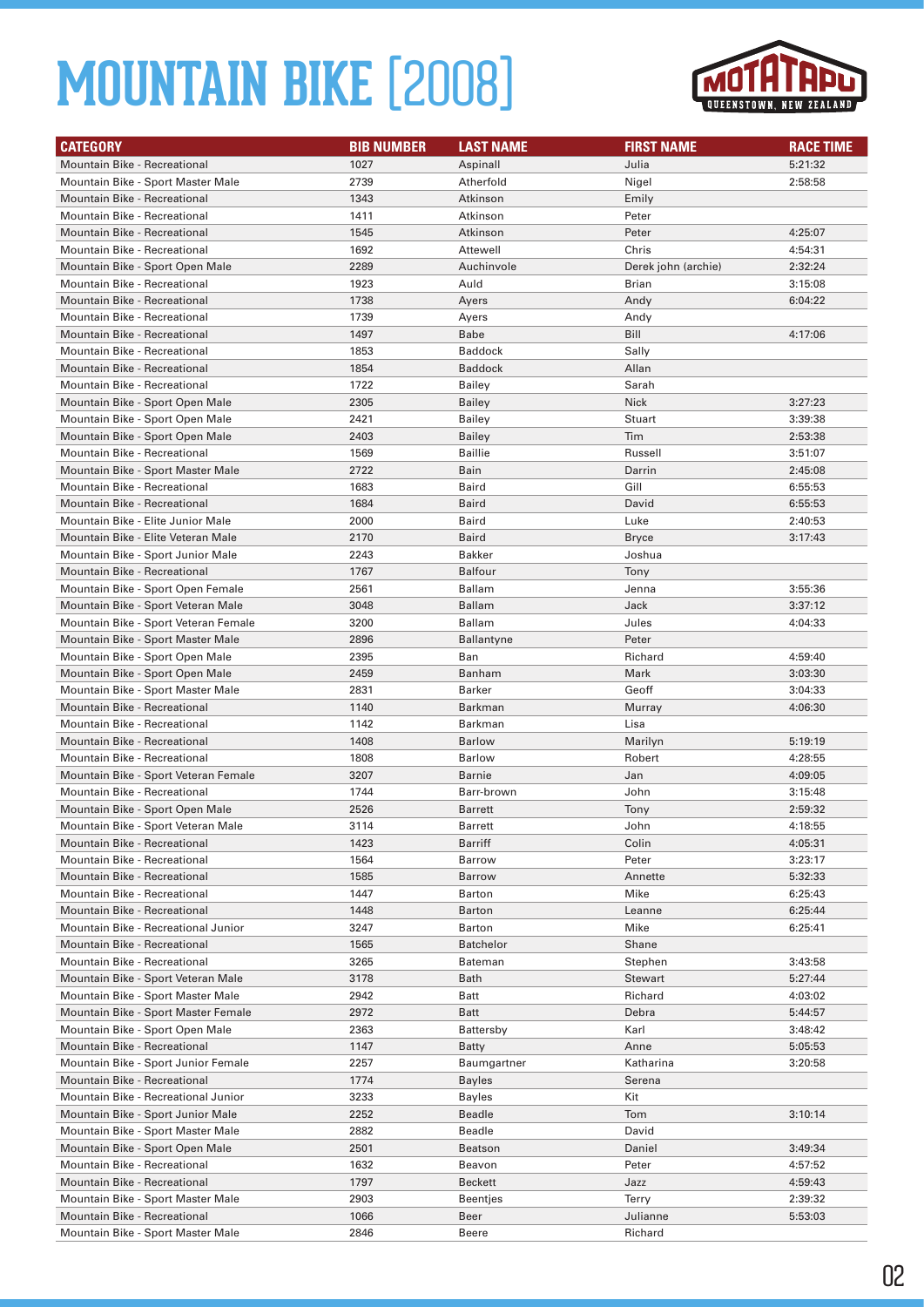

| <b>CATEGORY</b>                                                      | <b>BIB NUMBER</b> | <b>LAST NAME</b>        | <b>FIRST NAME</b>   | <b>RACE TIME</b>   |
|----------------------------------------------------------------------|-------------------|-------------------------|---------------------|--------------------|
| <b>Mountain Bike - Recreational</b>                                  | 1027              | Aspinall                | Julia               | 5:21:32            |
| Mountain Bike - Sport Master Male                                    | 2739              | Atherfold               | Nigel               | 2:58:58            |
| Mountain Bike - Recreational                                         | 1343              | Atkinson                | Emily               |                    |
| Mountain Bike - Recreational                                         | 1411              | Atkinson                | Peter               |                    |
| <b>Mountain Bike - Recreational</b>                                  | 1545              | Atkinson                | Peter               | 4:25:07            |
| Mountain Bike - Recreational                                         | 1692              | Attewell                | Chris               | 4:54:31            |
| Mountain Bike - Sport Open Male                                      | 2289              | Auchinvole              | Derek john (archie) | 2:32:24            |
| Mountain Bike - Recreational                                         | 1923              | Auld                    | Brian               | 3:15:08            |
| <b>Mountain Bike - Recreational</b>                                  | 1738              | Ayers                   | Andy                | 6:04:22            |
| Mountain Bike - Recreational                                         | 1739              | Ayers                   | Andy                |                    |
| Mountain Bike - Recreational                                         | 1497              | Babe                    | Bill                | 4:17:06            |
| Mountain Bike - Recreational                                         | 1853              | <b>Baddock</b>          | Sally               |                    |
| <b>Mountain Bike - Recreational</b>                                  | 1854              | <b>Baddock</b>          | Allan               |                    |
| Mountain Bike - Recreational                                         | 1722              | Bailey                  | Sarah               |                    |
| Mountain Bike - Sport Open Male                                      | 2305              | <b>Bailey</b>           | <b>Nick</b>         | 3:27:23            |
| Mountain Bike - Sport Open Male                                      | 2421              | <b>Bailey</b>           | Stuart              | 3:39:38            |
| Mountain Bike - Sport Open Male                                      | 2403              | <b>Bailey</b>           | Tim                 | 2:53:38            |
| Mountain Bike - Recreational                                         | 1569              | <b>Baillie</b>          | Russell             | 3:51:07            |
| Mountain Bike - Sport Master Male                                    | 2722              | Bain                    | Darrin              | 2:45:08            |
| Mountain Bike - Recreational                                         | 1683              | Baird                   | Gill                | 6:55:53            |
| <b>Mountain Bike - Recreational</b>                                  | 1684              | <b>Baird</b>            | David               | 6:55:53            |
| Mountain Bike - Elite Junior Male                                    | 2000              | Baird                   | Luke                | 2:40:53            |
| Mountain Bike - Elite Veteran Male                                   | 2170              | Baird                   | Bryce               | 3:17:43            |
| Mountain Bike - Sport Junior Male                                    | 2243              | <b>Bakker</b>           | Joshua              |                    |
| Mountain Bike - Recreational                                         | 1767              | <b>Balfour</b>          | Tony                |                    |
| Mountain Bike - Sport Open Female                                    | 2561              | <b>Ballam</b>           | Jenna               | 3:55:36            |
| Mountain Bike - Sport Veteran Male                                   | 3048              | <b>Ballam</b>           | Jack                | 3:37:12            |
| Mountain Bike - Sport Veteran Female                                 | 3200              | <b>Ballam</b>           | Jules               | 4:04:33            |
| Mountain Bike - Sport Master Male                                    | 2896              | <b>Ballantyne</b>       | Peter               |                    |
| Mountain Bike - Sport Open Male                                      | 2395              | Ban                     | Richard             | 4:59:40            |
| Mountain Bike - Sport Open Male                                      | 2459              | Banham                  | Mark                | 3:03:30            |
| Mountain Bike - Sport Master Male                                    | 2831              | <b>Barker</b>           | Geoff               | 3:04:33            |
| Mountain Bike - Recreational                                         | 1140              | Barkman                 | Murray              | 4:06:30            |
| Mountain Bike - Recreational                                         | 1142              | Barkman                 | Lisa                |                    |
| <b>Mountain Bike - Recreational</b>                                  | 1408              | <b>Barlow</b>           | Marilyn             | 5:19:19            |
| Mountain Bike - Recreational<br>Mountain Bike - Sport Veteran Female | 1808<br>3207      | <b>Barlow</b><br>Barnie | Robert<br>Jan       | 4:28:55<br>4:09:05 |
| Mountain Bike - Recreational                                         | 1744              | Barr-brown              | John                | 3:15:48            |
| Mountain Bike - Sport Open Male                                      | 2526              | <b>Barrett</b>          | Tony                | 2:59:32            |
| Mountain Bike - Sport Veteran Male                                   | 3114              | Barrett                 | John                | 4:18:55            |
| Mountain Bike - Recreational                                         | 1423              | Barriff                 | Colin               | 4:05:31            |
| Mountain Bike - Recreational                                         | 1564              | Barrow                  | Peter               | 3:23:17            |
| Mountain Bike - Recreational                                         | 1585              | <b>Barrow</b>           | Annette             | 5:32:33            |
| Mountain Bike - Recreational                                         | 1447              | <b>Barton</b>           | Mike                | 6:25:43            |
| Mountain Bike - Recreational                                         | 1448              | <b>Barton</b>           | Leanne              | 6:25:44            |
| Mountain Bike - Recreational Junior                                  | 3247              | Barton                  | Mike                | 6:25:41            |
| Mountain Bike - Recreational                                         | 1565              | <b>Batchelor</b>        | Shane               |                    |
| Mountain Bike - Recreational                                         | 3265              | Bateman                 | Stephen             | 3:43:58            |
| Mountain Bike - Sport Veteran Male                                   | 3178              | Bath                    | <b>Stewart</b>      | 5:27:44            |
| Mountain Bike - Sport Master Male                                    | 2942              | Batt                    | Richard             | 4:03:02            |
| Mountain Bike - Sport Master Female                                  | 2972              | Batt                    | Debra               | 5:44:57            |
| Mountain Bike - Sport Open Male                                      | 2363              | <b>Battersby</b>        | Karl                | 3:48:42            |
| Mountain Bike - Recreational                                         | 1147              | Batty                   | Anne                | 5:05:53            |
| Mountain Bike - Sport Junior Female                                  | 2257              | Baumgartner             | Katharina           | 3:20:58            |
| Mountain Bike - Recreational                                         | 1774              | <b>Bayles</b>           | Serena              |                    |
| Mountain Bike - Recreational Junior                                  | 3233              | <b>Bayles</b>           | Kit                 |                    |
| Mountain Bike - Sport Junior Male                                    | 2252              | Beadle                  | Tom                 | 3:10:14            |
| Mountain Bike - Sport Master Male                                    | 2882              | Beadle                  | David               |                    |
| Mountain Bike - Sport Open Male                                      | 2501              | <b>Beatson</b>          | Daniel              | 3:49:34            |
| Mountain Bike - Recreational                                         | 1632              | Beavon                  | Peter               | 4:57:52            |
| Mountain Bike - Recreational                                         | 1797              | Beckett                 | Jazz                | 4:59:43            |
| Mountain Bike - Sport Master Male                                    | 2903              | Beentjes                | Terry               | 2:39:32            |
| Mountain Bike - Recreational                                         | 1066              | Beer                    | Julianne            | 5:53:03            |
| Mountain Bike - Sport Master Male                                    | 2846              | Beere                   | Richard             |                    |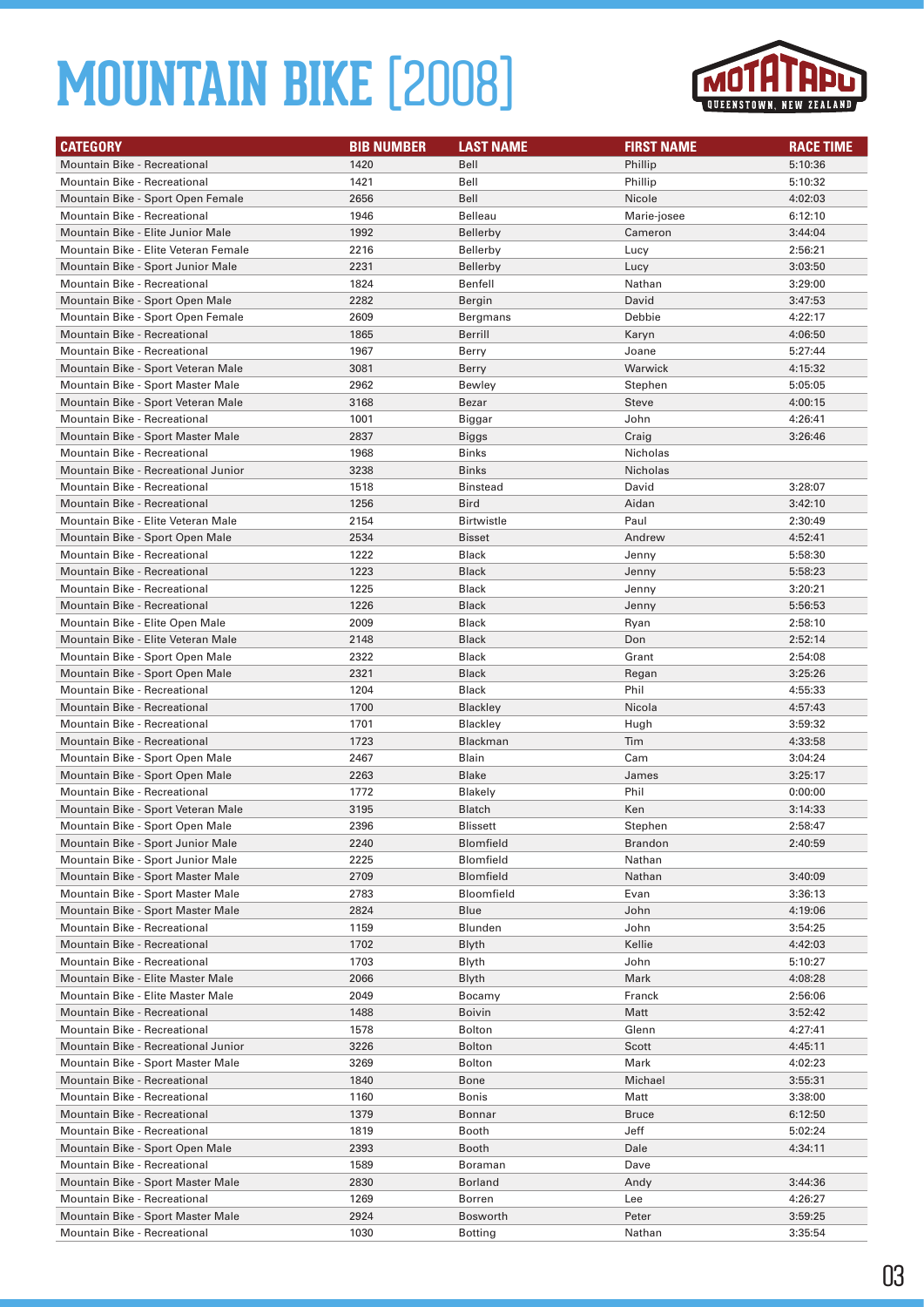

| <b>CATEGORY</b>                      | <b>BIB NUMBER</b> | <b>LAST NAME</b>  | <b>FIRST NAME</b> | <b>RACE TIME</b> |
|--------------------------------------|-------------------|-------------------|-------------------|------------------|
| <b>Mountain Bike - Recreational</b>  | 1420              | Bell              | Phillip           | 5:10:36          |
| Mountain Bike - Recreational         | 1421              | Bell              | Phillip           | 5:10:32          |
| Mountain Bike - Sport Open Female    | 2656              | Bell              | Nicole            | 4:02:03          |
| Mountain Bike - Recreational         | 1946              | Belleau           | Marie-josee       | 6:12:10          |
| Mountain Bike - Elite Junior Male    | 1992              | Bellerby          | Cameron           | 3:44:04          |
| Mountain Bike - Elite Veteran Female | 2216              | <b>Bellerby</b>   | Lucy              | 2:56:21          |
| Mountain Bike - Sport Junior Male    | 2231              | Bellerby          | Lucy              | 3:03:50          |
| Mountain Bike - Recreational         | 1824              | Benfell           | Nathan            | 3:29:00          |
| Mountain Bike - Sport Open Male      | 2282              | Bergin            | David             | 3:47:53          |
| Mountain Bike - Sport Open Female    | 2609              | Bergmans          | Debbie            | 4:22:17          |
| <b>Mountain Bike - Recreational</b>  | 1865              | Berrill           | Karyn             | 4:06:50          |
| <b>Mountain Bike - Recreational</b>  | 1967              | Berry             | Joane             | 5:27:44          |
| Mountain Bike - Sport Veteran Male   | 3081              | Berry             | Warwick           | 4:15:32          |
| Mountain Bike - Sport Master Male    | 2962              | Bewley            | Stephen           | 5:05:05          |
| Mountain Bike - Sport Veteran Male   | 3168              | Bezar             | Steve             | 4:00:15          |
| Mountain Bike - Recreational         | 1001              | Biggar            | John              | 4:26:41          |
| Mountain Bike - Sport Master Male    | 2837              | Biggs             | Craig             | 3:26:46          |
| Mountain Bike - Recreational         | 1968              | Binks             | Nicholas          |                  |
| Mountain Bike - Recreational Junior  | 3238              | <b>Binks</b>      | <b>Nicholas</b>   |                  |
| Mountain Bike - Recreational         | 1518              | <b>Binstead</b>   | David             | 3:28:07          |
| <b>Mountain Bike - Recreational</b>  | 1256              | <b>Bird</b>       | Aidan             | 3:42:10          |
| Mountain Bike - Elite Veteran Male   | 2154              | <b>Birtwistle</b> | Paul              | 2:30:49          |
| Mountain Bike - Sport Open Male      | 2534              | Bisset            | Andrew            | 4:52:41          |
| <b>Mountain Bike - Recreational</b>  | 1222              | <b>Black</b>      | Jenny             | 5:58:30          |
| Mountain Bike - Recreational         | 1223              | <b>Black</b>      | Jenny             | 5:58:23          |
| Mountain Bike - Recreational         | 1225              | <b>Black</b>      | Jenny             | 3:20:21          |
| <b>Mountain Bike - Recreational</b>  | 1226              | <b>Black</b>      | Jenny             | 5:56:53          |
| Mountain Bike - Elite Open Male      | 2009              | <b>Black</b>      | Ryan              | 2:58:10          |
| Mountain Bike - Elite Veteran Male   | 2148              | <b>Black</b>      | Don               | 2:52:14          |
| Mountain Bike - Sport Open Male      | 2322              | <b>Black</b>      | Grant             | 2:54:08          |
| Mountain Bike - Sport Open Male      | 2321              | <b>Black</b>      | Regan             | 3:25:26          |
| Mountain Bike - Recreational         | 1204              | Black             | Phil              | 4:55:33          |
| Mountain Bike - Recreational         | 1700              | <b>Blackley</b>   | Nicola            | 4:57:43          |
| Mountain Bike - Recreational         | 1701              | <b>Blackley</b>   | Hugh              | 3:59:32          |
| <b>Mountain Bike - Recreational</b>  | 1723              | Blackman          | Tim               | 4:33:58          |
| Mountain Bike - Sport Open Male      | 2467              | Blain             | Cam               | 3:04:24          |
| Mountain Bike - Sport Open Male      | 2263              | Blake             | James             | 3:25:17          |
| Mountain Bike - Recreational         | 1772              | Blakely           | Phil              | 0:00:00          |
| Mountain Bike - Sport Veteran Male   | 3195              | Blatch            | Ken               | 3:14:33          |
| Mountain Bike - Sport Open Male      | 2396              | Blissett          | Stephen           | 2:58:47          |
| Mountain Bike - Sport Junior Male    | 2240              | Blomfield         | Brandon           | 2:40:59          |
| Mountain Bike - Sport Junior Male    | 2225              | Blomfield         | Nathan            |                  |
| Mountain Bike - Sport Master Male    | 2709              | Blomfield         | Nathan            | 3:40:09          |
| Mountain Bike - Sport Master Male    | 2783              | Bloomfield        | Evan              | 3:36:13          |
| Mountain Bike - Sport Master Male    | 2824              | Blue              | John              | 4:19:06          |
| Mountain Bike - Recreational         | 1159              | Blunden           | John              | 3:54:25          |
| <b>Mountain Bike - Recreational</b>  | 1702              | Blyth             | Kellie            | 4:42:03          |
| Mountain Bike - Recreational         | 1703              | Blyth             | John              | 5:10:27          |
| Mountain Bike - Elite Master Male    | 2066              | Blyth             | Mark              | 4:08:28          |
| Mountain Bike - Elite Master Male    | 2049              | Bocamy            | Franck            | 2:56:06          |
| Mountain Bike - Recreational         | 1488              | Boivin            | Matt              | 3:52:42          |
| Mountain Bike - Recreational         | 1578              | <b>Bolton</b>     | Glenn             | 4:27:41          |
| Mountain Bike - Recreational Junior  | 3226              | Bolton            | Scott             | 4:45:11          |
| Mountain Bike - Sport Master Male    | 3269              | Bolton            | Mark              | 4:02:23          |
| Mountain Bike - Recreational         | 1840              | Bone              | Michael           | 3:55:31          |
| Mountain Bike - Recreational         | 1160              | Bonis             | Matt              | 3:38:00          |
| Mountain Bike - Recreational         | 1379              | Bonnar            | <b>Bruce</b>      | 6:12:50          |
| Mountain Bike - Recreational         | 1819              | Booth             | Jeff              | 5:02:24          |
| Mountain Bike - Sport Open Male      | 2393              | Booth             | Dale              | 4:34:11          |
| Mountain Bike - Recreational         | 1589              | Boraman           | Dave              |                  |
| Mountain Bike - Sport Master Male    | 2830              | Borland           | Andy              | 3:44:36          |
| Mountain Bike - Recreational         | 1269              | Borren            | Lee               | 4:26:27          |
| Mountain Bike - Sport Master Male    | 2924              | Bosworth          | Peter             | 3:59:25          |
| Mountain Bike - Recreational         | 1030              | <b>Botting</b>    | Nathan            | 3:35:54          |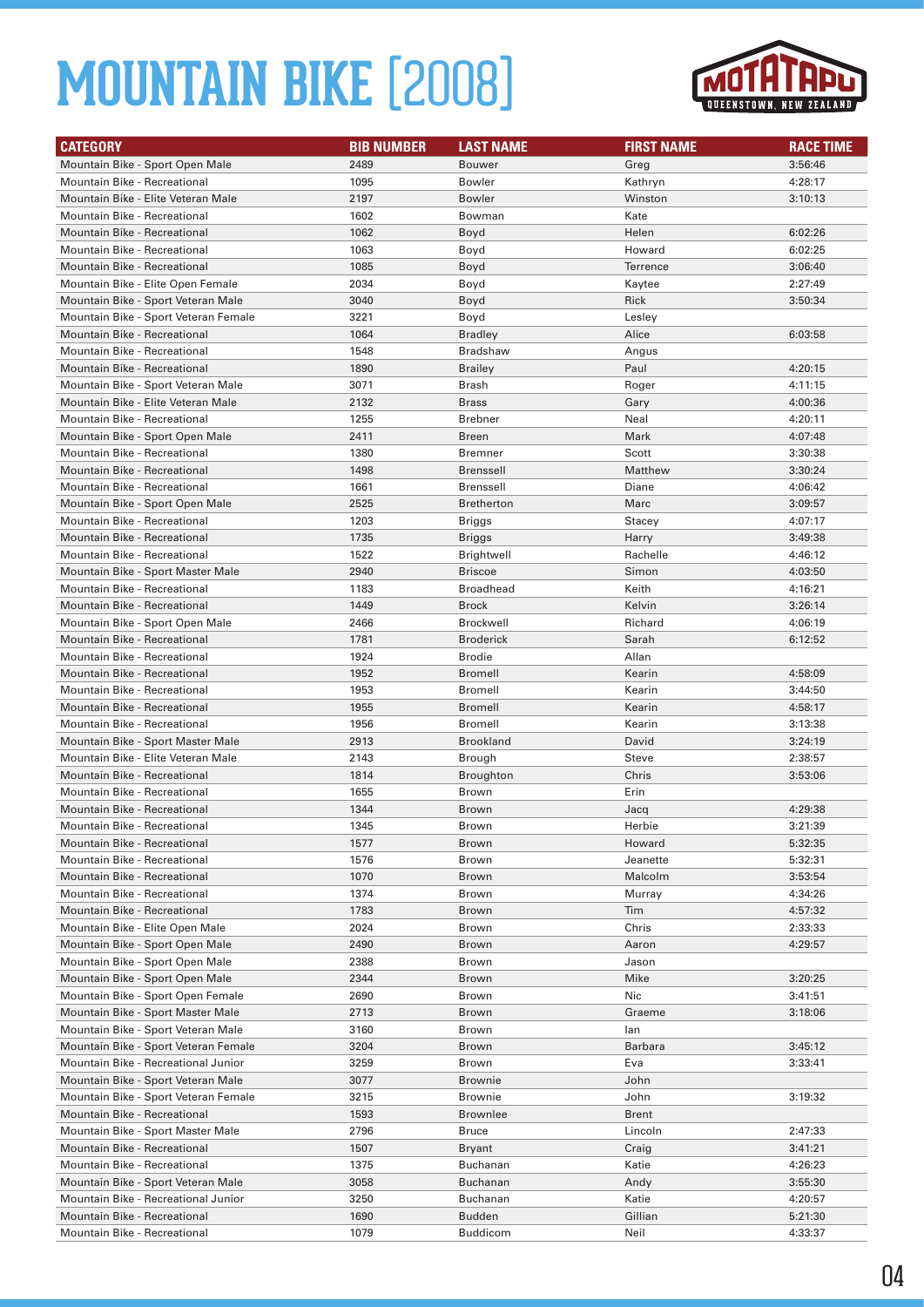

| <b>CATEGORY</b>                      | <b>BIB NUMBER</b> | <b>LAST NAME</b>  | <b>FIRST NAME</b> | <b>RACE TIME</b> |
|--------------------------------------|-------------------|-------------------|-------------------|------------------|
| Mountain Bike - Sport Open Male      | 2489              | <b>Bouwer</b>     | Greg              | 3:56:46          |
| <b>Mountain Bike - Recreational</b>  | 1095              | <b>Bowler</b>     | Kathryn           | 4:28:17          |
| Mountain Bike - Elite Veteran Male   | 2197              | <b>Bowler</b>     | Winston           | 3:10:13          |
| Mountain Bike - Recreational         | 1602              | Bowman            | Kate              |                  |
| <b>Mountain Bike - Recreational</b>  | 1062              | Boyd              | Helen             | 6:02:26          |
| Mountain Bike - Recreational         | 1063              | Boyd              | Howard            | 6:02:25          |
| <b>Mountain Bike - Recreational</b>  | 1085              | Boyd              | <b>Terrence</b>   | 3:06:40          |
| Mountain Bike - Elite Open Female    | 2034              | Boyd              | Kaytee            | 2:27:49          |
| Mountain Bike - Sport Veteran Male   | 3040              | Boyd              | Rick              | 3:50:34          |
| Mountain Bike - Sport Veteran Female | 3221              | Boyd              | Lesley            |                  |
| <b>Mountain Bike - Recreational</b>  | 1064              | <b>Bradley</b>    | Alice             | 6:03:58          |
| <b>Mountain Bike - Recreational</b>  | 1548              | <b>Bradshaw</b>   | Angus             |                  |
| <b>Mountain Bike - Recreational</b>  | 1890              | <b>Brailey</b>    | Paul              | 4:20:15          |
| Mountain Bike - Sport Veteran Male   | 3071              | Brash             | Roger             | 4:11:15          |
| Mountain Bike - Elite Veteran Male   | 2132              | <b>Brass</b>      | Gary              | 4:00:36          |
| Mountain Bike - Recreational         | 1255              | <b>Brebner</b>    | Neal              | 4:20:11          |
| Mountain Bike - Sport Open Male      | 2411              | Breen             | Mark              | 4:07:48          |
| <b>Mountain Bike - Recreational</b>  | 1380              | <b>Bremner</b>    | Scott             | 3:30:38          |
| <b>Mountain Bike - Recreational</b>  | 1498              | <b>Brenssell</b>  | Matthew           | 3:30:24          |
| Mountain Bike - Recreational         | 1661              | <b>Brenssell</b>  | Diane             | 4:06:42          |
| Mountain Bike - Sport Open Male      | 2525              | <b>Bretherton</b> | Marc              | 3:09:57          |
| Mountain Bike - Recreational         | 1203              | Briggs            | Stacey            | 4:07:17          |
| <b>Mountain Bike - Recreational</b>  | 1735              | Briggs            | Harry             | 3:49:38          |
| Mountain Bike - Recreational         | 1522              | Brightwell        | Rachelle          | 4:46:12          |
| Mountain Bike - Sport Master Male    | 2940              | <b>Briscoe</b>    | Simon             | 4:03:50          |
| Mountain Bike - Recreational         | 1183              | <b>Broadhead</b>  | Keith             | 4:16:21          |
| <b>Mountain Bike - Recreational</b>  | 1449              | <b>Brock</b>      | Kelvin            | 3:26:14          |
| Mountain Bike - Sport Open Male      | 2466              | <b>Brockwell</b>  | Richard           | 4:06:19          |
| <b>Mountain Bike - Recreational</b>  | 1781              | <b>Broderick</b>  | Sarah             | 6:12:52          |
| Mountain Bike - Recreational         | 1924              | <b>Brodie</b>     | Allan             |                  |
| <b>Mountain Bike - Recreational</b>  | 1952              | <b>Bromell</b>    | Kearin            | 4:58:09          |
| Mountain Bike - Recreational         | 1953              | <b>Bromell</b>    | Kearin            | 3:44:50          |
| <b>Mountain Bike - Recreational</b>  | 1955              | <b>Bromell</b>    | Kearin            | 4:58:17          |
| Mountain Bike - Recreational         | 1956              | <b>Bromell</b>    | Kearin            | 3:13:38          |
| Mountain Bike - Sport Master Male    | 2913              | <b>Brookland</b>  | David             | 3:24:19          |
| Mountain Bike - Elite Veteran Male   | 2143              | Brough            | <b>Steve</b>      | 2:38:57          |
| <b>Mountain Bike - Recreational</b>  | 1814              | Broughton         | Chris             | 3:53:06          |
| Mountain Bike - Recreational         | 1655              | <b>Brown</b>      | Erin              |                  |
| <b>Mountain Bike - Recreational</b>  | 1344              | <b>Brown</b>      | Jacq              | 4:29:38          |
| Mountain Bike - Recreational         | 1345              | Brown             | Herbie            | 3:21:39          |
| Mountain Bike - Recreational         | 1577              | Brown             | Howard            | 5:32:35          |
| Mountain Bike - Recreational         | 1576              | Brown             | Jeanette          | 5:32:31          |
| <b>Mountain Bike - Recreational</b>  | 1070              | Brown             | Malcolm           | 3:53:54          |
| Mountain Bike - Recreational         | 1374              | Brown             | Murray            | 4:34:26          |
| Mountain Bike - Recreational         | 1783              | Brown             | Tim               | 4:57:32          |
| Mountain Bike - Elite Open Male      | 2024              | Brown             | Chris             | 2:33:33          |
| Mountain Bike - Sport Open Male      | 2490              | Brown             | Aaron             | 4:29:57          |
| Mountain Bike - Sport Open Male      | 2388              | Brown             | Jason             |                  |
| Mountain Bike - Sport Open Male      | 2344              | Brown             | Mike              | 3:20:25          |
| Mountain Bike - Sport Open Female    | 2690              | Brown             | Nic               | 3:41:51          |
| Mountain Bike - Sport Master Male    | 2713              | Brown             | Graeme            | 3:18:06          |
| Mountain Bike - Sport Veteran Male   | 3160              | Brown             | lan               |                  |
| Mountain Bike - Sport Veteran Female | 3204              | Brown             | Barbara           | 3:45:12          |
| Mountain Bike - Recreational Junior  | 3259              | Brown             | Eva               | 3:33:41          |
| Mountain Bike - Sport Veteran Male   | 3077              | <b>Brownie</b>    | John              |                  |
| Mountain Bike - Sport Veteran Female | 3215              | <b>Brownie</b>    | John              | 3:19:32          |
| Mountain Bike - Recreational         | 1593              | <b>Brownlee</b>   | Brent             |                  |
| Mountain Bike - Sport Master Male    | 2796              | Bruce             | Lincoln           | 2:47:33          |
| Mountain Bike - Recreational         | 1507              | Bryant            | Craig             | 3:41:21          |
| Mountain Bike - Recreational         | 1375              | Buchanan          | Katie             | 4:26:23          |
| Mountain Bike - Sport Veteran Male   | 3058              | <b>Buchanan</b>   | Andy              | 3:55:30          |
| Mountain Bike - Recreational Junior  | 3250              | Buchanan          | Katie             | 4:20:57          |
| Mountain Bike - Recreational         | 1690              | Budden            | Gillian           | 5:21:30          |
| Mountain Bike - Recreational         | 1079              | <b>Buddicom</b>   | Neil              | 4:33:37          |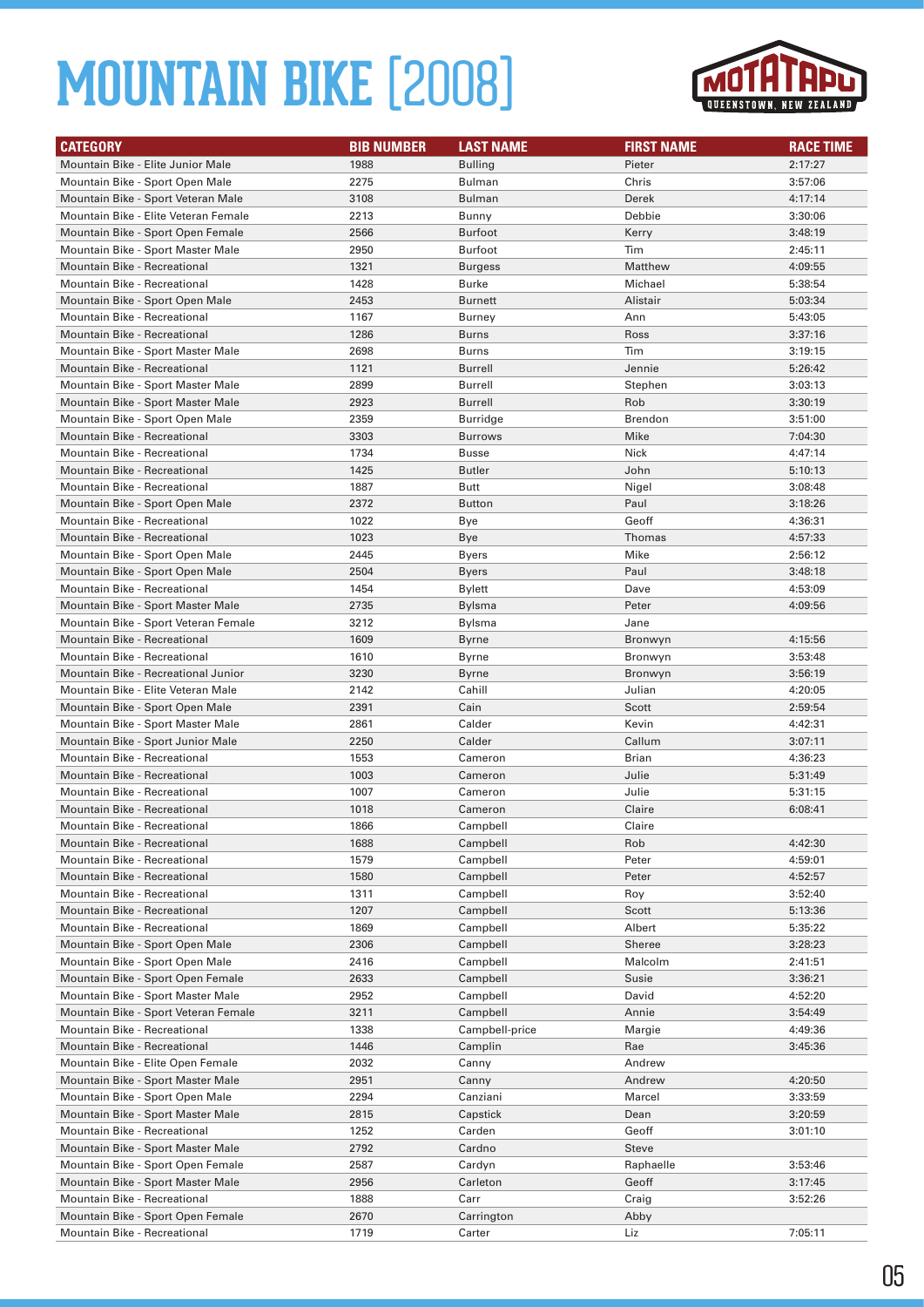

| <b>CATEGORY</b>                                                        | <b>BIB NUMBER</b> | <b>LAST NAME</b>     | <b>FIRST NAME</b> | <b>RACE TIME</b>   |
|------------------------------------------------------------------------|-------------------|----------------------|-------------------|--------------------|
| Mountain Bike - Elite Junior Male                                      | 1988              | <b>Bulling</b>       | Pieter            | 2:17:27            |
| Mountain Bike - Sport Open Male                                        | 2275              | <b>Bulman</b>        | Chris             | 3:57:06            |
| Mountain Bike - Sport Veteran Male                                     | 3108              | <b>Bulman</b>        | Derek             | 4:17:14            |
| Mountain Bike - Elite Veteran Female                                   | 2213              | Bunny                | Debbie            | 3:30:06            |
| Mountain Bike - Sport Open Female                                      | 2566              | <b>Burfoot</b>       | Kerry             | 3:48:19            |
| Mountain Bike - Sport Master Male                                      | 2950              | <b>Burfoot</b>       | Tim               | 2:45:11            |
| <b>Mountain Bike - Recreational</b>                                    | 1321              | <b>Burgess</b>       | Matthew           | 4:09:55            |
| Mountain Bike - Recreational                                           | 1428              | Burke                | Michael           | 5:38:54            |
| Mountain Bike - Sport Open Male                                        | 2453              | <b>Burnett</b>       | Alistair          | 5:03:34            |
| <b>Mountain Bike - Recreational</b>                                    | 1167              | <b>Burney</b>        | Ann               | 5:43:05            |
| <b>Mountain Bike - Recreational</b>                                    | 1286              | <b>Burns</b>         | Ross              | 3:37:16            |
| Mountain Bike - Sport Master Male                                      | 2698              | <b>Burns</b>         | Tim               | 3:19:15            |
| <b>Mountain Bike - Recreational</b>                                    | 1121              | Burrell              | Jennie            | 5:26:42            |
| Mountain Bike - Sport Master Male                                      | 2899              | Burrell              | Stephen           | 3:03:13            |
| Mountain Bike - Sport Master Male                                      | 2923              | <b>Burrell</b>       | Rob               | 3:30:19            |
| Mountain Bike - Sport Open Male                                        | 2359              | Burridge             | <b>Brendon</b>    | 3:51:00            |
| <b>Mountain Bike - Recreational</b>                                    | 3303              | <b>Burrows</b>       | Mike              | 7:04:30            |
| Mountain Bike - Recreational                                           | 1734              | <b>Busse</b>         | Nick              | 4:47:14            |
| <b>Mountain Bike - Recreational</b>                                    | 1425              | <b>Butler</b>        | John              | 5:10:13            |
| Mountain Bike - Recreational                                           | 1887              | Butt                 | Nigel             | 3:08:48            |
| Mountain Bike - Sport Open Male                                        | 2372              | <b>Button</b>        | Paul              | 3:18:26            |
| <b>Mountain Bike - Recreational</b>                                    | 1022              | Bye                  | Geoff             | 4:36:31            |
| <b>Mountain Bike - Recreational</b>                                    | 1023              | Bye                  | Thomas            | 4:57:33            |
| Mountain Bike - Sport Open Male                                        | 2445              | <b>Byers</b>         | Mike              | 2:56:12            |
| Mountain Bike - Sport Open Male                                        | 2504              | <b>Byers</b>         | Paul              | 3:48:18            |
| Mountain Bike - Recreational                                           | 1454              | <b>Bylett</b>        | Dave              | 4:53:09            |
| Mountain Bike - Sport Master Male                                      | 2735              | Bylsma               | Peter             | 4:09:56            |
| Mountain Bike - Sport Veteran Female                                   | 3212              | Bylsma               | Jane              |                    |
| <b>Mountain Bike - Recreational</b>                                    | 1609              | Byrne                | Bronwyn           | 4:15:56            |
| Mountain Bike - Recreational                                           | 1610              | Byrne                | Bronwyn           | 3:53:48            |
| Mountain Bike - Recreational Junior                                    | 3230              | Byrne                | Bronwyn           | 3:56:19            |
| Mountain Bike - Elite Veteran Male                                     | 2142              | Cahill               | Julian            | 4:20:05            |
| Mountain Bike - Sport Open Male                                        | 2391              | Cain                 | Scott             | 2:59:54            |
| Mountain Bike - Sport Master Male                                      | 2861              | Calder               | Kevin             | 4:42:31            |
| Mountain Bike - Sport Junior Male                                      | 2250              | Calder               | Callum            | 3:07:11            |
| Mountain Bike - Recreational                                           | 1553              | Cameron              | Brian             | 4:36:23            |
| <b>Mountain Bike - Recreational</b>                                    | 1003              | Cameron              | Julie             | 5:31:49            |
| <b>Mountain Bike - Recreational</b>                                    | 1007              | Cameron              | Julie             | 5:31:15            |
| <b>Mountain Bike - Recreational</b>                                    | 1018              | Cameron              | Claire            | 6:08:41            |
| <b>Mountain Bike - Recreational</b>                                    | 1866              | Campbell             | Claire            |                    |
| Mountain Bike - Recreational                                           | 1688              | Campbell             | Rob               | 4:42:30            |
| Mountain Bike - Recreational                                           | 1579              | Campbell             | Peter             | 4:59:01            |
| Mountain Bike - Recreational                                           | 1580              | Campbell             | Peter             | 4:52:57            |
| <b>Mountain Bike - Recreational</b>                                    | 1311              | Campbell             | Roy               | 3:52:40            |
| Mountain Bike - Recreational                                           | 1207              | Campbell             | Scott             | 5:13:36            |
| Mountain Bike - Recreational                                           | 1869              | Campbell             | Albert            | 5:35:22            |
| Mountain Bike - Sport Open Male                                        | 2306              | Campbell             | Sheree            | 3:28:23            |
| Mountain Bike - Sport Open Male                                        | 2416              | Campbell             | Malcolm           | 2:41:51            |
| Mountain Bike - Sport Open Female<br>Mountain Bike - Sport Master Male | 2633              | Campbell<br>Campbell | Susie             | 3:36:21            |
| Mountain Bike - Sport Veteran Female                                   | 2952<br>3211      | Campbell             | David<br>Annie    | 4:52:20<br>3:54:49 |
| Mountain Bike - Recreational                                           | 1338              | Campbell-price       | Margie            | 4:49:36            |
| Mountain Bike - Recreational                                           | 1446              | Camplin              | Rae               | 3:45:36            |
| Mountain Bike - Elite Open Female                                      | 2032              | Canny                | Andrew            |                    |
| Mountain Bike - Sport Master Male                                      | 2951              | Canny                | Andrew            | 4:20:50            |
| Mountain Bike - Sport Open Male                                        | 2294              | Canziani             | Marcel            | 3:33:59            |
| Mountain Bike - Sport Master Male                                      | 2815              | Capstick             | Dean              | 3:20:59            |
| Mountain Bike - Recreational                                           | 1252              | Carden               | Geoff             | 3:01:10            |
| Mountain Bike - Sport Master Male                                      | 2792              | Cardno               | Steve             |                    |
| Mountain Bike - Sport Open Female                                      | 2587              | Cardyn               | Raphaelle         | 3:53:46            |
| Mountain Bike - Sport Master Male                                      | 2956              | Carleton             | Geoff             | 3:17:45            |
| Mountain Bike - Recreational                                           | 1888              | Carr                 | Craig             | 3:52:26            |
| Mountain Bike - Sport Open Female                                      | 2670              | Carrington           | Abby              |                    |
| Mountain Bike - Recreational                                           | 1719              | Carter               | Liz               | 7:05:11            |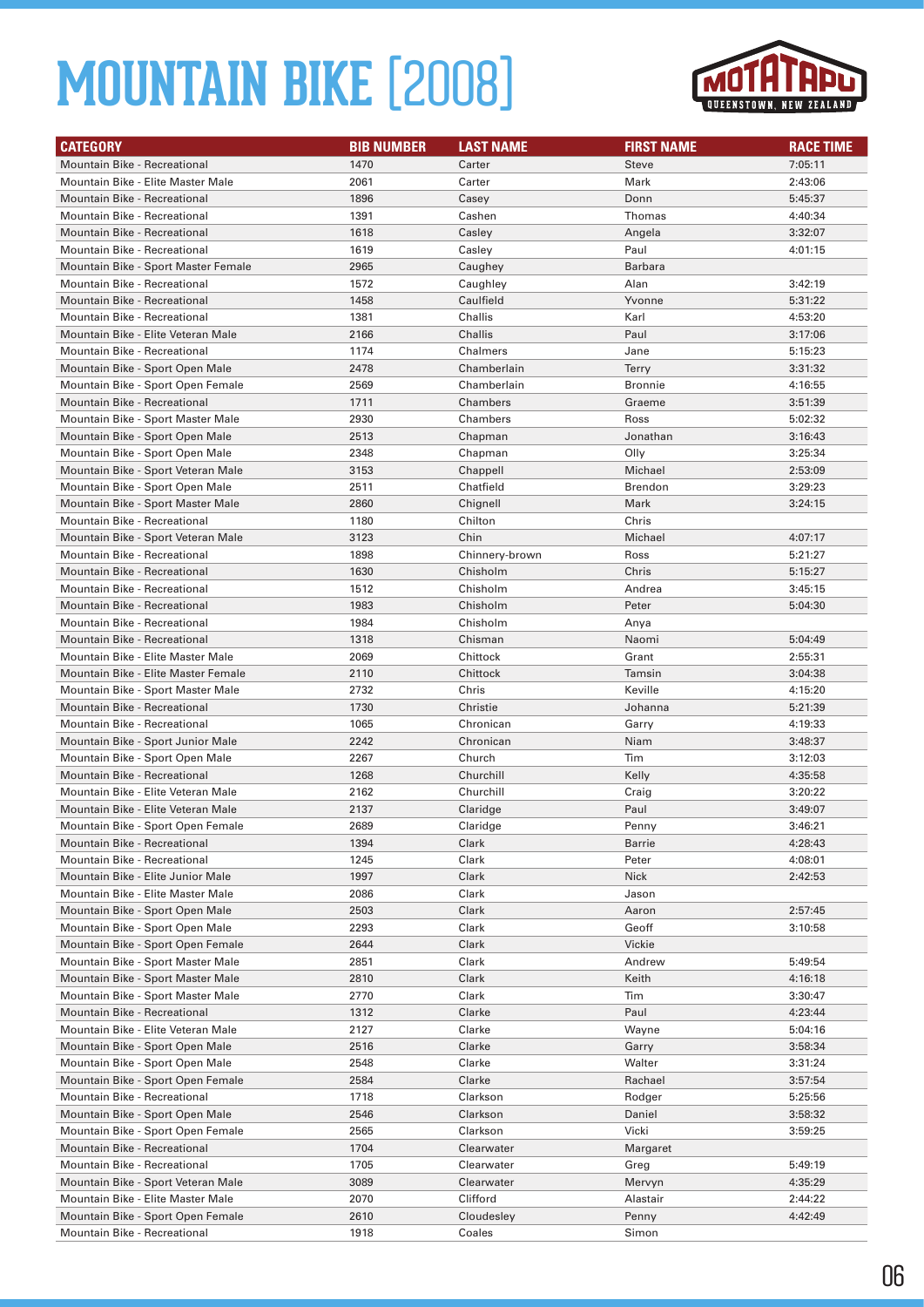

| <b>CATEGORY</b>                     | <b>BIB NUMBER</b> | <b>LAST NAME</b> | <b>FIRST NAME</b> | <b>RACE TIME</b> |
|-------------------------------------|-------------------|------------------|-------------------|------------------|
| Mountain Bike - Recreational        | 1470              | Carter           | <b>Steve</b>      | 7:05:11          |
| Mountain Bike - Elite Master Male   | 2061              | Carter           | Mark              | 2:43:06          |
| <b>Mountain Bike - Recreational</b> | 1896              | Casey            | Donn              | 5:45:37          |
| Mountain Bike - Recreational        | 1391              | Cashen           | Thomas            | 4:40:34          |
| <b>Mountain Bike - Recreational</b> | 1618              | Casley           | Angela            | 3:32:07          |
| Mountain Bike - Recreational        | 1619              | Casley           | Paul              | 4:01:15          |
| Mountain Bike - Sport Master Female | 2965              | Caughey          | <b>Barbara</b>    |                  |
| Mountain Bike - Recreational        | 1572              | Caughley         | Alan              | 3:42:19          |
| <b>Mountain Bike - Recreational</b> | 1458              | Caulfield        | Yvonne            | 5:31:22          |
| Mountain Bike - Recreational        | 1381              | Challis          | Karl              | 4:53:20          |
| Mountain Bike - Elite Veteran Male  | 2166              | Challis          | Paul              | 3:17:06          |
| Mountain Bike - Recreational        | 1174              | Chalmers         | Jane              | 5:15:23          |
| Mountain Bike - Sport Open Male     | 2478              | Chamberlain      | <b>Terry</b>      | 3:31:32          |
| Mountain Bike - Sport Open Female   | 2569              | Chamberlain      | <b>Bronnie</b>    | 4:16:55          |
| Mountain Bike - Recreational        | 1711              | Chambers         | Graeme            | 3:51:39          |
| Mountain Bike - Sport Master Male   | 2930              | Chambers         | Ross              | 5:02:32          |
| Mountain Bike - Sport Open Male     | 2513              | Chapman          | Jonathan          | 3:16:43          |
| Mountain Bike - Sport Open Male     | 2348              | Chapman          | Olly              | 3:25:34          |
| Mountain Bike - Sport Veteran Male  | 3153              | Chappell         | Michael           | 2:53:09          |
| Mountain Bike - Sport Open Male     | 2511              | Chatfield        | Brendon           | 3:29:23          |
| Mountain Bike - Sport Master Male   | 2860              | Chignell         | Mark              | 3:24:15          |
| Mountain Bike - Recreational        | 1180              | Chilton          | Chris             |                  |
| Mountain Bike - Sport Veteran Male  | 3123              | Chin             | Michael           | 4:07:17          |
| Mountain Bike - Recreational        | 1898              | Chinnery-brown   | Ross              | 5:21:27          |
| <b>Mountain Bike - Recreational</b> | 1630              | Chisholm         | Chris             | 5:15:27          |
| Mountain Bike - Recreational        | 1512              | Chisholm         | Andrea            | 3:45:15          |
| <b>Mountain Bike - Recreational</b> | 1983              | Chisholm         | Peter             | 5:04:30          |
| Mountain Bike - Recreational        | 1984              | Chisholm         | Anya              |                  |
| <b>Mountain Bike - Recreational</b> | 1318              | Chisman          | Naomi             | 5:04:49          |
| Mountain Bike - Elite Master Male   | 2069              | Chittock         | Grant             | 2:55:31          |
| Mountain Bike - Elite Master Female | 2110              | Chittock         | Tamsin            | 3:04:38          |
| Mountain Bike - Sport Master Male   | 2732              | Chris            | Keville           | 4:15:20          |
| <b>Mountain Bike - Recreational</b> | 1730              | Christie         | Johanna           | 5:21:39          |
| Mountain Bike - Recreational        | 1065              | Chronican        | Garry             | 4:19:33          |
| Mountain Bike - Sport Junior Male   | 2242              | Chronican        | Niam              | 3:48:37          |
| Mountain Bike - Sport Open Male     | 2267              | Church           | Tim               | 3:12:03          |
| <b>Mountain Bike - Recreational</b> | 1268              | Churchill        | Kelly             | 4:35:58          |
| Mountain Bike - Elite Veteran Male  | 2162              | Churchill        | Craig             | 3:20:22          |
| Mountain Bike - Elite Veteran Male  | 2137              | Claridge         | Paul              | 3:49:07          |
| Mountain Bike - Sport Open Female   | 2689              | Claridge         | Penny             | 3:46:21          |
| Mountain Bike - Recreational        | 1394              | Clark            | Barrie            | 4:28:43          |
| Mountain Bike - Recreational        | 1245              | Clark            | Peter             | 4:08:01          |
| Mountain Bike - Elite Junior Male   | 1997              | Clark            | Nick              | 2:42:53          |
| Mountain Bike - Elite Master Male   | 2086              | Clark            | Jason             |                  |
| Mountain Bike - Sport Open Male     | 2503              | Clark            | Aaron             | 2:57:45          |
| Mountain Bike - Sport Open Male     | 2293              | Clark            | Geoff             | 3:10:58          |
| Mountain Bike - Sport Open Female   | 2644              | Clark            | Vickie            |                  |
| Mountain Bike - Sport Master Male   | 2851              | Clark            | Andrew            | 5:49:54          |
| Mountain Bike - Sport Master Male   | 2810              | Clark            | Keith             | 4:16:18          |
| Mountain Bike - Sport Master Male   | 2770              | Clark            | Tim               | 3:30:47          |
| Mountain Bike - Recreational        | 1312              | Clarke           | Paul              | 4:23:44          |
| Mountain Bike - Elite Veteran Male  | 2127              | Clarke           | Wayne             | 5:04:16          |
| Mountain Bike - Sport Open Male     | 2516              | Clarke           | Garry             | 3:58:34          |
| Mountain Bike - Sport Open Male     | 2548              | Clarke           | Walter            | 3:31:24          |
| Mountain Bike - Sport Open Female   | 2584              | Clarke           | Rachael           | 3:57:54          |
| Mountain Bike - Recreational        | 1718              | Clarkson         | Rodger            | 5:25:56          |
| Mountain Bike - Sport Open Male     | 2546              | Clarkson         | Daniel            | 3:58:32          |
| Mountain Bike - Sport Open Female   | 2565              | Clarkson         | Vicki             | 3:59:25          |
| Mountain Bike - Recreational        | 1704              | Clearwater       | Margaret          |                  |
| Mountain Bike - Recreational        | 1705              | Clearwater       | Greg              | 5:49:19          |
| Mountain Bike - Sport Veteran Male  | 3089              | Clearwater       | Mervyn            | 4:35:29          |
| Mountain Bike - Elite Master Male   | 2070              | Clifford         | Alastair          | 2:44:22          |
| Mountain Bike - Sport Open Female   | 2610              | Cloudesley       | Penny             | 4:42:49          |
| Mountain Bike - Recreational        | 1918              | Coales           | Simon             |                  |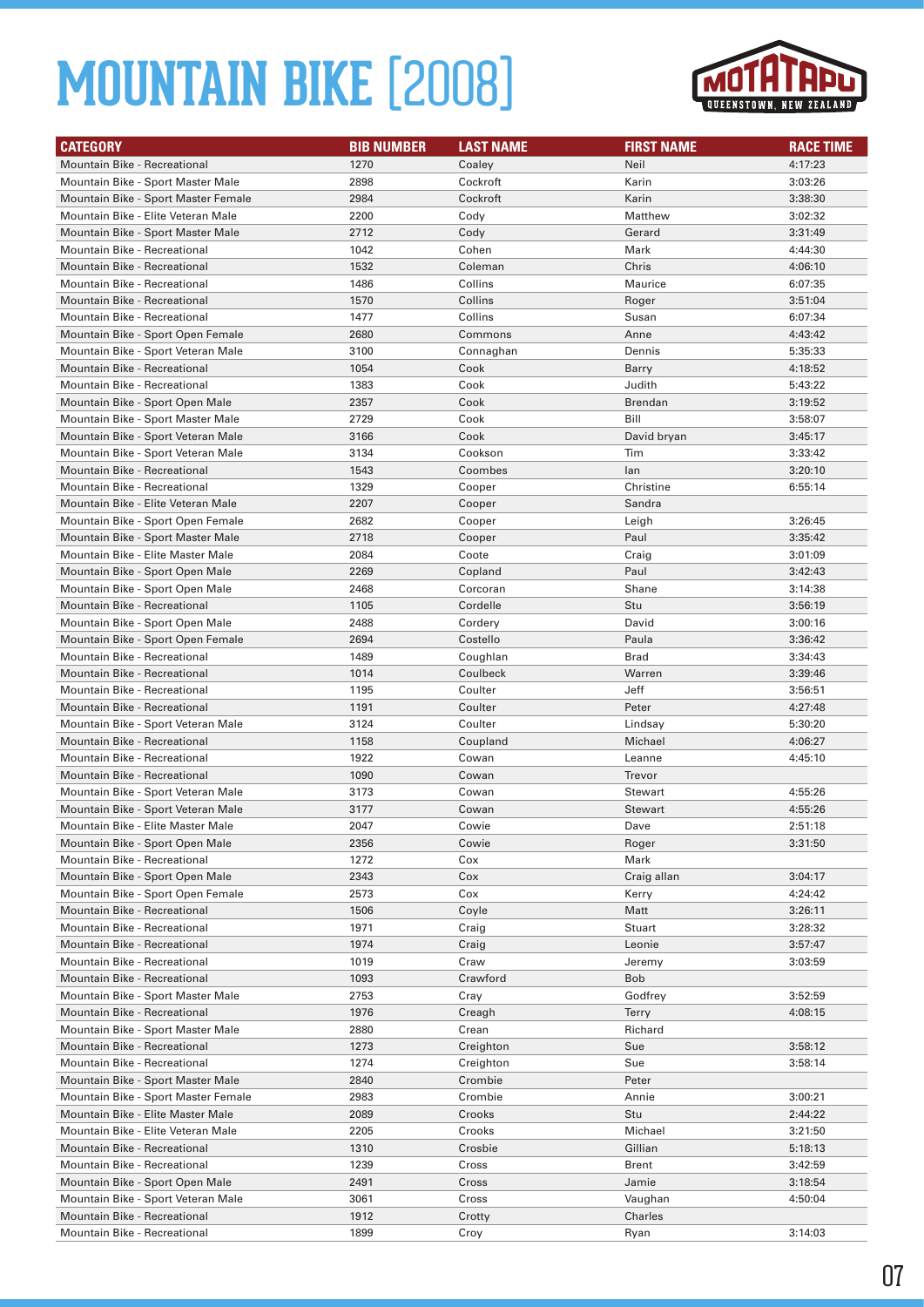

| <b>CATEGORY</b>                     | <b>BIB NUMBER</b> | <b>LAST NAME</b> | <b>FIRST NAME</b> | <b>RACE TIME</b> |
|-------------------------------------|-------------------|------------------|-------------------|------------------|
| Mountain Bike - Recreational        | 1270              | Coaley           | Neil              | 4:17:23          |
| Mountain Bike - Sport Master Male   | 2898              | Cockroft         | Karin             | 3:03:26          |
| Mountain Bike - Sport Master Female | 2984              | Cockroft         | Karin             | 3:38:30          |
| Mountain Bike - Elite Veteran Male  | 2200              | Cody             | Matthew           | 3:02:32          |
| Mountain Bike - Sport Master Male   | 2712              | Cody             | Gerard            | 3:31:49          |
| Mountain Bike - Recreational        | 1042              | Cohen            | Mark              | 4:44:30          |
| <b>Mountain Bike - Recreational</b> | 1532              | Coleman          | Chris             | 4:06:10          |
| Mountain Bike - Recreational        | 1486              | Collins          | Maurice           | 6:07:35          |
| <b>Mountain Bike - Recreational</b> | 1570              | Collins          | Roger             | 3:51:04          |
| Mountain Bike - Recreational        | 1477              | Collins          | Susan             | 6:07:34          |
| Mountain Bike - Sport Open Female   | 2680              | Commons          | Anne              | 4:43:42          |
| Mountain Bike - Sport Veteran Male  | 3100              | Connaghan        | Dennis            | 5:35:33          |
| Mountain Bike - Recreational        | 1054              | Cook             | Barry             | 4:18:52          |
| Mountain Bike - Recreational        | 1383              | Cook             | Judith            | 5:43:22          |
| Mountain Bike - Sport Open Male     | 2357              | Cook             | Brendan           | 3:19:52          |
| Mountain Bike - Sport Master Male   | 2729              | Cook             | Bill              | 3:58:07          |
| Mountain Bike - Sport Veteran Male  | 3166              | Cook             | David bryan       | 3:45:17          |
| Mountain Bike - Sport Veteran Male  | 3134              | Cookson          | Tim               | 3:33:42          |
| <b>Mountain Bike - Recreational</b> | 1543              | Coombes          | lan               | 3:20:10          |
| <b>Mountain Bike - Recreational</b> | 1329              | Cooper           | Christine         | 6:55:14          |
| Mountain Bike - Elite Veteran Male  | 2207              | Cooper           | Sandra            |                  |
| Mountain Bike - Sport Open Female   | 2682              | Cooper           | Leigh             | 3:26:45          |
| Mountain Bike - Sport Master Male   | 2718              | Cooper           | Paul              | 3:35:42          |
| Mountain Bike - Elite Master Male   | 2084              | Coote            | Craig             | 3:01:09          |
| Mountain Bike - Sport Open Male     | 2269              | Copland          | Paul              | 3:42:43          |
| Mountain Bike - Sport Open Male     | 2468              | Corcoran         | Shane             | 3:14:38          |
| Mountain Bike - Recreational        | 1105              | Cordelle         | Stu               | 3:56:19          |
| Mountain Bike - Sport Open Male     | 2488              | Cordery          | David             | 3:00:16          |
| Mountain Bike - Sport Open Female   | 2694              | Costello         | Paula             | 3:36:42          |
| Mountain Bike - Recreational        | 1489              | Coughlan         | <b>Brad</b>       | 3:34:43          |
| <b>Mountain Bike - Recreational</b> | 1014              | Coulbeck         | Warren            | 3:39:46          |
| Mountain Bike - Recreational        | 1195              | Coulter          | Jeff              | 3:56:51          |
| <b>Mountain Bike - Recreational</b> | 1191              | Coulter          | Peter             | 4:27:48          |
| Mountain Bike - Sport Veteran Male  | 3124              | Coulter          | Lindsay           | 5:30:20          |
| Mountain Bike - Recreational        | 1158              | Coupland         | Michael           | 4:06:27          |
| Mountain Bike - Recreational        | 1922              | Cowan            | Leanne            | 4:45:10          |
| Mountain Bike - Recreational        | 1090              | Cowan            | Trevor            |                  |
| Mountain Bike - Sport Veteran Male  | 3173              | Cowan            | <b>Stewart</b>    | 4:55:26          |
| Mountain Bike - Sport Veteran Male  | 3177              | Cowan            | <b>Stewart</b>    | 4:55:26          |
| Mountain Bike - Elite Master Male   | 2047              | Cowie            | Dave              | 2:51:18          |
| Mountain Bike - Sport Open Male     | 2356              | Cowie            | Roger             | 3:31:50          |
| Mountain Bike - Recreational        | 1272              | Cox              | Mark              |                  |
| Mountain Bike - Sport Open Male     | 2343              | Cox              | Craig allan       | 3:04:17          |
| Mountain Bike - Sport Open Female   | 2573              | Cox              | Kerry             | 4:24:42          |
| Mountain Bike - Recreational        | 1506              | Coyle            | Matt              | 3:26:11          |
| Mountain Bike - Recreational        | 1971              | Craig            | Stuart            | 3:28:32          |
| Mountain Bike - Recreational        | 1974              | Craig            | Leonie            | 3:57:47          |
| Mountain Bike - Recreational        | 1019              | Craw             | Jeremy            | 3:03:59          |
| Mountain Bike - Recreational        | 1093              | Crawford         | Bob               |                  |
| Mountain Bike - Sport Master Male   | 2753              | Cray             | Godfrey           | 3:52:59          |
| Mountain Bike - Recreational        | 1976              | Creagh           | <b>Terry</b>      | 4:08:15          |
| Mountain Bike - Sport Master Male   | 2880              | Crean            | Richard           |                  |
| Mountain Bike - Recreational        | 1273              | Creighton        | Sue               | 3:58:12          |
| Mountain Bike - Recreational        | 1274              | Creighton        | Sue               | 3:58:14          |
| Mountain Bike - Sport Master Male   | 2840              | Crombie          | Peter             |                  |
| Mountain Bike - Sport Master Female | 2983              | Crombie          | Annie             | 3:00:21          |
| Mountain Bike - Elite Master Male   | 2089              | Crooks           | Stu               | 2:44:22          |
| Mountain Bike - Elite Veteran Male  | 2205              | Crooks           | Michael           | 3:21:50          |
| Mountain Bike - Recreational        | 1310              | Crosbie          | Gillian           | 5:18:13          |
| Mountain Bike - Recreational        | 1239              | Cross            | Brent             | 3:42:59          |
| Mountain Bike - Sport Open Male     | 2491              | Cross            | Jamie             | 3:18:54          |
| Mountain Bike - Sport Veteran Male  | 3061              | Cross            | Vaughan           | 4:50:04          |
| Mountain Bike - Recreational        | 1912              | Crotty           | Charles           |                  |
| Mountain Bike - Recreational        | 1899              | Croy             | Ryan              | 3:14:03          |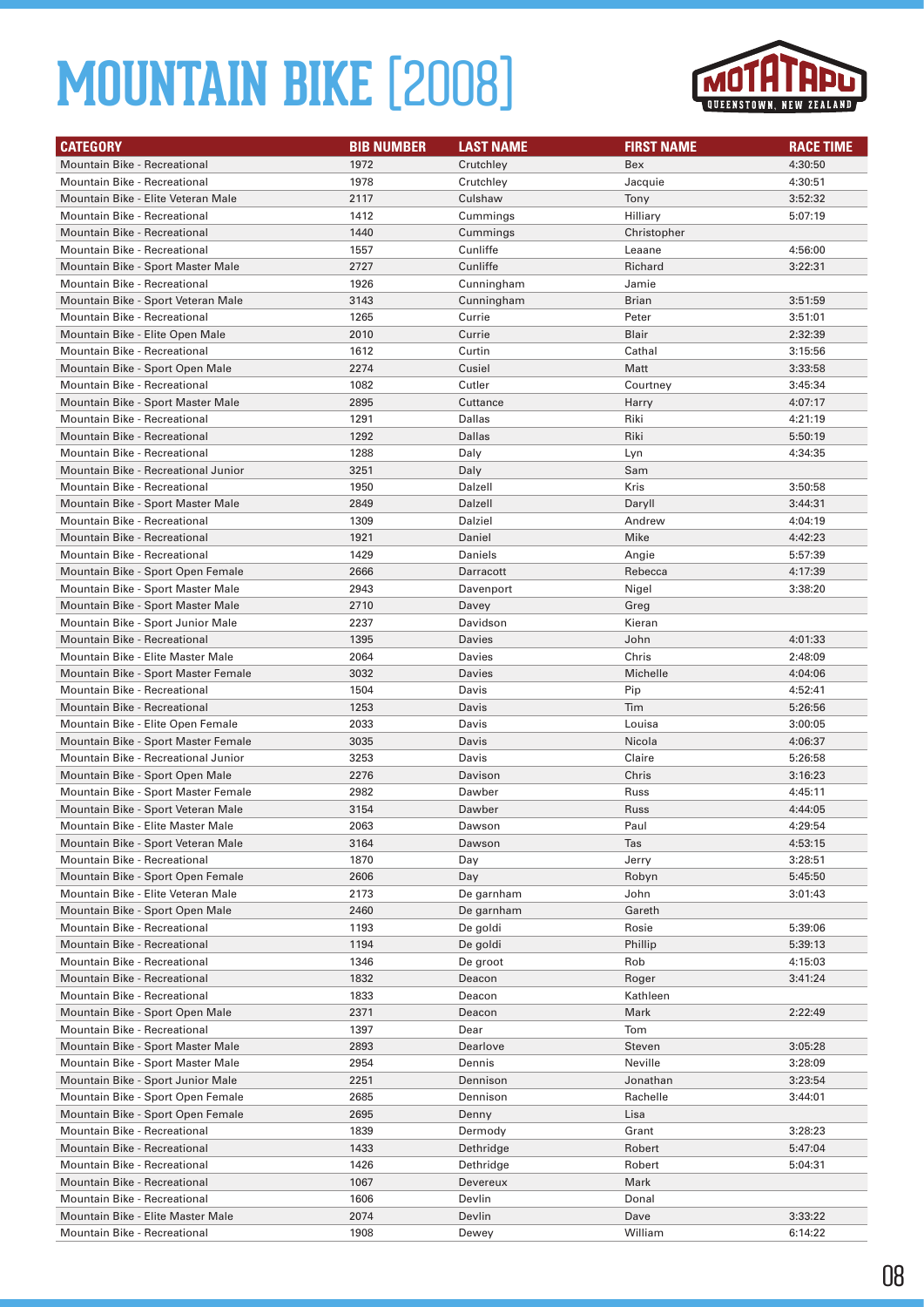

| <b>CATEGORY</b>                                                        | <b>BIB NUMBER</b> | <b>LAST NAME</b>  | <b>FIRST NAME</b> | <b>RACE TIME</b>   |
|------------------------------------------------------------------------|-------------------|-------------------|-------------------|--------------------|
| <b>Mountain Bike - Recreational</b>                                    | 1972              | Crutchley         | Bex               | 4:30:50            |
| <b>Mountain Bike - Recreational</b>                                    | 1978              | Crutchley         | Jacquie           | 4:30:51            |
| Mountain Bike - Elite Veteran Male                                     | 2117              | Culshaw           | Tony              | 3:52:32            |
| Mountain Bike - Recreational                                           | 1412              | Cummings          | Hilliary          | 5:07:19            |
| Mountain Bike - Recreational                                           | 1440              | Cummings          | Christopher       |                    |
| Mountain Bike - Recreational                                           | 1557              | Cunliffe          | Leaane            | 4:56:00            |
| Mountain Bike - Sport Master Male                                      | 2727              | Cunliffe          | Richard           | 3:22:31            |
| Mountain Bike - Recreational                                           | 1926              | Cunningham        | Jamie             |                    |
| Mountain Bike - Sport Veteran Male                                     | 3143              | Cunningham        | <b>Brian</b>      | 3:51:59            |
| Mountain Bike - Recreational                                           | 1265              | Currie            | Peter             | 3:51:01            |
| Mountain Bike - Elite Open Male                                        | 2010              | Currie            | Blair             | 2:32:39            |
| <b>Mountain Bike - Recreational</b>                                    | 1612              | Curtin            | Cathal            | 3:15:56            |
| Mountain Bike - Sport Open Male                                        | 2274              | Cusiel            | Matt              | 3:33:58            |
| Mountain Bike - Recreational                                           | 1082              | Cutler            | Courtney          | 3:45:34            |
| Mountain Bike - Sport Master Male                                      | 2895              | Cuttance          | Harry             | 4:07:17            |
| Mountain Bike - Recreational                                           | 1291              | Dallas            | Riki              | 4:21:19            |
| <b>Mountain Bike - Recreational</b>                                    | 1292              | Dallas            | Riki              | 5:50:19            |
| Mountain Bike - Recreational                                           | 1288              | Daly              | Lyn               | 4:34:35            |
| Mountain Bike - Recreational Junior                                    | 3251              | Daly              | Sam               |                    |
| <b>Mountain Bike - Recreational</b>                                    | 1950              | Dalzell           | Kris              | 3:50:58            |
| Mountain Bike - Sport Master Male                                      | 2849              | Dalzell           | Daryll            | 3:44:31            |
| Mountain Bike - Recreational                                           | 1309              | Dalziel           | Andrew            | 4:04:19            |
| Mountain Bike - Recreational                                           | 1921              | Daniel            | Mike              | 4:42:23            |
| Mountain Bike - Recreational                                           | 1429              | Daniels           | Angie             | 5:57:39            |
| Mountain Bike - Sport Open Female                                      | 2666              | Darracott         | Rebecca           | 4:17:39            |
| Mountain Bike - Sport Master Male                                      | 2943              | Davenport         | Nigel             | 3:38:20            |
| Mountain Bike - Sport Master Male                                      | 2710              | Davey             | Greg              |                    |
| Mountain Bike - Sport Junior Male                                      | 2237              | Davidson          | Kieran            |                    |
| <b>Mountain Bike - Recreational</b>                                    | 1395              | Davies            | John              | 4:01:33            |
| Mountain Bike - Elite Master Male                                      | 2064              | Davies            | Chris             | 2:48:09            |
| Mountain Bike - Sport Master Female                                    | 3032              | Davies            | Michelle          | 4:04:06            |
| Mountain Bike - Recreational                                           | 1504              | Davis             | Pip               | 4:52:41            |
| <b>Mountain Bike - Recreational</b>                                    | 1253              | Davis             | Tim               | 5:26:56            |
| Mountain Bike - Elite Open Female                                      | 2033              | Davis             | Louisa            | 3:00:05            |
| Mountain Bike - Sport Master Female                                    | 3035              | Davis             | Nicola            | 4:06:37            |
| Mountain Bike - Recreational Junior                                    | 3253              | Davis             | Claire            | 5:26:58            |
| Mountain Bike - Sport Open Male<br>Mountain Bike - Sport Master Female | 2276<br>2982      | Davison<br>Dawber | Chris             | 3:16:23<br>4:45:11 |
| Mountain Bike - Sport Veteran Male                                     | 3154              | Dawber            | Russ<br>Russ      | 4:44:05            |
| Mountain Bike - Elite Master Male                                      | 2063              | Dawson            | Paul              | 4:29:54            |
| Mountain Bike - Sport Veteran Male                                     | 3164              | Dawson            | Tas               | 4:53:15            |
| <b>Mountain Bike - Recreational</b>                                    | 1870              | Day               | Jerry             | 3:28:51            |
| Mountain Bike - Sport Open Female                                      | 2606              | Day               | Robyn             | 5:45:50            |
| Mountain Bike - Elite Veteran Male                                     | 2173              | De garnham        | John              | 3:01:43            |
| Mountain Bike - Sport Open Male                                        | 2460              | De garnham        | Gareth            |                    |
| Mountain Bike - Recreational                                           | 1193              | De goldi          | Rosie             | 5:39:06            |
| Mountain Bike - Recreational                                           | 1194              | De goldi          | Phillip           | 5:39:13            |
| Mountain Bike - Recreational                                           | 1346              | De groot          | Rob               | 4:15:03            |
| Mountain Bike - Recreational                                           | 1832              | Deacon            | Roger             | 3:41:24            |
| Mountain Bike - Recreational                                           | 1833              | Deacon            | Kathleen          |                    |
| Mountain Bike - Sport Open Male                                        | 2371              | Deacon            | Mark              | 2:22:49            |
| Mountain Bike - Recreational                                           | 1397              | Dear              | Tom               |                    |
| Mountain Bike - Sport Master Male                                      | 2893              | Dearlove          | Steven            | 3:05:28            |
| Mountain Bike - Sport Master Male                                      | 2954              | Dennis            | Neville           | 3:28:09            |
| Mountain Bike - Sport Junior Male                                      | 2251              | Dennison          | Jonathan          | 3:23:54            |
| Mountain Bike - Sport Open Female                                      | 2685              | Dennison          | Rachelle          | 3:44:01            |
| Mountain Bike - Sport Open Female                                      | 2695              | Denny             | Lisa              |                    |
| Mountain Bike - Recreational                                           | 1839              | Dermody           | Grant             | 3:28:23            |
| Mountain Bike - Recreational                                           | 1433              | Dethridge         | Robert            | 5:47:04            |
| Mountain Bike - Recreational                                           | 1426              | Dethridge         | Robert            | 5:04:31            |
| Mountain Bike - Recreational                                           | 1067              | Devereux          | Mark              |                    |
| Mountain Bike - Recreational                                           | 1606              | Devlin            | Donal             |                    |
| Mountain Bike - Elite Master Male                                      | 2074              | Devlin            | Dave              | 3:33:22            |
| Mountain Bike - Recreational                                           | 1908              | Dewey             | William           | 6:14:22            |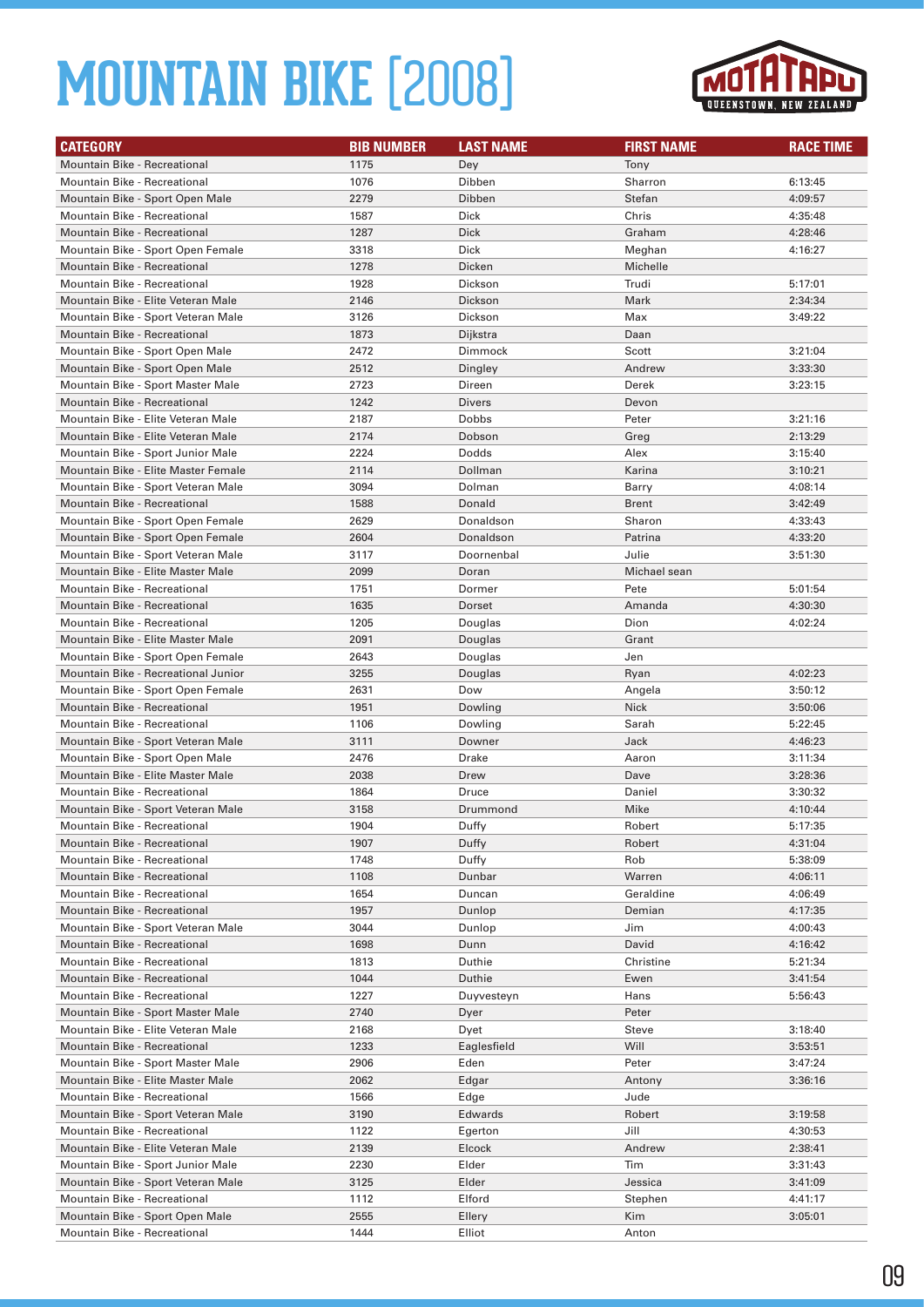

| <b>CATEGORY</b>                                                         | <b>BIB NUMBER</b> | <b>LAST NAME</b> | <b>FIRST NAME</b> | <b>RACE TIME</b> |
|-------------------------------------------------------------------------|-------------------|------------------|-------------------|------------------|
| <b>Mountain Bike - Recreational</b>                                     | 1175              | Dey              | Tony              |                  |
| Mountain Bike - Recreational                                            | 1076              | Dibben           | Sharron           | 6:13:45          |
| Mountain Bike - Sport Open Male                                         | 2279              | Dibben           | Stefan            | 4:09:57          |
| Mountain Bike - Recreational                                            | 1587              | Dick             | Chris             | 4:35:48          |
| <b>Mountain Bike - Recreational</b>                                     | 1287              | Dick             | Graham            | 4:28:46          |
| Mountain Bike - Sport Open Female                                       | 3318              | Dick             | Meghan            | 4:16:27          |
| <b>Mountain Bike - Recreational</b>                                     | 1278              | Dicken           | Michelle          |                  |
| Mountain Bike - Recreational                                            | 1928              | Dickson          | Trudi             | 5:17:01          |
| Mountain Bike - Elite Veteran Male                                      | 2146              | Dickson          | Mark              | 2:34:34          |
| Mountain Bike - Sport Veteran Male                                      | 3126              | Dickson          | Max               | 3:49:22          |
| Mountain Bike - Recreational                                            | 1873              | Dijkstra         | Daan              |                  |
| Mountain Bike - Sport Open Male                                         | 2472              | Dimmock          | Scott             | 3:21:04          |
| Mountain Bike - Sport Open Male                                         | 2512              | Dingley          | Andrew            | 3:33:30          |
| Mountain Bike - Sport Master Male                                       | 2723              | Direen           | Derek             | 3:23:15          |
| Mountain Bike - Recreational                                            | 1242              | <b>Divers</b>    | Devon             |                  |
| Mountain Bike - Elite Veteran Male                                      | 2187              | Dobbs            | Peter             | 3:21:16          |
| Mountain Bike - Elite Veteran Male                                      | 2174              | Dobson           | Greg              | 2:13:29          |
| Mountain Bike - Sport Junior Male                                       | 2224              | Dodds            | Alex              | 3:15:40          |
| Mountain Bike - Elite Master Female                                     | 2114              | Dollman          | Karina            | 3:10:21          |
| Mountain Bike - Sport Veteran Male                                      | 3094              | Dolman           | Barry             | 4:08:14          |
| <b>Mountain Bike - Recreational</b>                                     | 1588              | Donald           | <b>Brent</b>      | 3:42:49          |
| Mountain Bike - Sport Open Female                                       | 2629              | Donaldson        | Sharon            | 4:33:43          |
| Mountain Bike - Sport Open Female                                       | 2604              | Donaldson        | Patrina           | 4:33:20          |
| Mountain Bike - Sport Veteran Male                                      | 3117              | Doornenbal       | Julie             | 3:51:30          |
| Mountain Bike - Elite Master Male                                       | 2099              | Doran            | Michael sean      |                  |
| Mountain Bike - Recreational                                            | 1751              | Dormer           | Pete              | 5:01:54          |
| <b>Mountain Bike - Recreational</b>                                     | 1635              | Dorset           | Amanda            | 4:30:30          |
| Mountain Bike - Recreational                                            | 1205              | Douglas          | Dion              | 4:02:24          |
| Mountain Bike - Elite Master Male                                       | 2091              | Douglas          | Grant             |                  |
| Mountain Bike - Sport Open Female                                       | 2643              | Douglas          | Jen               |                  |
| Mountain Bike - Recreational Junior                                     | 3255              | Douglas          | Ryan              | 4:02:23          |
| Mountain Bike - Sport Open Female                                       | 2631              | Dow              | Angela            | 3:50:12          |
| Mountain Bike - Recreational                                            | 1951              | Dowling          | <b>Nick</b>       | 3:50:06          |
| Mountain Bike - Recreational                                            | 1106              | Dowling          | Sarah             | 5:22:45          |
| Mountain Bike - Sport Veteran Male                                      | 3111              | Downer           | Jack              | 4:46:23          |
| Mountain Bike - Sport Open Male                                         | 2476              | Drake            | Aaron             | 3:11:34          |
| Mountain Bike - Elite Master Male                                       | 2038              | Drew             | Dave              | 3:28:36          |
| Mountain Bike - Recreational                                            | 1864              | Druce            | Daniel            | 3:30:32          |
| Mountain Bike - Sport Veteran Male                                      | 3158              | Drummond         | Mike              | 4:10:44          |
| Mountain Bike - Recreational                                            | 1904              | Duffy            | Robert            | 5:17:35          |
| <b>Mountain Bike - Recreational</b>                                     | 1907              | Duffy            | Robert            | 4:31:04          |
| Mountain Bike - Recreational                                            | 1748              | Duffy            | Rob               | 5:38:09          |
| Mountain Bike - Recreational                                            | 1108              | Dunbar           | Warren            | 4:06:11          |
| Mountain Bike - Recreational                                            | 1654              | Duncan           | Geraldine         | 4:06:49          |
| Mountain Bike - Recreational                                            | 1957              | Dunlop           | Demian            | 4:17:35          |
| Mountain Bike - Sport Veteran Male                                      | 3044              | Dunlop           | Jim               | 4:00:43          |
| Mountain Bike - Recreational                                            | 1698              | Dunn             | David             | 4:16:42          |
| Mountain Bike - Recreational                                            | 1813              | Duthie           | Christine         | 5:21:34          |
| Mountain Bike - Recreational<br>Mountain Bike - Recreational            | 1044              | Duthie           | Ewen              | 3:41:54          |
|                                                                         | 1227<br>2740      | Duyvesteyn       | Hans<br>Peter     | 5:56:43          |
| Mountain Bike - Sport Master Male<br>Mountain Bike - Elite Veteran Male | 2168              | Dyer<br>Dyet     | Steve             | 3:18:40          |
| Mountain Bike - Recreational                                            | 1233              | Eaglesfield      | Will              | 3:53:51          |
| Mountain Bike - Sport Master Male                                       | 2906              | Eden             | Peter             | 3:47:24          |
| Mountain Bike - Elite Master Male                                       | 2062              | Edgar            | Antony            | 3:36:16          |
| Mountain Bike - Recreational                                            | 1566              | Edge             | Jude              |                  |
| Mountain Bike - Sport Veteran Male                                      | 3190              | Edwards          | Robert            | 3:19:58          |
| Mountain Bike - Recreational                                            | 1122              | Egerton          | Jill              | 4:30:53          |
| Mountain Bike - Elite Veteran Male                                      | 2139              | Elcock           | Andrew            | 2:38:41          |
| Mountain Bike - Sport Junior Male                                       | 2230              | Elder            | Tim               | 3:31:43          |
| Mountain Bike - Sport Veteran Male                                      | 3125              | Elder            | Jessica           | 3:41:09          |
| Mountain Bike - Recreational                                            | 1112              | Elford           | Stephen           | 4:41:17          |
| Mountain Bike - Sport Open Male                                         | 2555              | Ellery           | Kim               | 3:05:01          |
| Mountain Bike - Recreational                                            | 1444              | Elliot           | Anton             |                  |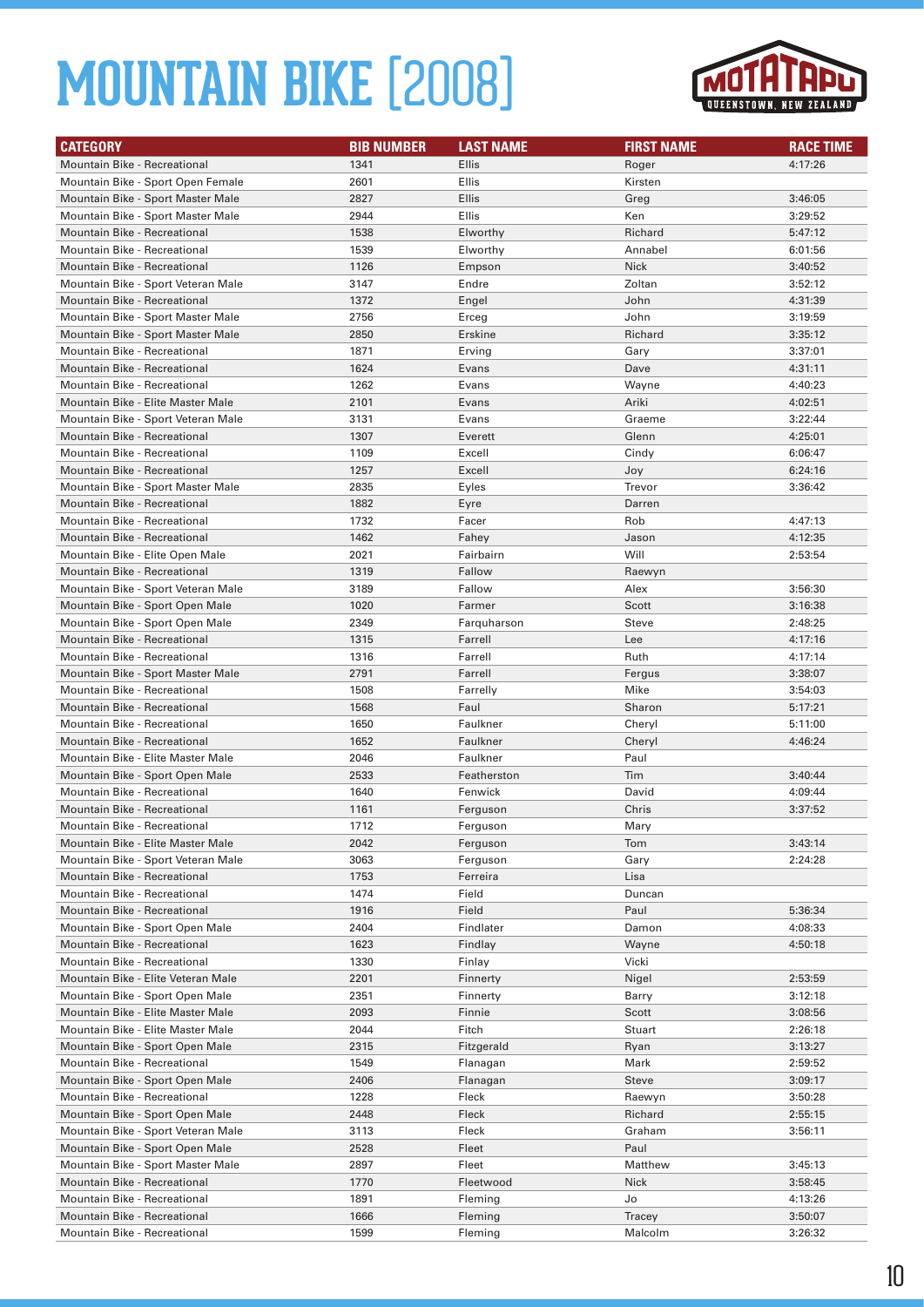

| <b>CATEGORY</b>                     | <b>BIB NUMBER</b> | <b>LAST NAME</b> | <b>FIRST NAME</b> | <b>RACE TIME</b> |
|-------------------------------------|-------------------|------------------|-------------------|------------------|
| <b>Mountain Bike - Recreational</b> | 1341              | <b>Ellis</b>     | Roger             | 4:17:26          |
| Mountain Bike - Sport Open Female   | 2601              | <b>Ellis</b>     | Kirsten           |                  |
| Mountain Bike - Sport Master Male   | 2827              | <b>Ellis</b>     | Greg              | 3:46:05          |
| Mountain Bike - Sport Master Male   | 2944              | <b>Ellis</b>     | Ken               | 3:29:52          |
| <b>Mountain Bike - Recreational</b> | 1538              | Elworthy         | Richard           | 5:47:12          |
| Mountain Bike - Recreational        | 1539              | Elworthy         | Annabel           | 6:01:56          |
| <b>Mountain Bike - Recreational</b> | 1126              | Empson           | Nick              | 3:40:52          |
| Mountain Bike - Sport Veteran Male  | 3147              | Endre            | Zoltan            | 3:52:12          |
| Mountain Bike - Recreational        | 1372              | Engel            | John              | 4:31:39          |
| Mountain Bike - Sport Master Male   | 2756              | Erceg            | John              | 3:19:59          |
| Mountain Bike - Sport Master Male   | 2850              | Erskine          | Richard           | 3:35:12          |
| Mountain Bike - Recreational        | 1871              | Erving           | Gary              | 3:37:01          |
| <b>Mountain Bike - Recreational</b> | 1624              | Evans            | Dave              | 4:31:11          |
| Mountain Bike - Recreational        | 1262              | Evans            | Wayne             | 4:40:23          |
| Mountain Bike - Elite Master Male   | 2101              | Evans            | Ariki             | 4:02:51          |
| Mountain Bike - Sport Veteran Male  | 3131              | Evans            | Graeme            | 3:22:44          |
| <b>Mountain Bike - Recreational</b> | 1307              | Everett          | Glenn             | 4:25:01          |
| Mountain Bike - Recreational        | 1109              | Excell           | Cindy             | 6:06:47          |
| <b>Mountain Bike - Recreational</b> | 1257              | Excell           | Joy               | 6:24:16          |
| Mountain Bike - Sport Master Male   | 2835              | Eyles            | Trevor            | 3:36:42          |
| <b>Mountain Bike - Recreational</b> | 1882              | Eyre             | Darren            |                  |
| <b>Mountain Bike - Recreational</b> | 1732              | Facer            | Rob               | 4:47:13          |
| <b>Mountain Bike - Recreational</b> | 1462              | Fahey            | Jason             | 4:12:35          |
| Mountain Bike - Elite Open Male     | 2021              | Fairbairn        | Will              | 2:53:54          |
| Mountain Bike - Recreational        | 1319              | Fallow           | Raewyn            |                  |
| Mountain Bike - Sport Veteran Male  | 3189              | Fallow           | Alex              | 3:56:30          |
| Mountain Bike - Sport Open Male     | 1020              | Farmer           | Scott             | 3:16:38          |
| Mountain Bike - Sport Open Male     | 2349              | Farquharson      | Steve             | 2:48:25          |
| <b>Mountain Bike - Recreational</b> | 1315              | Farrell          | Lee               | 4:17:16          |
| Mountain Bike - Recreational        | 1316              | Farrell          | Ruth              | 4:17:14          |
| Mountain Bike - Sport Master Male   | 2791              | Farrell          | Fergus            | 3:38:07          |
| Mountain Bike - Recreational        | 1508              | Farrelly         | Mike              | 3:54:03          |
| <b>Mountain Bike - Recreational</b> | 1568              | Faul             | Sharon            | 5:17:21          |
| Mountain Bike - Recreational        | 1650              | Faulkner         | Cheryl            | 5:11:00          |
| <b>Mountain Bike - Recreational</b> | 1652              | Faulkner         | Cheryl            | 4:46:24          |
| Mountain Bike - Elite Master Male   | 2046              | Faulkner         | Paul              |                  |
| Mountain Bike - Sport Open Male     | 2533              | Featherston      | Tim               | 3:40:44          |
| <b>Mountain Bike - Recreational</b> | 1640              | Fenwick          | David             | 4:09:44          |
| <b>Mountain Bike - Recreational</b> | 1161              | Ferguson         | Chris             | 3:37:52          |
| <b>Mountain Bike - Recreational</b> | 1712              | Ferguson         | Mary              |                  |
| Mountain Bike - Elite Master Male   | 2042              | Ferguson         | Tom               | 3:43:14          |
| Mountain Bike - Sport Veteran Male  | 3063              | Ferguson         | Gary              | 2:24:28          |
| Mountain Bike - Recreational        | 1753              | Ferreira         | Lisa              |                  |
| Mountain Bike - Recreational        | 1474              | Field            | Duncan            |                  |
| Mountain Bike - Recreational        | 1916              | Field            | Paul              | 5:36:34          |
| Mountain Bike - Sport Open Male     | 2404              | Findlater        | Damon             | 4:08:33          |
| Mountain Bike - Recreational        | 1623              | Findlay          | Wayne             | 4:50:18          |
| Mountain Bike - Recreational        | 1330              | Finlay           | Vicki             |                  |
| Mountain Bike - Elite Veteran Male  | 2201              | Finnerty         | Nigel             | 2:53:59          |
| Mountain Bike - Sport Open Male     | 2351              | Finnerty         | Barry             | 3:12:18          |
| Mountain Bike - Elite Master Male   | 2093              | Finnie           | Scott             | 3:08:56          |
| Mountain Bike - Elite Master Male   | 2044              | Fitch            | Stuart            | 2:26:18          |
| Mountain Bike - Sport Open Male     | 2315              | Fitzgerald       | Ryan              | 3:13:27          |
| Mountain Bike - Recreational        | 1549              | Flanagan         | Mark              | 2:59:52          |
| Mountain Bike - Sport Open Male     | 2406              | Flanagan         | Steve             | 3:09:17          |
| Mountain Bike - Recreational        | 1228              | Fleck            | Raewyn            | 3:50:28          |
| Mountain Bike - Sport Open Male     | 2448              | Fleck            | Richard           | 2:55:15          |
| Mountain Bike - Sport Veteran Male  | 3113              | Fleck            | Graham            | 3:56:11          |
| Mountain Bike - Sport Open Male     | 2528              | Fleet            | Paul              |                  |
| Mountain Bike - Sport Master Male   | 2897              | Fleet            | Matthew           | 3:45:13          |
| Mountain Bike - Recreational        | 1770              | Fleetwood        | Nick              | 3:58:45          |
| Mountain Bike - Recreational        | 1891              | Fleming          | Jo                | 4:13:26          |
| Mountain Bike - Recreational        | 1666              | Fleming          | Tracey            | 3:50:07          |
| Mountain Bike - Recreational        | 1599              | Fleming          | Malcolm           | 3:26:32          |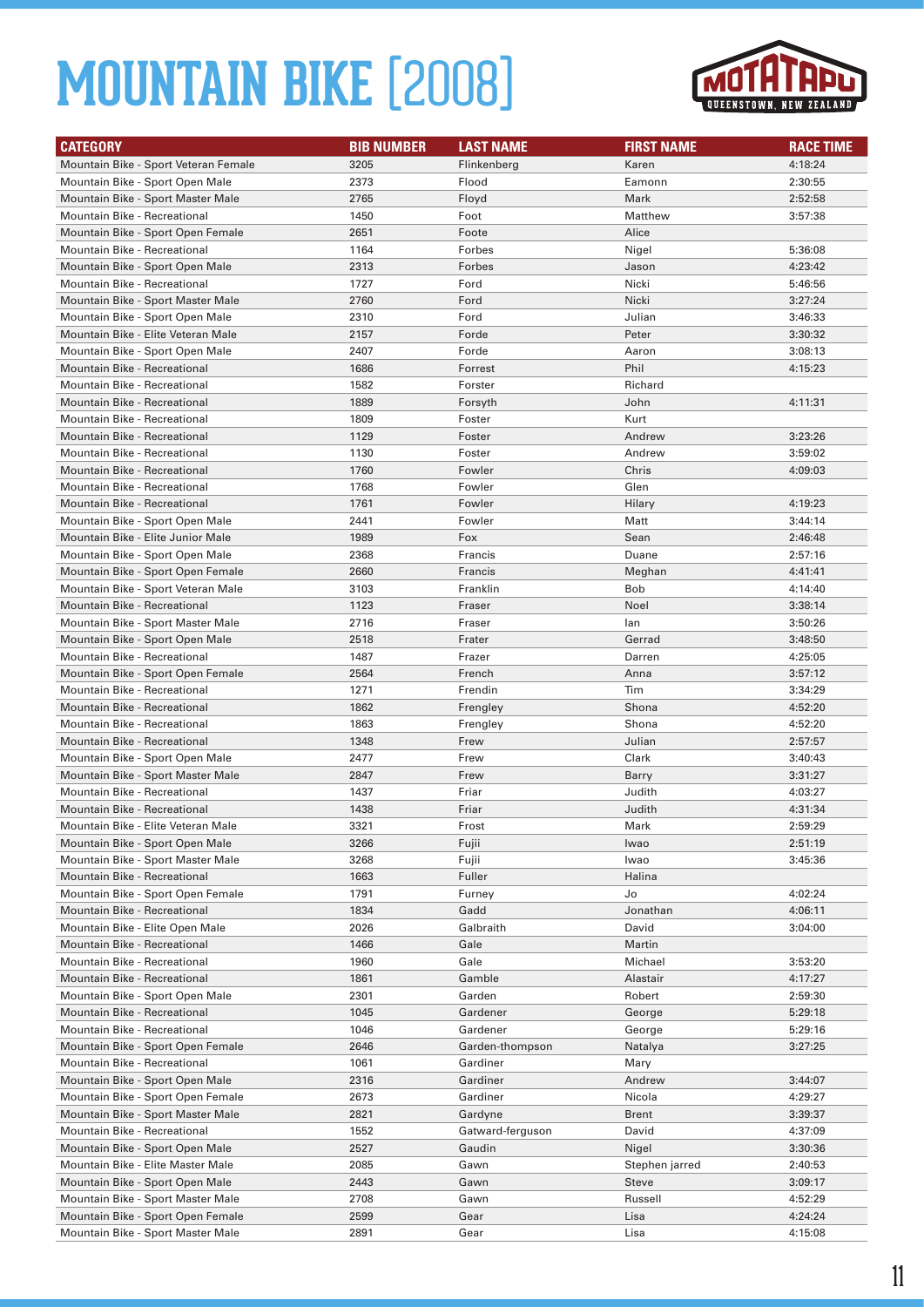

| <b>CATEGORY</b>                                                 | <b>BIB NUMBER</b> | <b>LAST NAME</b>  | <b>FIRST NAME</b> | <b>RACE TIME</b>   |
|-----------------------------------------------------------------|-------------------|-------------------|-------------------|--------------------|
| Mountain Bike - Sport Veteran Female                            | 3205              | Flinkenberg       | Karen             | 4:18:24            |
| Mountain Bike - Sport Open Male                                 | 2373              | Flood             | Eamonn            | 2:30:55            |
| Mountain Bike - Sport Master Male                               | 2765              | Floyd             | Mark              | 2:52:58            |
| Mountain Bike - Recreational                                    | 1450              | Foot              | Matthew           | 3:57:38            |
| Mountain Bike - Sport Open Female                               | 2651              | Foote             | Alice             |                    |
| Mountain Bike - Recreational                                    | 1164              | Forbes            | Nigel             | 5:36:08            |
| Mountain Bike - Sport Open Male                                 | 2313              | Forbes            | Jason             | 4:23:42            |
| Mountain Bike - Recreational                                    | 1727              | Ford              | Nicki             | 5:46:56            |
| Mountain Bike - Sport Master Male                               | 2760              | Ford              | Nicki             | 3:27:24            |
| Mountain Bike - Sport Open Male                                 | 2310              | Ford              | Julian            | 3:46:33            |
| Mountain Bike - Elite Veteran Male                              | 2157              | Forde             | Peter             | 3:30:32            |
| Mountain Bike - Sport Open Male                                 | 2407              | Forde             | Aaron             | 3:08:13            |
| <b>Mountain Bike - Recreational</b>                             | 1686              | Forrest           | Phil              | 4:15:23            |
| Mountain Bike - Recreational                                    | 1582              | Forster           | Richard           |                    |
| <b>Mountain Bike - Recreational</b>                             | 1889              | Forsyth           | John              | 4:11:31            |
| Mountain Bike - Recreational                                    | 1809              | Foster            | Kurt              |                    |
| <b>Mountain Bike - Recreational</b>                             | 1129              | Foster            | Andrew            | 3:23:26            |
| Mountain Bike - Recreational                                    | 1130              | Foster            | Andrew            | 3:59:02            |
| <b>Mountain Bike - Recreational</b>                             | 1760              | Fowler            | Chris             | 4:09:03            |
| Mountain Bike - Recreational                                    | 1768              | Fowler            | Glen              |                    |
| <b>Mountain Bike - Recreational</b>                             | 1761              | Fowler            | Hilary            | 4:19:23            |
| Mountain Bike - Sport Open Male                                 | 2441              | Fowler            | Matt              | 3:44:14            |
| Mountain Bike - Elite Junior Male                               | 1989              | Fox               | Sean              | 2:46:48            |
| Mountain Bike - Sport Open Male                                 | 2368              | Francis           | Duane             | 2:57:16            |
| Mountain Bike - Sport Open Female                               | 2660              | Francis           | Meghan            | 4:41:41            |
| Mountain Bike - Sport Veteran Male                              | 3103              | Franklin          | Bob               | 4:14:40            |
| <b>Mountain Bike - Recreational</b>                             | 1123              | Fraser            | Noel              | 3:38:14            |
| Mountain Bike - Sport Master Male                               | 2716              | Fraser            | lan               | 3:50:26            |
| Mountain Bike - Sport Open Male                                 | 2518              | Frater            | Gerrad            | 3:48:50            |
| Mountain Bike - Recreational                                    | 1487              | Frazer            | Darren            | 4:25:05            |
| Mountain Bike - Sport Open Female                               | 2564              | French            | Anna              | 3:57:12            |
| Mountain Bike - Recreational                                    | 1271              | Frendin           | Tim               | 3:34:29            |
| Mountain Bike - Recreational                                    | 1862              | Frengley          | Shona             | 4:52:20            |
| Mountain Bike - Recreational                                    | 1863              | Frengley          | Shona             | 4:52:20            |
| <b>Mountain Bike - Recreational</b>                             | 1348              | Frew              | Julian            | 2:57:57            |
| Mountain Bike - Sport Open Male                                 | 2477              | Frew              | Clark             | 3:40:43            |
| Mountain Bike - Sport Master Male                               | 2847              | Frew              | Barry             | 3:31:27            |
| Mountain Bike - Recreational                                    | 1437              | Friar             | Judith            | 4:03:27            |
| <b>Mountain Bike - Recreational</b>                             | 1438              | Friar             | Judith            | 4:31:34            |
| Mountain Bike - Elite Veteran Male                              | 3321              | Frost             | Mark              | 2:59:29            |
| Mountain Bike - Sport Open Male                                 | 3266              | Fujii             | Iwao              | 2:51:19            |
| Mountain Bike - Sport Master Male                               | 3268              | Fujii             | Iwao              | 3:45:36            |
| Mountain Bike - Recreational                                    | 1663              | Fuller            | Halina            |                    |
| Mountain Bike - Sport Open Female                               | 1791              | Furney            | Jo                | 4:02:24            |
| Mountain Bike - Recreational<br>Mountain Bike - Elite Open Male | 1834<br>2026      | Gadd<br>Galbraith | Jonathan<br>David | 4:06:11<br>3:04:00 |
|                                                                 |                   |                   |                   |                    |
| Mountain Bike - Recreational<br>Mountain Bike - Recreational    | 1466<br>1960      | Gale<br>Gale      | Martin<br>Michael | 3:53:20            |
| Mountain Bike - Recreational                                    | 1861              | Gamble            | Alastair          | 4:17:27            |
| Mountain Bike - Sport Open Male                                 | 2301              | Garden            | Robert            | 2:59:30            |
| Mountain Bike - Recreational                                    | 1045              | Gardener          | George            | 5:29:18            |
| Mountain Bike - Recreational                                    | 1046              | Gardener          | George            | 5:29:16            |
| Mountain Bike - Sport Open Female                               | 2646              | Garden-thompson   | Natalya           | 3:27:25            |
| Mountain Bike - Recreational                                    | 1061              | Gardiner          | Mary              |                    |
| Mountain Bike - Sport Open Male                                 | 2316              | Gardiner          | Andrew            | 3:44:07            |
| Mountain Bike - Sport Open Female                               | 2673              | Gardiner          | Nicola            | 4:29:27            |
| Mountain Bike - Sport Master Male                               | 2821              | Gardyne           | <b>Brent</b>      | 3:39:37            |
| Mountain Bike - Recreational                                    | 1552              | Gatward-ferguson  | David             | 4:37:09            |
| Mountain Bike - Sport Open Male                                 | 2527              | Gaudin            | Nigel             | 3:30:36            |
| Mountain Bike - Elite Master Male                               | 2085              | Gawn              | Stephen jarred    | 2:40:53            |
| Mountain Bike - Sport Open Male                                 | 2443              | Gawn              | Steve             | 3:09:17            |
| Mountain Bike - Sport Master Male                               | 2708              | Gawn              | Russell           | 4:52:29            |
| Mountain Bike - Sport Open Female                               | 2599              | Gear              | Lisa              | 4:24:24            |
| Mountain Bike - Sport Master Male                               | 2891              | Gear              | Lisa              | 4:15:08            |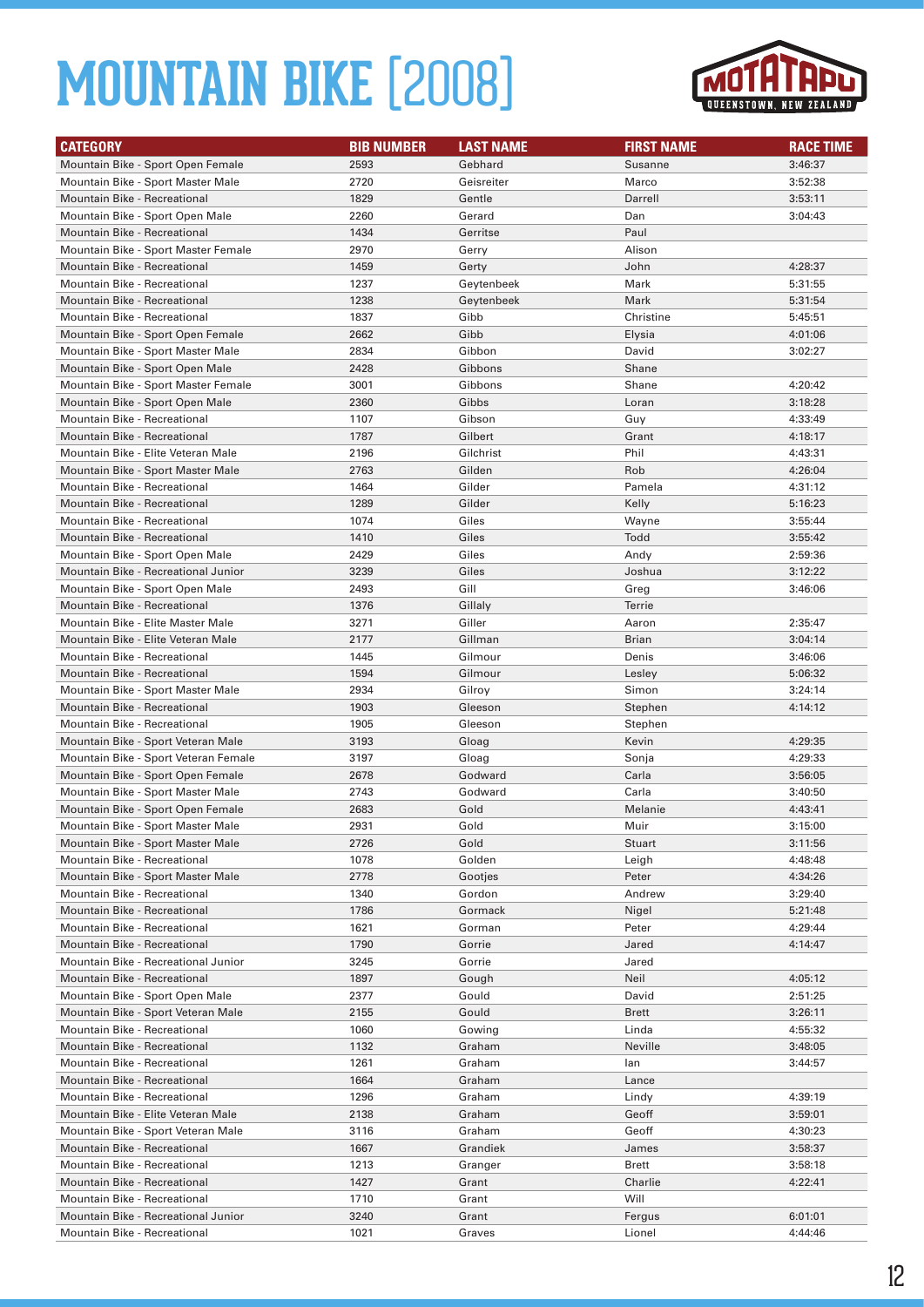

| <b>CATEGORY</b>                                                          | <b>BIB NUMBER</b> | <b>LAST NAME</b>  | <b>FIRST NAME</b> | <b>RACE TIME</b>   |
|--------------------------------------------------------------------------|-------------------|-------------------|-------------------|--------------------|
| Mountain Bike - Sport Open Female                                        | 2593              | Gebhard           | Susanne           | 3:46:37            |
| Mountain Bike - Sport Master Male                                        | 2720              | Geisreiter        | Marco             | 3:52:38            |
| Mountain Bike - Recreational                                             | 1829              | Gentle            | Darrell           | 3:53:11            |
| Mountain Bike - Sport Open Male                                          | 2260              | Gerard            | Dan               | 3:04:43            |
| <b>Mountain Bike - Recreational</b>                                      | 1434              | Gerritse          | Paul              |                    |
| Mountain Bike - Sport Master Female                                      | 2970              | Gerry             | Alison            |                    |
| <b>Mountain Bike - Recreational</b>                                      | 1459              | Gerty             | John              | 4:28:37            |
| Mountain Bike - Recreational                                             | 1237              | Geytenbeek        | Mark              | 5:31:55            |
| Mountain Bike - Recreational                                             | 1238              | Geytenbeek        | Mark              | 5:31:54            |
| Mountain Bike - Recreational                                             | 1837              | Gibb              | Christine         | 5:45:51            |
| Mountain Bike - Sport Open Female                                        | 2662              | Gibb              | Elysia            | 4:01:06            |
| Mountain Bike - Sport Master Male                                        | 2834              | Gibbon            | David             | 3:02:27            |
| Mountain Bike - Sport Open Male                                          | 2428              | Gibbons           | Shane             |                    |
| Mountain Bike - Sport Master Female                                      | 3001              | Gibbons           | Shane             | 4:20:42            |
| Mountain Bike - Sport Open Male                                          | 2360              | Gibbs             | Loran             | 3:18:28            |
| Mountain Bike - Recreational                                             | 1107              | Gibson            | Guy               | 4:33:49            |
| <b>Mountain Bike - Recreational</b>                                      | 1787              | Gilbert           | Grant             | 4:18:17            |
| Mountain Bike - Elite Veteran Male                                       | 2196              | Gilchrist         | Phil              | 4:43:31            |
| Mountain Bike - Sport Master Male                                        | 2763              | Gilden            | Rob               | 4:26:04            |
| Mountain Bike - Recreational                                             | 1464              | Gilder            | Pamela            | 4:31:12            |
| <b>Mountain Bike - Recreational</b>                                      | 1289              | Gilder            | Kelly             | 5:16:23            |
| Mountain Bike - Recreational                                             | 1074              | Giles             | Wayne             | 3:55:44            |
| Mountain Bike - Recreational                                             | 1410              | Giles             | Todd              | 3:55:42            |
| Mountain Bike - Sport Open Male                                          | 2429              | Giles             | Andy              | 2:59:36            |
| Mountain Bike - Recreational Junior                                      | 3239              | Giles             | Joshua            | 3:12:22            |
| Mountain Bike - Sport Open Male                                          | 2493              | Gill              | Greg              | 3:46:06            |
| <b>Mountain Bike - Recreational</b>                                      | 1376              | Gillaly           | Terrie            |                    |
| Mountain Bike - Elite Master Male                                        | 3271              | Giller            | Aaron             | 2:35:47            |
| Mountain Bike - Elite Veteran Male                                       | 2177              | Gillman           | <b>Brian</b>      | 3:04:14            |
| Mountain Bike - Recreational                                             | 1445              | Gilmour           | Denis             | 3:46:06            |
| Mountain Bike - Recreational                                             | 1594<br>2934      | Gilmour           | Lesley<br>Simon   | 5:06:32            |
| Mountain Bike - Sport Master Male<br><b>Mountain Bike - Recreational</b> | 1903              | Gilroy<br>Gleeson | Stephen           | 3:24:14<br>4:14:12 |
| Mountain Bike - Recreational                                             | 1905              | Gleeson           |                   |                    |
| Mountain Bike - Sport Veteran Male                                       | 3193              | Gloag             | Stephen<br>Kevin  | 4:29:35            |
| Mountain Bike - Sport Veteran Female                                     | 3197              | Gloag             | Sonja             | 4:29:33            |
| Mountain Bike - Sport Open Female                                        | 2678              | Godward           | Carla             | 3:56:05            |
| Mountain Bike - Sport Master Male                                        | 2743              | Godward           | Carla             | 3:40:50            |
| Mountain Bike - Sport Open Female                                        | 2683              | Gold              | Melanie           | 4:43:41            |
| Mountain Bike - Sport Master Male                                        | 2931              | Gold              | Muir              | 3:15:00            |
| Mountain Bike - Sport Master Male                                        | 2726              | Gold              | <b>Stuart</b>     | 3:11:56            |
| <b>Mountain Bike - Recreational</b>                                      | 1078              | Golden            | Leigh             | 4:48:48            |
| Mountain Bike - Sport Master Male                                        | 2778              | Gootjes           | Peter             | 4:34:26            |
| Mountain Bike - Recreational                                             | 1340              | Gordon            | Andrew            | 3:29:40            |
| Mountain Bike - Recreational                                             | 1786              | Gormack           | Nigel             | 5:21:48            |
| Mountain Bike - Recreational                                             | 1621              | Gorman            | Peter             | 4:29:44            |
| Mountain Bike - Recreational                                             | 1790              | Gorrie            | Jared             | 4:14:47            |
| Mountain Bike - Recreational Junior                                      | 3245              | Gorrie            | Jared             |                    |
| Mountain Bike - Recreational                                             | 1897              | Gough             | Neil              | 4:05:12            |
| Mountain Bike - Sport Open Male                                          | 2377              | Gould             | David             | 2:51:25            |
| Mountain Bike - Sport Veteran Male                                       | 2155              | Gould             | <b>Brett</b>      | 3:26:11            |
| Mountain Bike - Recreational                                             | 1060              | Gowing            | Linda             | 4:55:32            |
| Mountain Bike - Recreational                                             | 1132              | Graham            | Neville           | 3:48:05            |
| Mountain Bike - Recreational                                             | 1261              | Graham            | lan               | 3:44:57            |
| Mountain Bike - Recreational                                             | 1664              | Graham            | Lance             |                    |
| Mountain Bike - Recreational                                             | 1296              | Graham            | Lindy             | 4:39:19            |
| Mountain Bike - Elite Veteran Male                                       | 2138              | Graham            | Geoff             | 3:59:01            |
| Mountain Bike - Sport Veteran Male                                       | 3116              | Graham            | Geoff             | 4:30:23            |
| Mountain Bike - Recreational                                             | 1667              | Grandiek          | James             | 3:58:37            |
| Mountain Bike - Recreational                                             | 1213              | Granger           | Brett             | 3:58:18            |
| Mountain Bike - Recreational                                             | 1427              | Grant             | Charlie           | 4:22:41            |
| Mountain Bike - Recreational                                             | 1710              | Grant             | Will              |                    |
| Mountain Bike - Recreational Junior                                      | 3240              | Grant             | Fergus            | 6:01:01            |
| Mountain Bike - Recreational                                             | 1021              | Graves            | Lionel            | 4:44:46            |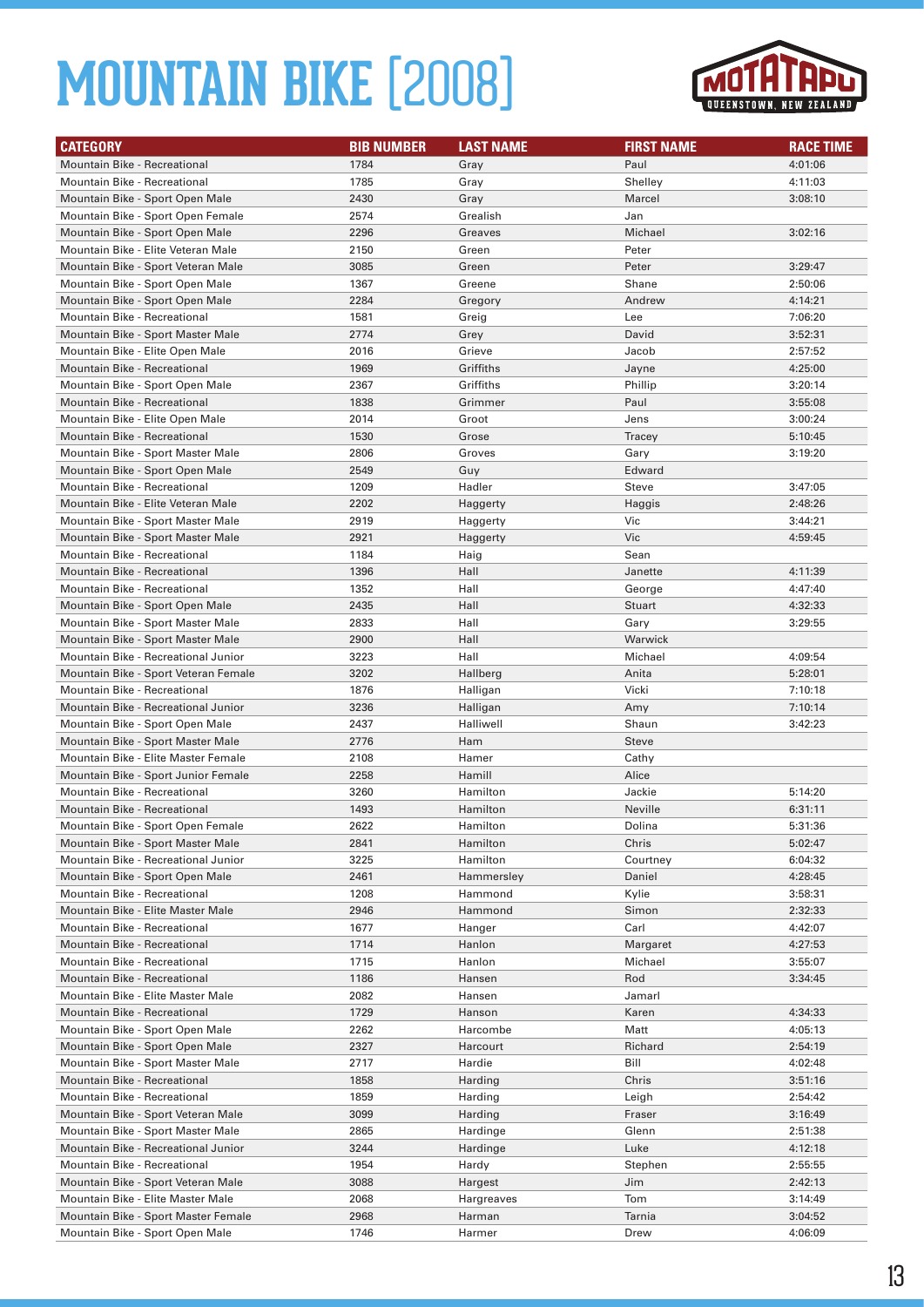

| <b>CATEGORY</b>                                                          | <b>BIB NUMBER</b> | <b>LAST NAME</b>      | <b>FIRST NAME</b> | <b>RACE TIME</b>   |
|--------------------------------------------------------------------------|-------------------|-----------------------|-------------------|--------------------|
| <b>Mountain Bike - Recreational</b>                                      | 1784              | Gray                  | Paul              | 4:01:06            |
| <b>Mountain Bike - Recreational</b>                                      | 1785              | Gray                  | Shelley           | 4:11:03            |
| Mountain Bike - Sport Open Male                                          | 2430              | Gray                  | Marcel            | 3:08:10            |
| Mountain Bike - Sport Open Female                                        | 2574              | Grealish              | Jan               |                    |
| Mountain Bike - Sport Open Male                                          | 2296              | Greaves               | Michael           | 3:02:16            |
| Mountain Bike - Elite Veteran Male                                       | 2150              | Green                 | Peter             |                    |
| Mountain Bike - Sport Veteran Male                                       | 3085              | Green                 | Peter             | 3:29:47            |
| Mountain Bike - Sport Open Male                                          | 1367              | Greene                | Shane             | 2:50:06            |
| Mountain Bike - Sport Open Male                                          | 2284              | Gregory               | Andrew            | 4:14:21            |
| Mountain Bike - Recreational                                             | 1581              | Greig                 | Lee               | 7:06:20            |
| Mountain Bike - Sport Master Male                                        | 2774              | Grey                  | David             | 3:52:31            |
| Mountain Bike - Elite Open Male                                          | 2016              | Grieve                | Jacob             | 2:57:52            |
| <b>Mountain Bike - Recreational</b>                                      | 1969              | Griffiths             | Jayne             | 4:25:00            |
| Mountain Bike - Sport Open Male                                          | 2367              | Griffiths             | Phillip           | 3:20:14            |
| Mountain Bike - Recreational                                             | 1838              | Grimmer               | Paul              | 3:55:08            |
| Mountain Bike - Elite Open Male                                          | 2014              | Groot                 | Jens              | 3:00:24            |
| Mountain Bike - Recreational                                             | 1530              | Grose                 | <b>Tracey</b>     | 5:10:45            |
| Mountain Bike - Sport Master Male                                        | 2806              | Groves                | Gary              | 3:19:20            |
| Mountain Bike - Sport Open Male                                          | 2549              | Guy                   | Edward            |                    |
| Mountain Bike - Recreational                                             | 1209              | Hadler                | Steve             | 3:47:05            |
| Mountain Bike - Elite Veteran Male                                       | 2202              | Haggerty              | Haggis            | 2:48:26            |
| Mountain Bike - Sport Master Male                                        | 2919              | Haggerty              | Vic               | 3:44:21            |
| Mountain Bike - Sport Master Male                                        | 2921              | Haggerty              | <b>Vic</b>        | 4:59:45            |
| Mountain Bike - Recreational                                             | 1184              | Haig                  | Sean              |                    |
| <b>Mountain Bike - Recreational</b>                                      | 1396              | Hall                  | Janette           | 4:11:39            |
| Mountain Bike - Recreational                                             | 1352              | Hall                  | George            | 4:47:40            |
| Mountain Bike - Sport Open Male                                          | 2435              | Hall                  | <b>Stuart</b>     | 4:32:33            |
| Mountain Bike - Sport Master Male                                        | 2833              | Hall                  | Gary              | 3:29:55            |
| Mountain Bike - Sport Master Male                                        | 2900              | Hall                  | Warwick           |                    |
| Mountain Bike - Recreational Junior                                      | 3223              | Hall                  | Michael           | 4:09:54            |
| Mountain Bike - Sport Veteran Female                                     | 3202              | Hallberg              | Anita             | 5:28:01            |
| Mountain Bike - Recreational                                             | 1876              | Halligan              | Vicki             | 7:10:18            |
| Mountain Bike - Recreational Junior                                      | 3236              | Halligan              | Amy               | 7:10:14            |
| Mountain Bike - Sport Open Male                                          | 2437              | Halliwell             | Shaun             | 3:42:23            |
| Mountain Bike - Sport Master Male                                        | 2776              | Ham                   | Steve             |                    |
| Mountain Bike - Elite Master Female                                      | 2108              | Hamer                 | Cathy             |                    |
| Mountain Bike - Sport Junior Female                                      | 2258              | Hamill                | Alice             |                    |
| Mountain Bike - Recreational                                             | 3260              | Hamilton              | Jackie            | 5:14:20            |
| <b>Mountain Bike - Recreational</b>                                      | 1493              | Hamilton              | Neville           | 6:31:11            |
| Mountain Bike - Sport Open Female                                        | 2622              | Hamilton              | Dolina            | 5:31:36            |
| Mountain Bike - Sport Master Male<br>Mountain Bike - Recreational Junior | 2841              | Hamilton              | Chris             | 5:02:47            |
|                                                                          | 3225              | Hamilton              | Courtney          | 6:04:32            |
| Mountain Bike - Sport Open Male<br>Mountain Bike - Recreational          | 2461<br>1208      | Hammersley<br>Hammond | Daniel            | 4:28:45            |
| Mountain Bike - Elite Master Male                                        | 2946              | Hammond               | Kylie<br>Simon    | 3:58:31<br>2:32:33 |
| Mountain Bike - Recreational                                             | 1677              | Hanger                | Carl              | 4:42:07            |
| Mountain Bike - Recreational                                             | 1714              | Hanlon                | Margaret          | 4:27:53            |
| Mountain Bike - Recreational                                             | 1715              | Hanlon                | Michael           | 3:55:07            |
| Mountain Bike - Recreational                                             | 1186              | Hansen                | Rod               | 3:34:45            |
| Mountain Bike - Elite Master Male                                        | 2082              | Hansen                | Jamarl            |                    |
| Mountain Bike - Recreational                                             | 1729              | Hanson                | Karen             | 4:34:33            |
| Mountain Bike - Sport Open Male                                          | 2262              | Harcombe              | Matt              | 4:05:13            |
| Mountain Bike - Sport Open Male                                          | 2327              | Harcourt              | Richard           | 2:54:19            |
| Mountain Bike - Sport Master Male                                        | 2717              | Hardie                | Bill              | 4:02:48            |
| Mountain Bike - Recreational                                             | 1858              | Harding               | Chris             | 3:51:16            |
| Mountain Bike - Recreational                                             | 1859              | Harding               | Leigh             | 2:54:42            |
| Mountain Bike - Sport Veteran Male                                       | 3099              | Harding               | Fraser            | 3:16:49            |
| Mountain Bike - Sport Master Male                                        | 2865              | Hardinge              | Glenn             | 2:51:38            |
| Mountain Bike - Recreational Junior                                      | 3244              | Hardinge              | Luke              | 4:12:18            |
| Mountain Bike - Recreational                                             | 1954              | Hardy                 | Stephen           | 2:55:55            |
| Mountain Bike - Sport Veteran Male                                       | 3088              | Hargest               | Jim               | 2:42:13            |
| Mountain Bike - Elite Master Male                                        | 2068              | Hargreaves            | Tom               | 3:14:49            |
| Mountain Bike - Sport Master Female                                      | 2968              | Harman                | Tarnia            | 3:04:52            |
| Mountain Bike - Sport Open Male                                          | 1746              | Harmer                | Drew              | 4:06:09            |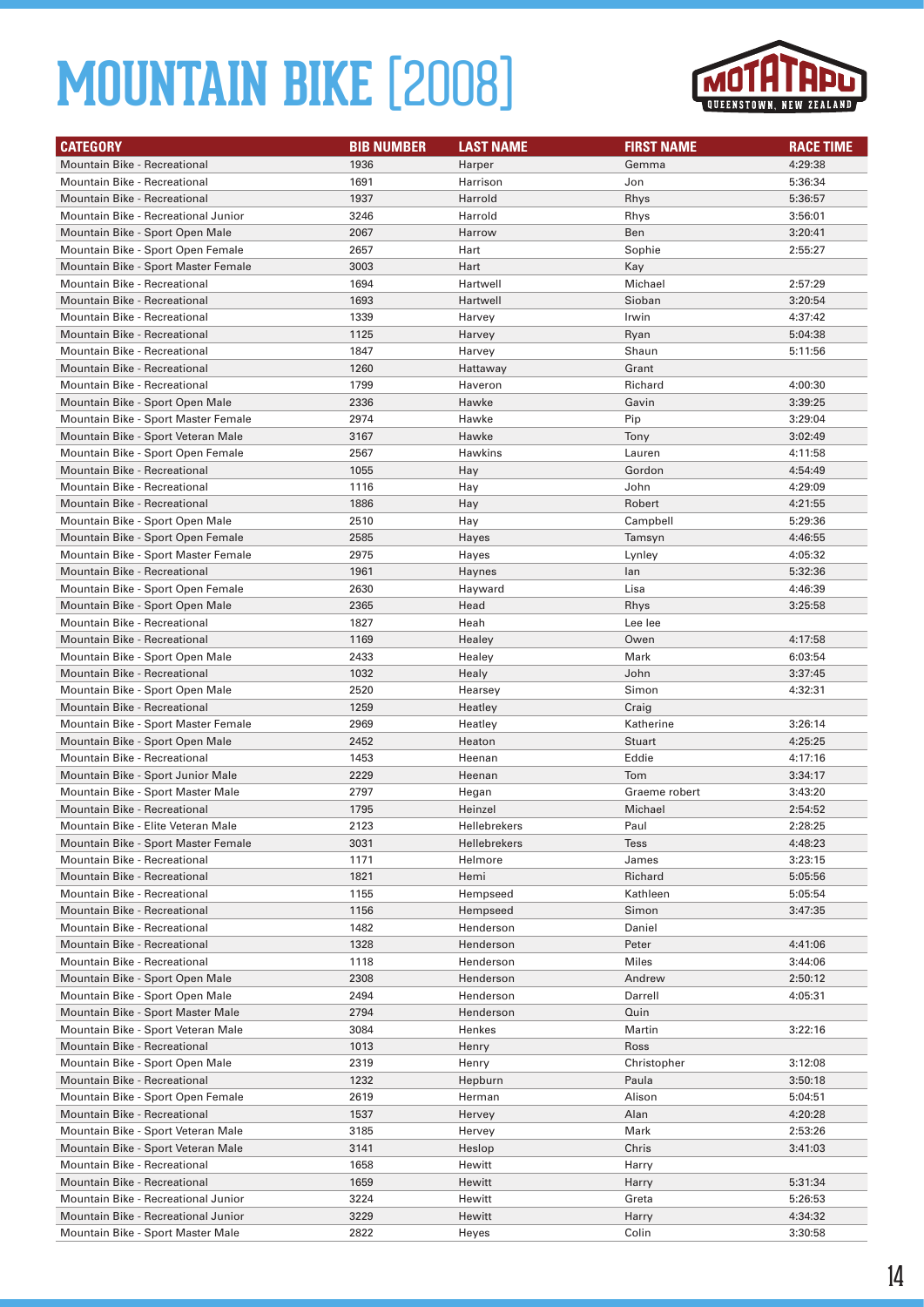

| <b>CATEGORY</b>                                              | <b>BIB NUMBER</b> | <b>LAST NAME</b>     | <b>FIRST NAME</b>   | <b>RACE TIME</b>   |
|--------------------------------------------------------------|-------------------|----------------------|---------------------|--------------------|
| <b>Mountain Bike - Recreational</b>                          | 1936              | Harper               | Gemma               | 4:29:38            |
| Mountain Bike - Recreational                                 | 1691              | Harrison             | Jon                 | 5:36:34            |
| <b>Mountain Bike - Recreational</b>                          | 1937              | Harrold              | Rhys                | 5:36:57            |
| Mountain Bike - Recreational Junior                          | 3246              | Harrold              | Rhys                | 3:56:01            |
| Mountain Bike - Sport Open Male                              | 2067              | Harrow               | Ben                 | 3:20:41            |
| Mountain Bike - Sport Open Female                            | 2657              | Hart                 | Sophie              | 2:55:27            |
| Mountain Bike - Sport Master Female                          | 3003              | Hart                 | Kay                 |                    |
| Mountain Bike - Recreational                                 | 1694              | Hartwell             | Michael             | 2:57:29            |
| <b>Mountain Bike - Recreational</b>                          | 1693              | Hartwell             | Sioban              | 3:20:54            |
| Mountain Bike - Recreational                                 | 1339              | Harvey               | Irwin               | 4:37:42            |
| <b>Mountain Bike - Recreational</b>                          | 1125              | Harvey               | Ryan                | 5:04:38            |
| <b>Mountain Bike - Recreational</b>                          | 1847              | Harvey               | Shaun               | 5:11:56            |
| <b>Mountain Bike - Recreational</b>                          | 1260              | Hattaway             | Grant               |                    |
| Mountain Bike - Recreational                                 | 1799              | Haveron              | Richard             | 4:00:30            |
| Mountain Bike - Sport Open Male                              | 2336              | Hawke                | Gavin               | 3:39:25            |
| Mountain Bike - Sport Master Female                          | 2974              | Hawke                | Pip                 | 3:29:04            |
| Mountain Bike - Sport Veteran Male                           | 3167              | Hawke                | Tony                | 3:02:49            |
| Mountain Bike - Sport Open Female                            | 2567              | Hawkins              | Lauren              | 4:11:58            |
| <b>Mountain Bike - Recreational</b>                          | 1055              | Hay                  | Gordon              | 4:54:49            |
| <b>Mountain Bike - Recreational</b>                          | 1116              | Hay                  | John                | 4:29:09            |
| <b>Mountain Bike - Recreational</b>                          | 1886              | Hay                  | Robert              | 4:21:55            |
| Mountain Bike - Sport Open Male                              | 2510              | Hay                  | Campbell            | 5:29:36            |
| Mountain Bike - Sport Open Female                            | 2585              | Hayes                | Tamsyn              | 4:46:55            |
| Mountain Bike - Sport Master Female                          | 2975              | Hayes                | Lynley              | 4:05:32            |
| Mountain Bike - Recreational                                 | 1961              | Haynes               | lan                 | 5:32:36            |
| Mountain Bike - Sport Open Female                            | 2630              | Hayward              | Lisa                | 4:46:39            |
| Mountain Bike - Sport Open Male                              | 2365              | Head                 | Rhys                | 3:25:58            |
| Mountain Bike - Recreational                                 | 1827              | Heah                 | Lee lee             |                    |
| <b>Mountain Bike - Recreational</b>                          | 1169              | Healey               | Owen                | 4:17:58            |
| Mountain Bike - Sport Open Male                              | 2433              | Healey               | Mark                | 6:03:54            |
| <b>Mountain Bike - Recreational</b>                          | 1032              | Healy                | John                | 3:37:45            |
| Mountain Bike - Sport Open Male                              | 2520              | Hearsey              | Simon               | 4:32:31            |
| <b>Mountain Bike - Recreational</b>                          | 1259              | Heatley              | Craig               |                    |
| Mountain Bike - Sport Master Female                          | 2969              | Heatley              | Katherine           | 3:26:14            |
| Mountain Bike - Sport Open Male                              | 2452              | Heaton               | <b>Stuart</b>       | 4:25:25            |
| Mountain Bike - Recreational                                 | 1453              | Heenan               | Eddie               | 4:17:16            |
| Mountain Bike - Sport Junior Male                            | 2229              | Heenan               | Tom                 | 3:34:17            |
| Mountain Bike - Sport Master Male                            | 2797              | Hegan                | Graeme robert       | 3:43:20            |
| <b>Mountain Bike - Recreational</b>                          | 1795              | Heinzel              | Michael             | 2:54:52            |
| Mountain Bike - Elite Veteran Male                           | 2123              | <b>Hellebrekers</b>  | Paul                | 2:28:25            |
| Mountain Bike - Sport Master Female                          | 3031              | <b>Hellebrekers</b>  | Tess                | 4:48:23            |
| Mountain Bike - Recreational                                 | 1171              | Helmore              | James               | 3:23:15            |
| Mountain Bike - Recreational<br>Mountain Bike - Recreational | 1821<br>1155      | Hemi                 | Richard<br>Kathleen | 5:05:56<br>5:05:54 |
| Mountain Bike - Recreational                                 | 1156              | Hempseed<br>Hempseed | Simon               | 3:47:35            |
| Mountain Bike - Recreational                                 | 1482              | Henderson            | Daniel              |                    |
| Mountain Bike - Recreational                                 | 1328              | Henderson            | Peter               | 4:41:06            |
| Mountain Bike - Recreational                                 | 1118              | Henderson            | Miles               | 3:44:06            |
| Mountain Bike - Sport Open Male                              | 2308              | Henderson            | Andrew              | 2:50:12            |
| Mountain Bike - Sport Open Male                              | 2494              | Henderson            | Darrell             | 4:05:31            |
| Mountain Bike - Sport Master Male                            | 2794              | Henderson            | Quin                |                    |
| Mountain Bike - Sport Veteran Male                           | 3084              | Henkes               | Martin              | 3:22:16            |
| Mountain Bike - Recreational                                 | 1013              | Henry                | Ross                |                    |
| Mountain Bike - Sport Open Male                              | 2319              | Henry                | Christopher         | 3:12:08            |
| Mountain Bike - Recreational                                 | 1232              | Hepburn              | Paula               | 3:50:18            |
| Mountain Bike - Sport Open Female                            | 2619              | Herman               | Alison              | 5:04:51            |
| Mountain Bike - Recreational                                 | 1537              | Hervey               | Alan                | 4:20:28            |
| Mountain Bike - Sport Veteran Male                           | 3185              | Hervey               | Mark                | 2:53:26            |
| Mountain Bike - Sport Veteran Male                           | 3141              | Heslop               | Chris               | 3:41:03            |
| Mountain Bike - Recreational                                 | 1658              | Hewitt               | Harry               |                    |
| Mountain Bike - Recreational                                 | 1659              | Hewitt               | Harry               | 5:31:34            |
| Mountain Bike - Recreational Junior                          | 3224              | Hewitt               | Greta               | 5:26:53            |
| Mountain Bike - Recreational Junior                          | 3229              | Hewitt               | Harry               | 4:34:32            |
| Mountain Bike - Sport Master Male                            | 2822              | Heyes                | Colin               | 3:30:58            |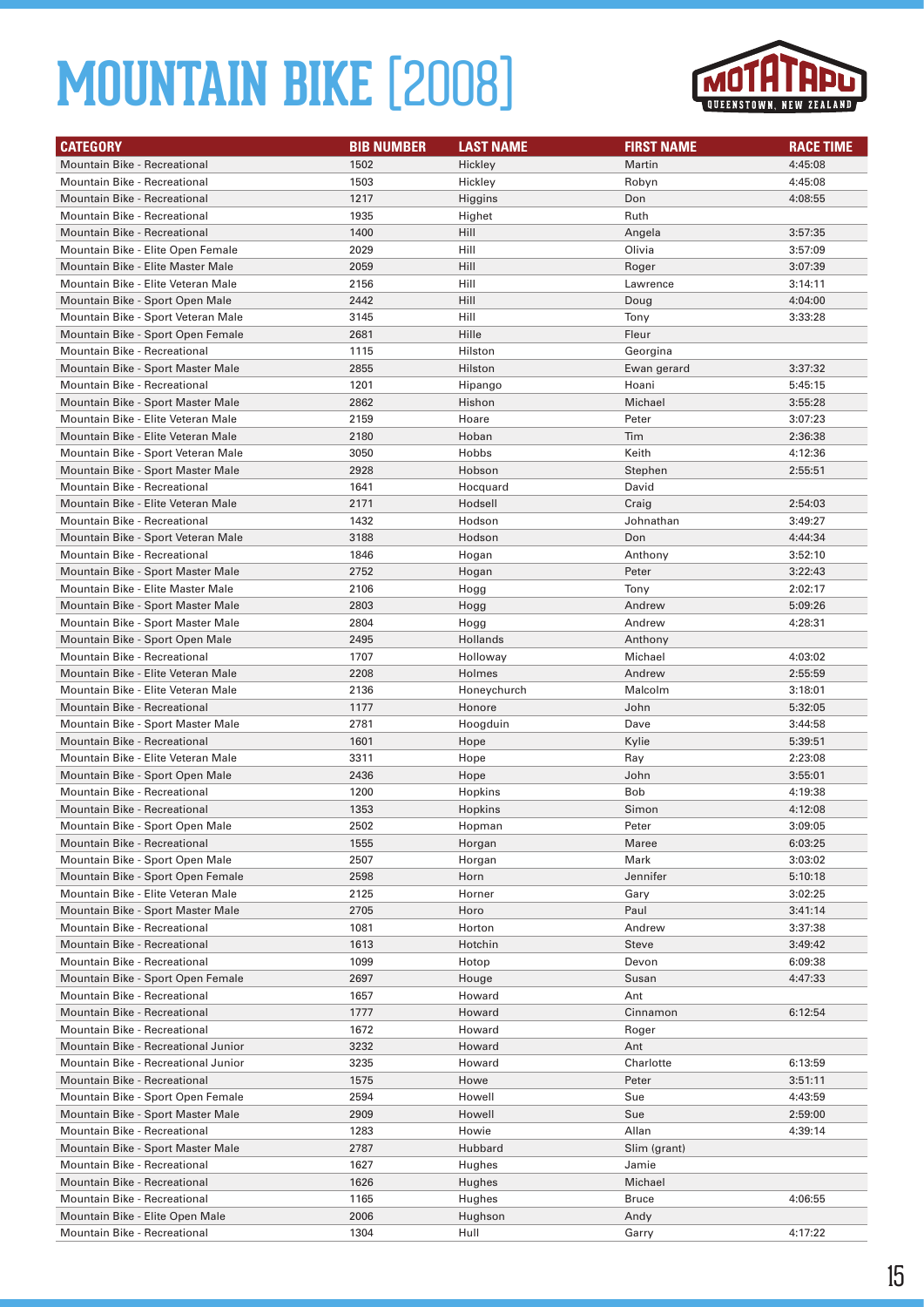

| <b>CATEGORY</b>                                                   | <b>BIB NUMBER</b> | <b>LAST NAME</b> | <b>FIRST NAME</b>     | <b>RACE TIME</b> |
|-------------------------------------------------------------------|-------------------|------------------|-----------------------|------------------|
| <b>Mountain Bike - Recreational</b>                               | 1502              | Hickley          | Martin                | 4:45:08          |
| Mountain Bike - Recreational                                      | 1503              | Hickley          | Robyn                 | 4:45:08          |
| <b>Mountain Bike - Recreational</b>                               | 1217              | Higgins          | Don                   | 4:08:55          |
| <b>Mountain Bike - Recreational</b>                               | 1935              | Highet           | Ruth                  |                  |
| <b>Mountain Bike - Recreational</b>                               | 1400              | Hill             | Angela                | 3:57:35          |
| Mountain Bike - Elite Open Female                                 | 2029              | Hill             | Olivia                | 3:57:09          |
| Mountain Bike - Elite Master Male                                 | 2059              | Hill             | Roger                 | 3:07:39          |
| Mountain Bike - Elite Veteran Male                                | 2156              | Hill             | Lawrence              | 3:14:11          |
| Mountain Bike - Sport Open Male                                   | 2442              | Hill             | Doug                  | 4:04:00          |
| Mountain Bike - Sport Veteran Male                                | 3145              | Hill             | Tony                  | 3:33:28          |
| Mountain Bike - Sport Open Female                                 | 2681              | Hille            | Fleur                 |                  |
| Mountain Bike - Recreational                                      | 1115              | Hilston          | Georgina              |                  |
| Mountain Bike - Sport Master Male                                 | 2855              | Hilston          | Ewan gerard           | 3:37:32          |
| Mountain Bike - Recreational                                      | 1201              | Hipango          | Hoani                 | 5:45:15          |
| Mountain Bike - Sport Master Male                                 | 2862              | Hishon           | Michael               | 3:55:28          |
| Mountain Bike - Elite Veteran Male                                | 2159              | Hoare            | Peter                 | 3:07:23          |
| Mountain Bike - Elite Veteran Male                                | 2180              | Hoban            | Tim                   | 2:36:38          |
| Mountain Bike - Sport Veteran Male                                | 3050              | Hobbs            | Keith                 | 4:12:36          |
| Mountain Bike - Sport Master Male                                 | 2928              | Hobson           | Stephen               | 2:55:51          |
| Mountain Bike - Recreational                                      | 1641              | Hocquard         | David                 |                  |
| Mountain Bike - Elite Veteran Male                                | 2171              | Hodsell          | Craig                 | 2:54:03          |
| Mountain Bike - Recreational                                      | 1432              | Hodson           | Johnathan             | 3:49:27          |
| Mountain Bike - Sport Veteran Male                                | 3188              | Hodson           | Don                   | 4:44:34          |
| Mountain Bike - Recreational                                      | 1846              | Hogan            | Anthony               | 3:52:10          |
| Mountain Bike - Sport Master Male                                 | 2752              | Hogan            | Peter                 | 3:22:43          |
| Mountain Bike - Elite Master Male                                 | 2106              | Hogg             | Tony                  | 2:02:17          |
| Mountain Bike - Sport Master Male                                 | 2803              | Hogg             | Andrew                | 5:09:26          |
| Mountain Bike - Sport Master Male                                 | 2804              | Hogg             | Andrew                | 4:28:31          |
| Mountain Bike - Sport Open Male                                   | 2495              | Hollands         | Anthony               |                  |
| Mountain Bike - Recreational                                      | 1707              | Holloway         | Michael               | 4:03:02          |
| Mountain Bike - Elite Veteran Male                                | 2208              | Holmes           | Andrew                | 2:55:59          |
| Mountain Bike - Elite Veteran Male                                | 2136              | Honeychurch      | Malcolm               | 3:18:01          |
| <b>Mountain Bike - Recreational</b>                               | 1177              | Honore           | John                  | 5:32:05          |
| Mountain Bike - Sport Master Male                                 | 2781              | Hoogduin         | Dave                  | 3:44:58          |
| <b>Mountain Bike - Recreational</b>                               | 1601              | Hope             | Kylie                 | 5:39:51          |
| Mountain Bike - Elite Veteran Male                                | 3311              | Hope             | Ray                   | 2:23:08          |
| Mountain Bike - Sport Open Male                                   | 2436              | Hope             | John                  | 3:55:01          |
| Mountain Bike - Recreational                                      | 1200              | Hopkins          | <b>Bob</b>            | 4:19:38          |
| <b>Mountain Bike - Recreational</b>                               | 1353              | Hopkins          | Simon                 | 4:12:08          |
| Mountain Bike - Sport Open Male                                   | 2502              | Hopman           | Peter                 | 3:09:05          |
| Mountain Bike - Recreational                                      | 1555              | Horgan           | Maree                 | 6:03:25          |
| Mountain Bike - Sport Open Male                                   | 2507              | Horgan           | Mark                  | 3:03:02          |
| Mountain Bike - Sport Open Female                                 | 2598              | Horn             | Jennifer              | 5:10:18          |
| Mountain Bike - Elite Veteran Male                                | 2125              | Horner           | Gary                  | 3:02:25          |
| Mountain Bike - Sport Master Male                                 | 2705              | Horo             | Paul                  | 3:41:14          |
| Mountain Bike - Recreational                                      | 1081              | Horton           | Andrew                | 3:37:38          |
| <b>Mountain Bike - Recreational</b>                               | 1613              | Hotchin          | Steve                 | 3:49:42          |
| Mountain Bike - Recreational                                      | 1099              | Hotop            | Devon                 | 6:09:38          |
| Mountain Bike - Sport Open Female                                 | 2697              | Houge            | Susan                 | 4:47:33          |
| Mountain Bike - Recreational                                      | 1657              | Howard           | Ant                   |                  |
| Mountain Bike - Recreational                                      | 1777              | Howard           | Cinnamon              | 6:12:54          |
| Mountain Bike - Recreational                                      | 1672              | Howard           | Roger                 |                  |
| Mountain Bike - Recreational Junior                               | 3232              | Howard           | Ant                   |                  |
| Mountain Bike - Recreational Junior                               | 3235              | Howard           | Charlotte             | 6:13:59          |
| Mountain Bike - Recreational                                      | 1575              | Howe             | Peter                 | 3:51:11          |
| Mountain Bike - Sport Open Female                                 | 2594              | Howell           | Sue                   | 4:43:59          |
| Mountain Bike - Sport Master Male                                 | 2909              | Howell           | Sue                   | 2:59:00          |
| Mountain Bike - Recreational                                      |                   |                  |                       |                  |
|                                                                   | 1283              | Howie            | Allan                 | 4:39:14          |
| Mountain Bike - Sport Master Male<br>Mountain Bike - Recreational | 2787              | Hubbard          | Slim (grant)<br>Jamie |                  |
|                                                                   | 1627              | Hughes           |                       |                  |
| Mountain Bike - Recreational                                      | 1626              | Hughes           | Michael               |                  |
| Mountain Bike - Recreational                                      | 1165              | Hughes           | <b>Bruce</b>          | 4:06:55          |
| Mountain Bike - Elite Open Male                                   | 2006<br>1304      | Hughson          | Andy                  |                  |
| Mountain Bike - Recreational                                      |                   | Hull             | Garry                 | 4:17:22          |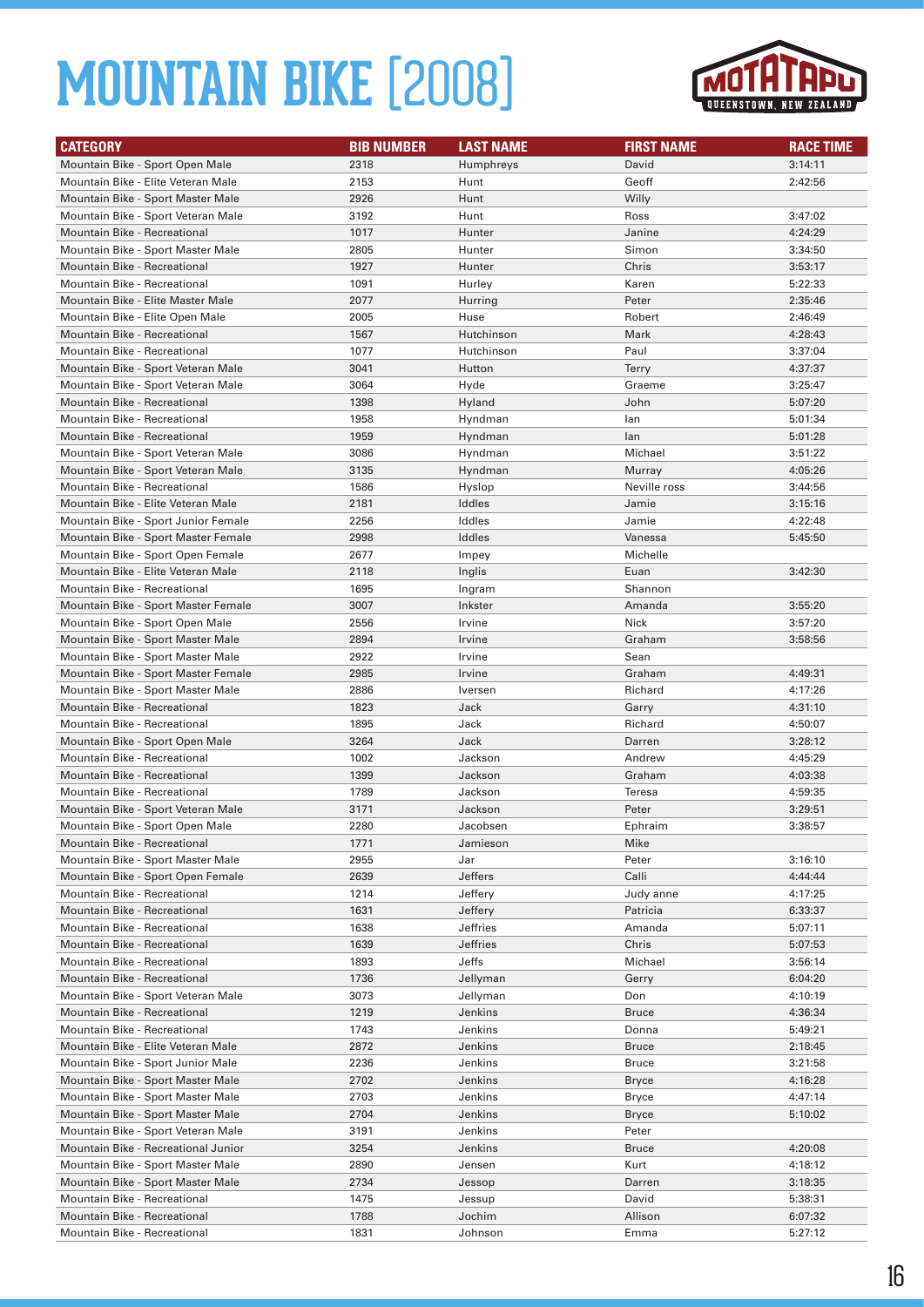

| <b>CATEGORY</b>                                                    | <b>BIB NUMBER</b> | <b>LAST NAME</b>   | <b>FIRST NAME</b>     | <b>RACE TIME</b>   |
|--------------------------------------------------------------------|-------------------|--------------------|-----------------------|--------------------|
| Mountain Bike - Sport Open Male                                    | 2318              | Humphreys          | David                 | 3:14:11            |
| Mountain Bike - Elite Veteran Male                                 | 2153              | Hunt               | Geoff                 | 2:42:56            |
| Mountain Bike - Sport Master Male                                  | 2926              | Hunt               | Willy                 |                    |
| Mountain Bike - Sport Veteran Male                                 | 3192              | Hunt               | Ross                  | 3:47:02            |
| <b>Mountain Bike - Recreational</b>                                | 1017              | Hunter             | Janine                | 4:24:29            |
| Mountain Bike - Sport Master Male                                  | 2805              | Hunter             | Simon                 | 3:34:50            |
| <b>Mountain Bike - Recreational</b>                                | 1927              | Hunter             | Chris                 | 3:53:17            |
| Mountain Bike - Recreational                                       | 1091              | Hurley             | Karen                 | 5:22:33            |
| Mountain Bike - Elite Master Male                                  | 2077              | Hurring            | Peter                 | 2:35:46            |
| Mountain Bike - Elite Open Male                                    | 2005              | Huse               | Robert                | 2:46:49            |
| Mountain Bike - Recreational                                       | 1567              | Hutchinson         | Mark                  | 4:28:43            |
| <b>Mountain Bike - Recreational</b>                                | 1077              | Hutchinson         | Paul                  | 3:37:04            |
| Mountain Bike - Sport Veteran Male                                 | 3041              | Hutton             | <b>Terry</b>          | 4:37:37            |
| Mountain Bike - Sport Veteran Male                                 | 3064              | Hyde               | Graeme                | 3:25:47            |
| <b>Mountain Bike - Recreational</b>                                | 1398              | Hyland             | John                  | 5:07:20            |
| Mountain Bike - Recreational                                       | 1958              | Hyndman            | lan                   | 5:01:34            |
| <b>Mountain Bike - Recreational</b>                                | 1959              | Hyndman            | lan                   | 5:01:28            |
| Mountain Bike - Sport Veteran Male                                 | 3086              | Hyndman            | Michael               | 3:51:22            |
| Mountain Bike - Sport Veteran Male                                 | 3135              | Hyndman            | Murray                | 4:05:26            |
| Mountain Bike - Recreational                                       | 1586              | Hyslop             | Neville ross          | 3:44:56            |
| Mountain Bike - Elite Veteran Male                                 | 2181              | Iddles             | Jamie                 | 3:15:16            |
| Mountain Bike - Sport Junior Female                                | 2256              | Iddles             | Jamie                 | 4:22:48            |
| Mountain Bike - Sport Master Female                                | 2998              | Iddles             | Vanessa               | 5:45:50            |
| Mountain Bike - Sport Open Female                                  | 2677              | Impey              | Michelle              |                    |
| Mountain Bike - Elite Veteran Male                                 | 2118              | Inglis             | Euan                  | 3:42:30            |
| Mountain Bike - Recreational                                       | 1695              | Ingram             | Shannon               |                    |
| Mountain Bike - Sport Master Female                                | 3007              | Inkster            | Amanda                | 3:55:20            |
| Mountain Bike - Sport Open Male                                    | 2556              | Irvine             | Nick                  | 3:57:20            |
| Mountain Bike - Sport Master Male                                  | 2894              | Irvine             | Graham                | 3:58:56            |
| Mountain Bike - Sport Master Male                                  | 2922              | Irvine             | Sean                  |                    |
| Mountain Bike - Sport Master Female                                | 2985              | Irvine             | Graham                | 4:49:31            |
| Mountain Bike - Sport Master Male                                  | 2886              | Iversen            | Richard               | 4:17:26            |
| <b>Mountain Bike - Recreational</b>                                | 1823              | Jack               | Garry                 | 4:31:10            |
| Mountain Bike - Recreational                                       | 1895              | Jack               | Richard               | 4:50:07            |
| Mountain Bike - Sport Open Male                                    | 3264              | Jack               | Darren                | 3:28:12            |
| Mountain Bike - Recreational                                       | 1002              | Jackson            | Andrew                | 4:45:29            |
| <b>Mountain Bike - Recreational</b>                                | 1399              | Jackson            | Graham                | 4:03:38            |
| <b>Mountain Bike - Recreational</b>                                | 1789              | Jackson            | <b>Teresa</b>         | 4:59:35            |
| Mountain Bike - Sport Veteran Male                                 | 3171              | Jackson            | Peter                 | 3:29:51            |
| Mountain Bike - Sport Open Male                                    | 2280              | Jacobsen           | Ephraim               | 3:38:57            |
| Mountain Bike - Recreational                                       | 1771              | Jamieson           | Mike                  |                    |
| Mountain Bike - Sport Master Male                                  | 2955              | Jar                | Peter                 | 3:16:10            |
| Mountain Bike - Sport Open Female                                  | 2639              | Jeffers            | Calli                 | 4:44:44            |
| Mountain Bike - Recreational                                       | 1214              | Jeffery            | Judy anne             | 4:17:25            |
| Mountain Bike - Recreational                                       | 1631              | Jeffery            | Patricia              | 6:33:37            |
| Mountain Bike - Recreational                                       | 1638              | <b>Jeffries</b>    | Amanda                | 5:07:11            |
| Mountain Bike - Recreational                                       | 1639              | <b>Jeffries</b>    | Chris                 | 5:07:53            |
| Mountain Bike - Recreational                                       | 1893              | Jeffs              | Michael               | 3:56:14            |
| Mountain Bike - Recreational<br>Mountain Bike - Sport Veteran Male | 1736              | Jellyman           | Gerry                 | 6:04:20<br>4:10:19 |
| <b>Mountain Bike - Recreational</b>                                | 3073              | Jellyman           | Don                   |                    |
| Mountain Bike - Recreational                                       | 1219<br>1743      | Jenkins<br>Jenkins | <b>Bruce</b><br>Donna | 4:36:34<br>5:49:21 |
| Mountain Bike - Elite Veteran Male                                 | 2872              | Jenkins            | <b>Bruce</b>          | 2:18:45            |
| Mountain Bike - Sport Junior Male                                  | 2236              | Jenkins            | <b>Bruce</b>          | 3:21:58            |
| Mountain Bike - Sport Master Male                                  | 2702              | Jenkins            | <b>Bryce</b>          | 4:16:28            |
| Mountain Bike - Sport Master Male                                  | 2703              | Jenkins            | <b>Bryce</b>          | 4:47:14            |
| Mountain Bike - Sport Master Male                                  | 2704              | Jenkins            | <b>Bryce</b>          | 5:10:02            |
| Mountain Bike - Sport Veteran Male                                 | 3191              | Jenkins            | Peter                 |                    |
| Mountain Bike - Recreational Junior                                | 3254              | Jenkins            | <b>Bruce</b>          | 4:20:08            |
| Mountain Bike - Sport Master Male                                  | 2890              | Jensen             | Kurt                  | 4:18:12            |
| Mountain Bike - Sport Master Male                                  | 2734              | Jessop             | Darren                | 3:18:35            |
| Mountain Bike - Recreational                                       | 1475              | Jessup             | David                 | 5:38:31            |
| Mountain Bike - Recreational                                       | 1788              | Jochim             | Allison               | 6:07:32            |
| Mountain Bike - Recreational                                       | 1831              | Johnson            | Emma                  | 5:27:12            |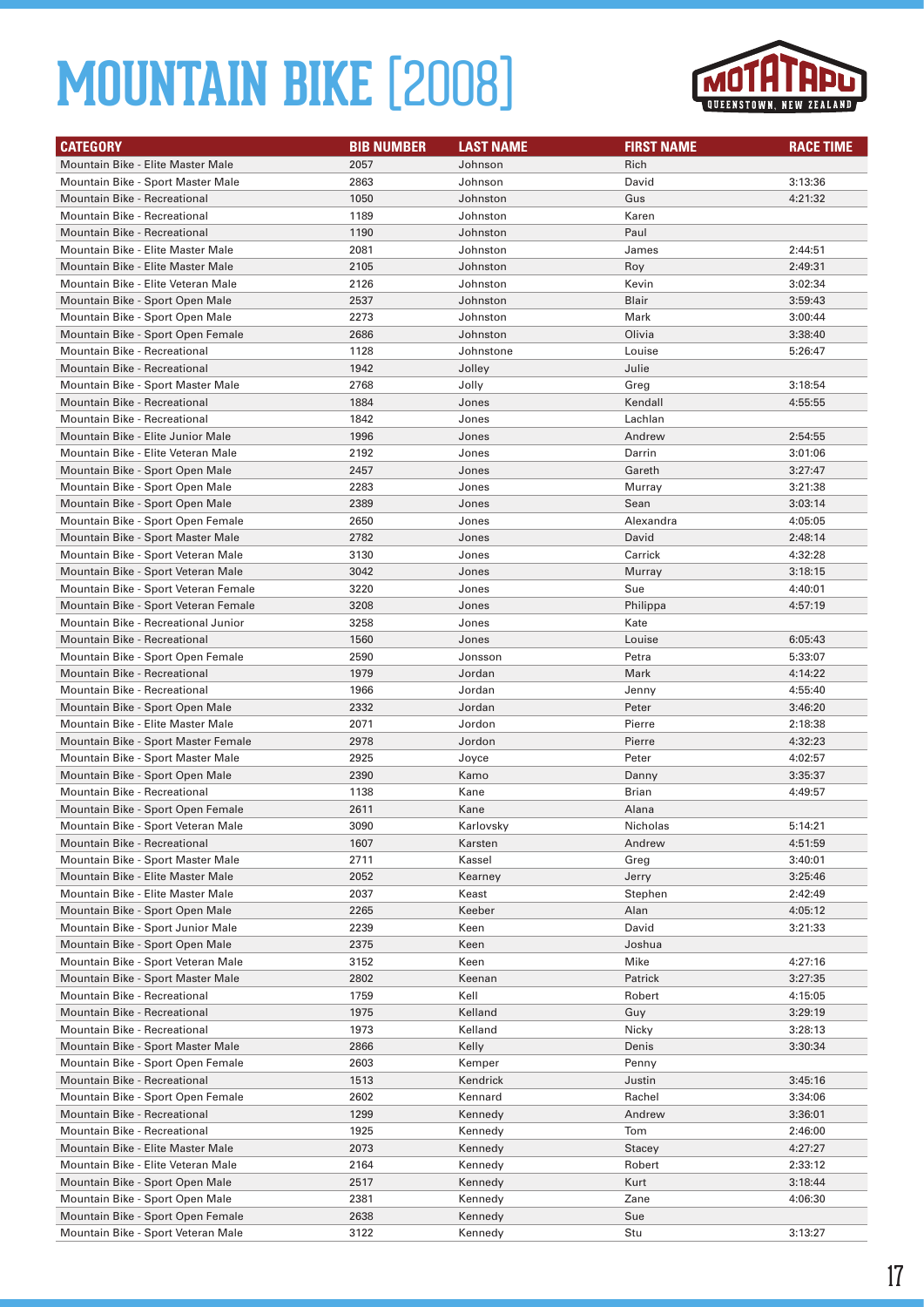

| <b>CATEGORY</b>                      | <b>BIB NUMBER</b> | <b>LAST NAME</b> | <b>FIRST NAME</b> | <b>RACE TIME</b> |
|--------------------------------------|-------------------|------------------|-------------------|------------------|
| Mountain Bike - Elite Master Male    | 2057              | Johnson          | Rich              |                  |
| Mountain Bike - Sport Master Male    | 2863              | Johnson          | David             | 3:13:36          |
| Mountain Bike - Recreational         | 1050              | Johnston         | Gus               | 4:21:32          |
| <b>Mountain Bike - Recreational</b>  | 1189              | Johnston         | Karen             |                  |
| Mountain Bike - Recreational         | 1190              | Johnston         | Paul              |                  |
| Mountain Bike - Elite Master Male    | 2081              | Johnston         | James             | 2:44:51          |
| Mountain Bike - Elite Master Male    | 2105              | Johnston         | Roy               | 2:49:31          |
| Mountain Bike - Elite Veteran Male   | 2126              | Johnston         | Kevin             | 3:02:34          |
| Mountain Bike - Sport Open Male      | 2537              | Johnston         | <b>Blair</b>      | 3:59:43          |
| Mountain Bike - Sport Open Male      | 2273              | Johnston         | Mark              | 3:00:44          |
| Mountain Bike - Sport Open Female    | 2686              | Johnston         | Olivia            | 3:38:40          |
| Mountain Bike - Recreational         | 1128              | Johnstone        | Louise            | 5:26:47          |
| <b>Mountain Bike - Recreational</b>  | 1942              | Jolley           | Julie             |                  |
| Mountain Bike - Sport Master Male    | 2768              | Jolly            | Greg              | 3:18:54          |
| <b>Mountain Bike - Recreational</b>  | 1884              | Jones            | Kendall           | 4:55:55          |
| Mountain Bike - Recreational         | 1842              | Jones            | Lachlan           |                  |
| Mountain Bike - Elite Junior Male    | 1996              | Jones            | Andrew            | 2:54:55          |
| Mountain Bike - Elite Veteran Male   | 2192              | Jones            | Darrin            | 3:01:06          |
| Mountain Bike - Sport Open Male      | 2457              | Jones            | Gareth            | 3:27:47          |
| Mountain Bike - Sport Open Male      | 2283              | Jones            | Murray            | 3:21:38          |
| Mountain Bike - Sport Open Male      | 2389              | Jones            | Sean              | 3:03:14          |
| Mountain Bike - Sport Open Female    | 2650              | Jones            | Alexandra         | 4:05:05          |
| Mountain Bike - Sport Master Male    | 2782              | Jones            | David             | 2:48:14          |
| Mountain Bike - Sport Veteran Male   | 3130              | Jones            | Carrick           | 4:32:28          |
| Mountain Bike - Sport Veteran Male   | 3042              | Jones            | Murray            | 3:18:15          |
| Mountain Bike - Sport Veteran Female | 3220              | Jones            | Sue               | 4:40:01          |
| Mountain Bike - Sport Veteran Female | 3208              | Jones            | Philippa          | 4:57:19          |
| Mountain Bike - Recreational Junior  | 3258              | Jones            | Kate              |                  |
| <b>Mountain Bike - Recreational</b>  | 1560              | Jones            | Louise            | 6:05:43          |
| Mountain Bike - Sport Open Female    | 2590              | Jonsson          | Petra             | 5:33:07          |
| Mountain Bike - Recreational         | 1979              | Jordan           | Mark              | 4:14:22          |
| Mountain Bike - Recreational         | 1966              | Jordan           | Jenny             | 4:55:40          |
| Mountain Bike - Sport Open Male      | 2332              | Jordan           | Peter             | 3:46:20          |
| Mountain Bike - Elite Master Male    | 2071              | Jordon           | Pierre            | 2:18:38          |
| Mountain Bike - Sport Master Female  | 2978              | Jordon           | Pierre            | 4:32:23          |
| Mountain Bike - Sport Master Male    | 2925              | Joyce            | Peter             | 4:02:57          |
| Mountain Bike - Sport Open Male      | 2390              | Kamo             | Danny             | 3:35:37          |
| Mountain Bike - Recreational         | 1138              | Kane             | Brian             | 4:49:57          |
| Mountain Bike - Sport Open Female    | 2611              | Kane             | Alana             |                  |
| Mountain Bike - Sport Veteran Male   | 3090              | Karlovsky        | Nicholas          | 5:14:21          |
| Mountain Bike - Recreational         | 1607              | Karsten          | Andrew            | 4:51:59          |
| Mountain Bike - Sport Master Male    | 2711              | Kassel           | Greg              | 3:40:01          |
| Mountain Bike - Elite Master Male    | 2052              | Kearney          | Jerry             | 3:25:46          |
| Mountain Bike - Elite Master Male    | 2037              | Keast            | Stephen           | 2:42:49          |
| Mountain Bike - Sport Open Male      | 2265              | Keeber           | Alan              | 4:05:12          |
| Mountain Bike - Sport Junior Male    | 2239              | Keen             | David             | 3:21:33          |
| Mountain Bike - Sport Open Male      | 2375              | Keen             | Joshua            |                  |
| Mountain Bike - Sport Veteran Male   | 3152              | Keen             | Mike              | 4:27:16          |
| Mountain Bike - Sport Master Male    | 2802              | Keenan           | Patrick           | 3:27:35          |
| Mountain Bike - Recreational         | 1759              | Kell             | Robert            | 4:15:05          |
| <b>Mountain Bike - Recreational</b>  | 1975              | Kelland          | Guy               | 3:29:19          |
| Mountain Bike - Recreational         | 1973              | Kelland          | Nicky             | 3:28:13          |
| Mountain Bike - Sport Master Male    | 2866              | Kelly            | Denis             | 3:30:34          |
| Mountain Bike - Sport Open Female    | 2603              | Kemper           | Penny             |                  |
| Mountain Bike - Recreational         | 1513              | Kendrick         | Justin            | 3:45:16          |
| Mountain Bike - Sport Open Female    | 2602              | Kennard          | Rachel            | 3:34:06          |
| Mountain Bike - Recreational         | 1299              | Kennedy          | Andrew            | 3:36:01          |
| Mountain Bike - Recreational         | 1925              | Kennedy          | Tom               | 2:46:00          |
| Mountain Bike - Elite Master Male    | 2073              | Kennedy          | Stacey            | 4:27:27          |
| Mountain Bike - Elite Veteran Male   | 2164              | Kennedy          | Robert            | 2:33:12          |
| Mountain Bike - Sport Open Male      | 2517              | Kennedy          | Kurt              | 3:18:44          |
| Mountain Bike - Sport Open Male      | 2381              | Kennedy          | Zane              | 4:06:30          |
| Mountain Bike - Sport Open Female    | 2638              | Kennedy          | Sue               |                  |
| Mountain Bike - Sport Veteran Male   | 3122              | Kennedy          | Stu               | 3:13:27          |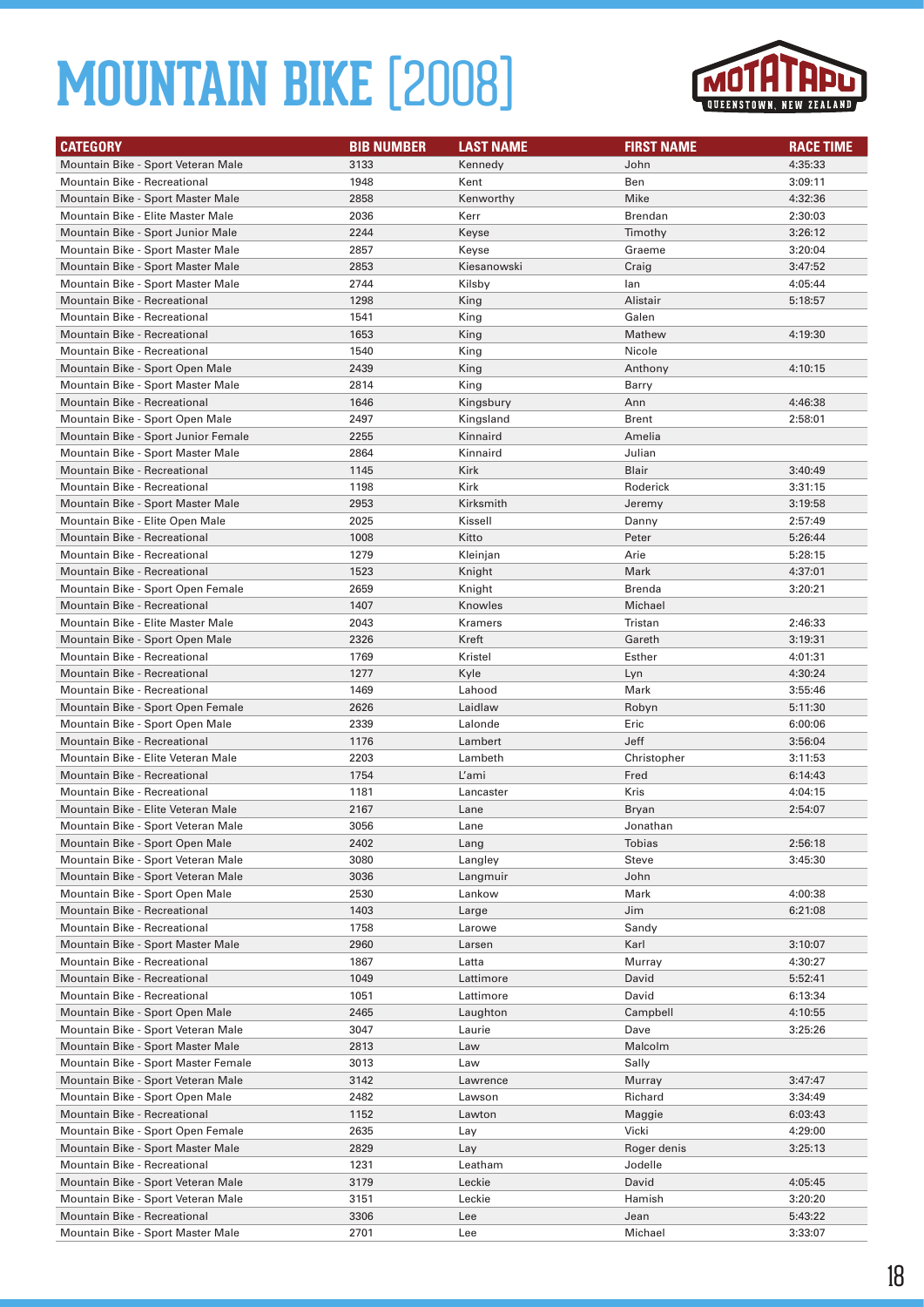

| <b>CATEGORY</b>                     | <b>BIB NUMBER</b> | <b>LAST NAME</b> | <b>FIRST NAME</b> | <b>RACE TIME</b> |
|-------------------------------------|-------------------|------------------|-------------------|------------------|
| Mountain Bike - Sport Veteran Male  | 3133              | Kennedy          | John              | 4:35:33          |
| Mountain Bike - Recreational        | 1948              | Kent             | Ben               | 3:09:11          |
| Mountain Bike - Sport Master Male   | 2858              | Kenworthy        | Mike              | 4:32:36          |
| Mountain Bike - Elite Master Male   | 2036              | Kerr             | <b>Brendan</b>    | 2:30:03          |
| Mountain Bike - Sport Junior Male   | 2244              | Keyse            | Timothy           | 3:26:12          |
| Mountain Bike - Sport Master Male   | 2857              | Keyse            | Graeme            | 3:20:04          |
| Mountain Bike - Sport Master Male   | 2853              | Kiesanowski      | Craig             | 3:47:52          |
| Mountain Bike - Sport Master Male   | 2744              | Kilsby           | lan               | 4:05:44          |
| Mountain Bike - Recreational        | 1298              | King             | Alistair          | 5:18:57          |
| Mountain Bike - Recreational        | 1541              | King             | Galen             |                  |
| <b>Mountain Bike - Recreational</b> | 1653              | King             | Mathew            | 4:19:30          |
| Mountain Bike - Recreational        | 1540              | King             | Nicole            |                  |
| Mountain Bike - Sport Open Male     | 2439              | King             | Anthony           | 4:10:15          |
| Mountain Bike - Sport Master Male   | 2814              | King             | Barry             |                  |
| Mountain Bike - Recreational        | 1646              | Kingsbury        | Ann               | 4:46:38          |
| Mountain Bike - Sport Open Male     | 2497              | Kingsland        | Brent             | 2:58:01          |
| Mountain Bike - Sport Junior Female | 2255              | Kinnaird         | Amelia            |                  |
| Mountain Bike - Sport Master Male   | 2864              | Kinnaird         | Julian            |                  |
| <b>Mountain Bike - Recreational</b> | 1145              | Kirk             | Blair             | 3:40:49          |
| <b>Mountain Bike - Recreational</b> | 1198              | Kirk             | Roderick          | 3:31:15          |
| Mountain Bike - Sport Master Male   | 2953              | Kirksmith        | Jeremy            | 3:19:58          |
| Mountain Bike - Elite Open Male     | 2025              | Kissell          | Danny             | 2:57:49          |
| <b>Mountain Bike - Recreational</b> | 1008              | Kitto            | Peter             | 5:26:44          |
| Mountain Bike - Recreational        | 1279              | Kleinjan         | Arie              | 5:28:15          |
| Mountain Bike - Recreational        | 1523              | Knight           | Mark              | 4:37:01          |
| Mountain Bike - Sport Open Female   | 2659              | Knight           | Brenda            | 3:20:21          |
| <b>Mountain Bike - Recreational</b> | 1407              | Knowles          | Michael           |                  |
| Mountain Bike - Elite Master Male   | 2043              | Kramers          | Tristan           | 2:46:33          |
| Mountain Bike - Sport Open Male     | 2326              | Kreft            | Gareth            | 3:19:31          |
| Mountain Bike - Recreational        | 1769              | Kristel          | Esther            | 4:01:31          |
| <b>Mountain Bike - Recreational</b> | 1277              | Kyle             | Lyn               | 4:30:24          |
| Mountain Bike - Recreational        | 1469              | Lahood           | Mark              | 3:55:46          |
| Mountain Bike - Sport Open Female   | 2626              | Laidlaw          | Robyn             | 5:11:30          |
| Mountain Bike - Sport Open Male     | 2339              | Lalonde          | Eric              | 6:00:06          |
| <b>Mountain Bike - Recreational</b> | 1176              | Lambert          | Jeff              | 3:56:04          |
| Mountain Bike - Elite Veteran Male  | 2203              | Lambeth          | Christopher       | 3:11:53          |
| <b>Mountain Bike - Recreational</b> | 1754              | L'ami            | Fred              | 6:14:43          |
| Mountain Bike - Recreational        | 1181              | Lancaster        | Kris              | 4:04:15          |
| Mountain Bike - Elite Veteran Male  | 2167              | Lane             | Bryan             | 2:54:07          |
| Mountain Bike - Sport Veteran Male  | 3056              | Lane             | Jonathan          |                  |
| Mountain Bike - Sport Open Male     | 2402              | Lang             | Tobias            | 2:56:18          |
| Mountain Bike - Sport Veteran Male  | 3080              | Langley          | Steve             | 3:45:30          |
| Mountain Bike - Sport Veteran Male  | 3036              | Langmuir         | John              |                  |
| Mountain Bike - Sport Open Male     | 2530              | Lankow           | Mark              | 4:00:38          |
| Mountain Bike - Recreational        | 1403              | Large            | Jim               | 6:21:08          |
| Mountain Bike - Recreational        | 1758              | Larowe           | Sandy             |                  |
| Mountain Bike - Sport Master Male   | 2960              | Larsen           | Karl              | 3:10:07          |
| Mountain Bike - Recreational        | 1867              | Latta            | Murray            | 4:30:27          |
| Mountain Bike - Recreational        | 1049              | Lattimore        | David             | 5:52:41          |
| Mountain Bike - Recreational        | 1051              | Lattimore        | David             | 6:13:34          |
| Mountain Bike - Sport Open Male     | 2465              | Laughton         | Campbell          | 4:10:55          |
| Mountain Bike - Sport Veteran Male  | 3047              | Laurie           | Dave              | 3:25:26          |
| Mountain Bike - Sport Master Male   | 2813              | Law              | Malcolm           |                  |
| Mountain Bike - Sport Master Female | 3013              | Law              | Sally             |                  |
| Mountain Bike - Sport Veteran Male  | 3142              | Lawrence         | Murray            | 3:47:47          |
| Mountain Bike - Sport Open Male     | 2482              | Lawson           | Richard           | 3:34:49          |
| Mountain Bike - Recreational        | 1152              | Lawton           | Maggie            | 6:03:43          |
| Mountain Bike - Sport Open Female   | 2635              | Lay              | Vicki             | 4:29:00          |
| Mountain Bike - Sport Master Male   | 2829              | Lay              | Roger denis       | 3:25:13          |
| Mountain Bike - Recreational        | 1231              | Leatham          | Jodelle           |                  |
| Mountain Bike - Sport Veteran Male  | 3179              | Leckie           | David             | 4:05:45          |
| Mountain Bike - Sport Veteran Male  | 3151              | Leckie           | Hamish            | 3:20:20          |
| Mountain Bike - Recreational        | 3306              | Lee              | Jean              | 5:43:22          |
| Mountain Bike - Sport Master Male   | 2701              | Lee              | Michael           | 3:33:07          |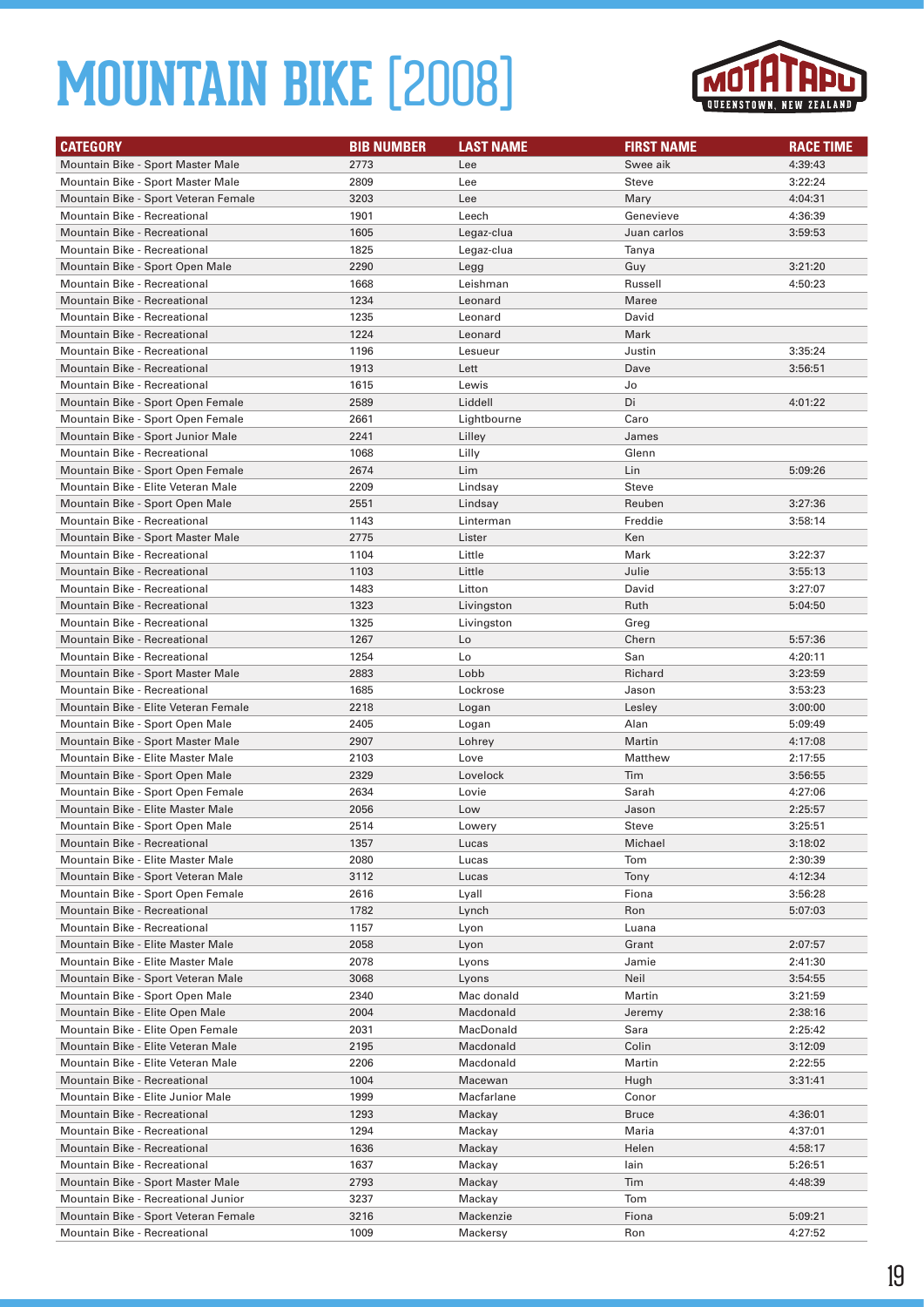

| <b>CATEGORY</b>                                                       | <b>BIB NUMBER</b> | <b>LAST NAME</b>       | <b>FIRST NAME</b> | <b>RACE TIME</b>   |
|-----------------------------------------------------------------------|-------------------|------------------------|-------------------|--------------------|
| Mountain Bike - Sport Master Male                                     | 2773              | Lee                    | Swee aik          | 4:39:43            |
| Mountain Bike - Sport Master Male                                     | 2809              | Lee                    | Steve             | 3:22:24            |
| Mountain Bike - Sport Veteran Female                                  | 3203              | Lee                    | Mary              | 4:04:31            |
| Mountain Bike - Recreational                                          | 1901              | Leech                  | Genevieve         | 4:36:39            |
| <b>Mountain Bike - Recreational</b>                                   | 1605              | Legaz-clua             | Juan carlos       | 3:59:53            |
| Mountain Bike - Recreational                                          | 1825              | Legaz-clua             | Tanya             |                    |
| Mountain Bike - Sport Open Male                                       | 2290              | Legg                   | Guy               | 3:21:20            |
| Mountain Bike - Recreational                                          | 1668              | Leishman               | Russell           | 4:50:23            |
| <b>Mountain Bike - Recreational</b>                                   | 1234              | Leonard                | <b>Maree</b>      |                    |
| Mountain Bike - Recreational                                          | 1235              | Leonard                | David             |                    |
| <b>Mountain Bike - Recreational</b>                                   | 1224              | Leonard                | Mark              |                    |
| Mountain Bike - Recreational                                          | 1196              | Lesueur                | Justin            | 3:35:24            |
| <b>Mountain Bike - Recreational</b>                                   | 1913              | Lett                   | Dave              | 3:56:51            |
| Mountain Bike - Recreational                                          | 1615              | Lewis                  | Jo                |                    |
| Mountain Bike - Sport Open Female                                     | 2589              | Liddell                | Di                | 4:01:22            |
| Mountain Bike - Sport Open Female                                     | 2661              | Lightbourne            | Caro              |                    |
| Mountain Bike - Sport Junior Male                                     | 2241              | Lilley                 | James             |                    |
| Mountain Bike - Recreational                                          | 1068              | Lilly                  | Glenn             |                    |
| Mountain Bike - Sport Open Female                                     | 2674              | Lim                    | Lin               | 5:09:26            |
| Mountain Bike - Elite Veteran Male                                    | 2209              | Lindsay                | Steve             |                    |
| Mountain Bike - Sport Open Male                                       | 2551              | Lindsay                | Reuben            | 3:27:36            |
| <b>Mountain Bike - Recreational</b>                                   | 1143              | Linterman              | Freddie           | 3:58:14            |
| Mountain Bike - Sport Master Male                                     | 2775              | Lister                 | Ken               |                    |
| <b>Mountain Bike - Recreational</b>                                   | 1104              | Little                 | Mark              | 3:22:37            |
| <b>Mountain Bike - Recreational</b>                                   | 1103              | Little                 | Julie             | 3:55:13            |
| Mountain Bike - Recreational                                          | 1483              | Litton                 | David             | 3:27:07            |
| <b>Mountain Bike - Recreational</b>                                   | 1323              | Livingston             | Ruth              | 5:04:50            |
| Mountain Bike - Recreational                                          | 1325              | Livingston             | Greg              |                    |
| <b>Mountain Bike - Recreational</b>                                   | 1267              | Lo                     | Chern             | 5:57:36            |
| Mountain Bike - Recreational                                          | 1254              | Lo                     | San               | 4:20:11            |
| Mountain Bike - Sport Master Male                                     | 2883              | Lobb                   | Richard           | 3:23:59            |
| Mountain Bike - Recreational                                          | 1685              | Lockrose               | Jason             | 3:53:23            |
| Mountain Bike - Elite Veteran Female                                  | 2218              | Logan                  | Lesley            | 3:00:00            |
| Mountain Bike - Sport Open Male                                       | 2405              | Logan                  | Alan              | 5:09:49            |
| Mountain Bike - Sport Master Male                                     | 2907              | Lohrey                 | Martin            | 4:17:08            |
| Mountain Bike - Elite Master Male                                     | 2103              | Love                   | Matthew           | 2:17:55            |
| Mountain Bike - Sport Open Male                                       | 2329              | Lovelock               | Tim               | 3:56:55            |
| Mountain Bike - Sport Open Female                                     | 2634              | Lovie                  | Sarah             | 4:27:06            |
| Mountain Bike - Elite Master Male                                     | 2056              | Low                    | Jason             | 2:25:57            |
| Mountain Bike - Sport Open Male                                       | 2514              | Lowery                 | Steve             | 3:25:51            |
| <b>Mountain Bike - Recreational</b>                                   | 1357              | Lucas                  | Michael           | 3:18:02            |
| Mountain Bike - Elite Master Male                                     | 2080              | Lucas                  | Tom               | 2:30:39            |
| Mountain Bike - Sport Veteran Male                                    | 3112              | Lucas                  | Tony              | 4:12:34            |
| Mountain Bike - Sport Open Female                                     | 2616              | Lyall                  | Fiona             | 3:56:28            |
| Mountain Bike - Recreational                                          | 1782              | Lynch                  | Ron               | 5:07:03            |
| Mountain Bike - Recreational                                          | 1157              | Lyon                   | Luana             |                    |
| Mountain Bike - Elite Master Male                                     | 2058              | Lyon                   | Grant             | 2:07:57            |
| Mountain Bike - Elite Master Male                                     | 2078              | Lyons                  | Jamie             | 2:41:30            |
| Mountain Bike - Sport Veteran Male<br>Mountain Bike - Sport Open Male | 3068              | Lyons                  | Neil              | 3:54:55            |
| Mountain Bike - Elite Open Male                                       | 2340              | Mac donald             | Martin            | 3:21:59            |
| Mountain Bike - Elite Open Female                                     | 2004<br>2031      | Macdonald<br>MacDonald | Jeremy<br>Sara    | 2:38:16<br>2:25:42 |
| Mountain Bike - Elite Veteran Male                                    | 2195              | Macdonald              | Colin             | 3:12:09            |
| Mountain Bike - Elite Veteran Male                                    | 2206              | Macdonald              |                   |                    |
| Mountain Bike - Recreational                                          | 1004              | Macewan                | Martin<br>Hugh    | 2:22:55<br>3:31:41 |
| Mountain Bike - Elite Junior Male                                     | 1999              | Macfarlane             | Conor             |                    |
| Mountain Bike - Recreational                                          | 1293              | Mackay                 | <b>Bruce</b>      | 4:36:01            |
| Mountain Bike - Recreational                                          | 1294              | Mackay                 | Maria             | 4:37:01            |
| Mountain Bike - Recreational                                          | 1636              | Mackay                 | Helen             | 4:58:17            |
| Mountain Bike - Recreational                                          | 1637              | Mackay                 | lain              | 5:26:51            |
| Mountain Bike - Sport Master Male                                     | 2793              | Mackay                 | Tim               | 4:48:39            |
| Mountain Bike - Recreational Junior                                   | 3237              | Mackay                 | Tom               |                    |
| Mountain Bike - Sport Veteran Female                                  | 3216              | Mackenzie              | Fiona             | 5:09:21            |
| Mountain Bike - Recreational                                          | 1009              | Mackersy               | Ron               | 4:27:52            |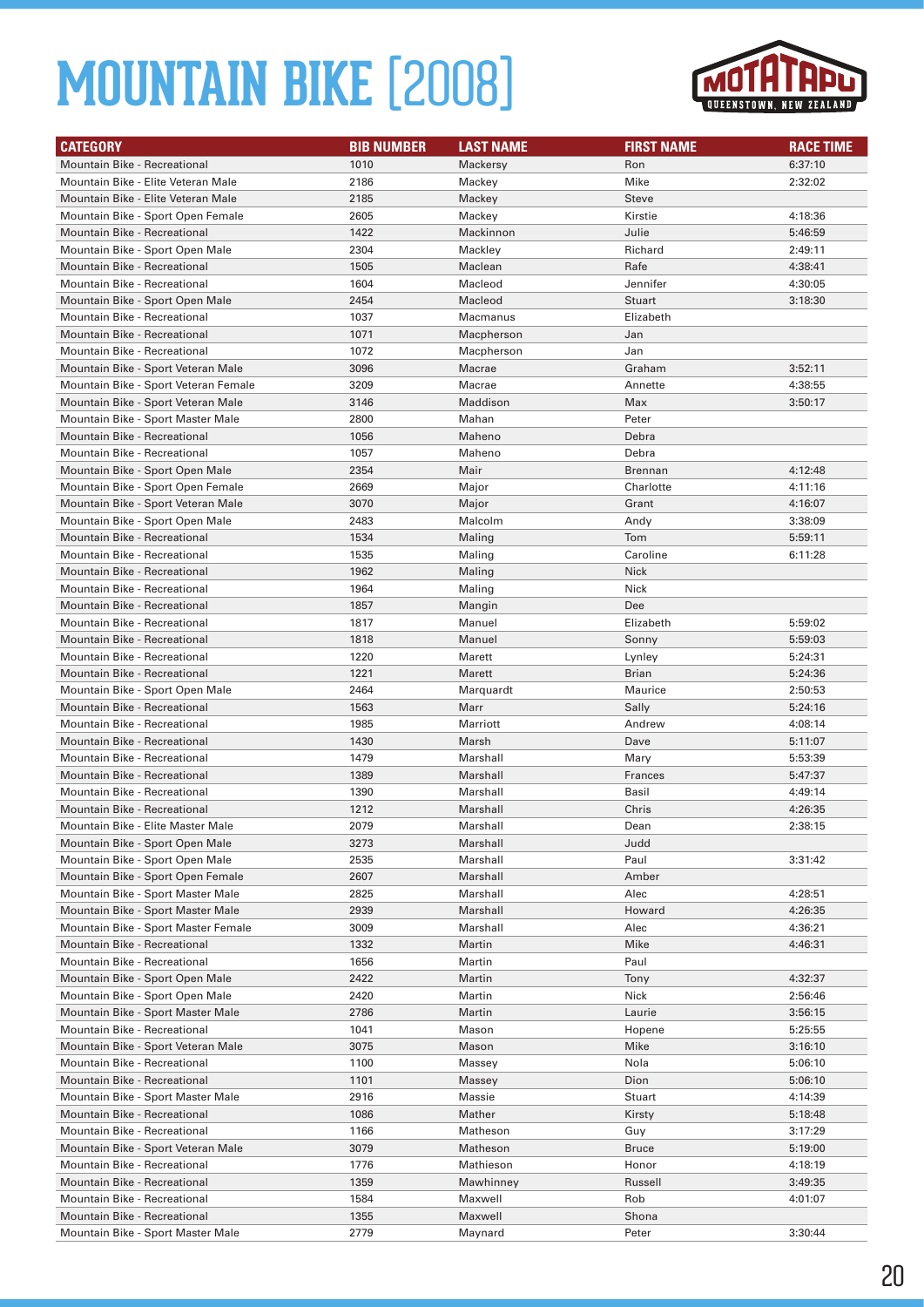

| <b>CATEGORY</b>                      | <b>BIB NUMBER</b> | <b>LAST NAME</b> | <b>FIRST NAME</b> | <b>RACE TIME</b> |
|--------------------------------------|-------------------|------------------|-------------------|------------------|
| <b>Mountain Bike - Recreational</b>  | 1010              | Mackersy         | Ron               | 6:37:10          |
| Mountain Bike - Elite Veteran Male   | 2186              | Mackey           | Mike              | 2:32:02          |
| Mountain Bike - Elite Veteran Male   | 2185              | Mackey           | Steve             |                  |
| Mountain Bike - Sport Open Female    | 2605              | Mackey           | Kirstie           | 4:18:36          |
| <b>Mountain Bike - Recreational</b>  | 1422              | Mackinnon        | Julie             | 5:46:59          |
| Mountain Bike - Sport Open Male      | 2304              | Mackley          | Richard           | 2:49:11          |
| <b>Mountain Bike - Recreational</b>  | 1505              | Maclean          | Rafe              | 4:38:41          |
| Mountain Bike - Recreational         | 1604              | Macleod          | Jennifer          | 4:30:05          |
| Mountain Bike - Sport Open Male      | 2454              | Macleod          | Stuart            | 3:18:30          |
| Mountain Bike - Recreational         | 1037              | Macmanus         | Elizabeth         |                  |
| <b>Mountain Bike - Recreational</b>  | 1071              | Macpherson       | Jan               |                  |
| Mountain Bike - Recreational         | 1072              | Macpherson       | Jan               |                  |
| Mountain Bike - Sport Veteran Male   | 3096              | Macrae           | Graham            | 3:52:11          |
| Mountain Bike - Sport Veteran Female | 3209              | Macrae           | Annette           | 4:38:55          |
| Mountain Bike - Sport Veteran Male   | 3146              | Maddison         | Max               | 3:50:17          |
| Mountain Bike - Sport Master Male    | 2800              | Mahan            | Peter             |                  |
| <b>Mountain Bike - Recreational</b>  | 1056              | Maheno           | Debra             |                  |
| Mountain Bike - Recreational         | 1057              | Maheno           | Debra             |                  |
| Mountain Bike - Sport Open Male      | 2354              | Mair             | <b>Brennan</b>    | 4:12:48          |
| Mountain Bike - Sport Open Female    | 2669              | Major            | Charlotte         | 4:11:16          |
| Mountain Bike - Sport Veteran Male   | 3070              | Major            | Grant             | 4:16:07          |
| Mountain Bike - Sport Open Male      | 2483              | Malcolm          | Andy              | 3:38:09          |
| <b>Mountain Bike - Recreational</b>  | 1534              | Maling           | Tom               | 5:59:11          |
| Mountain Bike - Recreational         | 1535              | Maling           | Caroline          | 6:11:28          |
| <b>Mountain Bike - Recreational</b>  | 1962              | Maling           | <b>Nick</b>       |                  |
| Mountain Bike - Recreational         | 1964              | Maling           | Nick              |                  |
| <b>Mountain Bike - Recreational</b>  | 1857              | Mangin           | Dee               |                  |
| Mountain Bike - Recreational         | 1817              | Manuel           | Elizabeth         | 5:59:02          |
| <b>Mountain Bike - Recreational</b>  | 1818              | Manuel           | Sonny             | 5:59:03          |
| Mountain Bike - Recreational         | 1220              | Marett           | Lynley            | 5:24:31          |
| <b>Mountain Bike - Recreational</b>  | 1221              | Marett           | <b>Brian</b>      | 5:24:36          |
| Mountain Bike - Sport Open Male      | 2464              | Marquardt        | Maurice           | 2:50:53          |
| <b>Mountain Bike - Recreational</b>  | 1563              | Marr             | Sally             | 5:24:16          |
| Mountain Bike - Recreational         | 1985              | Marriott         | Andrew            | 4:08:14          |
| <b>Mountain Bike - Recreational</b>  | 1430              | Marsh            | Dave              | 5:11:07          |
| Mountain Bike - Recreational         | 1479              | Marshall         | Mary              | 5:53:39          |
| <b>Mountain Bike - Recreational</b>  | 1389              | Marshall         | Frances           | 5:47:37          |
| Mountain Bike - Recreational         | 1390              | Marshall         | Basil             | 4:49:14          |
| <b>Mountain Bike - Recreational</b>  | 1212              | Marshall         | Chris             | 4:26:35          |
| Mountain Bike - Elite Master Male    | 2079              | Marshall         | Dean              | 2:38:15          |
| Mountain Bike - Sport Open Male      | 3273              | Marshall         | Judd              |                  |
| Mountain Bike - Sport Open Male      | 2535              | Marshall         | Paul              | 3:31:42          |
| Mountain Bike - Sport Open Female    | 2607              | Marshall         | Amber             |                  |
| Mountain Bike - Sport Master Male    | 2825              | Marshall         | Alec              | 4:28:51          |
| Mountain Bike - Sport Master Male    | 2939              | Marshall         | Howard            | 4:26:35          |
| Mountain Bike - Sport Master Female  | 3009              | Marshall         | Alec              | 4:36:21          |
| Mountain Bike - Recreational         | 1332              | Martin           | Mike              | 4:46:31          |
| Mountain Bike - Recreational         | 1656              | Martin           | Paul              |                  |
| Mountain Bike - Sport Open Male      | 2422              | Martin           | Tony              | 4:32:37          |
| Mountain Bike - Sport Open Male      | 2420              | Martin           | Nick              | 2:56:46          |
| Mountain Bike - Sport Master Male    | 2786              | Martin           | Laurie            | 3:56:15          |
| Mountain Bike - Recreational         | 1041              | Mason            | Hopene            | 5:25:55          |
| Mountain Bike - Sport Veteran Male   | 3075              | Mason            | Mike              | 3:16:10          |
| Mountain Bike - Recreational         | 1100              | Massey           | Nola              | 5:06:10          |
| Mountain Bike - Recreational         | 1101              | Massey           | Dion              | 5:06:10          |
| Mountain Bike - Sport Master Male    | 2916              | Massie           | <b>Stuart</b>     | 4:14:39          |
| Mountain Bike - Recreational         | 1086              | Mather           | Kirsty            | 5:18:48          |
| Mountain Bike - Recreational         | 1166              | Matheson         | Guy               | 3:17:29          |
| Mountain Bike - Sport Veteran Male   | 3079              | Matheson         | <b>Bruce</b>      | 5:19:00          |
| Mountain Bike - Recreational         | 1776              | Mathieson        | Honor             | 4:18:19          |
| Mountain Bike - Recreational         | 1359              | Mawhinney        | Russell           | 3:49:35          |
| Mountain Bike - Recreational         | 1584              | Maxwell          | Rob               | 4:01:07          |
| Mountain Bike - Recreational         | 1355              | Maxwell          | Shona             |                  |
| Mountain Bike - Sport Master Male    | 2779              | Maynard          | Peter             | 3:30:44          |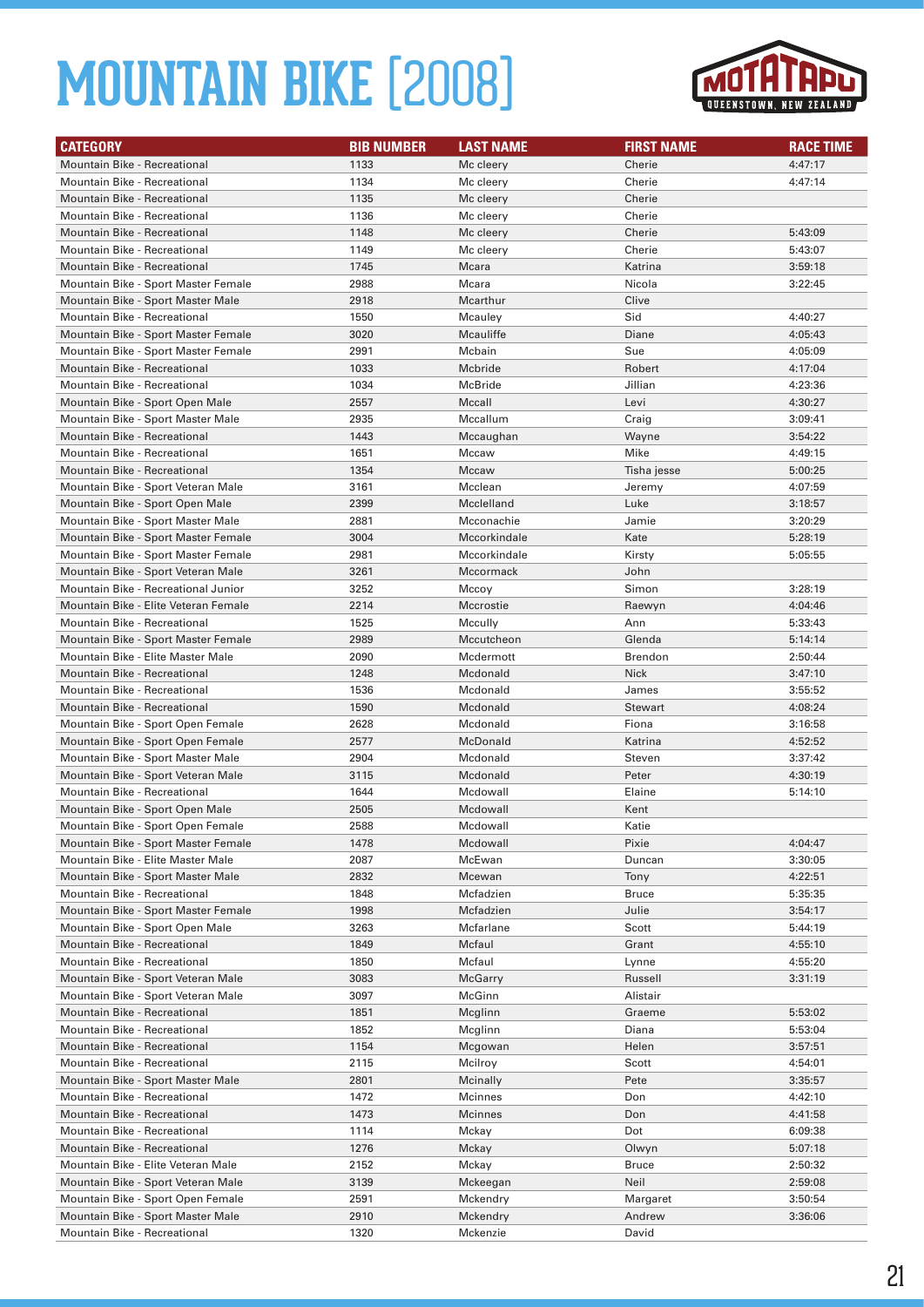

| <b>CATEGORY</b>                      | <b>BIB NUMBER</b> | <b>LAST NAME</b> | <b>FIRST NAME</b> | <b>RACE TIME</b> |
|--------------------------------------|-------------------|------------------|-------------------|------------------|
| <b>Mountain Bike - Recreational</b>  | 1133              | Mc cleery        | Cherie            | 4:47:17          |
| Mountain Bike - Recreational         | 1134              | Mc cleery        | Cherie            | 4:47:14          |
| <b>Mountain Bike - Recreational</b>  | 1135              | Mc cleery        | Cherie            |                  |
| Mountain Bike - Recreational         | 1136              | Mc cleery        | Cherie            |                  |
| <b>Mountain Bike - Recreational</b>  | 1148              | Mc cleery        | Cherie            | 5:43:09          |
| Mountain Bike - Recreational         | 1149              | Mc cleery        | Cherie            | 5:43:07          |
| <b>Mountain Bike - Recreational</b>  | 1745              | Mcara            | Katrina           | 3:59:18          |
| Mountain Bike - Sport Master Female  | 2988              | Mcara            | Nicola            | 3:22:45          |
| Mountain Bike - Sport Master Male    | 2918              | Mcarthur         | Clive             |                  |
| Mountain Bike - Recreational         | 1550              | Mcauley          | Sid               | 4:40:27          |
| Mountain Bike - Sport Master Female  | 3020              | Mcauliffe        | Diane             | 4:05:43          |
| Mountain Bike - Sport Master Female  | 2991              | Mcbain           | Sue               | 4:05:09          |
| <b>Mountain Bike - Recreational</b>  | 1033              | Mcbride          | Robert            | 4:17:04          |
| Mountain Bike - Recreational         | 1034              | McBride          | Jillian           | 4:23:36          |
| Mountain Bike - Sport Open Male      | 2557              | Mccall           | Levi              | 4:30:27          |
| Mountain Bike - Sport Master Male    | 2935              | Mccallum         | Craig             | 3:09:41          |
| Mountain Bike - Recreational         | 1443              | Mccaughan        | Wayne             | 3:54:22          |
| Mountain Bike - Recreational         | 1651              | Mccaw            | Mike              | 4:49:15          |
| <b>Mountain Bike - Recreational</b>  | 1354              | Mccaw            | Tisha jesse       | 5:00:25          |
| Mountain Bike - Sport Veteran Male   | 3161              | Mcclean          | Jeremy            | 4:07:59          |
| Mountain Bike - Sport Open Male      | 2399              | Mcclelland       | Luke              | 3:18:57          |
| Mountain Bike - Sport Master Male    | 2881              | Mcconachie       | Jamie             | 3:20:29          |
| Mountain Bike - Sport Master Female  | 3004              | Mccorkindale     | Kate              | 5:28:19          |
| Mountain Bike - Sport Master Female  | 2981              | Mccorkindale     | Kirsty            | 5:05:55          |
| Mountain Bike - Sport Veteran Male   | 3261              | Mccormack        | John              |                  |
| Mountain Bike - Recreational Junior  | 3252              | Mccoy            | Simon             | 3:28:19          |
| Mountain Bike - Elite Veteran Female | 2214              | Mccrostie        | Raewyn            | 4:04:46          |
| Mountain Bike - Recreational         | 1525              | Mccully          | Ann               | 5:33:43          |
| Mountain Bike - Sport Master Female  | 2989              | Mccutcheon       | Glenda            | 5:14:14          |
| Mountain Bike - Elite Master Male    | 2090              | Mcdermott        | <b>Brendon</b>    | 2:50:44          |
| <b>Mountain Bike - Recreational</b>  | 1248              | Mcdonald         | Nick              | 3:47:10          |
| Mountain Bike - Recreational         | 1536              | Mcdonald         | James             | 3:55:52          |
| Mountain Bike - Recreational         | 1590              | Mcdonald         | <b>Stewart</b>    | 4:08:24          |
| Mountain Bike - Sport Open Female    | 2628              | Mcdonald         | Fiona             | 3:16:58          |
| Mountain Bike - Sport Open Female    | 2577              | McDonald         | Katrina           | 4:52:52          |
| Mountain Bike - Sport Master Male    | 2904              | Mcdonald         | Steven            | 3:37:42          |
| Mountain Bike - Sport Veteran Male   | 3115              | Mcdonald         | Peter             | 4:30:19          |
| Mountain Bike - Recreational         | 1644              | Mcdowall         | Elaine            | 5:14:10          |
| Mountain Bike - Sport Open Male      | 2505              | Mcdowall         | Kent              |                  |
| Mountain Bike - Sport Open Female    | 2588              | Mcdowall         | Katie             |                  |
| Mountain Bike - Sport Master Female  | 1478              | Mcdowall         | Pixie             | 4:04:47          |
| Mountain Bike - Elite Master Male    | 2087              | McEwan           | Duncan            | 3:30:05          |
| Mountain Bike - Sport Master Male    | 2832              | Mcewan           | Tony              | 4:22:51          |
| Mountain Bike - Recreational         | 1848              | Mcfadzien        | Bruce             | 5:35:35          |
| Mountain Bike - Sport Master Female  | 1998              | Mcfadzien        | Julie             | 3:54:17          |
| Mountain Bike - Sport Open Male      | 3263              | Mcfarlane        | Scott             | 5:44:19          |
| Mountain Bike - Recreational         | 1849              | Mcfaul           | Grant             | 4:55:10          |
| Mountain Bike - Recreational         | 1850              | Mcfaul           | Lynne             | 4:55:20          |
| Mountain Bike - Sport Veteran Male   | 3083              | McGarry          | Russell           | 3:31:19          |
| Mountain Bike - Sport Veteran Male   | 3097              | McGinn           | Alistair          |                  |
| Mountain Bike - Recreational         | 1851              | Mcglinn          | Graeme            | 5:53:02          |
| Mountain Bike - Recreational         | 1852              | Mcglinn          | Diana             | 5:53:04          |
| Mountain Bike - Recreational         | 1154              | Mcgowan          | Helen             | 3:57:51          |
| Mountain Bike - Recreational         | 2115              | Mcilroy          | Scott             | 4:54:01          |
| Mountain Bike - Sport Master Male    | 2801              | Mcinally         | Pete              | 3:35:57          |
| Mountain Bike - Recreational         | 1472              | Mcinnes          | Don               | 4:42:10          |
| Mountain Bike - Recreational         | 1473              | Mcinnes          | Don               | 4:41:58          |
| Mountain Bike - Recreational         | 1114              | Mckay            | Dot               | 6:09:38          |
| Mountain Bike - Recreational         | 1276              | Mckay            | Olwyn             | 5:07:18          |
| Mountain Bike - Elite Veteran Male   | 2152              | Mckay            | Bruce             | 2:50:32          |
| Mountain Bike - Sport Veteran Male   | 3139              | Mckeegan         | Neil              | 2:59:08          |
| Mountain Bike - Sport Open Female    | 2591              | Mckendry         | Margaret          | 3:50:54          |
| Mountain Bike - Sport Master Male    | 2910              | Mckendry         | Andrew            | 3:36:06          |
| Mountain Bike - Recreational         | 1320              | Mckenzie         | David             |                  |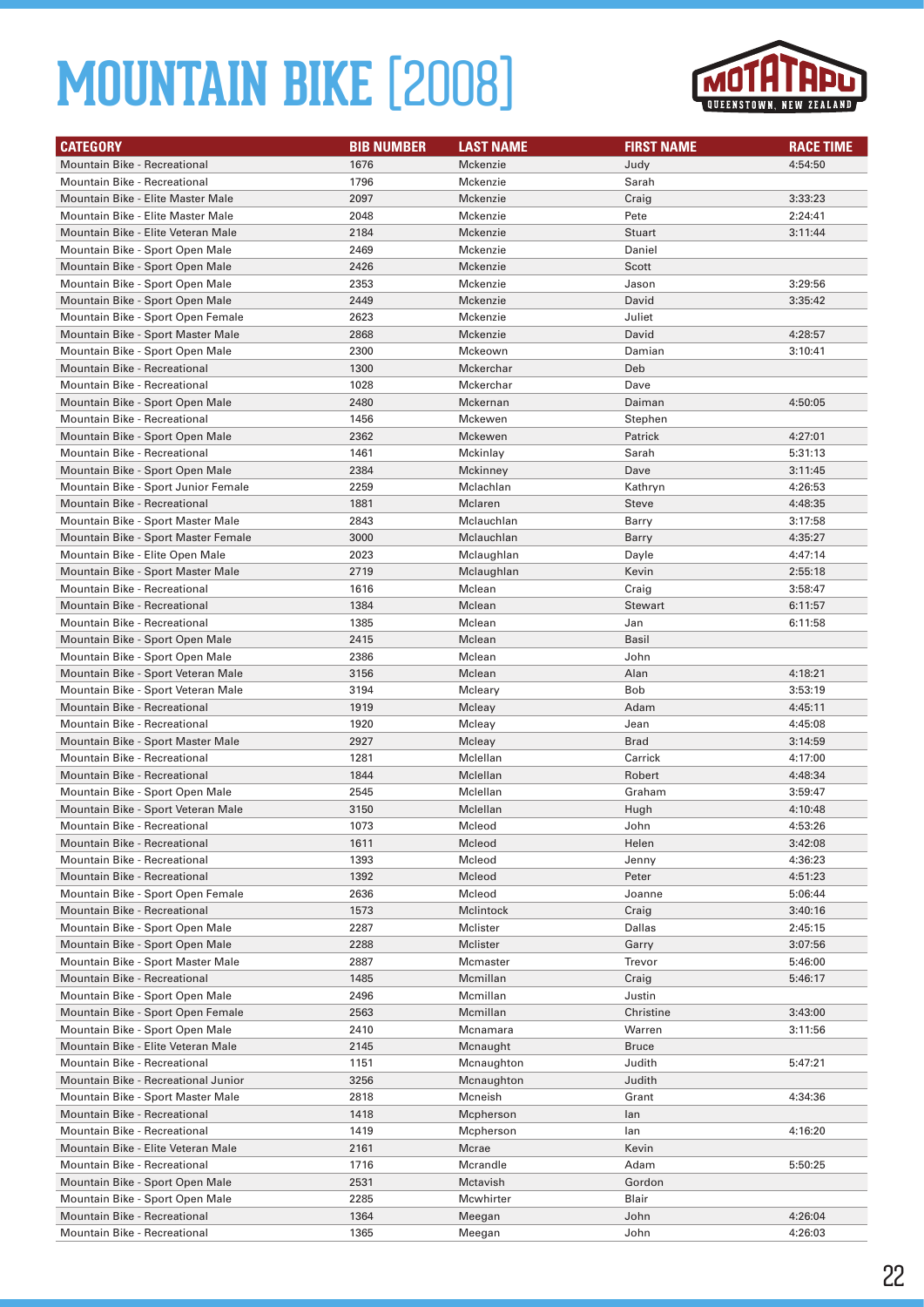

| <b>CATEGORY</b>                     | <b>BIB NUMBER</b> | <b>LAST NAME</b> | <b>FIRST NAME</b> | <b>RACE TIME</b> |
|-------------------------------------|-------------------|------------------|-------------------|------------------|
| <b>Mountain Bike - Recreational</b> | 1676              | Mckenzie         | Judy              | 4:54:50          |
| Mountain Bike - Recreational        | 1796              | Mckenzie         | Sarah             |                  |
| Mountain Bike - Elite Master Male   | 2097              | Mckenzie         | Craig             | 3:33:23          |
| Mountain Bike - Elite Master Male   | 2048              | Mckenzie         | Pete              | 2:24:41          |
| Mountain Bike - Elite Veteran Male  | 2184              | Mckenzie         | <b>Stuart</b>     | 3:11:44          |
| Mountain Bike - Sport Open Male     | 2469              | Mckenzie         | Daniel            |                  |
| Mountain Bike - Sport Open Male     | 2426              | Mckenzie         | Scott             |                  |
| Mountain Bike - Sport Open Male     | 2353              | Mckenzie         | Jason             | 3:29:56          |
| Mountain Bike - Sport Open Male     | 2449              | Mckenzie         | David             | 3:35:42          |
| Mountain Bike - Sport Open Female   | 2623              | Mckenzie         | Juliet            |                  |
| Mountain Bike - Sport Master Male   | 2868              | Mckenzie         | David             | 4:28:57          |
| Mountain Bike - Sport Open Male     | 2300              | Mckeown          | Damian            | 3:10:41          |
| <b>Mountain Bike - Recreational</b> | 1300              | Mckerchar        | Deb               |                  |
| Mountain Bike - Recreational        | 1028              | Mckerchar        | Dave              |                  |
| Mountain Bike - Sport Open Male     | 2480              | Mckernan         | Daiman            | 4:50:05          |
| Mountain Bike - Recreational        | 1456              | Mckewen          | Stephen           |                  |
| Mountain Bike - Sport Open Male     | 2362              | Mckewen          | Patrick           | 4:27:01          |
| Mountain Bike - Recreational        | 1461              | Mckinlay         | Sarah             | 5:31:13          |
| Mountain Bike - Sport Open Male     | 2384              | Mckinney         | Dave              | 3:11:45          |
| Mountain Bike - Sport Junior Female | 2259              | Mclachlan        | Kathryn           | 4:26:53          |
| <b>Mountain Bike - Recreational</b> | 1881              | Mclaren          | Steve             | 4:48:35          |
| Mountain Bike - Sport Master Male   | 2843              | Mclauchlan       | Barry             | 3:17:58          |
| Mountain Bike - Sport Master Female | 3000              | Mclauchlan       | Barry             | 4:35:27          |
| Mountain Bike - Elite Open Male     | 2023              | Mclaughlan       | Dayle             | 4:47:14          |
| Mountain Bike - Sport Master Male   | 2719              | Mclaughlan       | Kevin             | 2:55:18          |
| Mountain Bike - Recreational        | 1616              | Mclean           | Craig             | 3:58:47          |
| <b>Mountain Bike - Recreational</b> | 1384              | Mclean           | <b>Stewart</b>    | 6:11:57          |
| Mountain Bike - Recreational        | 1385              | Mclean           | Jan               | 6:11:58          |
| Mountain Bike - Sport Open Male     | 2415              | Mclean           | <b>Basil</b>      |                  |
| Mountain Bike - Sport Open Male     | 2386              | Mclean           | John              |                  |
| Mountain Bike - Sport Veteran Male  | 3156              | Mclean           | Alan              | 4:18:21          |
| Mountain Bike - Sport Veteran Male  | 3194              | Mcleary          | <b>Bob</b>        | 3:53:19          |
| <b>Mountain Bike - Recreational</b> | 1919              | Mcleay           | Adam              | 4:45:11          |
| Mountain Bike - Recreational        | 1920              | Mcleay           | Jean              | 4:45:08          |
| Mountain Bike - Sport Master Male   | 2927              | Mcleay           | <b>Brad</b>       | 3:14:59          |
| <b>Mountain Bike - Recreational</b> | 1281              | Mclellan         | Carrick           | 4:17:00          |
| <b>Mountain Bike - Recreational</b> | 1844              | Mclellan         | Robert            | 4:48:34          |
| Mountain Bike - Sport Open Male     | 2545              | Mclellan         | Graham            | 3:59:47          |
| Mountain Bike - Sport Veteran Male  | 3150              | Mclellan         | Hugh              | 4:10:48          |
| Mountain Bike - Recreational        | 1073              | Mcleod           | John              | 4:53:26          |
| <b>Mountain Bike - Recreational</b> | 1611              | Mcleod           | Helen             | 3:42:08          |
| Mountain Bike - Recreational        | 1393              | Mcleod           | Jenny             | 4:36:23          |
| Mountain Bike - Recreational        | 1392              | Mcleod           | Peter             | 4:51:23          |
| Mountain Bike - Sport Open Female   | 2636              | Mcleod           | Joanne            | 5:06:44          |
| Mountain Bike - Recreational        | 1573              | Mclintock        | Craig             | 3:40:16          |
| Mountain Bike - Sport Open Male     | 2287              | Mclister         | Dallas            | 2:45:15          |
| Mountain Bike - Sport Open Male     | 2288              | Mclister         | Garry             | 3:07:56          |
| Mountain Bike - Sport Master Male   | 2887              | Mcmaster         | Trevor            | 5:46:00          |
| Mountain Bike - Recreational        | 1485              | Mcmillan         | Craig             | 5:46:17          |
| Mountain Bike - Sport Open Male     | 2496              | Mcmillan         | Justin            |                  |
| Mountain Bike - Sport Open Female   | 2563              | Mcmillan         | Christine         | 3:43:00          |
| Mountain Bike - Sport Open Male     | 2410              | Mcnamara         | Warren            | 3:11:56          |
| Mountain Bike - Elite Veteran Male  | 2145              | Mcnaught         | <b>Bruce</b>      |                  |
| Mountain Bike - Recreational        | 1151              | Mcnaughton       | Judith            | 5:47:21          |
| Mountain Bike - Recreational Junior | 3256              | Mcnaughton       | Judith            |                  |
| Mountain Bike - Sport Master Male   | 2818              | Mcneish          | Grant             | 4:34:36          |
| Mountain Bike - Recreational        | 1418              | Mcpherson        | lan               |                  |
| Mountain Bike - Recreational        | 1419              | Mcpherson        | lan               | 4:16:20          |
| Mountain Bike - Elite Veteran Male  | 2161              | Mcrae            | Kevin             |                  |
| Mountain Bike - Recreational        | 1716              | Mcrandle         | Adam              | 5:50:25          |
| Mountain Bike - Sport Open Male     | 2531              | Mctavish         | Gordon            |                  |
| Mountain Bike - Sport Open Male     | 2285              | Mcwhirter        | Blair             |                  |
| Mountain Bike - Recreational        | 1364              | Meegan           | John              | 4:26:04          |
| Mountain Bike - Recreational        | 1365              | Meegan           | John              | 4:26:03          |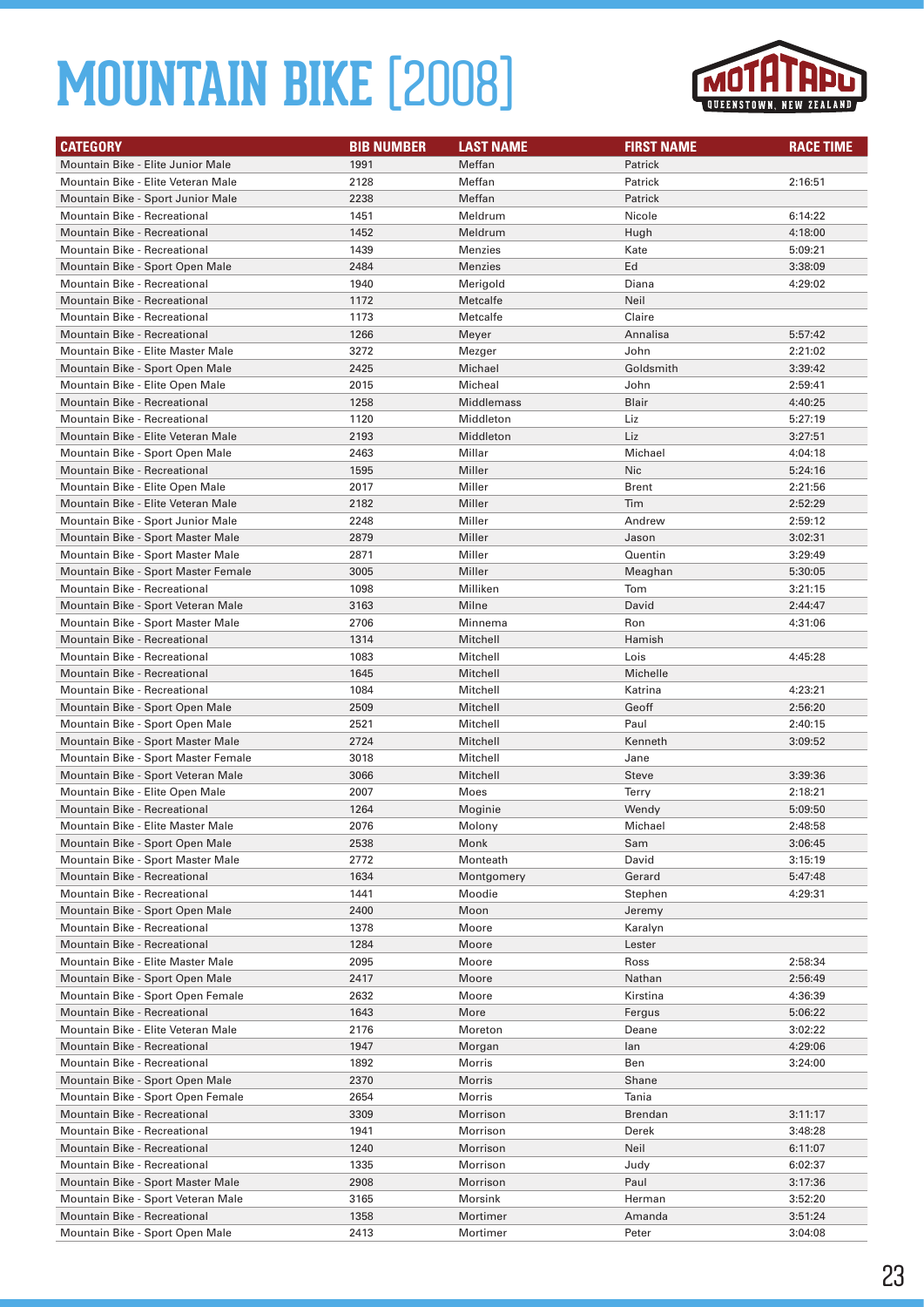

| <b>CATEGORY</b>                     | <b>BIB NUMBER</b> | <b>LAST NAME</b> | <b>FIRST NAME</b> | <b>RACE TIME</b> |
|-------------------------------------|-------------------|------------------|-------------------|------------------|
| Mountain Bike - Elite Junior Male   | 1991              | Meffan           | Patrick           |                  |
| Mountain Bike - Elite Veteran Male  | 2128              | Meffan           | Patrick           | 2:16:51          |
| Mountain Bike - Sport Junior Male   | 2238              | Meffan           | Patrick           |                  |
| Mountain Bike - Recreational        | 1451              | Meldrum          | Nicole            | 6:14:22          |
| <b>Mountain Bike - Recreational</b> | 1452              | Meldrum          | Hugh              | 4:18:00          |
| Mountain Bike - Recreational        | 1439              | Menzies          | Kate              | 5:09:21          |
| Mountain Bike - Sport Open Male     | 2484              | <b>Menzies</b>   | Ed                | 3:38:09          |
| Mountain Bike - Recreational        | 1940              | Merigold         | Diana             | 4:29:02          |
| <b>Mountain Bike - Recreational</b> | 1172              | Metcalfe         | Neil              |                  |
| Mountain Bike - Recreational        | 1173              | Metcalfe         | Claire            |                  |
| <b>Mountain Bike - Recreational</b> | 1266              | Meyer            | Annalisa          | 5:57:42          |
| Mountain Bike - Elite Master Male   | 3272              | Mezger           | John              | 2:21:02          |
| Mountain Bike - Sport Open Male     | 2425              | Michael          | Goldsmith         | 3:39:42          |
| Mountain Bike - Elite Open Male     | 2015              | Micheal          | John              | 2:59:41          |
| Mountain Bike - Recreational        | 1258              | Middlemass       | Blair             | 4:40:25          |
| Mountain Bike - Recreational        | 1120              | Middleton        | Liz               | 5:27:19          |
| Mountain Bike - Elite Veteran Male  | 2193              | Middleton        | Liz               | 3:27:51          |
| Mountain Bike - Sport Open Male     | 2463              | Millar           | Michael           | 4:04:18          |
| Mountain Bike - Recreational        | 1595              | Miller           | Nic               | 5:24:16          |
| Mountain Bike - Elite Open Male     | 2017              | Miller           | Brent             | 2:21:56          |
| Mountain Bike - Elite Veteran Male  | 2182              | Miller           | Tim               | 2:52:29          |
| Mountain Bike - Sport Junior Male   | 2248              | Miller           | Andrew            | 2:59:12          |
| Mountain Bike - Sport Master Male   | 2879              | Miller           | Jason             | 3:02:31          |
| Mountain Bike - Sport Master Male   | 2871              | Miller           | Quentin           | 3:29:49          |
| Mountain Bike - Sport Master Female | 3005              | Miller           | Meaghan           | 5:30:05          |
| Mountain Bike - Recreational        | 1098              | Milliken         | Tom               | 3:21:15          |
| Mountain Bike - Sport Veteran Male  | 3163              | Milne            | David             | 2:44:47          |
| Mountain Bike - Sport Master Male   | 2706              | Minnema          | Ron               | 4:31:06          |
| <b>Mountain Bike - Recreational</b> | 1314              | Mitchell         | Hamish            |                  |
| Mountain Bike - Recreational        | 1083              | Mitchell         | Lois              | 4:45:28          |
| Mountain Bike - Recreational        | 1645              | Mitchell         | Michelle          |                  |
| Mountain Bike - Recreational        | 1084              | Mitchell         | Katrina           | 4:23:21          |
| Mountain Bike - Sport Open Male     | 2509              | Mitchell         | Geoff             | 2:56:20          |
| Mountain Bike - Sport Open Male     | 2521              | Mitchell         | Paul              | 2:40:15          |
| Mountain Bike - Sport Master Male   | 2724              | Mitchell         | Kenneth           | 3:09:52          |
| Mountain Bike - Sport Master Female | 3018              | Mitchell         | Jane              |                  |
| Mountain Bike - Sport Veteran Male  | 3066              | Mitchell         | Steve             | 3:39:36          |
| Mountain Bike - Elite Open Male     | 2007              | Moes             | Terry             | 2:18:21          |
| <b>Mountain Bike - Recreational</b> | 1264              | Moginie          | Wendy             | 5:09:50          |
| Mountain Bike - Elite Master Male   | 2076              | Molony           | Michael           | 2:48:58          |
| Mountain Bike - Sport Open Male     | 2538              | Monk             | Sam               | 3:06:45          |
| Mountain Bike - Sport Master Male   | 2772              | Monteath         | David             | 3:15:19          |
| Mountain Bike - Recreational        | 1634              | Montgomery       | Gerard            | 5:47:48          |
| Mountain Bike - Recreational        | 1441              | Moodie           | Stephen           | 4:29:31          |
| Mountain Bike - Sport Open Male     | 2400              | Moon             | Jeremy            |                  |
| Mountain Bike - Recreational        | 1378              | Moore            | Karalyn           |                  |
| Mountain Bike - Recreational        | 1284              | Moore            | Lester            |                  |
| Mountain Bike - Elite Master Male   | 2095              | Moore            | Ross              | 2:58:34          |
| Mountain Bike - Sport Open Male     | 2417              | Moore            | Nathan            | 2:56:49          |
| Mountain Bike - Sport Open Female   | 2632              | Moore            | Kirstina          | 4:36:39          |
| <b>Mountain Bike - Recreational</b> | 1643              | More             | Fergus            | 5:06:22          |
| Mountain Bike - Elite Veteran Male  | 2176              | Moreton          | Deane             | 3:02:22          |
| Mountain Bike - Recreational        | 1947              | Morgan           | lan               | 4:29:06          |
| Mountain Bike - Recreational        | 1892              | Morris           | Ben               | 3:24:00          |
| Mountain Bike - Sport Open Male     | 2370              | Morris           | Shane             |                  |
| Mountain Bike - Sport Open Female   | 2654              | Morris           | Tania             |                  |
| Mountain Bike - Recreational        | 3309              | Morrison         | Brendan           | 3:11:17          |
| Mountain Bike - Recreational        | 1941              | Morrison         | Derek             | 3:48:28          |
| Mountain Bike - Recreational        | 1240              | Morrison         | Neil              | 6:11:07          |
| Mountain Bike - Recreational        | 1335              | Morrison         | Judy              | 6:02:37          |
| Mountain Bike - Sport Master Male   | 2908              | Morrison         | Paul              | 3:17:36          |
| Mountain Bike - Sport Veteran Male  | 3165              | Morsink          | Herman            | 3:52:20          |
| Mountain Bike - Recreational        | 1358              | Mortimer         | Amanda            | 3:51:24          |
| Mountain Bike - Sport Open Male     | 2413              | Mortimer         | Peter             | 3:04:08          |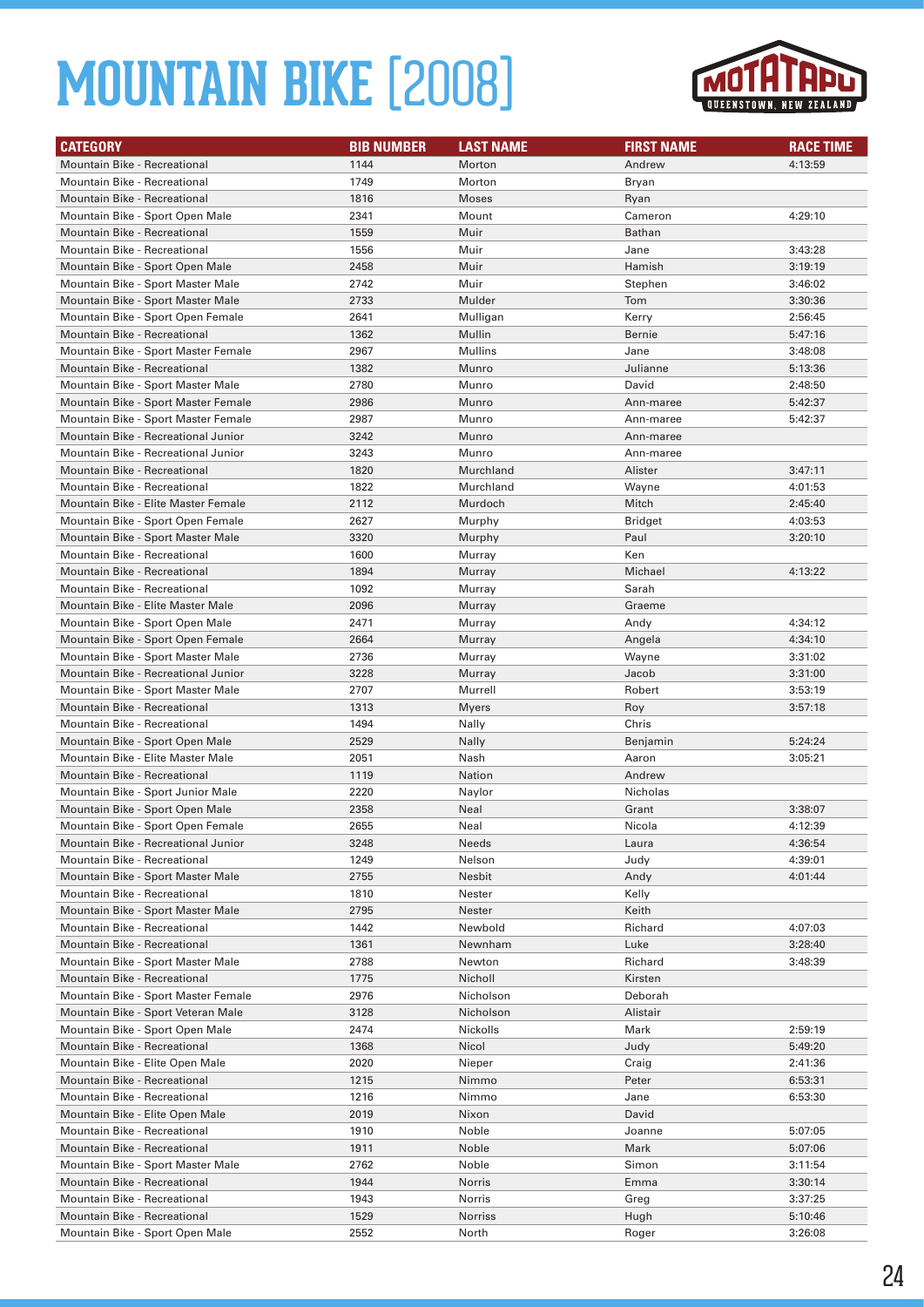

| <b>CATEGORY</b>                     | <b>BIB NUMBER</b> | <b>LAST NAME</b> | <b>FIRST NAME</b> | <b>RACE TIME</b> |
|-------------------------------------|-------------------|------------------|-------------------|------------------|
| <b>Mountain Bike - Recreational</b> | 1144              | Morton           | Andrew            | 4:13:59          |
| Mountain Bike - Recreational        | 1749              | Morton           | Bryan             |                  |
| <b>Mountain Bike - Recreational</b> | 1816              | <b>Moses</b>     | Ryan              |                  |
| Mountain Bike - Sport Open Male     | 2341              | Mount            | Cameron           | 4:29:10          |
| <b>Mountain Bike - Recreational</b> | 1559              | Muir             | <b>Bathan</b>     |                  |
| Mountain Bike - Recreational        | 1556              | Muir             | Jane              | 3:43:28          |
| Mountain Bike - Sport Open Male     | 2458              | Muir             | Hamish            | 3:19:19          |
| Mountain Bike - Sport Master Male   | 2742              | Muir             | Stephen           | 3:46:02          |
| Mountain Bike - Sport Master Male   | 2733              | Mulder           | Tom               | 3:30:36          |
| Mountain Bike - Sport Open Female   | 2641              | Mulligan         | Kerry             | 2:56:45          |
| <b>Mountain Bike - Recreational</b> | 1362              | Mullin           | <b>Bernie</b>     | 5:47:16          |
| Mountain Bike - Sport Master Female | 2967              | Mullins          | Jane              | 3:48:08          |
| <b>Mountain Bike - Recreational</b> | 1382              | Munro            | Julianne          | 5:13:36          |
| Mountain Bike - Sport Master Male   | 2780              | Munro            | David             | 2:48:50          |
| Mountain Bike - Sport Master Female | 2986              | Munro            | Ann-maree         | 5:42:37          |
| Mountain Bike - Sport Master Female | 2987              | Munro            | Ann-maree         | 5:42:37          |
| Mountain Bike - Recreational Junior | 3242              | Munro            | Ann-maree         |                  |
| Mountain Bike - Recreational Junior | 3243              | Munro            | Ann-maree         |                  |
| <b>Mountain Bike - Recreational</b> | 1820              | Murchland        | Alister           | 3:47:11          |
| Mountain Bike - Recreational        | 1822              | Murchland        | Wayne             | 4:01:53          |
| Mountain Bike - Elite Master Female | 2112              | Murdoch          | Mitch             | 2:45:40          |
| Mountain Bike - Sport Open Female   | 2627              | Murphy           | Bridget           | 4:03:53          |
| Mountain Bike - Sport Master Male   | 3320              | Murphy           | Paul              | 3:20:10          |
| Mountain Bike - Recreational        | 1600              | Murray           | Ken               |                  |
| Mountain Bike - Recreational        | 1894              | Murray           | Michael           | 4:13:22          |
| Mountain Bike - Recreational        | 1092              | Murray           | Sarah             |                  |
| Mountain Bike - Elite Master Male   | 2096              | Murray           | Graeme            |                  |
| Mountain Bike - Sport Open Male     | 2471              | Murray           | Andy              | 4:34:12          |
| Mountain Bike - Sport Open Female   | 2664              | Murray           | Angela            | 4:34:10          |
| Mountain Bike - Sport Master Male   | 2736              | Murray           | Wayne             | 3:31:02          |
| Mountain Bike - Recreational Junior | 3228              | Murray           | Jacob             | 3:31:00          |
| Mountain Bike - Sport Master Male   | 2707              | Murrell          | Robert            | 3:53:19          |
| <b>Mountain Bike - Recreational</b> | 1313              | <b>Myers</b>     | Roy               | 3:57:18          |
| Mountain Bike - Recreational        | 1494              | Nally            | Chris             |                  |
| Mountain Bike - Sport Open Male     | 2529              | Nally            | Benjamin          | 5:24:24          |
| Mountain Bike - Elite Master Male   | 2051              | Nash             | Aaron             | 3:05:21          |
| <b>Mountain Bike - Recreational</b> | 1119              | Nation           | Andrew            |                  |
| Mountain Bike - Sport Junior Male   | 2220              | Naylor           | Nicholas          |                  |
| Mountain Bike - Sport Open Male     | 2358              | Neal             | Grant             | 3:38:07          |
| Mountain Bike - Sport Open Female   | 2655              | Neal             | Nicola            | 4:12:39          |
| Mountain Bike - Recreational Junior | 3248              | Needs            | Laura             | 4:36:54          |
| Mountain Bike - Recreational        | 1249              | Nelson           | Judy              | 4:39:01          |
| Mountain Bike - Sport Master Male   | 2755              | Nesbit           | Andy              | 4:01:44          |
| Mountain Bike - Recreational        | 1810              | Nester           | Kelly             |                  |
| Mountain Bike - Sport Master Male   | 2795              | Nester           | Keith             |                  |
| Mountain Bike - Recreational        | 1442              | Newbold          | Richard           | 4:07:03          |
| Mountain Bike - Recreational        | 1361              | Newnham          | Luke              | 3:28:40          |
| Mountain Bike - Sport Master Male   | 2788              | Newton           | Richard           | 3:48:39          |
| <b>Mountain Bike - Recreational</b> | 1775              | Nicholl          | Kirsten           |                  |
| Mountain Bike - Sport Master Female | 2976              | Nicholson        | Deborah           |                  |
| Mountain Bike - Sport Veteran Male  | 3128              | Nicholson        | Alistair          |                  |
| Mountain Bike - Sport Open Male     | 2474              | Nickolls         | Mark              | 2:59:19          |
| Mountain Bike - Recreational        | 1368              | Nicol            | Judy              | 5:49:20          |
| Mountain Bike - Elite Open Male     | 2020              | Nieper           | Craig             | 2:41:36          |
| Mountain Bike - Recreational        | 1215              | Nimmo            | Peter             | 6:53:31          |
| Mountain Bike - Recreational        | 1216              | Nimmo            | Jane              | 6:53:30          |
| Mountain Bike - Elite Open Male     | 2019              | Nixon            | David             |                  |
| Mountain Bike - Recreational        | 1910              | Noble            | Joanne            | 5:07:05          |
| Mountain Bike - Recreational        | 1911              | Noble            | Mark              | 5:07:06          |
| Mountain Bike - Sport Master Male   | 2762              | Noble            | Simon             | 3:11:54          |
| Mountain Bike - Recreational        | 1944              | Norris           | Emma              | 3:30:14          |
| Mountain Bike - Recreational        | 1943              | Norris           | Greg              | 3:37:25          |
| Mountain Bike - Recreational        | 1529              | <b>Norriss</b>   | Hugh              | 5:10:46          |
| Mountain Bike - Sport Open Male     | 2552              | North            | Roger             | 3:26:08          |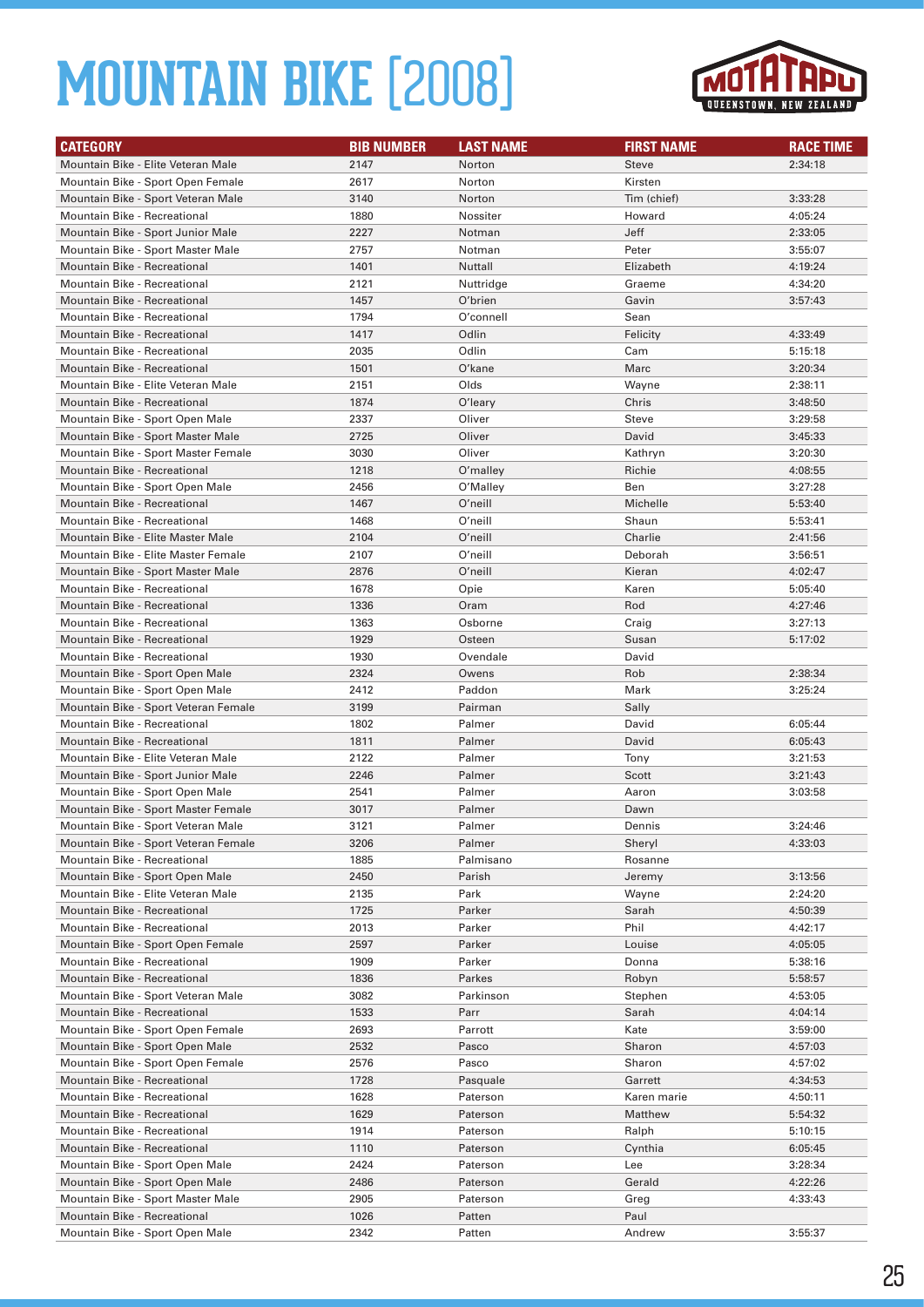

| <b>CATEGORY</b>                                                     | <b>BIB NUMBER</b> | <b>LAST NAME</b>     | <b>FIRST NAME</b> | <b>RACE TIME</b>   |
|---------------------------------------------------------------------|-------------------|----------------------|-------------------|--------------------|
| Mountain Bike - Elite Veteran Male                                  | 2147              | Norton               | Steve             | 2:34:18            |
| Mountain Bike - Sport Open Female                                   | 2617              | Norton               | Kirsten           |                    |
| Mountain Bike - Sport Veteran Male                                  | 3140              | Norton               | Tim (chief)       | 3:33:28            |
| Mountain Bike - Recreational                                        | 1880              | Nossiter             |                   |                    |
| Mountain Bike - Sport Junior Male                                   | 2227              | Notman               | Howard<br>Jeff    | 4:05:24<br>2:33:05 |
|                                                                     | 2757              | Notman               | Peter             | 3:55:07            |
| Mountain Bike - Sport Master Male                                   |                   | Nuttall              |                   |                    |
| <b>Mountain Bike - Recreational</b><br>Mountain Bike - Recreational | 1401<br>2121      |                      | Elizabeth         | 4:19:24<br>4:34:20 |
|                                                                     |                   | Nuttridge            | Graeme            |                    |
| Mountain Bike - Recreational<br>Mountain Bike - Recreational        | 1457<br>1794      | O'brien<br>O'connell | Gavin             | 3:57:43            |
|                                                                     |                   |                      | Sean              |                    |
| <b>Mountain Bike - Recreational</b>                                 | 1417              | Odlin                | Felicity          | 4:33:49            |
| Mountain Bike - Recreational                                        | 2035              | Odlin                | Cam               | 5:15:18            |
| Mountain Bike - Recreational                                        | 1501              | O'kane               | Marc              | 3:20:34            |
| Mountain Bike - Elite Veteran Male                                  | 2151              | Olds                 | Wayne             | 2:38:11            |
| <b>Mountain Bike - Recreational</b>                                 | 1874              | O'leary              | Chris             | 3:48:50            |
| Mountain Bike - Sport Open Male                                     | 2337              | Oliver               | Steve             | 3:29:58            |
| Mountain Bike - Sport Master Male                                   | 2725              | Oliver               | David             | 3:45:33            |
| Mountain Bike - Sport Master Female                                 | 3030              | Oliver               | Kathryn           | 3:20:30            |
| <b>Mountain Bike - Recreational</b>                                 | 1218              | O'malley             | Richie            | 4:08:55            |
| Mountain Bike - Sport Open Male                                     | 2456              | O'Malley             | Ben               | 3:27:28            |
| Mountain Bike - Recreational                                        | 1467              | O'neill              | Michelle          | 5:53:40            |
| <b>Mountain Bike - Recreational</b>                                 | 1468              | O'neill              | Shaun             | 5:53:41            |
| Mountain Bike - Elite Master Male                                   | 2104              | O'neill              | Charlie           | 2:41:56            |
| Mountain Bike - Elite Master Female                                 | 2107              | O'neill              | Deborah           | 3:56:51            |
| Mountain Bike - Sport Master Male                                   | 2876              | O'neill              | Kieran            | 4:02:47            |
| Mountain Bike - Recreational                                        | 1678              | Opie                 | Karen             | 5:05:40            |
| <b>Mountain Bike - Recreational</b>                                 | 1336              | Oram                 | Rod               | 4:27:46            |
| Mountain Bike - Recreational                                        | 1363              | Osborne              | Craig             | 3:27:13            |
| <b>Mountain Bike - Recreational</b>                                 | 1929              | Osteen               | Susan             | 5:17:02            |
| Mountain Bike - Recreational                                        | 1930              | Ovendale             | David             |                    |
| Mountain Bike - Sport Open Male                                     | 2324              | Owens                | Rob               | 2:38:34            |
| Mountain Bike - Sport Open Male                                     | 2412              | Paddon               | Mark              | 3:25:24            |
| Mountain Bike - Sport Veteran Female                                | 3199              | Pairman              | Sally             |                    |
| Mountain Bike - Recreational                                        | 1802              | Palmer               | David             | 6:05:44            |
| Mountain Bike - Recreational                                        | 1811              | Palmer               | David             | 6:05:43            |
| Mountain Bike - Elite Veteran Male                                  | 2122              | Palmer               | Tony              | 3:21:53            |
| Mountain Bike - Sport Junior Male                                   | 2246              | Palmer               | Scott             | 3:21:43            |
| Mountain Bike - Sport Open Male                                     | 2541              | Palmer               | Aaron             | 3:03:58            |
| Mountain Bike - Sport Master Female                                 | 3017              | Palmer               | Dawn              |                    |
| Mountain Bike - Sport Veteran Male                                  | 3121              | Palmer               | Dennis            | 3:24:46            |
| Mountain Bike - Sport Veteran Female                                | 3206              | Palmer               | Sheryl            | 4:33:03            |
| Mountain Bike - Recreational                                        | 1885              | Palmisano            | Rosanne           |                    |
| Mountain Bike - Sport Open Male                                     | 2450              | Parish               | Jeremy            | 3:13:56            |
| Mountain Bike - Elite Veteran Male                                  | 2135              | Park                 | Wayne             | 2:24:20            |
| Mountain Bike - Recreational                                        | 1725              | Parker               | Sarah             | 4:50:39            |
| Mountain Bike - Recreational                                        | 2013              | Parker               | Phil              | 4:42:17            |
| Mountain Bike - Sport Open Female                                   | 2597              | Parker               | Louise            | 4:05:05            |
| Mountain Bike - Recreational                                        | 1909              | Parker               | Donna             | 5:38:16            |
| Mountain Bike - Recreational                                        | 1836              | Parkes               | Robyn             | 5:58:57            |
| Mountain Bike - Sport Veteran Male                                  | 3082              | Parkinson            | Stephen           | 4:53:05            |
| Mountain Bike - Recreational                                        | 1533              | Parr                 | Sarah             | 4:04:14            |
| Mountain Bike - Sport Open Female                                   | 2693              | Parrott              | Kate              | 3:59:00            |
| Mountain Bike - Sport Open Male                                     | 2532              | Pasco                | Sharon            | 4:57:03            |
| Mountain Bike - Sport Open Female                                   | 2576              | Pasco                | Sharon            | 4:57:02            |
| Mountain Bike - Recreational                                        | 1728              | Pasquale             | Garrett           | 4:34:53            |
| Mountain Bike - Recreational                                        | 1628              | Paterson             | Karen marie       | 4:50:11            |
| Mountain Bike - Recreational                                        | 1629              | Paterson             | Matthew           | 5:54:32            |
| Mountain Bike - Recreational                                        | 1914              | Paterson             | Ralph             | 5:10:15            |
| Mountain Bike - Recreational                                        | 1110              | Paterson             | Cynthia           | 6:05:45            |
| Mountain Bike - Sport Open Male                                     | 2424              | Paterson             | Lee               | 3:28:34            |
| Mountain Bike - Sport Open Male                                     | 2486              | Paterson             | Gerald            | 4:22:26            |
| Mountain Bike - Sport Master Male                                   | 2905              | Paterson             | Greg              | 4:33:43            |
| Mountain Bike - Recreational                                        | 1026              | Patten               | Paul              |                    |
| Mountain Bike - Sport Open Male                                     | 2342              | Patten               | Andrew            | 3:55:37            |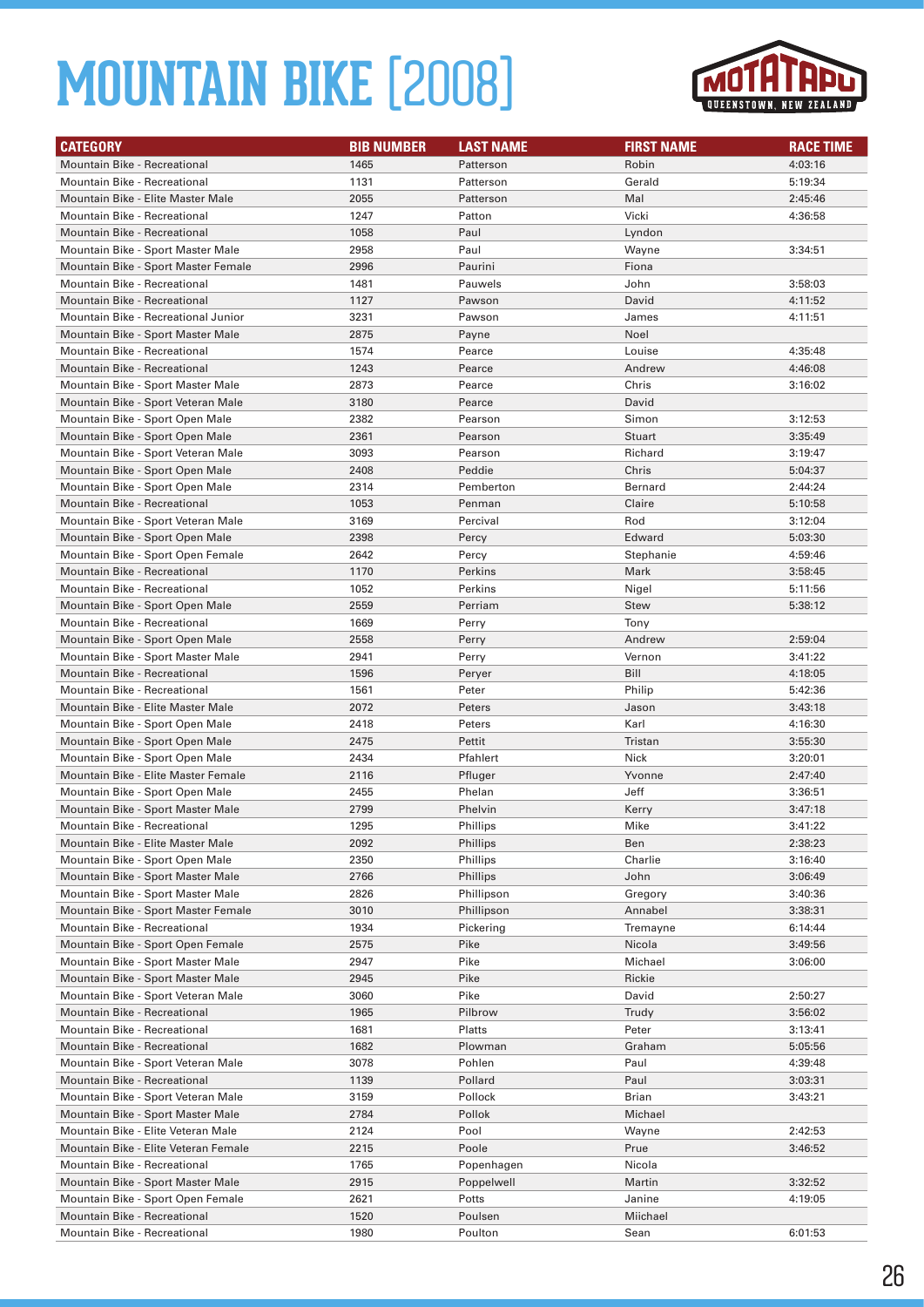

| <b>CATEGORY</b>                                                        | <b>BIB NUMBER</b> | <b>LAST NAME</b> | <b>FIRST NAME</b> | <b>RACE TIME</b>   |
|------------------------------------------------------------------------|-------------------|------------------|-------------------|--------------------|
| <b>Mountain Bike - Recreational</b>                                    | 1465              | Patterson        | Robin             | 4:03:16            |
| Mountain Bike - Recreational                                           | 1131              | Patterson        | Gerald            | 5:19:34            |
| Mountain Bike - Elite Master Male                                      | 2055              | Patterson        | Mal               | 2:45:46            |
| Mountain Bike - Recreational                                           | 1247              | Patton           | Vicki             | 4:36:58            |
| <b>Mountain Bike - Recreational</b>                                    | 1058              | Paul             | Lyndon            |                    |
| Mountain Bike - Sport Master Male                                      | 2958              | Paul             | Wayne             | 3:34:51            |
| Mountain Bike - Sport Master Female                                    | 2996              | Paurini          | Fiona             |                    |
| Mountain Bike - Recreational                                           | 1481              | Pauwels          | John              | 3:58:03            |
| Mountain Bike - Recreational                                           | 1127              | Pawson           | David             | 4:11:52            |
| Mountain Bike - Recreational Junior                                    | 3231              | Pawson           | James             | 4:11:51            |
| Mountain Bike - Sport Master Male                                      | 2875              | Payne            | Noel              |                    |
| <b>Mountain Bike - Recreational</b>                                    | 1574              | Pearce           | Louise            | 4:35:48            |
| <b>Mountain Bike - Recreational</b>                                    | 1243              | Pearce           | Andrew            | 4:46:08            |
| Mountain Bike - Sport Master Male                                      | 2873              | Pearce           | Chris             | 3:16:02            |
| Mountain Bike - Sport Veteran Male                                     | 3180              | Pearce           | David             |                    |
| Mountain Bike - Sport Open Male                                        | 2382              | Pearson          | Simon             | 3:12:53            |
| Mountain Bike - Sport Open Male                                        | 2361              | Pearson          | <b>Stuart</b>     | 3:35:49            |
| Mountain Bike - Sport Veteran Male                                     | 3093              | Pearson          | Richard           | 3:19:47            |
| Mountain Bike - Sport Open Male                                        | 2408              | Peddie           | Chris             | 5:04:37            |
| Mountain Bike - Sport Open Male                                        | 2314              | Pemberton        | Bernard           | 2:44:24            |
| <b>Mountain Bike - Recreational</b>                                    | 1053              | Penman           | Claire            | 5:10:58            |
| Mountain Bike - Sport Veteran Male                                     | 3169              | Percival         | Rod               | 3:12:04            |
| Mountain Bike - Sport Open Male                                        | 2398              | Percy            | Edward            | 5:03:30            |
| Mountain Bike - Sport Open Female                                      | 2642              | Percy            | Stephanie         | 4:59:46            |
| Mountain Bike - Recreational                                           | 1170              | Perkins          | Mark              | 3:58:45            |
| Mountain Bike - Recreational                                           | 1052              | Perkins          | Nigel             | 5:11:56            |
| Mountain Bike - Sport Open Male                                        | 2559              | Perriam          | <b>Stew</b>       | 5:38:12            |
| Mountain Bike - Recreational                                           | 1669              | Perry            | Tony              |                    |
| Mountain Bike - Sport Open Male                                        | 2558              | Perry            | Andrew            | 2:59:04            |
| Mountain Bike - Sport Master Male                                      | 2941              | Perry            | Vernon            | 3:41:22            |
| Mountain Bike - Recreational                                           | 1596              | Peryer           | Bill              | 4:18:05            |
| Mountain Bike - Recreational                                           | 1561              | Peter            | Philip            | 5:42:36            |
| Mountain Bike - Elite Master Male                                      | 2072              | Peters           | Jason             | 3:43:18            |
| Mountain Bike - Sport Open Male                                        | 2418              | Peters           | Karl              | 4:16:30            |
| Mountain Bike - Sport Open Male                                        | 2475              | Pettit           | Tristan           | 3:55:30            |
| Mountain Bike - Sport Open Male                                        | 2434              | Pfahlert         | Nick              | 3:20:01            |
| Mountain Bike - Elite Master Female                                    | 2116              | Pfluger          | Yvonne            | 2:47:40            |
| Mountain Bike - Sport Open Male                                        | 2455              | Phelan           | Jeff              | 3:36:51            |
| Mountain Bike - Sport Master Male                                      | 2799              | Phelvin          | Kerry             | 3:47:18            |
| <b>Mountain Bike - Recreational</b>                                    | 1295              | Phillips         | Mike              | 3:41:22            |
| Mountain Bike - Elite Master Male                                      | 2092              | Phillips         | Ben               | 2:38:23            |
| Mountain Bike - Sport Open Male                                        | 2350              | Phillips         | Charlie           | 3:16:40            |
| Mountain Bike - Sport Master Male                                      | 2766              | Phillips         | John              | 3:06:49            |
| Mountain Bike - Sport Master Male                                      | 2826              | Phillipson       | Gregory           | 3:40:36            |
| Mountain Bike - Sport Master Female                                    | 3010              | Phillipson       | Annabel           | 3:38:31            |
| Mountain Bike - Recreational                                           | 1934              | Pickering        | Tremayne          | 6:14:44            |
| Mountain Bike - Sport Open Female<br>Mountain Bike - Sport Master Male | 2575              | Pike             | Nicola            | 3:49:56<br>3:06:00 |
| Mountain Bike - Sport Master Male                                      | 2947<br>2945      | Pike<br>Pike     | Michael<br>Rickie |                    |
| Mountain Bike - Sport Veteran Male                                     | 3060              | Pike             | David             | 2:50:27            |
| Mountain Bike - Recreational                                           | 1965              | Pilbrow          | Trudy             | 3:56:02            |
| Mountain Bike - Recreational                                           | 1681              | Platts           | Peter             | 3:13:41            |
| Mountain Bike - Recreational                                           | 1682              | Plowman          | Graham            | 5:05:56            |
| Mountain Bike - Sport Veteran Male                                     | 3078              | Pohlen           | Paul              | 4:39:48            |
| Mountain Bike - Recreational                                           | 1139              | Pollard          | Paul              | 3:03:31            |
| Mountain Bike - Sport Veteran Male                                     | 3159              | Pollock          | Brian             | 3:43:21            |
| Mountain Bike - Sport Master Male                                      | 2784              | Pollok           | Michael           |                    |
| Mountain Bike - Elite Veteran Male                                     | 2124              | Pool             | Wayne             | 2:42:53            |
| Mountain Bike - Elite Veteran Female                                   | 2215              | Poole            | Prue              | 3:46:52            |
| Mountain Bike - Recreational                                           | 1765              | Popenhagen       | Nicola            |                    |
| Mountain Bike - Sport Master Male                                      | 2915              | Poppelwell       | Martin            | 3:32:52            |
| Mountain Bike - Sport Open Female                                      | 2621              | Potts            | Janine            | 4:19:05            |
| Mountain Bike - Recreational                                           | 1520              | Poulsen          | Miichael          |                    |
| Mountain Bike - Recreational                                           | 1980              | Poulton          | Sean              | 6:01:53            |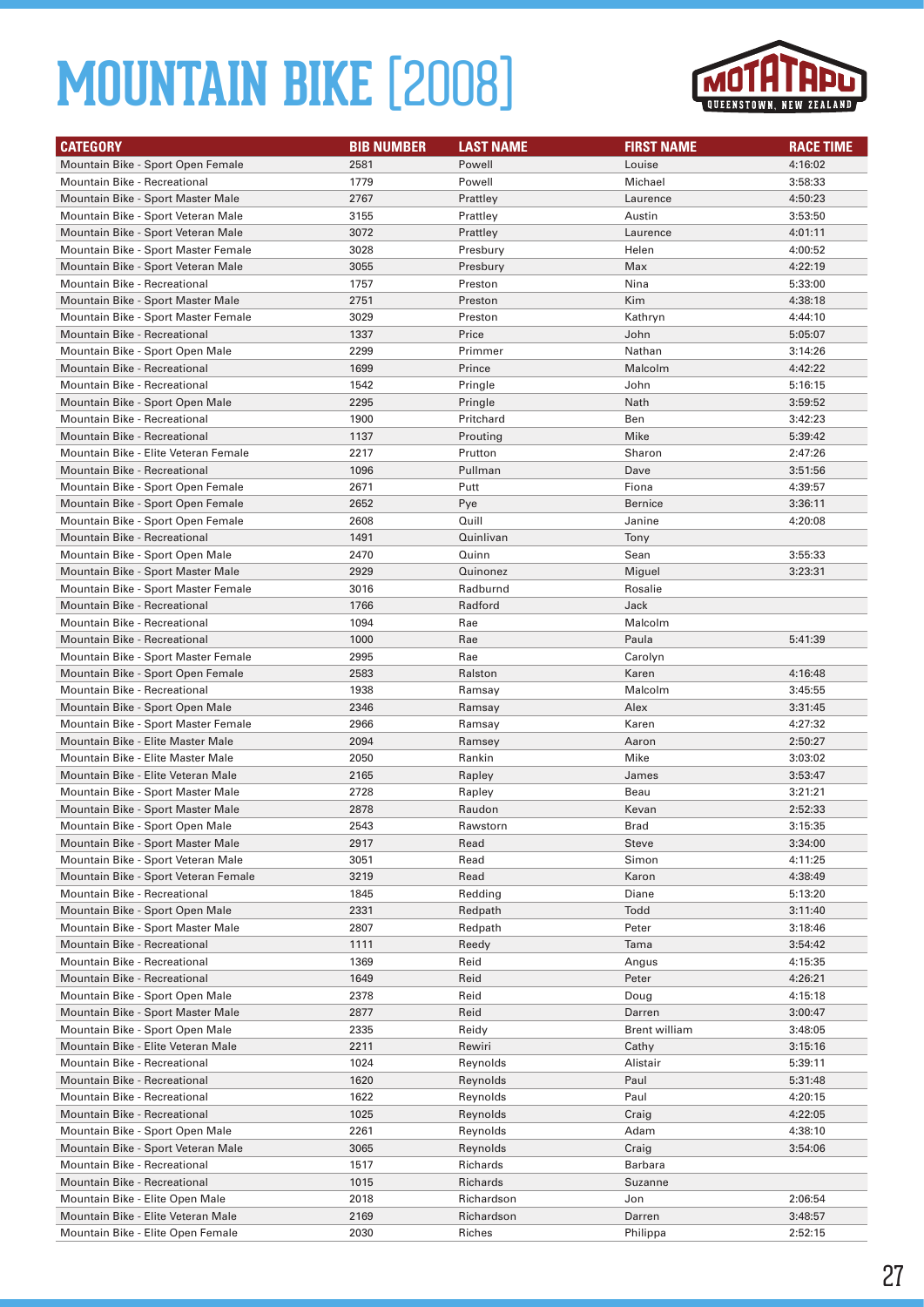

| <b>CATEGORY</b>                                                        | <b>BIB NUMBER</b> | <b>LAST NAME</b> | <b>FIRST NAME</b>    | <b>RACE TIME</b>   |
|------------------------------------------------------------------------|-------------------|------------------|----------------------|--------------------|
| Mountain Bike - Sport Open Female                                      | 2581              | Powell           | Louise               | 4:16:02            |
| Mountain Bike - Recreational                                           | 1779              | Powell           | Michael              | 3:58:33            |
| Mountain Bike - Sport Master Male                                      | 2767              | Prattley         | Laurence             | 4:50:23            |
| Mountain Bike - Sport Veteran Male                                     | 3155              | Prattley         | Austin               | 3:53:50            |
| Mountain Bike - Sport Veteran Male                                     | 3072              | Prattley         | Laurence             | 4:01:11            |
| Mountain Bike - Sport Master Female                                    | 3028              | Presbury         | Helen                | 4:00:52            |
| Mountain Bike - Sport Veteran Male                                     | 3055              | Presbury         | Max                  | 4:22:19            |
| Mountain Bike - Recreational                                           | 1757              | Preston          | Nina                 | 5:33:00            |
| Mountain Bike - Sport Master Male                                      | 2751              | Preston          | Kim                  | 4:38:18            |
| Mountain Bike - Sport Master Female                                    | 3029              | Preston          | Kathryn              | 4:44:10            |
| Mountain Bike - Recreational                                           | 1337              | Price            | John                 | 5:05:07            |
| Mountain Bike - Sport Open Male                                        | 2299              | Primmer          | Nathan               | 3:14:26            |
| <b>Mountain Bike - Recreational</b>                                    | 1699              | Prince           | Malcolm              | 4:42:22            |
| Mountain Bike - Recreational                                           | 1542              | Pringle          | John                 | 5:16:15            |
| Mountain Bike - Sport Open Male                                        | 2295              | Pringle          | Nath                 | 3:59:52            |
| Mountain Bike - Recreational                                           | 1900              | Pritchard        | Ben                  | 3:42:23            |
| <b>Mountain Bike - Recreational</b>                                    | 1137              | Prouting         | Mike                 | 5:39:42            |
| Mountain Bike - Elite Veteran Female                                   | 2217              | Prutton          | Sharon               | 2:47:26            |
| <b>Mountain Bike - Recreational</b>                                    | 1096              | Pullman          | Dave                 | 3:51:56            |
| Mountain Bike - Sport Open Female                                      | 2671              | Putt             | Fiona                | 4:39:57            |
| Mountain Bike - Sport Open Female                                      | 2652              | Pye              | <b>Bernice</b>       | 3:36:11            |
| Mountain Bike - Sport Open Female                                      | 2608              | Quill            | Janine               | 4:20:08            |
| Mountain Bike - Recreational                                           | 1491              | Quinlivan        | Tony                 |                    |
| Mountain Bike - Sport Open Male                                        | 2470              | Quinn            | Sean                 | 3:55:33            |
| Mountain Bike - Sport Master Male                                      | 2929              | Quinonez         | Miguel               | 3:23:31            |
| Mountain Bike - Sport Master Female                                    | 3016              | Radburnd         | Rosalie              |                    |
| <b>Mountain Bike - Recreational</b>                                    | 1766              | Radford          | Jack                 |                    |
| Mountain Bike - Recreational                                           | 1094              | Rae              | Malcolm              |                    |
| <b>Mountain Bike - Recreational</b>                                    | 1000              | Rae              | Paula                | 5:41:39            |
| Mountain Bike - Sport Master Female                                    | 2995              | Rae              | Carolyn              |                    |
| Mountain Bike - Sport Open Female                                      | 2583<br>1938      | Ralston          | Karen<br>Malcolm     | 4:16:48            |
| Mountain Bike - Recreational                                           | 2346              | Ramsay<br>Ramsay | Alex                 | 3:45:55<br>3:31:45 |
| Mountain Bike - Sport Open Male<br>Mountain Bike - Sport Master Female | 2966              |                  | Karen                | 4:27:32            |
| Mountain Bike - Elite Master Male                                      | 2094              | Ramsay<br>Ramsey | Aaron                | 2:50:27            |
| Mountain Bike - Elite Master Male                                      | 2050              | Rankin           | Mike                 | 3:03:02            |
| Mountain Bike - Elite Veteran Male                                     | 2165              | Rapley           | James                | 3:53:47            |
| Mountain Bike - Sport Master Male                                      | 2728              | Rapley           | Beau                 | 3:21:21            |
| Mountain Bike - Sport Master Male                                      | 2878              | Raudon           | Kevan                | 2:52:33            |
| Mountain Bike - Sport Open Male                                        | 2543              | Rawstorn         | Brad                 | 3:15:35            |
| Mountain Bike - Sport Master Male                                      | 2917              | Read             | Steve                | 3:34:00            |
| Mountain Bike - Sport Veteran Male                                     | 3051              | Read             | Simon                | 4:11:25            |
| Mountain Bike - Sport Veteran Female                                   | 3219              | Read             | Karon                | 4:38:49            |
| Mountain Bike - Recreational                                           | 1845              | Redding          | Diane                | 5:13:20            |
| Mountain Bike - Sport Open Male                                        | 2331              | Redpath          | Todd                 | 3:11:40            |
| Mountain Bike - Sport Master Male                                      | 2807              | Redpath          | Peter                | 3:18:46            |
| Mountain Bike - Recreational                                           | 1111              | Reedy            | Tama                 | 3:54:42            |
| Mountain Bike - Recreational                                           | 1369              | Reid             | Angus                | 4:15:35            |
| Mountain Bike - Recreational                                           | 1649              | Reid             | Peter                | 4:26:21            |
| Mountain Bike - Sport Open Male                                        | 2378              | Reid             | Doug                 | 4:15:18            |
| Mountain Bike - Sport Master Male                                      | 2877              | Reid             | Darren               | 3:00:47            |
| Mountain Bike - Sport Open Male                                        | 2335              | Reidy            | <b>Brent william</b> | 3:48:05            |
| Mountain Bike - Elite Veteran Male                                     | 2211              | Rewiri           | Cathy                | 3:15:16            |
| Mountain Bike - Recreational                                           | 1024              | Reynolds         | Alistair             | 5:39:11            |
| Mountain Bike - Recreational                                           | 1620              | Reynolds         | Paul                 | 5:31:48            |
| Mountain Bike - Recreational                                           | 1622              | Reynolds         | Paul                 | 4:20:15            |
| Mountain Bike - Recreational                                           | 1025              | Reynolds         | Craig                | 4:22:05            |
| Mountain Bike - Sport Open Male                                        | 2261              | Reynolds         | Adam                 | 4:38:10            |
| Mountain Bike - Sport Veteran Male                                     | 3065              | Reynolds         | Craig                | 3:54:06            |
| Mountain Bike - Recreational                                           | 1517              | Richards         | Barbara              |                    |
| Mountain Bike - Recreational                                           | 1015              | Richards         | Suzanne              |                    |
| Mountain Bike - Elite Open Male                                        | 2018              | Richardson       | Jon                  | 2:06:54            |
| Mountain Bike - Elite Veteran Male                                     | 2169              | Richardson       | Darren               | 3:48:57            |
| Mountain Bike - Elite Open Female                                      | 2030              | Riches           | Philippa             | 2:52:15            |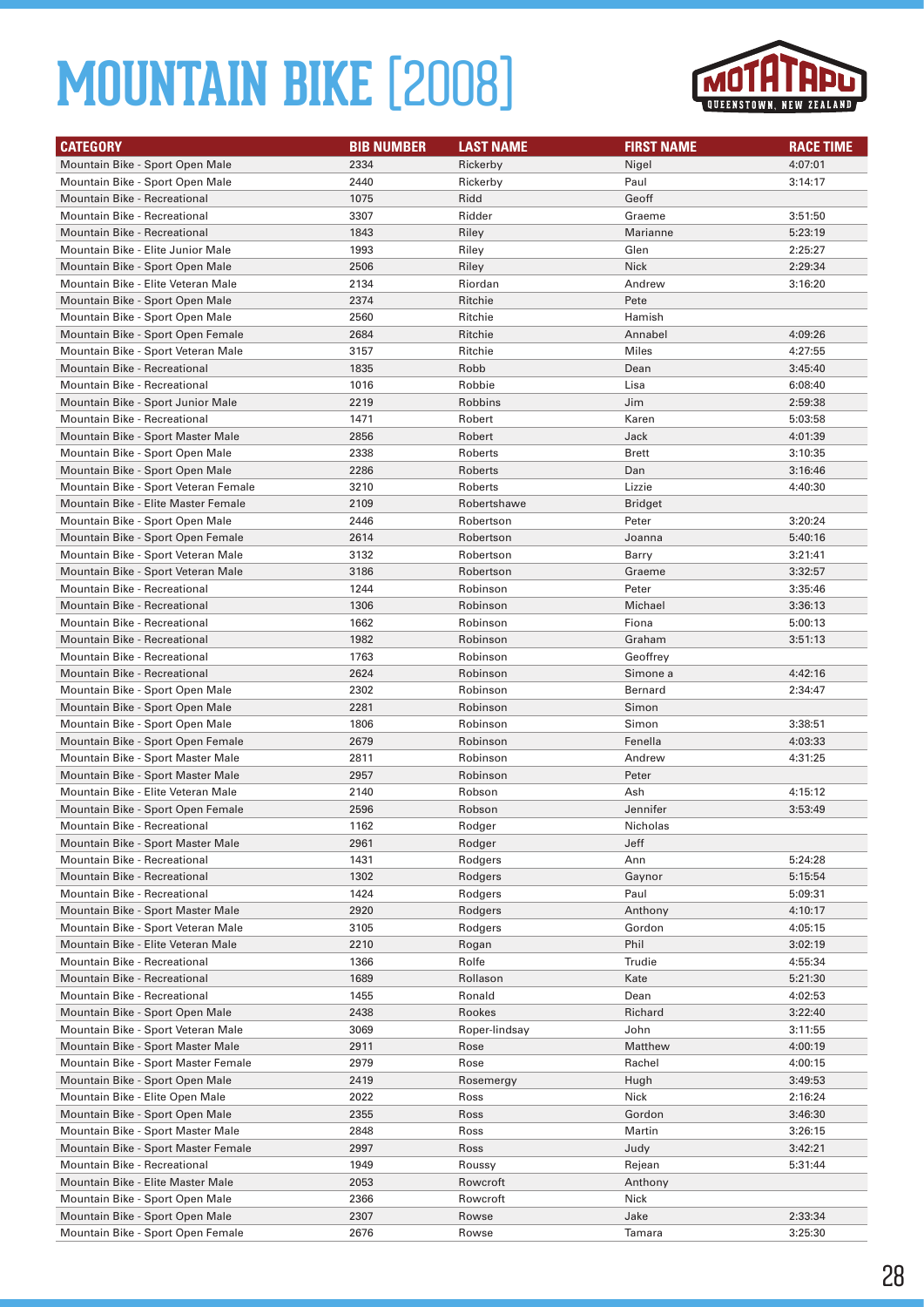

| <b>CATEGORY</b>                                                   | <b>BIB NUMBER</b> | <b>LAST NAME</b>   | <b>FIRST NAME</b> | <b>RACE TIME</b> |
|-------------------------------------------------------------------|-------------------|--------------------|-------------------|------------------|
| Mountain Bike - Sport Open Male                                   | 2334              | Rickerby           | Nigel             | 4:07:01          |
| Mountain Bike - Sport Open Male                                   | 2440              | Rickerby           | Paul              | 3:14:17          |
| Mountain Bike - Recreational                                      | 1075              | Ridd               | Geoff             |                  |
| Mountain Bike - Recreational                                      | 3307              | Ridder             | Graeme            | 3:51:50          |
| <b>Mountain Bike - Recreational</b>                               | 1843              | Riley              | Marianne          | 5:23:19          |
| Mountain Bike - Elite Junior Male                                 | 1993              | Riley              | Glen              | 2:25:27          |
| Mountain Bike - Sport Open Male                                   | 2506              | Riley              | <b>Nick</b>       | 2:29:34          |
| Mountain Bike - Elite Veteran Male                                | 2134              | Riordan            | Andrew            | 3:16:20          |
| Mountain Bike - Sport Open Male                                   | 2374              | Ritchie            | Pete              |                  |
| Mountain Bike - Sport Open Male                                   | 2560              | Ritchie            | Hamish            |                  |
| Mountain Bike - Sport Open Female                                 | 2684              | Ritchie            | Annabel           | 4:09:26          |
| Mountain Bike - Sport Veteran Male                                | 3157              | Ritchie            | Miles             | 4:27:55          |
| <b>Mountain Bike - Recreational</b>                               | 1835              | Robb               | Dean              | 3:45:40          |
| Mountain Bike - Recreational                                      | 1016              | Robbie             | Lisa              | 6:08:40          |
| Mountain Bike - Sport Junior Male                                 | 2219              | Robbins            | Jim               | 2:59:38          |
| Mountain Bike - Recreational                                      | 1471              | Robert             | Karen             | 5:03:58          |
| Mountain Bike - Sport Master Male                                 | 2856              | Robert             | Jack              | 4:01:39          |
| Mountain Bike - Sport Open Male                                   | 2338              | Roberts            | Brett             | 3:10:35          |
| Mountain Bike - Sport Open Male                                   | 2286              | Roberts            | Dan               | 3:16:46          |
| Mountain Bike - Sport Veteran Female                              | 3210              | Roberts            | Lizzie            | 4:40:30          |
| Mountain Bike - Elite Master Female                               | 2109              | Robertshawe        | <b>Bridget</b>    |                  |
| Mountain Bike - Sport Open Male                                   | 2446              | Robertson          | Peter             | 3:20:24          |
| Mountain Bike - Sport Open Female                                 | 2614              | Robertson          | Joanna            | 5:40:16          |
| Mountain Bike - Sport Veteran Male                                | 3132              | Robertson          | Barry             | 3:21:41          |
| Mountain Bike - Sport Veteran Male                                | 3186              | Robertson          | Graeme            | 3:32:57          |
| Mountain Bike - Recreational                                      | 1244              | Robinson           | Peter             | 3:35:46          |
| <b>Mountain Bike - Recreational</b>                               | 1306              | Robinson           | Michael           | 3:36:13          |
| Mountain Bike - Recreational                                      | 1662              | Robinson           | Fiona             | 5:00:13          |
| <b>Mountain Bike - Recreational</b>                               | 1982              | Robinson           | Graham            | 3:51:13          |
| Mountain Bike - Recreational                                      | 1763              | Robinson           | Geoffrey          |                  |
| Mountain Bike - Recreational                                      | 2624              | Robinson           | Simone a          | 4:42:16          |
| Mountain Bike - Sport Open Male                                   | 2302              | Robinson           | Bernard           | 2:34:47          |
| Mountain Bike - Sport Open Male                                   | 2281              | Robinson           | Simon             |                  |
| Mountain Bike - Sport Open Male                                   | 1806              | Robinson           | Simon             | 3:38:51          |
| Mountain Bike - Sport Open Female                                 | 2679              | Robinson           | Fenella           | 4:03:33          |
| Mountain Bike - Sport Master Male                                 | 2811              | Robinson           | Andrew            | 4:31:25          |
| Mountain Bike - Sport Master Male                                 | 2957              | Robinson           | Peter             |                  |
| Mountain Bike - Elite Veteran Male                                | 2140              | Robson             | Ash               | 4:15:12          |
| Mountain Bike - Sport Open Female                                 | 2596              | Robson             | Jennifer          | 3:53:49          |
| <b>Mountain Bike - Recreational</b>                               | 1162              | Rodger             | Nicholas          |                  |
| Mountain Bike - Sport Master Male                                 | 2961              | Rodger             | Jeff              |                  |
| Mountain Bike - Recreational                                      | 1431              | Rodgers            | Ann               | 5:24:28          |
| Mountain Bike - Recreational                                      | 1302              | Rodgers            | Gaynor            | 5:15:54          |
| Mountain Bike - Recreational                                      | 1424              | Rodgers            | Paul              | 5:09:31          |
| Mountain Bike - Sport Master Male                                 | 2920              | Rodgers            | Anthony           | 4:10:17          |
| Mountain Bike - Sport Veteran Male                                | 3105              | Rodgers            | Gordon            | 4:05:15          |
| Mountain Bike - Elite Veteran Male                                | 2210              | Rogan              | Phil              | 3:02:19          |
| Mountain Bike - Recreational                                      | 1366              | Rolfe              | Trudie            | 4:55:34          |
| Mountain Bike - Recreational                                      | 1689              | Rollason           | Kate              | 5:21:30          |
| Mountain Bike - Recreational                                      | 1455              | Ronald             | Dean              | 4:02:53          |
| Mountain Bike - Sport Open Male                                   | 2438              | Rookes             | Richard           | 3:22:40          |
| Mountain Bike - Sport Veteran Male                                | 3069              | Roper-lindsay      | John              | 3:11:55          |
| Mountain Bike - Sport Master Male                                 | 2911              | Rose               | Matthew           | 4:00:19          |
| Mountain Bike - Sport Master Female                               | 2979              | Rose               | Rachel            | 4:00:15          |
| Mountain Bike - Sport Open Male                                   | 2419              | Rosemergy          | Hugh              | 3:49:53          |
| Mountain Bike - Elite Open Male                                   | 2022              | Ross               | Nick              | 2:16:24          |
| Mountain Bike - Sport Open Male                                   | 2355              | Ross               | Gordon            | 3:46:30          |
| Mountain Bike - Sport Master Male                                 | 2848              | Ross               | Martin            | 3:26:15          |
| Mountain Bike - Sport Master Female                               | 2997              | Ross               | Judy              | 3:42:21          |
| Mountain Bike - Recreational<br>Mountain Bike - Elite Master Male | 1949<br>2053      | Roussy<br>Rowcroft | Rejean            | 5:31:44          |
| Mountain Bike - Sport Open Male                                   | 2366              | Rowcroft           | Anthony<br>Nick   |                  |
| Mountain Bike - Sport Open Male                                   | 2307              | Rowse              | Jake              | 2:33:34          |
| Mountain Bike - Sport Open Female                                 | 2676              | Rowse              | Tamara            | 3:25:30          |
|                                                                   |                   |                    |                   |                  |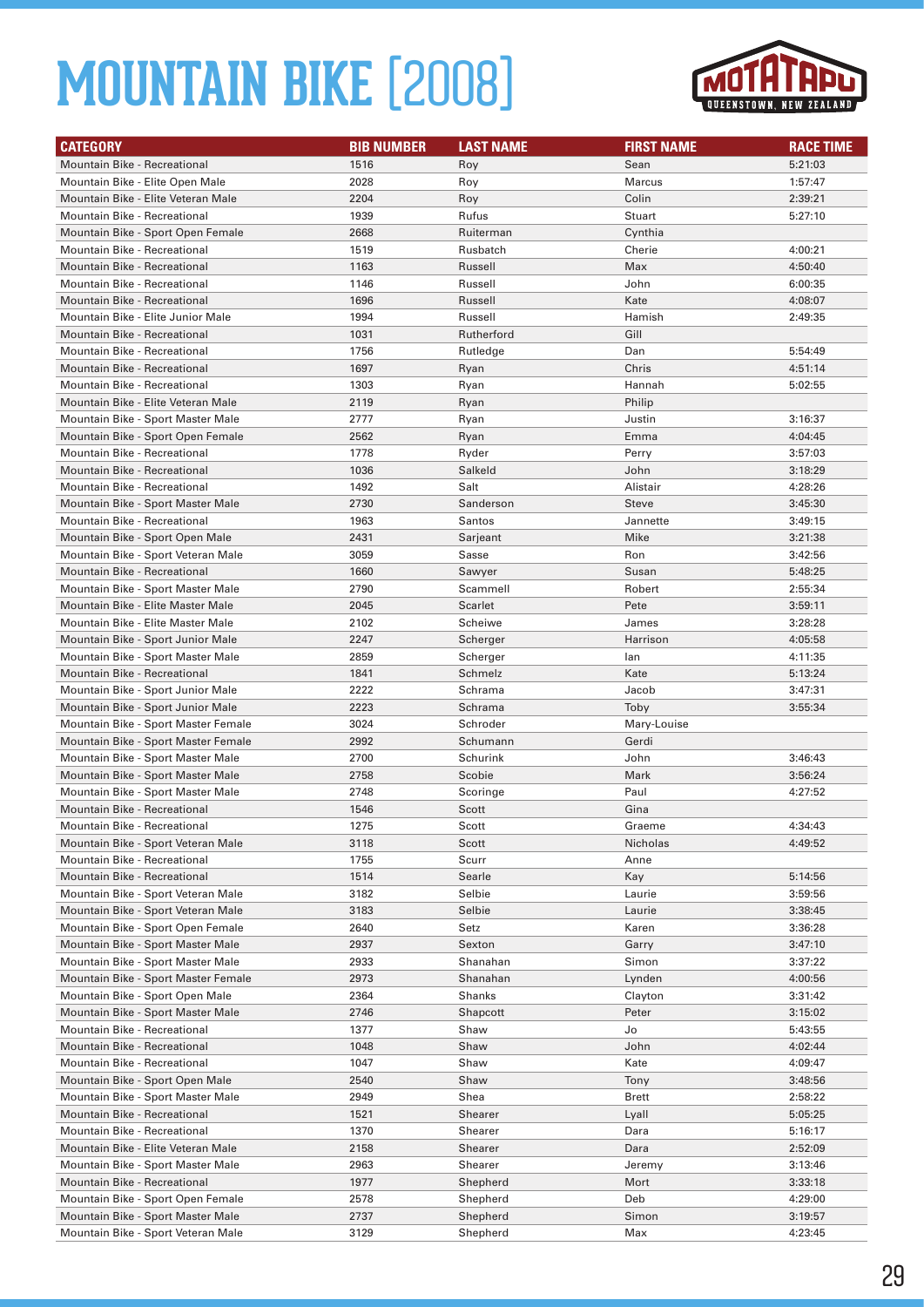

| <b>CATEGORY</b>                                                        | <b>BIB NUMBER</b> | <b>LAST NAME</b>   | <b>FIRST NAME</b> | <b>RACE TIME</b>   |
|------------------------------------------------------------------------|-------------------|--------------------|-------------------|--------------------|
| Mountain Bike - Recreational                                           | 1516              | Roy                | Sean              | 5:21:03            |
| Mountain Bike - Elite Open Male                                        | 2028              | Roy                | <b>Marcus</b>     | 1:57:47            |
| Mountain Bike - Elite Veteran Male                                     | 2204              | Roy                | Colin             | 2:39:21            |
| <b>Mountain Bike - Recreational</b>                                    | 1939              | Rufus              | Stuart            | 5:27:10            |
| Mountain Bike - Sport Open Female                                      | 2668              | Ruiterman          | Cynthia           |                    |
| Mountain Bike - Recreational                                           | 1519              | Rusbatch           | Cherie            | 4:00:21            |
| <b>Mountain Bike - Recreational</b>                                    | 1163              | Russell            | Max               | 4:50:40            |
| Mountain Bike - Recreational                                           | 1146              | Russell            | John              | 6:00:35            |
| <b>Mountain Bike - Recreational</b>                                    | 1696              | Russell            | Kate              | 4:08:07            |
| Mountain Bike - Elite Junior Male                                      | 1994              | Russell            | Hamish            | 2:49:35            |
| <b>Mountain Bike - Recreational</b>                                    | 1031              | Rutherford         | Gill              |                    |
| Mountain Bike - Recreational                                           | 1756              | Rutledge           | Dan               | 5:54:49            |
| <b>Mountain Bike - Recreational</b>                                    | 1697              | Ryan               | Chris             | 4:51:14            |
| Mountain Bike - Recreational                                           | 1303              | Ryan               | Hannah            | 5:02:55            |
| Mountain Bike - Elite Veteran Male                                     | 2119              | Ryan               | Philip            |                    |
| Mountain Bike - Sport Master Male                                      | 2777              | Ryan               | Justin            | 3:16:37            |
| Mountain Bike - Sport Open Female                                      | 2562              | Ryan               | Emma              | 4:04:45            |
| Mountain Bike - Recreational                                           | 1778              | Ryder              | Perry             | 3:57:03            |
| Mountain Bike - Recreational                                           | 1036              | Salkeld            | John              | 3:18:29            |
| Mountain Bike - Recreational                                           | 1492              | Salt               | Alistair          | 4:28:26            |
| Mountain Bike - Sport Master Male                                      | 2730              | Sanderson          | <b>Steve</b>      | 3:45:30            |
| Mountain Bike - Recreational                                           | 1963              | <b>Santos</b>      | Jannette          | 3:49:15            |
| Mountain Bike - Sport Open Male                                        | 2431              | Sarjeant           | Mike              | 3:21:38            |
| Mountain Bike - Sport Veteran Male                                     | 3059              | Sasse              | Ron               | 3:42:56            |
| Mountain Bike - Recreational                                           | 1660              | Sawyer             | Susan             | 5:48:25            |
| Mountain Bike - Sport Master Male                                      | 2790              | Scammell           | Robert            | 2:55:34            |
| Mountain Bike - Elite Master Male                                      | 2045              | <b>Scarlet</b>     | Pete              | 3:59:11            |
| Mountain Bike - Elite Master Male                                      | 2102              | Scheiwe            | James             | 3:28:28            |
| Mountain Bike - Sport Junior Male                                      | 2247              | Scherger           | Harrison          | 4:05:58            |
| Mountain Bike - Sport Master Male                                      | 2859              | Scherger           | lan               | 4:11:35            |
| Mountain Bike - Recreational                                           | 1841              | Schmelz            | Kate              | 5:13:24            |
| Mountain Bike - Sport Junior Male                                      | 2222              | Schrama            | Jacob             | 3:47:31            |
| Mountain Bike - Sport Junior Male                                      | 2223              | Schrama            | Toby              | 3:55:34            |
| Mountain Bike - Sport Master Female                                    | 3024              | Schroder           | Mary-Louise       |                    |
| Mountain Bike - Sport Master Female                                    | 2992              | Schumann           | Gerdi             |                    |
| Mountain Bike - Sport Master Male                                      | 2700              | Schurink           | John              | 3:46:43            |
| Mountain Bike - Sport Master Male<br>Mountain Bike - Sport Master Male | 2758<br>2748      | Scobie<br>Scoringe | Mark<br>Paul      | 3:56:24<br>4:27:52 |
| <b>Mountain Bike - Recreational</b>                                    | 1546              | Scott              | Gina              |                    |
| Mountain Bike - Recreational                                           | 1275              | Scott              | Graeme            | 4:34:43            |
| Mountain Bike - Sport Veteran Male                                     | 3118              | Scott              | Nicholas          | 4:49:52            |
| Mountain Bike - Recreational                                           | 1755              | Scurr              | Anne              |                    |
| Mountain Bike - Recreational                                           | 1514              | Searle             | Kay               | 5:14:56            |
| Mountain Bike - Sport Veteran Male                                     | 3182              | Selbie             | Laurie            | 3:59:56            |
| Mountain Bike - Sport Veteran Male                                     | 3183              | Selbie             | Laurie            | 3:38:45            |
| Mountain Bike - Sport Open Female                                      | 2640              | Setz               | Karen             | 3:36:28            |
| Mountain Bike - Sport Master Male                                      | 2937              | Sexton             | Garry             | 3:47:10            |
| Mountain Bike - Sport Master Male                                      | 2933              | Shanahan           | Simon             | 3:37:22            |
| Mountain Bike - Sport Master Female                                    | 2973              | Shanahan           | Lynden            | 4:00:56            |
| Mountain Bike - Sport Open Male                                        | 2364              | Shanks             | Clayton           | 3:31:42            |
| Mountain Bike - Sport Master Male                                      | 2746              | Shapcott           | Peter             | 3:15:02            |
| Mountain Bike - Recreational                                           | 1377              | Shaw               | Jo                | 5:43:55            |
| Mountain Bike - Recreational                                           | 1048              | Shaw               | John              | 4:02:44            |
| Mountain Bike - Recreational                                           | 1047              | Shaw               | Kate              | 4:09:47            |
| Mountain Bike - Sport Open Male                                        | 2540              | Shaw               | Tony              | 3:48:56            |
| Mountain Bike - Sport Master Male                                      | 2949              | Shea               | <b>Brett</b>      | 2:58:22            |
| Mountain Bike - Recreational                                           | 1521              | Shearer            | Lyall             | 5:05:25            |
| Mountain Bike - Recreational                                           | 1370              | Shearer            | Dara              | 5:16:17            |
| Mountain Bike - Elite Veteran Male                                     | 2158              | Shearer            | Dara              | 2:52:09            |
| Mountain Bike - Sport Master Male                                      | 2963              | Shearer            | Jeremy            | 3:13:46            |
| Mountain Bike - Recreational                                           | 1977              | Shepherd           | Mort              | 3:33:18            |
| Mountain Bike - Sport Open Female                                      | 2578              | Shepherd           | Deb               | 4:29:00            |
| Mountain Bike - Sport Master Male                                      | 2737              | Shepherd           | Simon             | 3:19:57            |
| Mountain Bike - Sport Veteran Male                                     | 3129              | Shepherd           | Max               | 4:23:45            |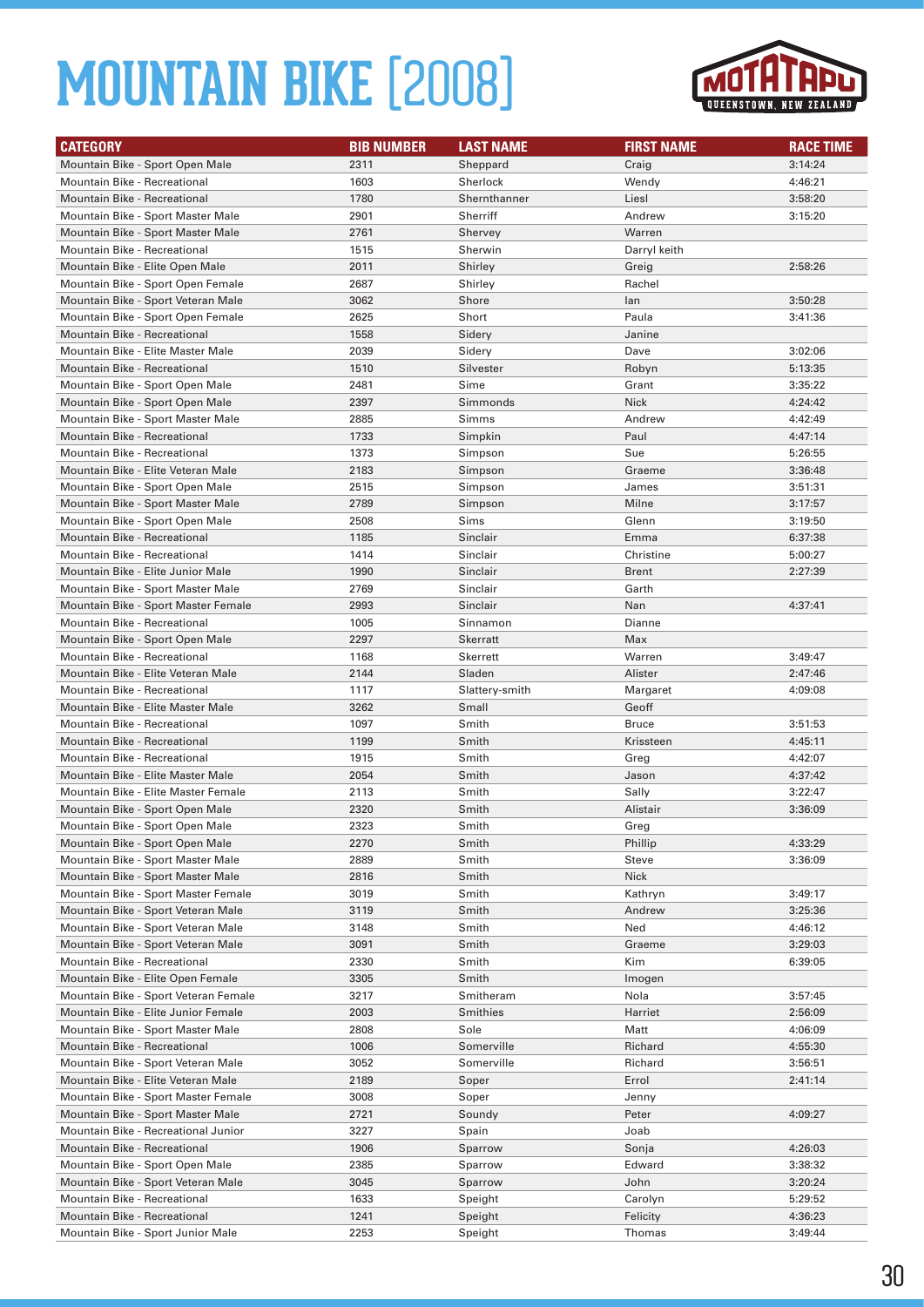

| <b>CATEGORY</b>                      | <b>BIB NUMBER</b> | <b>LAST NAME</b> | <b>FIRST NAME</b> | <b>RACE TIME</b> |
|--------------------------------------|-------------------|------------------|-------------------|------------------|
| Mountain Bike - Sport Open Male      | 2311              | Sheppard         | Craig             | 3:14:24          |
| Mountain Bike - Recreational         | 1603              | Sherlock         | Wendy             | 4:46:21          |
| Mountain Bike - Recreational         | 1780              | Shernthanner     | Liesl             | 3:58:20          |
| Mountain Bike - Sport Master Male    | 2901              | Sherriff         | Andrew            | 3:15:20          |
| Mountain Bike - Sport Master Male    | 2761              | Shervey          | Warren            |                  |
| Mountain Bike - Recreational         | 1515              | Sherwin          | Darryl keith      |                  |
| Mountain Bike - Elite Open Male      | 2011              | Shirley          | Greig             | 2:58:26          |
| Mountain Bike - Sport Open Female    | 2687              | Shirley          | Rachel            |                  |
| Mountain Bike - Sport Veteran Male   | 3062              | Shore            | lan               | 3:50:28          |
| Mountain Bike - Sport Open Female    | 2625              | Short            | Paula             | 3:41:36          |
| Mountain Bike - Recreational         | 1558              | Sidery           | Janine            |                  |
| Mountain Bike - Elite Master Male    | 2039              | Sidery           | Dave              | 3:02:06          |
| <b>Mountain Bike - Recreational</b>  | 1510              | Silvester        | Robyn             | 5:13:35          |
| Mountain Bike - Sport Open Male      | 2481              | Sime             | Grant             | 3:35:22          |
| Mountain Bike - Sport Open Male      | 2397              | Simmonds         | <b>Nick</b>       | 4:24:42          |
| Mountain Bike - Sport Master Male    | 2885              | Simms            | Andrew            | 4:42:49          |
| <b>Mountain Bike - Recreational</b>  | 1733              | Simpkin          | Paul              | 4:47:14          |
| Mountain Bike - Recreational         | 1373              | Simpson          | Sue               | 5:26:55          |
| Mountain Bike - Elite Veteran Male   | 2183              | Simpson          | Graeme            | 3:36:48          |
| Mountain Bike - Sport Open Male      | 2515              | Simpson          | James             | 3:51:31          |
| Mountain Bike - Sport Master Male    | 2789              | Simpson          | Milne             | 3:17:57          |
| Mountain Bike - Sport Open Male      | 2508              | Sims             | Glenn             | 3:19:50          |
| Mountain Bike - Recreational         | 1185              | Sinclair         | Emma              | 6:37:38          |
| Mountain Bike - Recreational         | 1414              | Sinclair         | Christine         | 5:00:27          |
| Mountain Bike - Elite Junior Male    | 1990              | Sinclair         | <b>Brent</b>      | 2:27:39          |
| Mountain Bike - Sport Master Male    | 2769              | Sinclair         | Garth             |                  |
| Mountain Bike - Sport Master Female  | 2993              | Sinclair         | Nan               | 4:37:41          |
| Mountain Bike - Recreational         | 1005              | Sinnamon         | Dianne            |                  |
| Mountain Bike - Sport Open Male      | 2297              | Skerratt         | Max               |                  |
| Mountain Bike - Recreational         | 1168              | Skerrett         | Warren            | 3:49:47          |
| Mountain Bike - Elite Veteran Male   | 2144              | Sladen           | Alister           | 2:47:46          |
| Mountain Bike - Recreational         | 1117              | Slattery-smith   | Margaret          | 4:09:08          |
| Mountain Bike - Elite Master Male    | 3262              | Small            | Geoff             |                  |
| Mountain Bike - Recreational         | 1097              | Smith            | <b>Bruce</b>      | 3:51:53          |
| Mountain Bike - Recreational         | 1199              | Smith            | Krissteen         | 4:45:11          |
| Mountain Bike - Recreational         | 1915              | Smith            | Greg              | 4:42:07          |
| Mountain Bike - Elite Master Male    | 2054              | Smith            | Jason             | 4:37:42          |
| Mountain Bike - Elite Master Female  | 2113              | Smith            | Sally             | 3:22:47          |
| Mountain Bike - Sport Open Male      | 2320              | Smith            | Alistair          | 3:36:09          |
| Mountain Bike - Sport Open Male      | 2323              | Smith            | Greg              |                  |
| Mountain Bike - Sport Open Male      | 2270              | Smith            | Phillip           | 4:33:29          |
| Mountain Bike - Sport Master Male    | 2889              | Smith            | Steve             | 3:36:09          |
| Mountain Bike - Sport Master Male    | 2816              | Smith            | <b>Nick</b>       |                  |
| Mountain Bike - Sport Master Female  | 3019              | Smith            | Kathryn           | 3:49:17          |
| Mountain Bike - Sport Veteran Male   | 3119              | Smith            | Andrew            | 3:25:36          |
| Mountain Bike - Sport Veteran Male   | 3148              | Smith            | Ned               | 4:46:12          |
| Mountain Bike - Sport Veteran Male   | 3091              | Smith            | Graeme            | 3:29:03          |
| Mountain Bike - Recreational         | 2330              | Smith            | Kim               | 6:39:05          |
| Mountain Bike - Elite Open Female    | 3305              | Smith            | Imogen            |                  |
| Mountain Bike - Sport Veteran Female | 3217              | Smitheram        | Nola              | 3:57:45          |
| Mountain Bike - Elite Junior Female  | 2003              | Smithies         | Harriet           | 2:56:09          |
| Mountain Bike - Sport Master Male    | 2808              | Sole             | Matt              | 4:06:09          |
| Mountain Bike - Recreational         | 1006              | Somerville       | Richard           | 4:55:30          |
| Mountain Bike - Sport Veteran Male   | 3052              | Somerville       | Richard           | 3:56:51          |
| Mountain Bike - Elite Veteran Male   | 2189              | Soper            | Errol             | 2:41:14          |
| Mountain Bike - Sport Master Female  | 3008              | Soper            | Jenny             |                  |
| Mountain Bike - Sport Master Male    | 2721              | Soundy           | Peter             | 4:09:27          |
| Mountain Bike - Recreational Junior  | 3227              | Spain            | Joab              |                  |
| Mountain Bike - Recreational         | 1906              | Sparrow          | Sonja             | 4:26:03          |
| Mountain Bike - Sport Open Male      | 2385              | Sparrow          | Edward            | 3:38:32          |
| Mountain Bike - Sport Veteran Male   | 3045              | Sparrow          | John              | 3:20:24          |
| Mountain Bike - Recreational         | 1633              | Speight          | Carolyn           | 5:29:52          |
| Mountain Bike - Recreational         | 1241              | Speight          | Felicity          | 4:36:23          |
| Mountain Bike - Sport Junior Male    | 2253              | Speight          | Thomas            | 3:49:44          |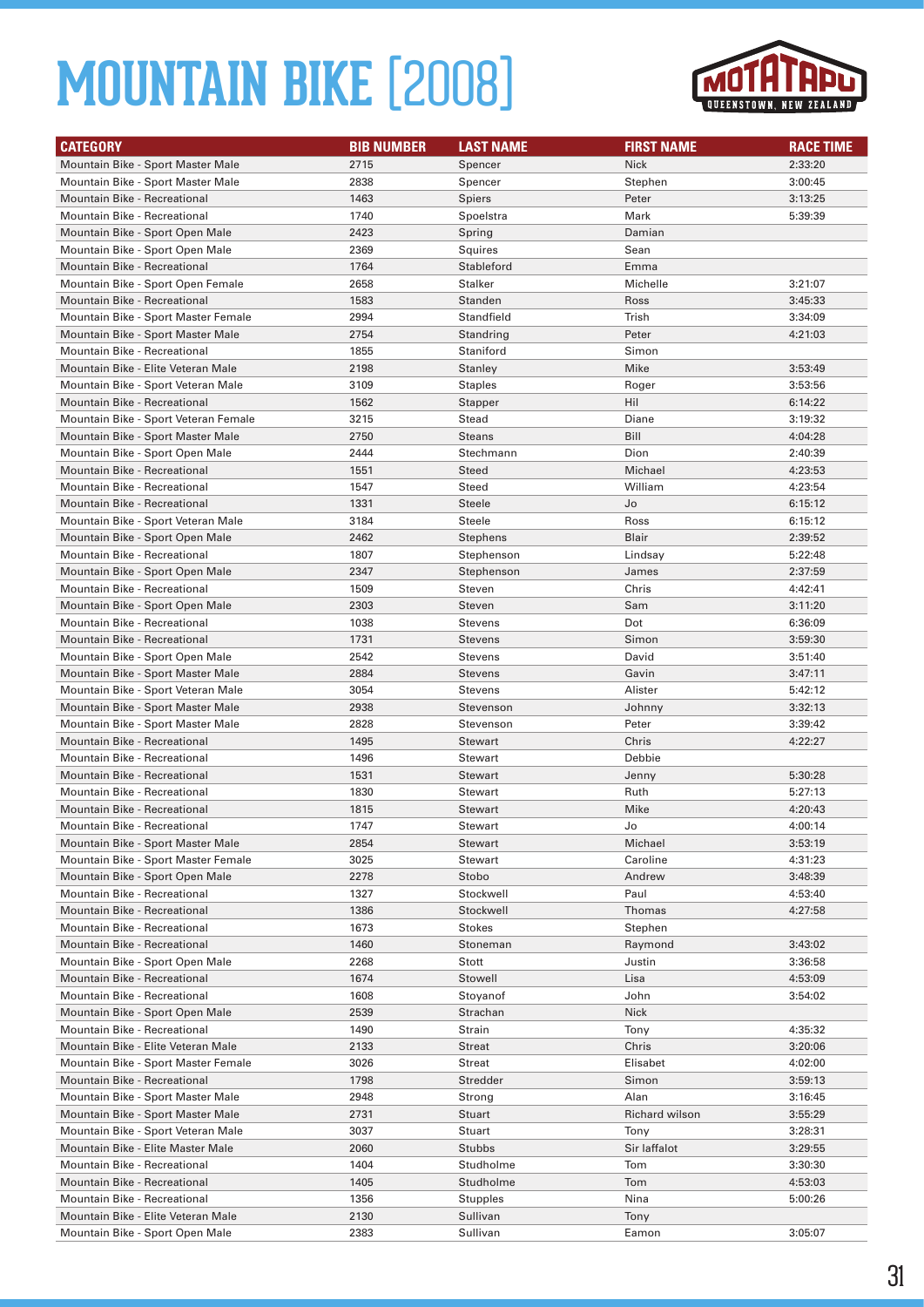

| <b>CATEGORY</b>                      | <b>BIB NUMBER</b> | <b>LAST NAME</b> | <b>FIRST NAME</b> | <b>RACE TIME</b> |
|--------------------------------------|-------------------|------------------|-------------------|------------------|
| Mountain Bike - Sport Master Male    | 2715              | Spencer          | <b>Nick</b>       | 2:33:20          |
| Mountain Bike - Sport Master Male    | 2838              | Spencer          | Stephen           | 3:00:45          |
| Mountain Bike - Recreational         | 1463              | Spiers           | Peter             | 3:13:25          |
| Mountain Bike - Recreational         | 1740              | Spoelstra        | Mark              | 5:39:39          |
| Mountain Bike - Sport Open Male      | 2423              | Spring           | Damian            |                  |
| Mountain Bike - Sport Open Male      | 2369              | Squires          | Sean              |                  |
| <b>Mountain Bike - Recreational</b>  | 1764              | Stableford       | Emma              |                  |
| Mountain Bike - Sport Open Female    | 2658              | Stalker          | Michelle          | 3:21:07          |
| <b>Mountain Bike - Recreational</b>  | 1583              | Standen          | Ross              | 3:45:33          |
| Mountain Bike - Sport Master Female  | 2994              | Standfield       | Trish             | 3:34:09          |
| Mountain Bike - Sport Master Male    | 2754              | Standring        | Peter             | 4:21:03          |
| Mountain Bike - Recreational         | 1855              | Staniford        | Simon             |                  |
| Mountain Bike - Elite Veteran Male   | 2198              | Stanley          | Mike              | 3:53:49          |
| Mountain Bike - Sport Veteran Male   | 3109              | <b>Staples</b>   | Roger             | 3:53:56          |
| Mountain Bike - Recreational         | 1562              | Stapper          | Hil               | 6:14:22          |
| Mountain Bike - Sport Veteran Female | 3215              | Stead            | Diane             | 3:19:32          |
| Mountain Bike - Sport Master Male    | 2750              | <b>Steans</b>    | Bill              | 4:04:28          |
| Mountain Bike - Sport Open Male      | 2444              | Stechmann        | Dion              | 2:40:39          |
| <b>Mountain Bike - Recreational</b>  | 1551              | Steed            | Michael           | 4:23:53          |
| Mountain Bike - Recreational         | 1547              | Steed            | William           | 4:23:54          |
| <b>Mountain Bike - Recreational</b>  | 1331              | <b>Steele</b>    | Jo                | 6:15:12          |
| Mountain Bike - Sport Veteran Male   | 3184              | Steele           | Ross              | 6:15:12          |
| Mountain Bike - Sport Open Male      | 2462              | <b>Stephens</b>  | Blair             | 2:39:52          |
| Mountain Bike - Recreational         | 1807              | Stephenson       | Lindsay           | 5:22:48          |
| Mountain Bike - Sport Open Male      | 2347              | Stephenson       | James             | 2:37:59          |
| Mountain Bike - Recreational         | 1509              | Steven           | Chris             | 4:42:41          |
| Mountain Bike - Sport Open Male      | 2303              | Steven           | Sam               | 3:11:20          |
| Mountain Bike - Recreational         | 1038              | <b>Stevens</b>   | Dot               | 6:36:09          |
| <b>Mountain Bike - Recreational</b>  | 1731              | <b>Stevens</b>   | Simon             | 3:59:30          |
| Mountain Bike - Sport Open Male      | 2542              | Stevens          | David             | 3:51:40          |
| Mountain Bike - Sport Master Male    | 2884              | <b>Stevens</b>   | Gavin             | 3:47:11          |
| Mountain Bike - Sport Veteran Male   | 3054              | Stevens          | Alister           | 5:42:12          |
| Mountain Bike - Sport Master Male    | 2938              | Stevenson        | Johnny            | 3:32:13          |
| Mountain Bike - Sport Master Male    | 2828              | Stevenson        | Peter             | 3:39:42          |
| <b>Mountain Bike - Recreational</b>  | 1495              | <b>Stewart</b>   | Chris             | 4:22:27          |
| Mountain Bike - Recreational         | 1496              | Stewart          | Debbie            |                  |
| <b>Mountain Bike - Recreational</b>  | 1531              | <b>Stewart</b>   | Jenny             | 5:30:28          |
| Mountain Bike - Recreational         | 1830              | Stewart          | Ruth              | 5:27:13          |
| <b>Mountain Bike - Recreational</b>  | 1815              | <b>Stewart</b>   | Mike              | 4:20:43          |
| Mountain Bike - Recreational         | 1747              | <b>Stewart</b>   | Jo                | 4:00:14          |
| Mountain Bike - Sport Master Male    | 2854              | Stewart          | Michael           | 3:53:19          |
| Mountain Bike - Sport Master Female  | 3025              | Stewart          | Caroline          | 4:31:23          |
| Mountain Bike - Sport Open Male      | 2278              | Stobo            | Andrew            | 3:48:39          |
| Mountain Bike - Recreational         | 1327              | Stockwell        | Paul              | 4:53:40          |
| Mountain Bike - Recreational         | 1386              | Stockwell        | Thomas            | 4:27:58          |
| Mountain Bike - Recreational         | 1673              | Stokes           | Stephen           |                  |
| Mountain Bike - Recreational         | 1460              | Stoneman         | Raymond           | 3:43:02          |
| Mountain Bike - Sport Open Male      | 2268              | Stott            | Justin            | 3:36:58          |
| Mountain Bike - Recreational         | 1674              | Stowell          | Lisa              | 4:53:09          |
| Mountain Bike - Recreational         | 1608              | Stoyanof         | John              | 3:54:02          |
| Mountain Bike - Sport Open Male      | 2539              | Strachan         | Nick              |                  |
| Mountain Bike - Recreational         | 1490              | Strain           | Tony              | 4:35:32          |
| Mountain Bike - Elite Veteran Male   | 2133              | Streat           | Chris             | 3:20:06          |
| Mountain Bike - Sport Master Female  | 3026              | Streat           | Elisabet          | 4:02:00          |
| Mountain Bike - Recreational         | 1798              | Stredder         | Simon             | 3:59:13          |
| Mountain Bike - Sport Master Male    | 2948              | Strong           | Alan              | 3:16:45          |
| Mountain Bike - Sport Master Male    | 2731              | Stuart           | Richard wilson    | 3:55:29          |
| Mountain Bike - Sport Veteran Male   | 3037              | Stuart           | Tony              | 3:28:31          |
| Mountain Bike - Elite Master Male    | 2060              | Stubbs           | Sir laffalot      | 3:29:55          |
| Mountain Bike - Recreational         | 1404              | Studholme        | Tom               | 3:30:30          |
| Mountain Bike - Recreational         | 1405              | Studholme        | Tom               | 4:53:03          |
| Mountain Bike - Recreational         | 1356              | Stupples         | Nina              | 5:00:26          |
| Mountain Bike - Elite Veteran Male   | 2130              | Sullivan         | Tony              |                  |
| Mountain Bike - Sport Open Male      | 2383              | Sullivan         | Eamon             | 3:05:07          |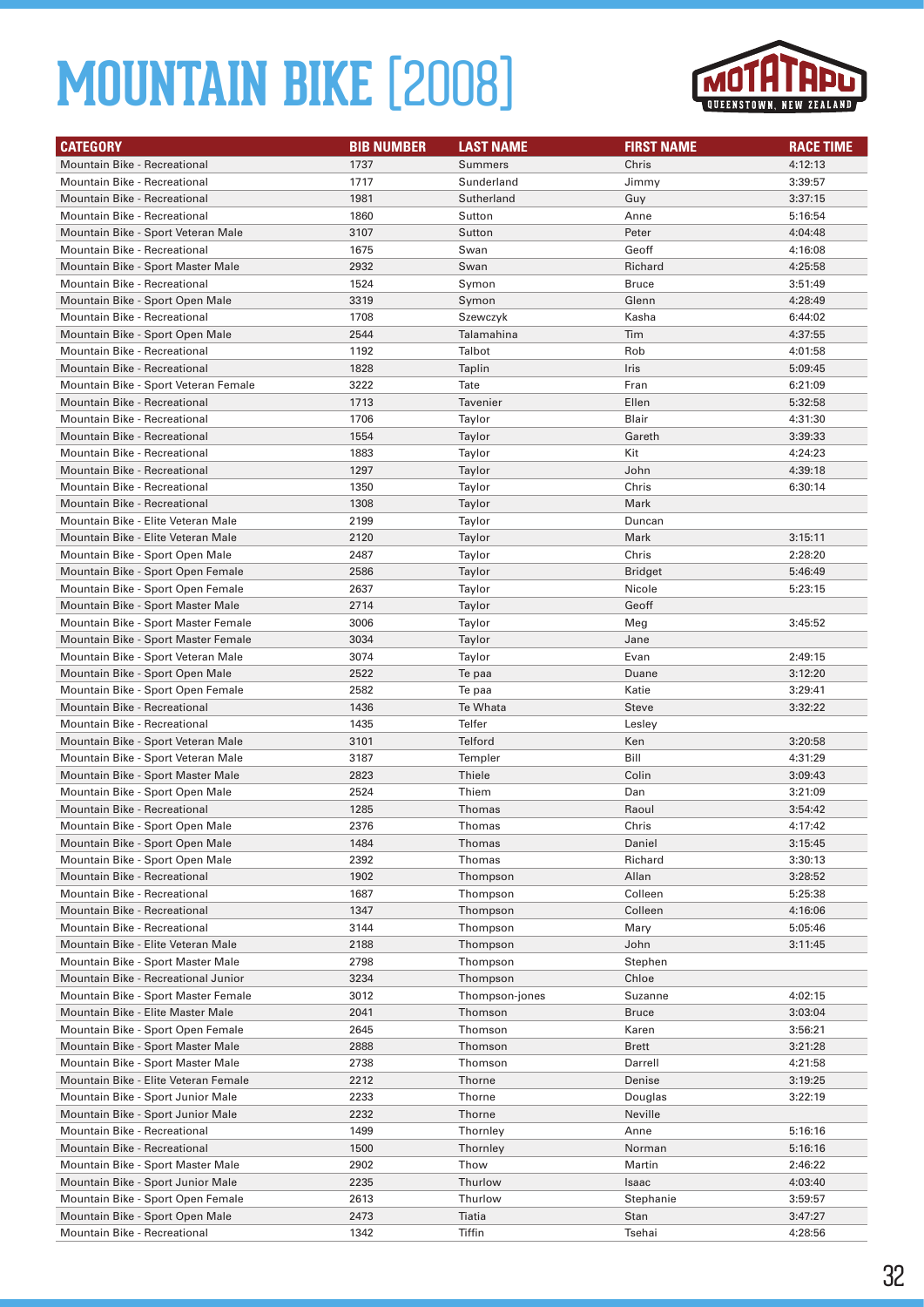

| <b>CATEGORY</b>                      | <b>BIB NUMBER</b> | <b>LAST NAME</b> | <b>FIRST NAME</b> | <b>RACE TIME</b> |
|--------------------------------------|-------------------|------------------|-------------------|------------------|
| <b>Mountain Bike - Recreational</b>  | 1737              | <b>Summers</b>   | Chris             | 4:12:13          |
| Mountain Bike - Recreational         | 1717              | Sunderland       | Jimmy             | 3:39:57          |
| <b>Mountain Bike - Recreational</b>  | 1981              | Sutherland       | Guy               | 3:37:15          |
| Mountain Bike - Recreational         | 1860              | Sutton           | Anne              | 5:16:54          |
| Mountain Bike - Sport Veteran Male   | 3107              | Sutton           | Peter             | 4:04:48          |
| Mountain Bike - Recreational         | 1675              | Swan             | Geoff             | 4:16:08          |
| Mountain Bike - Sport Master Male    | 2932              | Swan             | Richard           | 4:25:58          |
| Mountain Bike - Recreational         | 1524              | Symon            | <b>Bruce</b>      | 3:51:49          |
| Mountain Bike - Sport Open Male      | 3319              | Symon            | Glenn             | 4:28:49          |
| <b>Mountain Bike - Recreational</b>  | 1708              | Szewczyk         | Kasha             | 6:44:02          |
| Mountain Bike - Sport Open Male      | 2544              | Talamahina       | Tim               | 4:37:55          |
| Mountain Bike - Recreational         | 1192              | Talbot           | Rob               | 4:01:58          |
| <b>Mountain Bike - Recreational</b>  | 1828              | Taplin           | Iris              | 5:09:45          |
| Mountain Bike - Sport Veteran Female | 3222              | Tate             | Fran              | 6:21:09          |
| Mountain Bike - Recreational         | 1713              | Tavenier         | Ellen             | 5:32:58          |
| Mountain Bike - Recreational         | 1706              | Taylor           | Blair             | 4:31:30          |
| <b>Mountain Bike - Recreational</b>  | 1554              | Taylor           | Gareth            | 3:39:33          |
| <b>Mountain Bike - Recreational</b>  | 1883              | Taylor           | Kit               | 4:24:23          |
| <b>Mountain Bike - Recreational</b>  | 1297              | Taylor           | John              | 4:39:18          |
| <b>Mountain Bike - Recreational</b>  | 1350              | Taylor           | Chris             | 6:30:14          |
| <b>Mountain Bike - Recreational</b>  | 1308              | Taylor           | Mark              |                  |
| Mountain Bike - Elite Veteran Male   | 2199              | Taylor           | Duncan            |                  |
| Mountain Bike - Elite Veteran Male   | 2120              | Taylor           | Mark              | 3:15:11          |
| Mountain Bike - Sport Open Male      | 2487              | Taylor           | Chris             | 2:28:20          |
| Mountain Bike - Sport Open Female    | 2586              | Taylor           | <b>Bridget</b>    | 5:46:49          |
| Mountain Bike - Sport Open Female    | 2637              | Taylor           | Nicole            | 5:23:15          |
| Mountain Bike - Sport Master Male    | 2714              | Taylor           | Geoff             |                  |
| Mountain Bike - Sport Master Female  | 3006              | Taylor           | Meg               | 3:45:52          |
| Mountain Bike - Sport Master Female  | 3034              | Taylor           | Jane              |                  |
| Mountain Bike - Sport Veteran Male   | 3074              | Taylor           | Evan              | 2:49:15          |
| Mountain Bike - Sport Open Male      | 2522              | Te paa           | Duane             | 3:12:20          |
| Mountain Bike - Sport Open Female    | 2582              | Te paa           | Katie             | 3:29:41          |
| <b>Mountain Bike - Recreational</b>  | 1436              | Te Whata         | <b>Steve</b>      | 3:32:22          |
| Mountain Bike - Recreational         | 1435              | Telfer           | Lesley            |                  |
| Mountain Bike - Sport Veteran Male   | 3101              | <b>Telford</b>   | Ken               | 3:20:58          |
| Mountain Bike - Sport Veteran Male   | 3187              | Templer          | Bill              | 4:31:29          |
| Mountain Bike - Sport Master Male    | 2823              | Thiele           | Colin             | 3:09:43          |
| Mountain Bike - Sport Open Male      | 2524              | Thiem            | Dan               | 3:21:09          |
| <b>Mountain Bike - Recreational</b>  | 1285              | <b>Thomas</b>    | Raoul             | 3:54:42          |
| Mountain Bike - Sport Open Male      | 2376              | Thomas           | Chris             | 4:17:42          |
| Mountain Bike - Sport Open Male      | 1484              | Thomas           | Daniel            | 3:15:45          |
| Mountain Bike - Sport Open Male      | 2392              | Thomas           | Richard           | 3:30:13          |
| Mountain Bike - Recreational         | 1902              | Thompson         | Allan             | 3:28:52          |
| Mountain Bike - Recreational         | 1687              | Thompson         | Colleen           | 5:25:38          |
| Mountain Bike - Recreational         | 1347              | Thompson         | Colleen           | 4:16:06          |
| Mountain Bike - Recreational         | 3144              | Thompson         | Mary              | 5:05:46          |
| Mountain Bike - Elite Veteran Male   | 2188              | Thompson         | John              | 3:11:45          |
| Mountain Bike - Sport Master Male    | 2798              | Thompson         | Stephen           |                  |
| Mountain Bike - Recreational Junior  | 3234              | Thompson         | Chloe             |                  |
| Mountain Bike - Sport Master Female  | 3012              | Thompson-jones   | Suzanne           | 4:02:15          |
| Mountain Bike - Elite Master Male    | 2041              | Thomson          | <b>Bruce</b>      | 3:03:04          |
| Mountain Bike - Sport Open Female    | 2645              | Thomson          | Karen             | 3:56:21          |
| Mountain Bike - Sport Master Male    | 2888              | Thomson          | Brett             | 3:21:28          |
| Mountain Bike - Sport Master Male    | 2738              | Thomson          | Darrell           | 4:21:58          |
| Mountain Bike - Elite Veteran Female | 2212              | Thorne           | Denise            | 3:19:25          |
| Mountain Bike - Sport Junior Male    | 2233              | Thorne           | Douglas           | 3:22:19          |
| Mountain Bike - Sport Junior Male    | 2232              | Thorne           | Neville           |                  |
| Mountain Bike - Recreational         | 1499              | Thornley         | Anne              | 5:16:16          |
| Mountain Bike - Recreational         | 1500              | Thornley         | Norman            | 5:16:16          |
| Mountain Bike - Sport Master Male    | 2902              | Thow             | Martin            | 2:46:22          |
| Mountain Bike - Sport Junior Male    | 2235              | Thurlow          | Isaac             | 4:03:40          |
| Mountain Bike - Sport Open Female    | 2613              | Thurlow          | Stephanie         | 3:59:57          |
| Mountain Bike - Sport Open Male      | 2473              | Tiatia           | Stan              | 3:47:27          |
| Mountain Bike - Recreational         | 1342              | Tiffin           | Tsehai            | 4:28:56          |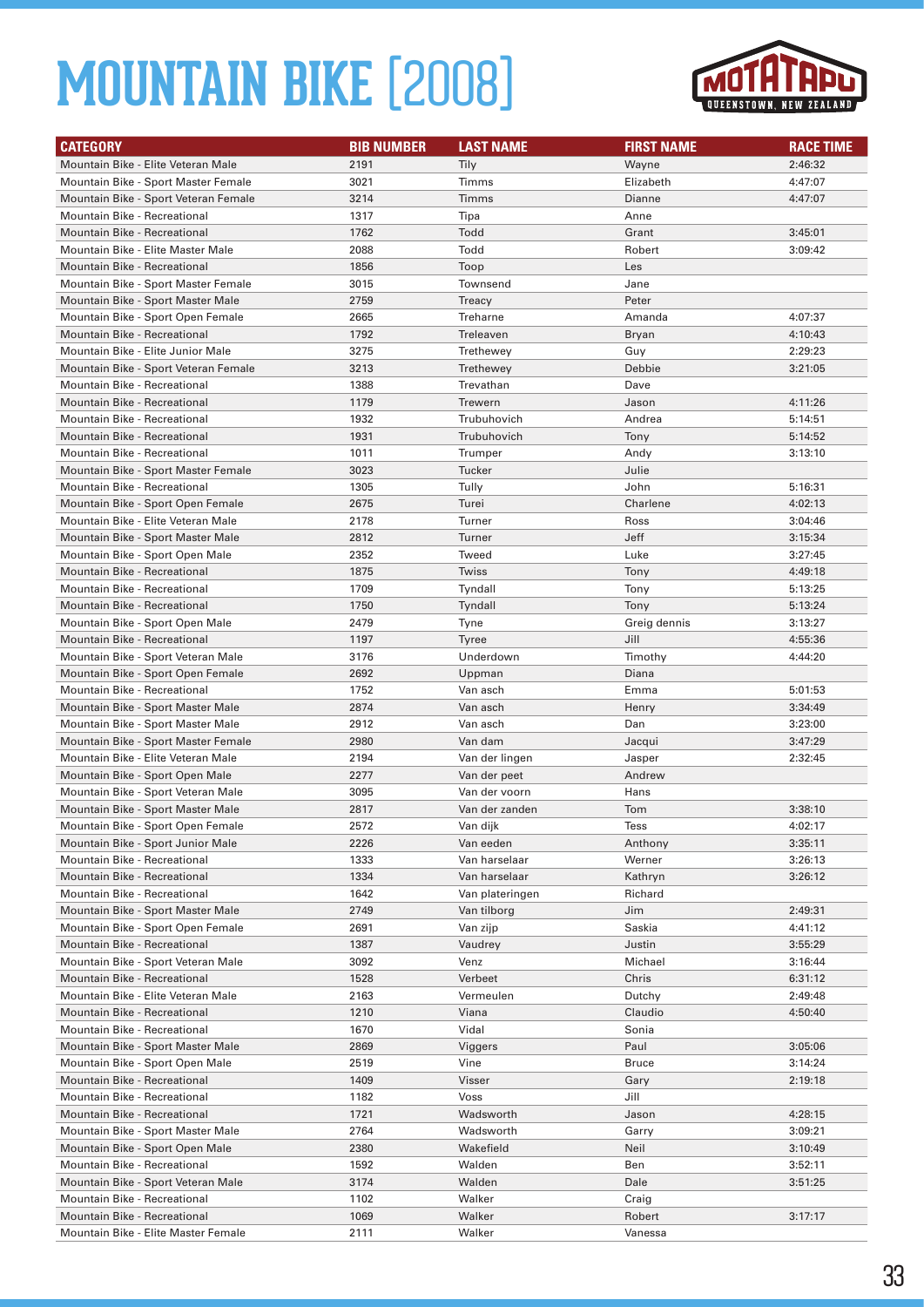

| <b>CATEGORY</b>                                                         | <b>BIB NUMBER</b> | <b>LAST NAME</b>           | <b>FIRST NAME</b> | <b>RACE TIME</b>   |
|-------------------------------------------------------------------------|-------------------|----------------------------|-------------------|--------------------|
| Mountain Bike - Elite Veteran Male                                      | 2191              | Tily                       | Wayne             | 2:46:32            |
| Mountain Bike - Sport Master Female                                     | 3021              | Timms                      | Elizabeth         | 4:47:07            |
| Mountain Bike - Sport Veteran Female                                    | 3214              | Timms                      | Dianne            | 4:47:07            |
| Mountain Bike - Recreational                                            | 1317              | Tipa                       | Anne              |                    |
| <b>Mountain Bike - Recreational</b>                                     | 1762              | Todd                       | Grant             | 3:45:01            |
| Mountain Bike - Elite Master Male                                       | 2088              | Todd                       | Robert            | 3:09:42            |
| <b>Mountain Bike - Recreational</b>                                     | 1856              | Toop                       | Les               |                    |
| Mountain Bike - Sport Master Female                                     | 3015              | Townsend                   | Jane              |                    |
| Mountain Bike - Sport Master Male                                       | 2759              | Treacy                     | Peter             |                    |
| Mountain Bike - Sport Open Female                                       | 2665              | Treharne                   | Amanda            | 4:07:37            |
| <b>Mountain Bike - Recreational</b>                                     | 1792              | Treleaven                  | Bryan             | 4:10:43            |
| Mountain Bike - Elite Junior Male                                       | 3275              | Trethewey                  | Guy               | 2:29:23            |
| Mountain Bike - Sport Veteran Female                                    | 3213              | Trethewey                  | Debbie            | 3:21:05            |
| Mountain Bike - Recreational                                            | 1388              | Trevathan                  | Dave              |                    |
| <b>Mountain Bike - Recreational</b>                                     | 1179              | Trewern                    | Jason             | 4:11:26            |
| Mountain Bike - Recreational                                            | 1932              | Trubuhovich                | Andrea            | 5:14:51            |
| <b>Mountain Bike - Recreational</b>                                     | 1931              | Trubuhovich                | Tony              | 5:14:52            |
| Mountain Bike - Recreational                                            | 1011              | Trumper                    | Andy              | 3:13:10            |
| Mountain Bike - Sport Master Female                                     | 3023              | Tucker                     | Julie             |                    |
| Mountain Bike - Recreational                                            | 1305              | Tully                      | John              | 5:16:31            |
| Mountain Bike - Sport Open Female                                       | 2675              | Turei                      | Charlene          | 4:02:13            |
| Mountain Bike - Elite Veteran Male                                      | 2178              | Turner                     | Ross              | 3:04:46            |
| Mountain Bike - Sport Master Male                                       | 2812              | Turner                     | Jeff              | 3:15:34            |
| Mountain Bike - Sport Open Male                                         | 2352              | Tweed                      | Luke              | 3:27:45            |
| Mountain Bike - Recreational                                            | 1875              | Twiss                      | Tony              | 4:49:18            |
| Mountain Bike - Recreational                                            | 1709              | Tyndall                    | Tony              | 5:13:25            |
| <b>Mountain Bike - Recreational</b>                                     | 1750              | Tyndall                    | Tony              | 5:13:24            |
| Mountain Bike - Sport Open Male                                         | 2479              | Tyne                       | Greig dennis      | 3:13:27            |
| <b>Mountain Bike - Recreational</b>                                     | 1197              | <b>Tyree</b>               | Jill              | 4:55:36            |
| Mountain Bike - Sport Veteran Male                                      | 3176              | Underdown                  | Timothy           | 4:44:20            |
| Mountain Bike - Sport Open Female                                       | 2692              | Uppman                     | Diana             |                    |
| Mountain Bike - Recreational                                            | 1752              | Van asch                   | Emma              | 5:01:53            |
| Mountain Bike - Sport Master Male                                       | 2874              | Van asch                   | Henry             | 3:34:49            |
| Mountain Bike - Sport Master Male                                       | 2912              | Van asch                   | Dan               | 3:23:00            |
| Mountain Bike - Sport Master Female                                     | 2980              | Van dam                    | Jacqui            | 3:47:29            |
| Mountain Bike - Elite Veteran Male                                      | 2194              | Van der lingen             | Jasper            | 2:32:45            |
| Mountain Bike - Sport Open Male                                         | 2277              | Van der peet               | Andrew            |                    |
| Mountain Bike - Sport Veteran Male<br>Mountain Bike - Sport Master Male | 3095<br>2817      | Van der voorn              | Hans              | 3:38:10            |
|                                                                         |                   | Van der zanden             | Tom               |                    |
| Mountain Bike - Sport Open Female                                       | 2572              | Van dijk                   | <b>Tess</b>       | 4:02:17            |
| Mountain Bike - Sport Junior Male<br>Mountain Bike - Recreational       | 2226<br>1333      | Van eeden<br>Van harselaar | Anthony<br>Werner | 3:35:11            |
| Mountain Bike - Recreational                                            | 1334              | Van harselaar              | Kathryn           | 3:26:13<br>3:26:12 |
| Mountain Bike - Recreational                                            | 1642              | Van plateringen            | Richard           |                    |
| Mountain Bike - Sport Master Male                                       | 2749              | Van tilborg                | Jim               | 2:49:31            |
| Mountain Bike - Sport Open Female                                       | 2691              | Van zijp                   | Saskia            | 4:41:12            |
| <b>Mountain Bike - Recreational</b>                                     | 1387              | Vaudrey                    | Justin            | 3:55:29            |
| Mountain Bike - Sport Veteran Male                                      | 3092              | Venz                       | Michael           | 3:16:44            |
| Mountain Bike - Recreational                                            | 1528              | Verbeet                    | Chris             | 6:31:12            |
| Mountain Bike - Elite Veteran Male                                      | 2163              | Vermeulen                  | Dutchy            | 2:49:48            |
| Mountain Bike - Recreational                                            | 1210              | Viana                      | Claudio           | 4:50:40            |
| Mountain Bike - Recreational                                            | 1670              | Vidal                      | Sonia             |                    |
| Mountain Bike - Sport Master Male                                       | 2869              | Viggers                    | Paul              | 3:05:06            |
| Mountain Bike - Sport Open Male                                         | 2519              | Vine                       | <b>Bruce</b>      | 3:14:24            |
| Mountain Bike - Recreational                                            | 1409              | Visser                     | Gary              | 2:19:18            |
| Mountain Bike - Recreational                                            | 1182              | Voss                       | Jill              |                    |
| Mountain Bike - Recreational                                            | 1721              | Wadsworth                  | Jason             | 4:28:15            |
| Mountain Bike - Sport Master Male                                       | 2764              | Wadsworth                  | Garry             | 3:09:21            |
| Mountain Bike - Sport Open Male                                         | 2380              | Wakefield                  | Neil              | 3:10:49            |
| Mountain Bike - Recreational                                            | 1592              | Walden                     | Ben               | 3:52:11            |
| Mountain Bike - Sport Veteran Male                                      | 3174              | Walden                     | Dale              | 3:51:25            |
| Mountain Bike - Recreational                                            | 1102              | Walker                     | Craig             |                    |
| Mountain Bike - Recreational                                            | 1069              | Walker                     | Robert            | 3:17:17            |
| Mountain Bike - Elite Master Female                                     | 2111              | Walker                     | Vanessa           |                    |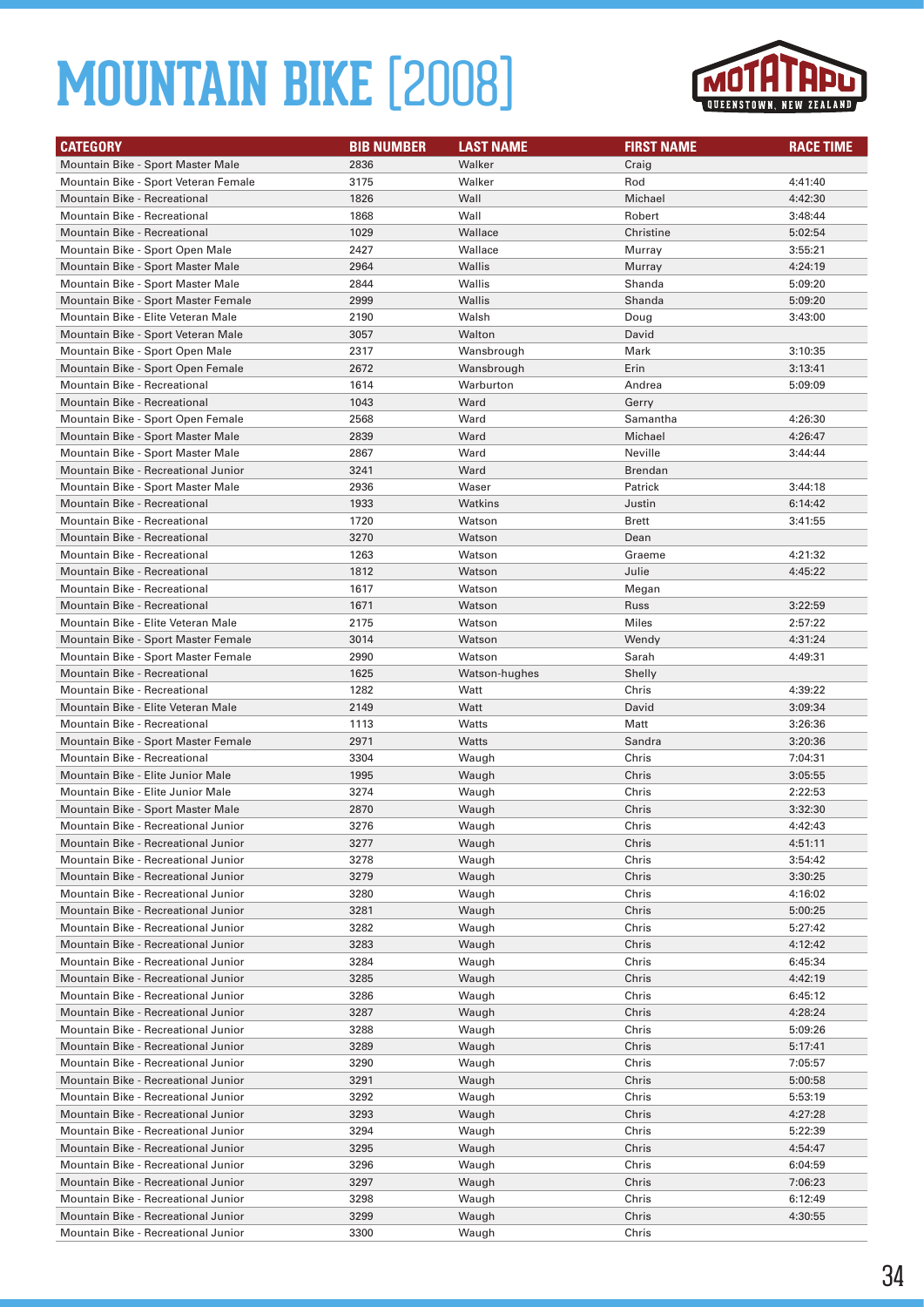

| <b>CATEGORY</b>                      | <b>BIB NUMBER</b> | <b>LAST NAME</b> | <b>FIRST NAME</b> | <b>RACE TIME</b> |
|--------------------------------------|-------------------|------------------|-------------------|------------------|
| Mountain Bike - Sport Master Male    | 2836              | Walker           | Craig             |                  |
| Mountain Bike - Sport Veteran Female | 3175              | Walker           | Rod               | 4:41:40          |
| Mountain Bike - Recreational         | 1826              | Wall             | Michael           | 4:42:30          |
| Mountain Bike - Recreational         | 1868              | Wall             | Robert            | 3:48:44          |
| <b>Mountain Bike - Recreational</b>  | 1029              | Wallace          | Christine         | 5:02:54          |
| Mountain Bike - Sport Open Male      | 2427              | Wallace          | Murray            | 3:55:21          |
| Mountain Bike - Sport Master Male    | 2964              | Wallis           | Murray            | 4:24:19          |
| Mountain Bike - Sport Master Male    | 2844              | Wallis           | Shanda            | 5:09:20          |
| Mountain Bike - Sport Master Female  | 2999              | Wallis           | Shanda            | 5:09:20          |
| Mountain Bike - Elite Veteran Male   | 2190              | Walsh            | Doug              | 3:43:00          |
| Mountain Bike - Sport Veteran Male   | 3057              | Walton           | David             |                  |
| Mountain Bike - Sport Open Male      | 2317              | Wansbrough       | Mark              | 3:10:35          |
| Mountain Bike - Sport Open Female    | 2672              | Wansbrough       | Erin              | 3:13:41          |
| Mountain Bike - Recreational         | 1614              | Warburton        | Andrea            | 5:09:09          |
| Mountain Bike - Recreational         | 1043              | Ward             | Gerry             |                  |
| Mountain Bike - Sport Open Female    | 2568              | Ward             | Samantha          | 4:26:30          |
| Mountain Bike - Sport Master Male    | 2839              | Ward             | Michael           | 4:26:47          |
| Mountain Bike - Sport Master Male    | 2867              | Ward             | Neville           | 3:44:44          |
| Mountain Bike - Recreational Junior  | 3241              | Ward             | <b>Brendan</b>    |                  |
| Mountain Bike - Sport Master Male    | 2936              | Waser            | Patrick           | 3:44:18          |
| <b>Mountain Bike - Recreational</b>  | 1933              | Watkins          | Justin            | 6:14:42          |
| Mountain Bike - Recreational         | 1720              | Watson           | Brett             | 3:41:55          |
| Mountain Bike - Recreational         | 3270              | Watson           | Dean              |                  |
| <b>Mountain Bike - Recreational</b>  | 1263              | Watson           | Graeme            | 4:21:32          |
| Mountain Bike - Recreational         | 1812              | Watson           | Julie             | 4:45:22          |
| Mountain Bike - Recreational         | 1617              | Watson           | Megan             |                  |
| <b>Mountain Bike - Recreational</b>  | 1671              | Watson           | Russ              | 3:22:59          |
| Mountain Bike - Elite Veteran Male   | 2175              | Watson           | Miles             | 2:57:22          |
| Mountain Bike - Sport Master Female  | 3014              | Watson           | Wendy             | 4:31:24          |
| Mountain Bike - Sport Master Female  | 2990              | Watson           | Sarah             | 4:49:31          |
| Mountain Bike - Recreational         | 1625              | Watson-hughes    | Shelly            |                  |
| Mountain Bike - Recreational         | 1282              | Watt             | Chris             | 4:39:22          |
| Mountain Bike - Elite Veteran Male   | 2149              | Watt             | David             | 3:09:34          |
| Mountain Bike - Recreational         | 1113              | Watts            | Matt              | 3:26:36          |
| Mountain Bike - Sport Master Female  | 2971              | Watts            | Sandra            | 3:20:36          |
| Mountain Bike - Recreational         | 3304              | Waugh            | Chris             | 7:04:31          |
| Mountain Bike - Elite Junior Male    | 1995              | Waugh            | Chris             | 3:05:55          |
| Mountain Bike - Elite Junior Male    | 3274              | Waugh            | Chris             | 2:22:53          |
| Mountain Bike - Sport Master Male    | 2870              | Waugh            | Chris             | 3:32:30          |
| Mountain Bike - Recreational Junior  | 3276              | Waugh            | Chris             | 4:42:43          |
| Mountain Bike - Recreational Junior  | 3277              | Waugh            | Chris             | 4:51:11          |
| Mountain Bike - Recreational Junior  | 3278              | Waugh            | Chris             | 3:54:42          |
| Mountain Bike - Recreational Junior  | 3279              | Waugh            | Chris             | 3:30:25          |
| Mountain Bike - Recreational Junior  | 3280              | Waugh            | Chris             | 4:16:02          |
| Mountain Bike - Recreational Junior  | 3281              | Waugh            | Chris             | 5:00:25          |
| Mountain Bike - Recreational Junior  | 3282              | Waugh            | Chris             | 5:27:42          |
| Mountain Bike - Recreational Junior  | 3283              | Waugh            | Chris             | 4:12:42          |
| Mountain Bike - Recreational Junior  | 3284              | Waugh            | Chris             | 6:45:34          |
| Mountain Bike - Recreational Junior  | 3285              | Waugh            | Chris             | 4:42:19          |
| Mountain Bike - Recreational Junior  | 3286              | Waugh            | Chris             | 6:45:12          |
| Mountain Bike - Recreational Junior  | 3287              | Waugh            | Chris             | 4:28:24          |
| Mountain Bike - Recreational Junior  | 3288              | Waugh            | Chris             | 5:09:26          |
| Mountain Bike - Recreational Junior  | 3289              | Waugh            | Chris             | 5:17:41          |
| Mountain Bike - Recreational Junior  | 3290              | Waugh            | Chris             | 7:05:57          |
| Mountain Bike - Recreational Junior  | 3291              | Waugh            | Chris             | 5:00:58          |
| Mountain Bike - Recreational Junior  | 3292              | Waugh            | Chris             | 5:53:19          |
| Mountain Bike - Recreational Junior  | 3293              | Waugh            | Chris             | 4:27:28          |
| Mountain Bike - Recreational Junior  | 3294              | Waugh            | Chris             | 5:22:39          |
| Mountain Bike - Recreational Junior  | 3295              | Waugh            | Chris             | 4:54:47          |
| Mountain Bike - Recreational Junior  | 3296              | Waugh            | Chris             | 6:04:59          |
| Mountain Bike - Recreational Junior  | 3297              | Waugh            | Chris             | 7:06:23          |
| Mountain Bike - Recreational Junior  | 3298              | Waugh            | Chris             | 6:12:49          |
| Mountain Bike - Recreational Junior  | 3299              | Waugh            | Chris             | 4:30:55          |
| Mountain Bike - Recreational Junior  | 3300              | Waugh            | Chris             |                  |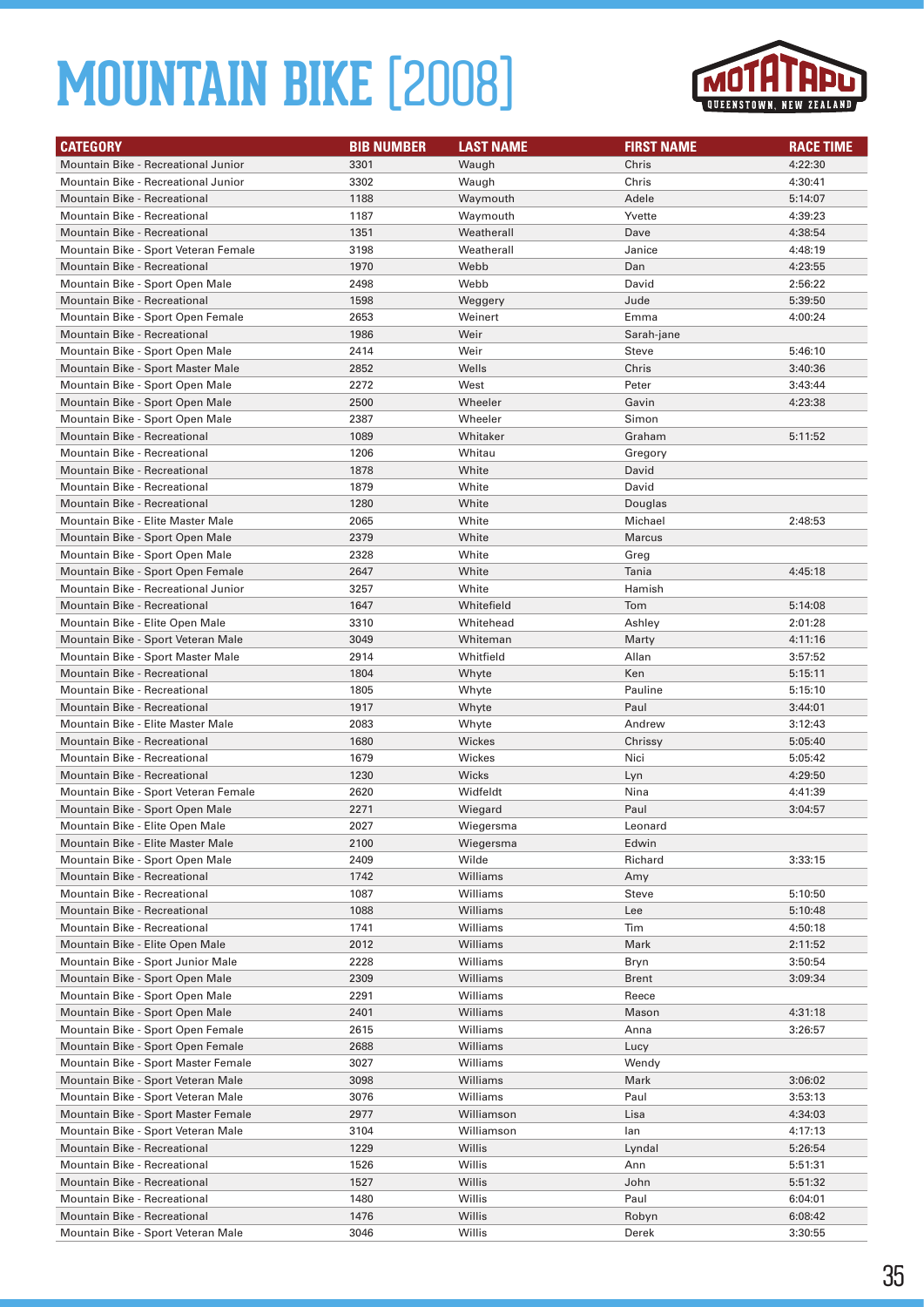

| <b>CATEGORY</b>                      | <b>BIB NUMBER</b> | <b>LAST NAME</b> | <b>FIRST NAME</b> | <b>RACE TIME</b> |
|--------------------------------------|-------------------|------------------|-------------------|------------------|
| Mountain Bike - Recreational Junior  | 3301              | Waugh            | Chris             | 4:22:30          |
| Mountain Bike - Recreational Junior  | 3302              | Waugh            | Chris             | 4:30:41          |
| <b>Mountain Bike - Recreational</b>  | 1188              | Waymouth         | Adele             | 5:14:07          |
| Mountain Bike - Recreational         | 1187              | Waymouth         | Yvette            | 4:39:23          |
| <b>Mountain Bike - Recreational</b>  | 1351              | Weatherall       | Dave              | 4:38:54          |
| Mountain Bike - Sport Veteran Female | 3198              | Weatherall       | Janice            | 4:48:19          |
| <b>Mountain Bike - Recreational</b>  | 1970              | Webb             | Dan               | 4:23:55          |
| Mountain Bike - Sport Open Male      | 2498              | Webb             | David             | 2:56:22          |
| Mountain Bike - Recreational         | 1598              | Weggery          | Jude              | 5:39:50          |
| Mountain Bike - Sport Open Female    | 2653              | Weinert          | Emma              | 4:00:24          |
| <b>Mountain Bike - Recreational</b>  | 1986              | Weir             | Sarah-jane        |                  |
| Mountain Bike - Sport Open Male      | 2414              | Weir             | Steve             | 5:46:10          |
| Mountain Bike - Sport Master Male    | 2852              | Wells            | Chris             | 3:40:36          |
| Mountain Bike - Sport Open Male      | 2272              | West             | Peter             | 3:43:44          |
| Mountain Bike - Sport Open Male      | 2500              | Wheeler          | Gavin             | 4:23:38          |
| Mountain Bike - Sport Open Male      | 2387              | Wheeler          | Simon             |                  |
| Mountain Bike - Recreational         | 1089              | Whitaker         | Graham            | 5:11:52          |
| Mountain Bike - Recreational         | 1206              | Whitau           | Gregory           |                  |
| <b>Mountain Bike - Recreational</b>  | 1878              | White            | David             |                  |
| Mountain Bike - Recreational         | 1879              | White            | David             |                  |
| <b>Mountain Bike - Recreational</b>  | 1280              | White            | Douglas           |                  |
| Mountain Bike - Elite Master Male    | 2065              | White            | Michael           | 2:48:53          |
| Mountain Bike - Sport Open Male      | 2379              | White            | <b>Marcus</b>     |                  |
| Mountain Bike - Sport Open Male      | 2328              | White            | Greg              |                  |
| Mountain Bike - Sport Open Female    | 2647              | White            | Tania             | 4:45:18          |
| Mountain Bike - Recreational Junior  | 3257              | White            | Hamish            |                  |
| <b>Mountain Bike - Recreational</b>  | 1647              | Whitefield       | Tom               | 5:14:08          |
| Mountain Bike - Elite Open Male      | 3310              | Whitehead        | Ashley            | 2:01:28          |
| Mountain Bike - Sport Veteran Male   | 3049              | Whiteman         | Marty             | 4:11:16          |
| Mountain Bike - Sport Master Male    | 2914              | Whitfield        | Allan             | 3:57:52          |
| Mountain Bike - Recreational         | 1804              | Whyte            | Ken               | 5:15:11          |
| Mountain Bike - Recreational         | 1805              | Whyte            | Pauline           | 5:15:10          |
| <b>Mountain Bike - Recreational</b>  | 1917              | Whyte            | Paul              | 3:44:01          |
| Mountain Bike - Elite Master Male    | 2083              | Whyte            | Andrew            | 3:12:43          |
| <b>Mountain Bike - Recreational</b>  | 1680              | Wickes           | Chrissy           | 5:05:40          |
| Mountain Bike - Recreational         | 1679              | Wickes           | Nici              | 5:05:42          |
| <b>Mountain Bike - Recreational</b>  | 1230              | Wicks            | Lyn               | 4:29:50          |
| Mountain Bike - Sport Veteran Female | 2620              | Widfeldt         | Nina              | 4:41:39          |
| Mountain Bike - Sport Open Male      | 2271              | Wiegard          | Paul              | 3:04:57          |
| Mountain Bike - Elite Open Male      | 2027              | Wiegersma        | Leonard           |                  |
| Mountain Bike - Elite Master Male    | 2100              | Wiegersma        | Edwin             |                  |
| Mountain Bike - Sport Open Male      | 2409              | Wilde            | Richard           | 3:33:15          |
| Mountain Bike - Recreational         | 1742              | Williams         | Amy               |                  |
| Mountain Bike - Recreational         | 1087              | Williams         | Steve             | 5:10:50          |
| Mountain Bike - Recreational         | 1088              | Williams         | Lee               | 5:10:48          |
| Mountain Bike - Recreational         | 1741              | Williams         | Tim               | 4:50:18          |
| Mountain Bike - Elite Open Male      | 2012              | Williams         | Mark              | 2:11:52          |
| Mountain Bike - Sport Junior Male    | 2228              | Williams         | Bryn              | 3:50:54          |
| Mountain Bike - Sport Open Male      | 2309              | Williams         | Brent             | 3:09:34          |
| Mountain Bike - Sport Open Male      | 2291              | Williams         | Reece             |                  |
| Mountain Bike - Sport Open Male      | 2401              | Williams         | Mason             | 4:31:18          |
| Mountain Bike - Sport Open Female    | 2615              | Williams         | Anna              | 3:26:57          |
| Mountain Bike - Sport Open Female    | 2688              | Williams         | Lucy              |                  |
| Mountain Bike - Sport Master Female  | 3027              | Williams         | Wendy             |                  |
| Mountain Bike - Sport Veteran Male   | 3098              | Williams         | Mark              | 3:06:02          |
| Mountain Bike - Sport Veteran Male   | 3076              | Williams         | Paul              | 3:53:13          |
| Mountain Bike - Sport Master Female  | 2977              | Williamson       | Lisa              | 4:34:03          |
| Mountain Bike - Sport Veteran Male   | 3104              | Williamson       | lan               | 4:17:13          |
| Mountain Bike - Recreational         | 1229              | Willis           | Lyndal            | 5:26:54          |
| Mountain Bike - Recreational         | 1526              | Willis           | Ann               | 5:51:31          |
| Mountain Bike - Recreational         | 1527              | Willis           | John              | 5:51:32          |
| Mountain Bike - Recreational         | 1480              | Willis           | Paul              | 6:04:01          |
| Mountain Bike - Recreational         | 1476              | Willis           | Robyn             | 6:08:42          |
| Mountain Bike - Sport Veteran Male   | 3046              | Willis           | Derek             | 3:30:55          |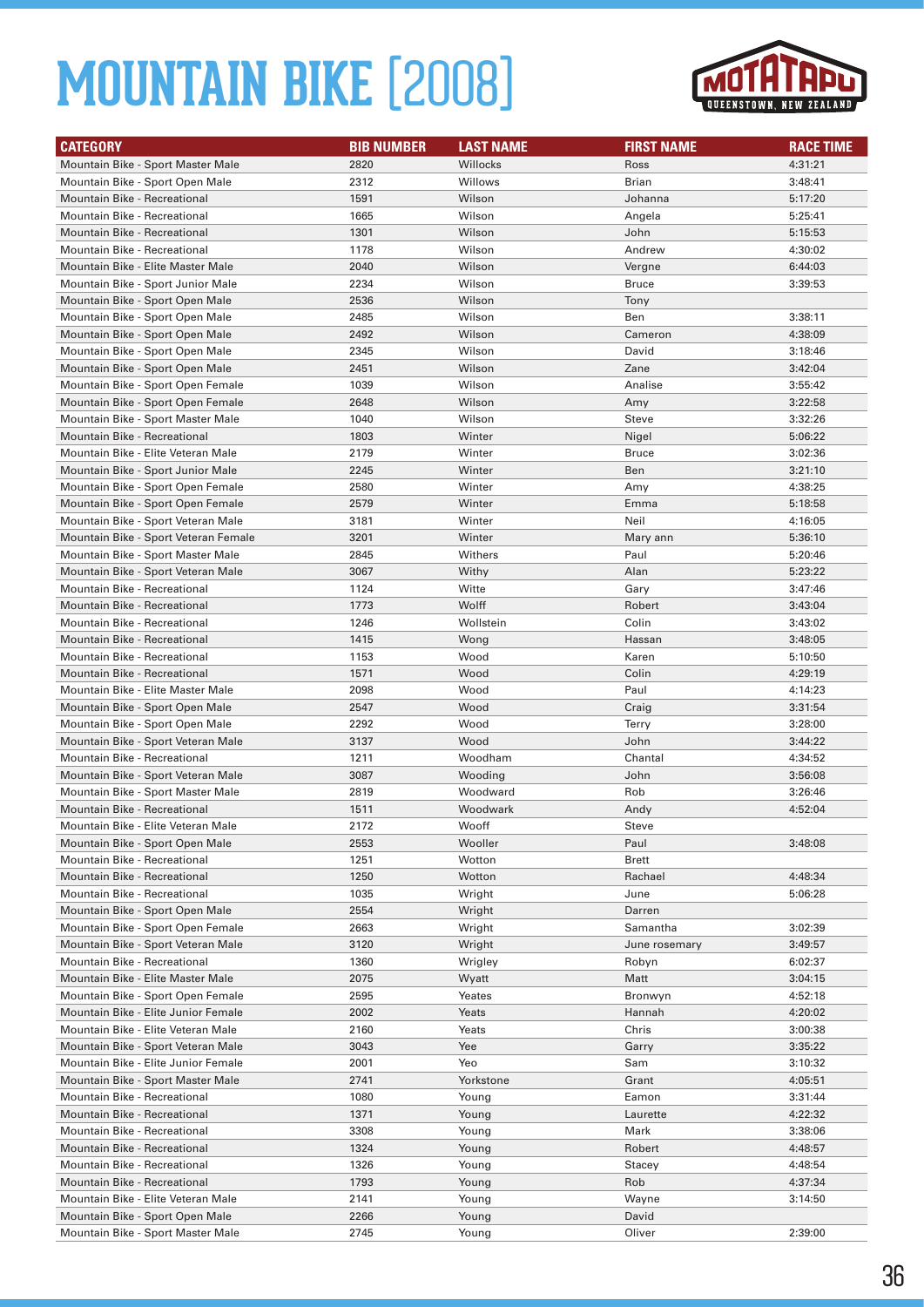

| <b>CATEGORY</b>                                                   | <b>BIB NUMBER</b> | <b>LAST NAME</b> | <b>FIRST NAME</b> | <b>RACE TIME</b>   |
|-------------------------------------------------------------------|-------------------|------------------|-------------------|--------------------|
| Mountain Bike - Sport Master Male                                 | 2820              | Willocks         | Ross              | 4:31:21            |
| Mountain Bike - Sport Open Male                                   | 2312              | Willows          | Brian             | 3:48:41            |
| Mountain Bike - Recreational                                      | 1591              | Wilson           | Johanna           | 5:17:20            |
| Mountain Bike - Recreational                                      | 1665              | Wilson           | Angela            | 5:25:41            |
| <b>Mountain Bike - Recreational</b>                               | 1301              | Wilson           | John              | 5:15:53            |
| Mountain Bike - Recreational                                      | 1178              | Wilson           | Andrew            | 4:30:02            |
| Mountain Bike - Elite Master Male                                 | 2040              | Wilson           | Vergne            | 6:44:03            |
| Mountain Bike - Sport Junior Male                                 | 2234              | Wilson           | <b>Bruce</b>      | 3:39:53            |
| Mountain Bike - Sport Open Male                                   | 2536              | Wilson           | Tony              |                    |
| Mountain Bike - Sport Open Male                                   | 2485              | Wilson           | Ben               | 3:38:11            |
| Mountain Bike - Sport Open Male                                   | 2492              | Wilson           | Cameron           | 4:38:09            |
| Mountain Bike - Sport Open Male                                   | 2345              | Wilson           | David             | 3:18:46            |
| Mountain Bike - Sport Open Male                                   | 2451              | Wilson           | Zane              | 3:42:04            |
| Mountain Bike - Sport Open Female                                 | 1039              | Wilson           | Analise           | 3:55:42            |
| Mountain Bike - Sport Open Female                                 | 2648              | Wilson           | Amy               | 3:22:58            |
| Mountain Bike - Sport Master Male                                 | 1040              | Wilson           | Steve             | 3:32:26            |
| <b>Mountain Bike - Recreational</b>                               | 1803              | Winter           | Nigel             | 5:06:22            |
| Mountain Bike - Elite Veteran Male                                | 2179              | Winter           | <b>Bruce</b>      | 3:02:36            |
| Mountain Bike - Sport Junior Male                                 | 2245              | Winter           | Ben               | 3:21:10            |
| Mountain Bike - Sport Open Female                                 | 2580              | Winter           | Amy               | 4:38:25            |
| Mountain Bike - Sport Open Female                                 | 2579              | Winter           | Emma              | 5:18:58            |
| Mountain Bike - Sport Veteran Male                                | 3181              | Winter           | Neil              | 4:16:05            |
| Mountain Bike - Sport Veteran Female                              | 3201              | Winter           | Mary ann          | 5:36:10            |
| Mountain Bike - Sport Master Male                                 | 2845              | Withers          | Paul              | 5:20:46            |
| Mountain Bike - Sport Veteran Male                                | 3067              | Withy            | Alan              | 5:23:22            |
| Mountain Bike - Recreational                                      | 1124              | Witte            | Gary              | 3:47:46            |
| <b>Mountain Bike - Recreational</b>                               | 1773              | Wolff            | Robert            | 3:43:04            |
| Mountain Bike - Recreational                                      | 1246              | Wollstein        | Colin             | 3:43:02            |
| Mountain Bike - Recreational<br>Mountain Bike - Recreational      | 1415              | Wong<br>Wood     | Hassan<br>Karen   | 3:48:05            |
|                                                                   | 1153<br>1571      |                  |                   | 5:10:50            |
| Mountain Bike - Recreational<br>Mountain Bike - Elite Master Male | 2098              | Wood<br>Wood     | Colin<br>Paul     | 4:29:19<br>4:14:23 |
| Mountain Bike - Sport Open Male                                   | 2547              | Wood             | Craig             | 3:31:54            |
| Mountain Bike - Sport Open Male                                   | 2292              | Wood             | Terry             | 3:28:00            |
| Mountain Bike - Sport Veteran Male                                | 3137              | Wood             | John              | 3:44:22            |
| Mountain Bike - Recreational                                      | 1211              | Woodham          | Chantal           | 4:34:52            |
| Mountain Bike - Sport Veteran Male                                | 3087              | Wooding          | John              | 3:56:08            |
| Mountain Bike - Sport Master Male                                 | 2819              | Woodward         | Rob               | 3:26:46            |
| <b>Mountain Bike - Recreational</b>                               | 1511              | Woodwark         | Andy              | 4:52:04            |
| Mountain Bike - Elite Veteran Male                                | 2172              | Wooff            | Steve             |                    |
| Mountain Bike - Sport Open Male                                   | 2553              | Wooller          | Paul              | 3:48:08            |
| Mountain Bike - Recreational                                      | 1251              | Wotton           | Brett             |                    |
| Mountain Bike - Recreational                                      | 1250              | Wotton           | Rachael           | 4:48:34            |
| <b>Mountain Bike - Recreational</b>                               | 1035              | Wright           | June              | 5:06:28            |
| Mountain Bike - Sport Open Male                                   | 2554              | Wright           | Darren            |                    |
| Mountain Bike - Sport Open Female                                 | 2663              | Wright           | Samantha          | 3:02:39            |
| Mountain Bike - Sport Veteran Male                                | 3120              | Wright           | June rosemary     | 3:49:57            |
| Mountain Bike - Recreational                                      | 1360              | Wrigley          | Robyn             | 6:02:37            |
| Mountain Bike - Elite Master Male                                 | 2075              | Wyatt            | Matt              | 3:04:15            |
| Mountain Bike - Sport Open Female                                 | 2595              | Yeates           | Bronwyn           | 4:52:18            |
| Mountain Bike - Elite Junior Female                               | 2002              | Yeats            | Hannah            | 4:20:02            |
| Mountain Bike - Elite Veteran Male                                | 2160              | Yeats            | Chris             | 3:00:38            |
| Mountain Bike - Sport Veteran Male                                | 3043              | Yee              | Garry             | 3:35:22            |
| Mountain Bike - Elite Junior Female                               | 2001              | Yeo              | Sam               | 3:10:32            |
| Mountain Bike - Sport Master Male                                 | 2741              | Yorkstone        | Grant             | 4:05:51            |
| Mountain Bike - Recreational                                      | 1080              | Young            | Eamon             | 3:31:44            |
| Mountain Bike - Recreational                                      | 1371              | Young            | Laurette          | 4:22:32            |
| Mountain Bike - Recreational                                      | 3308              | Young            | Mark              | 3:38:06            |
| Mountain Bike - Recreational                                      | 1324              | Young            | Robert            | 4:48:57            |
| Mountain Bike - Recreational                                      | 1326              | Young            | Stacey            | 4:48:54            |
| Mountain Bike - Recreational                                      | 1793              | Young            | Rob               | 4:37:34            |
| Mountain Bike - Elite Veteran Male                                | 2141              | Young            | Wayne             | 3:14:50            |
| Mountain Bike - Sport Open Male                                   | 2266              | Young            | David             |                    |
| Mountain Bike - Sport Master Male                                 | 2745              | Young            | Oliver            | 2:39:00            |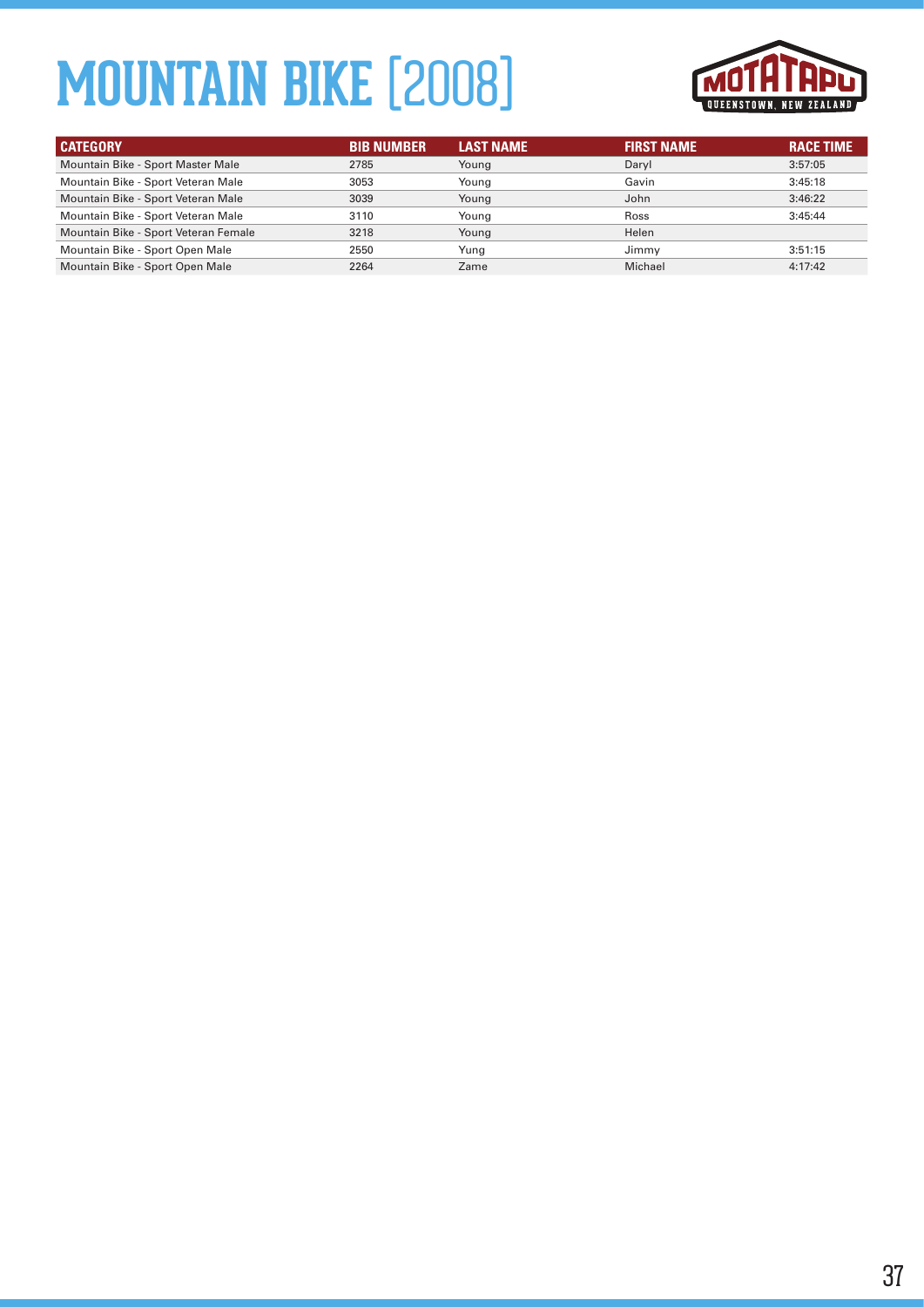

| <b>CATEGORY</b>                      | <b>BIB NUMBER</b> | <b>LAST NAME</b> | <b>FIRST NAME</b> | <b>RACE TIME</b> |
|--------------------------------------|-------------------|------------------|-------------------|------------------|
| Mountain Bike - Sport Master Male    | 2785              | Young            | Daryl             | 3:57:05          |
| Mountain Bike - Sport Veteran Male   | 3053              | Young            | Gavin             | 3:45:18          |
| Mountain Bike - Sport Veteran Male   | 3039              | Young            | John              | 3:46:22          |
| Mountain Bike - Sport Veteran Male   | 3110              | Young            | Ross              | 3:45:44          |
| Mountain Bike - Sport Veteran Female | 3218              | Young            | Helen             |                  |
| Mountain Bike - Sport Open Male      | 2550              | Yung             | Jimmy             | 3:51:15          |
| Mountain Bike - Sport Open Male      | 2264              | Zame             | Michael           | 4:17:42          |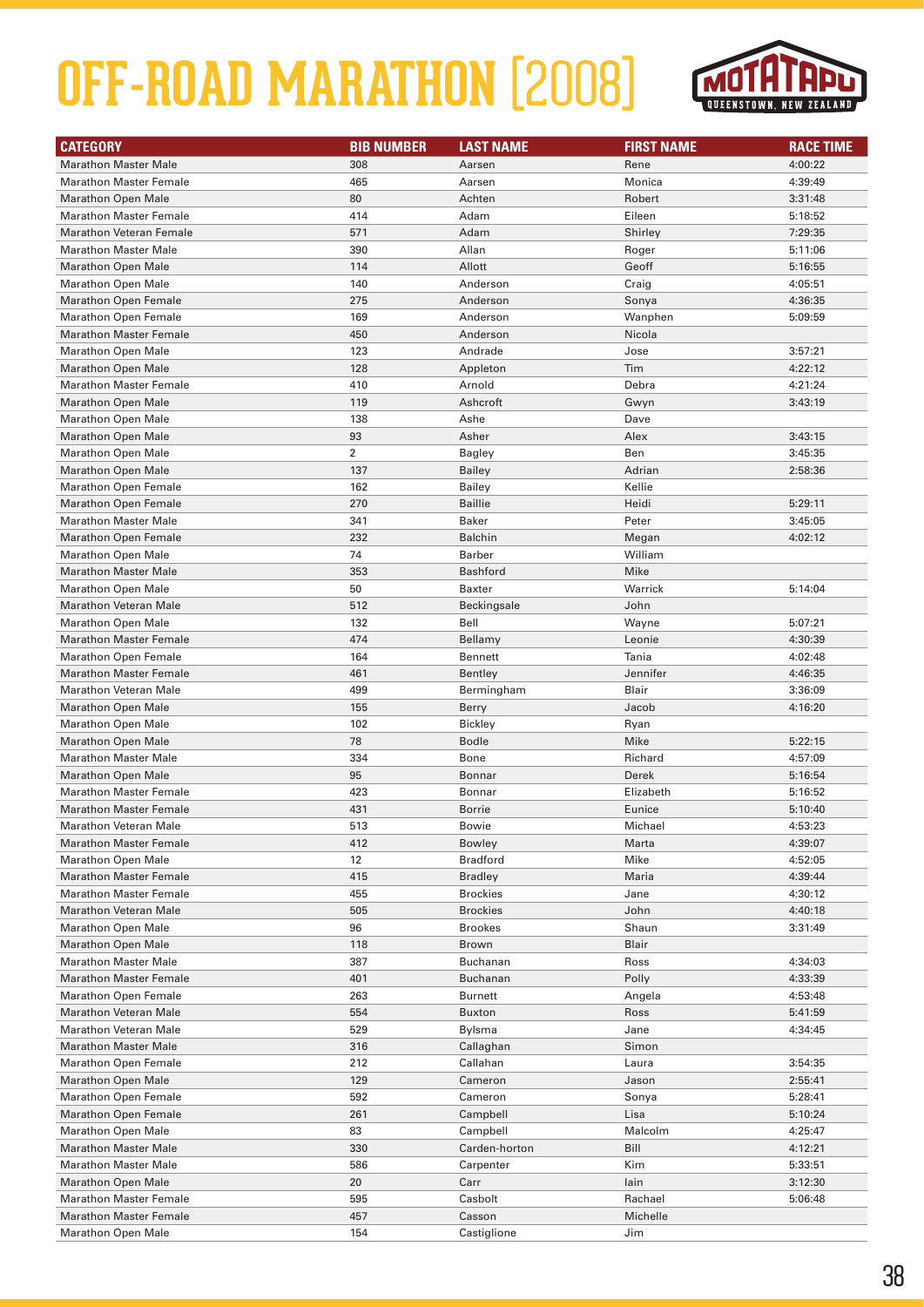

| <b>CATEGORY</b>                | <b>BIB NUMBER</b> | <b>LAST NAME</b> | <b>FIRST NAME</b> | <b>RACE TIME</b> |
|--------------------------------|-------------------|------------------|-------------------|------------------|
| <b>Marathon Master Male</b>    | 308               | Aarsen           | Rene              | 4:00:22          |
| <b>Marathon Master Female</b>  | 465               | Aarsen           | Monica            | 4:39:49          |
| <b>Marathon Open Male</b>      | 80                | Achten           | Robert            | 3:31:48          |
| <b>Marathon Master Female</b>  | 414               | Adam             | Eileen            | 5:18:52          |
| <b>Marathon Veteran Female</b> | 571               | Adam             | Shirley           | 7:29:35          |
| <b>Marathon Master Male</b>    | 390               | Allan            | Roger             | 5:11:06          |
| <b>Marathon Open Male</b>      | 114               | Allott           | Geoff             | 5:16:55          |
| <b>Marathon Open Male</b>      | 140               | Anderson         | Craig             | 4:05:51          |
| <b>Marathon Open Female</b>    | 275               | Anderson         | Sonya             | 4:36:35          |
| <b>Marathon Open Female</b>    | 169               | Anderson         | Wanphen           | 5:09:59          |
| <b>Marathon Master Female</b>  | 450               | Anderson         | Nicola            |                  |
| <b>Marathon Open Male</b>      | 123               | Andrade          | Jose              | 3:57:21          |
| <b>Marathon Open Male</b>      | 128               | Appleton         | Tim               | 4:22:12          |
| <b>Marathon Master Female</b>  | 410               | Arnold           | Debra             | 4:21:24          |
| <b>Marathon Open Male</b>      | 119               | Ashcroft         | Gwyn              | 3:43:19          |
| <b>Marathon Open Male</b>      | 138               | Ashe             | Dave              |                  |
| <b>Marathon Open Male</b>      | 93                | Asher            | Alex              | 3:43:15          |
| <b>Marathon Open Male</b>      | $\overline{2}$    | <b>Bagley</b>    | Ben               | 3:45:35          |
| <b>Marathon Open Male</b>      | 137               | <b>Bailey</b>    | Adrian            | 2:58:36          |
| <b>Marathon Open Female</b>    | 162               | <b>Bailey</b>    | Kellie            |                  |
| <b>Marathon Open Female</b>    | 270               | <b>Baillie</b>   | Heidi             | 5:29:11          |
| <b>Marathon Master Male</b>    | 341               | <b>Baker</b>     | Peter             | 3:45:05          |
| <b>Marathon Open Female</b>    | 232               | <b>Balchin</b>   | Megan             | 4:02:12          |
| <b>Marathon Open Male</b>      | 74                | <b>Barber</b>    | William           |                  |
| <b>Marathon Master Male</b>    | 353               | <b>Bashford</b>  | Mike              |                  |
| <b>Marathon Open Male</b>      | 50                | Baxter           | Warrick           | 5:14:04          |
| <b>Marathon Veteran Male</b>   | 512               | Beckingsale      | John              |                  |
| <b>Marathon Open Male</b>      | 132               | Bell             | Wayne             | 5:07:21          |
| <b>Marathon Master Female</b>  | 474               | Bellamy          | Leonie            | 4:30:39          |
| <b>Marathon Open Female</b>    | 164               | Bennett          | Tania             | 4:02:48          |
| <b>Marathon Master Female</b>  | 461               | Bentley          | Jennifer          | 4:46:35          |
| <b>Marathon Veteran Male</b>   | 499               | Bermingham       | Blair             | 3:36:09          |
| <b>Marathon Open Male</b>      | 155               | Berry            | Jacob             | 4:16:20          |
| <b>Marathon Open Male</b>      | 102               | <b>Bickley</b>   | Ryan              |                  |
| <b>Marathon Open Male</b>      | 78                | <b>Bodle</b>     | Mike              | 5:22:15          |
| <b>Marathon Master Male</b>    | 334               | Bone             | Richard           | 4:57:09          |
| <b>Marathon Open Male</b>      | 95                | Bonnar           | Derek             | 5:16:54          |
| <b>Marathon Master Female</b>  | 423               | Bonnar           | Elizabeth         | 5:16:52          |
| <b>Marathon Master Female</b>  | 431               | <b>Borrie</b>    | Eunice            | 5:10:40          |
| <b>Marathon Veteran Male</b>   | 513               | <b>Bowie</b>     | Michael           | 4:53:23          |
| <b>Marathon Master Female</b>  | 412               | Bowley           | Marta             | 4:39:07          |
| <b>Marathon Open Male</b>      | 12                | <b>Bradford</b>  | Mike              | 4:52:05          |
| <b>Marathon Master Female</b>  | 415               | <b>Bradley</b>   | Maria             | 4:39:44          |
| <b>Marathon Master Female</b>  | 455               | <b>Brockies</b>  | Jane              | 4:30:12          |
| <b>Marathon Veteran Male</b>   | 505               | <b>Brockies</b>  | John              | 4:40:18          |
| <b>Marathon Open Male</b>      | 96                | <b>Brookes</b>   | Shaun             | 3:31:49          |
| <b>Marathon Open Male</b>      | 118               | <b>Brown</b>     | Blair             |                  |
| <b>Marathon Master Male</b>    | 387               | Buchanan         | Ross              | 4:34:03          |
| <b>Marathon Master Female</b>  | 401               | Buchanan         | Polly             | 4:33:39          |
| <b>Marathon Open Female</b>    | 263               | <b>Burnett</b>   | Angela            | 4:53:48          |
| <b>Marathon Veteran Male</b>   | 554               | <b>Buxton</b>    | Ross              | 5:41:59          |
| <b>Marathon Veteran Male</b>   | 529               | Bylsma           | Jane              | 4:34:45          |
| <b>Marathon Master Male</b>    | 316               | Callaghan        | Simon             |                  |
| <b>Marathon Open Female</b>    | 212               | Callahan         | Laura             | 3:54:35          |
| <b>Marathon Open Male</b>      | 129               | Cameron          | Jason             | 2:55:41          |
| <b>Marathon Open Female</b>    | 592               | Cameron          | Sonya             | 5:28:41          |
| <b>Marathon Open Female</b>    | 261               | Campbell         | Lisa              | 5:10:24          |
| <b>Marathon Open Male</b>      | 83                | Campbell         | Malcolm           | 4:25:47          |
| <b>Marathon Master Male</b>    | 330               | Carden-horton    | Bill              | 4:12:21          |
| <b>Marathon Master Male</b>    | 586               | Carpenter        | Kim               | 5:33:51          |
| <b>Marathon Open Male</b>      | 20                | Carr             | lain              | 3:12:30          |
| <b>Marathon Master Female</b>  | 595               | Casbolt          | Rachael           | 5:06:48          |
| <b>Marathon Master Female</b>  | 457               | Casson           | Michelle          |                  |
| <b>Marathon Open Male</b>      | 154               | Castiglione      | Jim               |                  |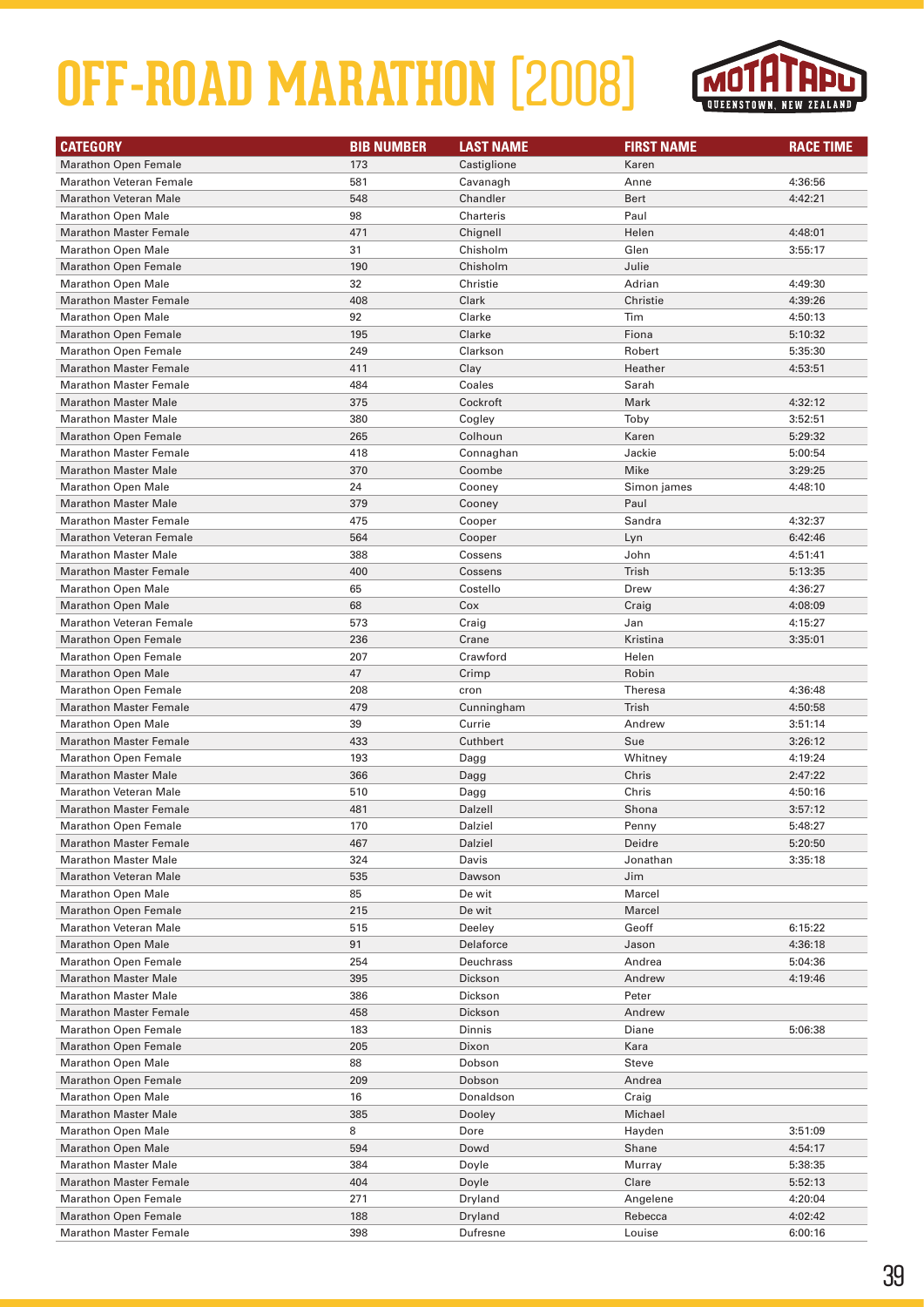

| <b>CATEGORY</b>                                               | <b>BIB NUMBER</b> | <b>LAST NAME</b>   | <b>FIRST NAME</b>  | <b>RACE TIME</b>   |
|---------------------------------------------------------------|-------------------|--------------------|--------------------|--------------------|
| <b>Marathon Open Female</b>                                   | 173               | Castiglione        | Karen              |                    |
| <b>Marathon Veteran Female</b>                                | 581               | Cavanagh           | Anne               | 4:36:56            |
| <b>Marathon Veteran Male</b>                                  | 548               | Chandler           | Bert               | 4:42:21            |
| <b>Marathon Open Male</b>                                     | 98                | Charteris          | Paul               |                    |
| <b>Marathon Master Female</b>                                 | 471               | Chignell           | Helen              | 4:48:01            |
| <b>Marathon Open Male</b>                                     | 31                | Chisholm           | Glen               | 3:55:17            |
| <b>Marathon Open Female</b>                                   | 190               | Chisholm           | Julie              |                    |
| <b>Marathon Open Male</b>                                     | 32                | Christie           | Adrian             | 4:49:30            |
| <b>Marathon Master Female</b>                                 | 408               | Clark              | Christie           | 4:39:26            |
| <b>Marathon Open Male</b>                                     | 92                | Clarke             | Tim                | 4:50:13            |
| <b>Marathon Open Female</b>                                   | 195               | Clarke             | Fiona              | 5:10:32            |
| <b>Marathon Open Female</b>                                   | 249               | Clarkson           | Robert             | 5:35:30            |
| <b>Marathon Master Female</b>                                 | 411               | Clay               | Heather            | 4:53:51            |
| <b>Marathon Master Female</b>                                 | 484               | Coales             | Sarah              |                    |
| <b>Marathon Master Male</b>                                   | 375               | Cockroft           | Mark               | 4:32:12            |
| <b>Marathon Master Male</b>                                   | 380               | Cogley             | Toby               | 3:52:51            |
| <b>Marathon Open Female</b>                                   | 265               | Colhoun            | Karen              | 5:29:32            |
| <b>Marathon Master Female</b>                                 | 418               | Connaghan          | Jackie             | 5:00:54            |
| <b>Marathon Master Male</b>                                   | 370               | Coombe             | Mike               | 3:29:25            |
| <b>Marathon Open Male</b>                                     | 24                | Cooney             | Simon james        | 4:48:10            |
| <b>Marathon Master Male</b>                                   | 379               | Cooney             | Paul               |                    |
| <b>Marathon Master Female</b>                                 | 475               | Cooper             | Sandra             | 4:32:37            |
| <b>Marathon Veteran Female</b>                                | 564               | Cooper             | Lyn                | 6:42:46            |
| <b>Marathon Master Male</b>                                   | 388               | Cossens            | John               | 4:51:41            |
| <b>Marathon Master Female</b>                                 | 400               | Cossens            | Trish              | 5:13:35            |
| <b>Marathon Open Male</b>                                     | 65                | Costello           | Drew               | 4:36:27            |
| <b>Marathon Open Male</b>                                     | 68                | Cox                | Craig              | 4:08:09            |
| <b>Marathon Veteran Female</b>                                | 573               | Craig              | Jan                | 4:15:27            |
| <b>Marathon Open Female</b>                                   | 236               | Crane              | Kristina           | 3:35:01            |
| <b>Marathon Open Female</b>                                   | 207               | Crawford           | Helen              |                    |
| <b>Marathon Open Male</b>                                     | 47                | Crimp              | Robin              |                    |
| <b>Marathon Open Female</b>                                   | 208               | cron               | <b>Theresa</b>     | 4:36:48            |
| <b>Marathon Master Female</b>                                 | 479               | Cunningham         | Trish              | 4:50:58            |
| <b>Marathon Open Male</b>                                     | 39                | Currie             | Andrew             | 3:51:14            |
| <b>Marathon Master Female</b>                                 | 433               | Cuthbert           | Sue                | 3:26:12            |
| <b>Marathon Open Female</b>                                   | 193               | Dagg               | Whitney            | 4:19:24            |
| <b>Marathon Master Male</b>                                   | 366               | Dagg               | Chris              | 2:47:22            |
| <b>Marathon Veteran Male</b><br><b>Marathon Master Female</b> | 510<br>481        | Dagg               | Chris<br>Shona     | 4:50:16            |
| <b>Marathon Open Female</b>                                   | 170               | Dalzell<br>Dalziel | Penny              | 3:57:12            |
|                                                               |                   |                    |                    | 5:48:27<br>5:20:50 |
| <b>Marathon Master Female</b><br><b>Marathon Master Male</b>  | 467<br>324        | Dalziel<br>Davis   | Deidre<br>Jonathan | 3:35:18            |
| <b>Marathon Veteran Male</b>                                  | 535               | Dawson             | Jim                |                    |
| <b>Marathon Open Male</b>                                     | 85                | De wit             | Marcel             |                    |
| <b>Marathon Open Female</b>                                   | 215               | De wit             | Marcel             |                    |
| <b>Marathon Veteran Male</b>                                  | 515               | Deeley             | Geoff              | 6:15:22            |
| <b>Marathon Open Male</b>                                     | 91                | Delaforce          | Jason              | 4:36:18            |
| Marathon Open Female                                          | 254               | Deuchrass          | Andrea             | 5:04:36            |
| <b>Marathon Master Male</b>                                   | 395               | Dickson            | Andrew             | 4:19:46            |
| <b>Marathon Master Male</b>                                   | 386               | Dickson            | Peter              |                    |
| <b>Marathon Master Female</b>                                 | 458               | Dickson            | Andrew             |                    |
| <b>Marathon Open Female</b>                                   | 183               | Dinnis             | Diane              | 5:06:38            |
| <b>Marathon Open Female</b>                                   | 205               | Dixon              | Kara               |                    |
| <b>Marathon Open Male</b>                                     | 88                | Dobson             | Steve              |                    |
| <b>Marathon Open Female</b>                                   | 209               | Dobson             | Andrea             |                    |
| <b>Marathon Open Male</b>                                     | 16                | Donaldson          | Craig              |                    |
| <b>Marathon Master Male</b>                                   | 385               | Dooley             | Michael            |                    |
| <b>Marathon Open Male</b>                                     | 8                 | Dore               | Hayden             | 3:51:09            |
| <b>Marathon Open Male</b>                                     | 594               | Dowd               | Shane              | 4:54:17            |
| <b>Marathon Master Male</b>                                   | 384               | Doyle              | Murray             | 5:38:35            |
| <b>Marathon Master Female</b>                                 | 404               | Doyle              | Clare              | 5:52:13            |
| <b>Marathon Open Female</b>                                   | 271               | Dryland            | Angelene           | 4:20:04            |
| <b>Marathon Open Female</b>                                   | 188               | Dryland            | Rebecca            | 4:02:42            |
| <b>Marathon Master Female</b>                                 | 398               | Dufresne           | Louise             | 6:00:16            |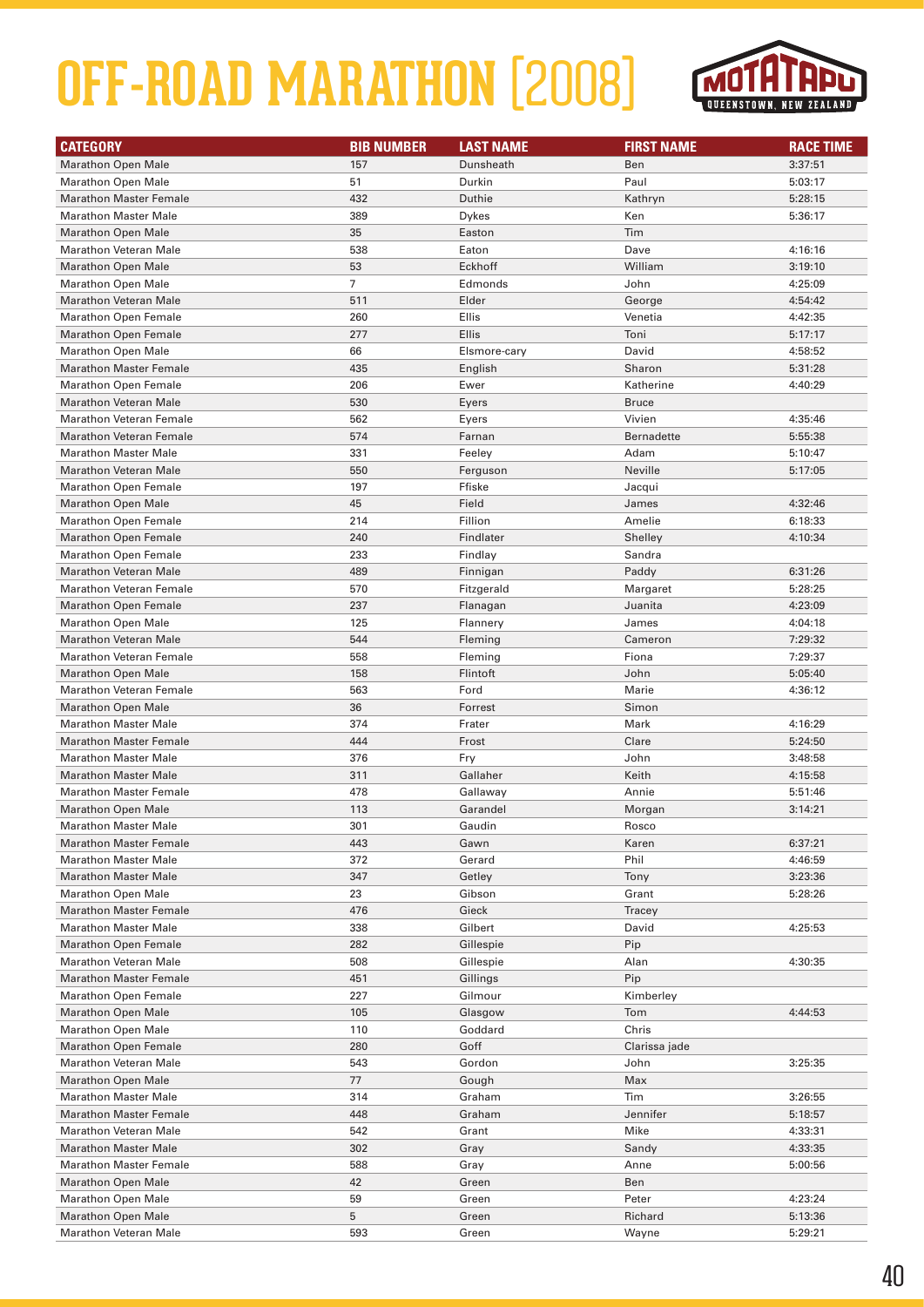

| <b>CATEGORY</b>                | <b>BIB NUMBER</b> | <b>LAST NAME</b> | <b>FIRST NAME</b> | <b>RACE TIME</b> |
|--------------------------------|-------------------|------------------|-------------------|------------------|
| <b>Marathon Open Male</b>      | 157               | Dunsheath        | Ben               | 3:37:51          |
| <b>Marathon Open Male</b>      | 51                | Durkin           | Paul              | 5:03:17          |
| <b>Marathon Master Female</b>  | 432               | Duthie           | Kathryn           | 5:28:15          |
| <b>Marathon Master Male</b>    | 389               | <b>Dykes</b>     | Ken               | 5:36:17          |
| <b>Marathon Open Male</b>      | 35                | Easton           | Tim               |                  |
| <b>Marathon Veteran Male</b>   | 538               | Eaton            | Dave              | 4:16:16          |
| <b>Marathon Open Male</b>      | 53                | Eckhoff          | William           | 3:19:10          |
| <b>Marathon Open Male</b>      | $\overline{7}$    | Edmonds          | John              | 4:25:09          |
| <b>Marathon Veteran Male</b>   | 511               | Elder            | George            | 4:54:42          |
| <b>Marathon Open Female</b>    | 260               | Ellis            | Venetia           | 4:42:35          |
| <b>Marathon Open Female</b>    | 277               | Ellis            | Toni              | 5:17:17          |
| <b>Marathon Open Male</b>      | 66                | Elsmore-cary     | David             | 4:58:52          |
| <b>Marathon Master Female</b>  | 435               | English          | Sharon            | 5:31:28          |
| <b>Marathon Open Female</b>    | 206               | Ewer             | Katherine         | 4:40:29          |
| <b>Marathon Veteran Male</b>   | 530               | Eyers            | <b>Bruce</b>      |                  |
| <b>Marathon Veteran Female</b> | 562               | Eyers            | Vivien            | 4:35:46          |
| <b>Marathon Veteran Female</b> | 574               | Farnan           | <b>Bernadette</b> | 5:55:38          |
| <b>Marathon Master Male</b>    | 331               | Feeley           | Adam              | 5:10:47          |
| <b>Marathon Veteran Male</b>   | 550               | Ferguson         | Neville           | 5:17:05          |
| <b>Marathon Open Female</b>    | 197               | Ffiske           | Jacqui            |                  |
| <b>Marathon Open Male</b>      | 45                | Field            | James             | 4:32:46          |
| <b>Marathon Open Female</b>    | 214               | Fillion          | Amelie            | 6:18:33          |
| <b>Marathon Open Female</b>    | 240               | Findlater        | Shelley           | 4:10:34          |
| <b>Marathon Open Female</b>    | 233               | Findlay          | Sandra            |                  |
| <b>Marathon Veteran Male</b>   | 489               | Finnigan         | Paddy             | 6:31:26          |
| <b>Marathon Veteran Female</b> | 570               | Fitzgerald       | Margaret          | 5:28:25          |
| <b>Marathon Open Female</b>    | 237               | Flanagan         | Juanita           | 4:23:09          |
| <b>Marathon Open Male</b>      | 125               | Flannery         | James             | 4:04:18          |
| <b>Marathon Veteran Male</b>   | 544               | Fleming          | Cameron           | 7:29:32          |
| <b>Marathon Veteran Female</b> | 558               | Fleming          | Fiona             | 7:29:37          |
| <b>Marathon Open Male</b>      | 158               | Flintoft         | John              | 5:05:40          |
| <b>Marathon Veteran Female</b> | 563               | Ford             | Marie             | 4:36:12          |
| <b>Marathon Open Male</b>      | 36                | Forrest          | Simon             |                  |
| <b>Marathon Master Male</b>    | 374               | Frater           | Mark              | 4:16:29          |
| <b>Marathon Master Female</b>  | 444               | Frost            | Clare             | 5:24:50          |
| <b>Marathon Master Male</b>    | 376               | Fry              | John              | 3:48:58          |
| <b>Marathon Master Male</b>    | 311               | Gallaher         | Keith             | 4:15:58          |
| <b>Marathon Master Female</b>  | 478               | Gallaway         | Annie             | 5:51:46          |
| <b>Marathon Open Male</b>      | 113               | Garandel         | Morgan            | 3:14:21          |
| <b>Marathon Master Male</b>    | 301               | Gaudin           | Rosco             |                  |
| <b>Marathon Master Female</b>  | 443               | Gawn             | Karen             | 6:37:21          |
| <b>Marathon Master Male</b>    | 372               | Gerard           | Phil              | 4:46:59          |
| <b>Marathon Master Male</b>    | 347               | Getley           | Tony              | 3:23:36          |
| <b>Marathon Open Male</b>      | 23                | Gibson           | Grant             | 5:28:26          |
| <b>Marathon Master Female</b>  | 476               | Gieck            | Tracey            |                  |
| <b>Marathon Master Male</b>    | 338               | Gilbert          | David             | 4:25:53          |
| <b>Marathon Open Female</b>    | 282               | Gillespie        | Pip               |                  |
| <b>Marathon Veteran Male</b>   | 508               | Gillespie        | Alan              | 4:30:35          |
| <b>Marathon Master Female</b>  | 451               | Gillings         | Pip               |                  |
| <b>Marathon Open Female</b>    | 227               | Gilmour          | Kimberley         |                  |
| <b>Marathon Open Male</b>      | 105               | Glasgow          | Tom               | 4:44:53          |
| <b>Marathon Open Male</b>      | 110               | Goddard          | Chris             |                  |
| <b>Marathon Open Female</b>    | 280               | Goff             | Clarissa jade     |                  |
| <b>Marathon Veteran Male</b>   | 543               | Gordon           | John              | 3:25:35          |
| <b>Marathon Open Male</b>      | 77                | Gough            | Max               |                  |
| <b>Marathon Master Male</b>    | 314               | Graham           | Tim               | 3:26:55          |
| <b>Marathon Master Female</b>  | 448               | Graham           | Jennifer          | 5:18:57          |
| <b>Marathon Veteran Male</b>   | 542               | Grant            | Mike              | 4:33:31          |
| <b>Marathon Master Male</b>    | 302               | Gray             | Sandy             | 4:33:35          |
| <b>Marathon Master Female</b>  | 588               | Gray             | Anne              | 5:00:56          |
| <b>Marathon Open Male</b>      | 42                | Green            | Ben               |                  |
| <b>Marathon Open Male</b>      | 59                | Green            | Peter             | 4:23:24          |
| <b>Marathon Open Male</b>      | 5                 | Green            | Richard           | 5:13:36          |
| <b>Marathon Veteran Male</b>   | 593               | Green            | Wayne             | 5:29:21          |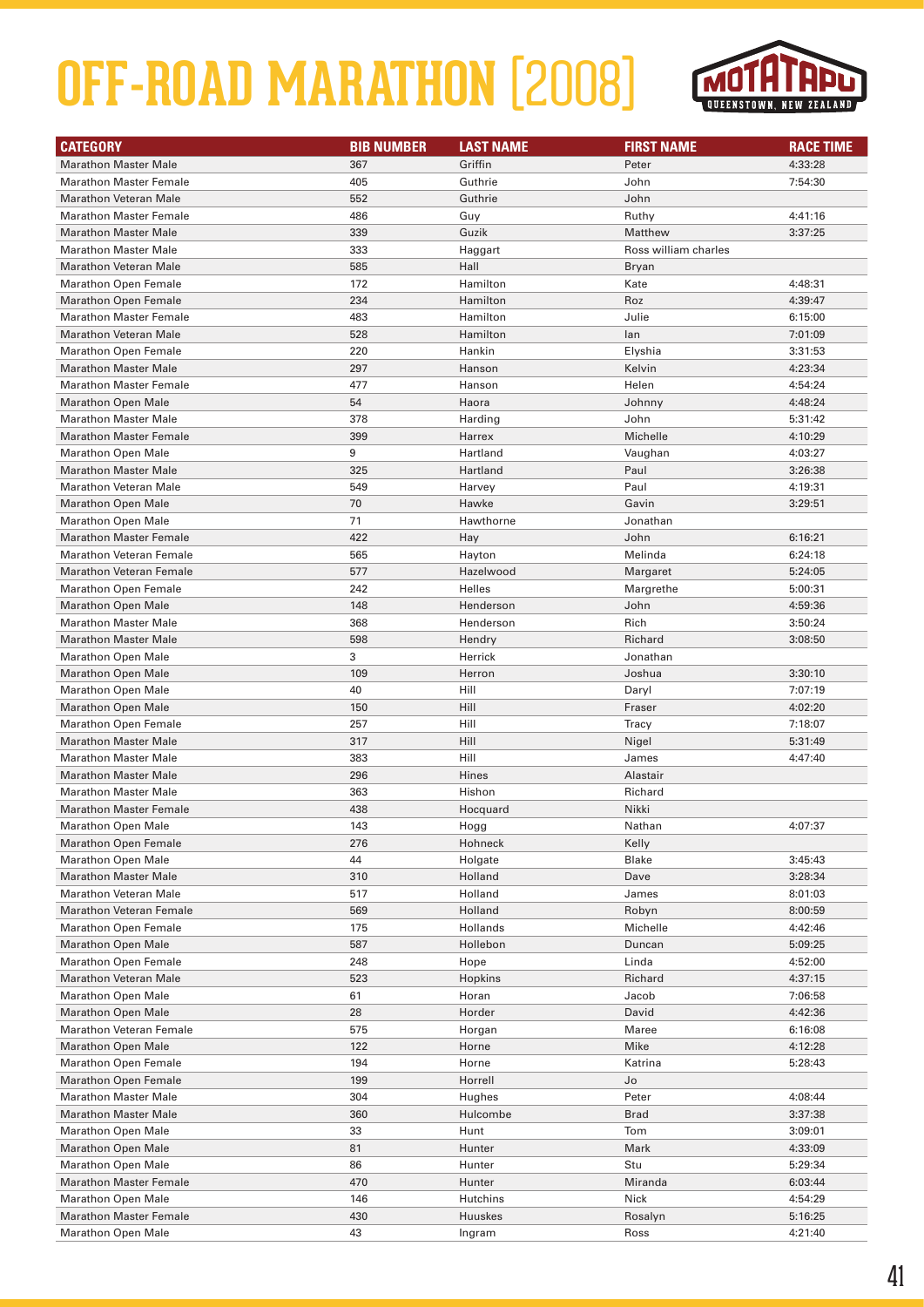

| <b>CATEGORY</b>                | <b>BIB NUMBER</b> | <b>LAST NAME</b> | <b>FIRST NAME</b>    | <b>RACE TIME</b> |
|--------------------------------|-------------------|------------------|----------------------|------------------|
| <b>Marathon Master Male</b>    | 367               | Griffin          | Peter                | 4:33:28          |
| <b>Marathon Master Female</b>  | 405               | Guthrie          | John                 | 7:54:30          |
| <b>Marathon Veteran Male</b>   | 552               | Guthrie          | John                 |                  |
| <b>Marathon Master Female</b>  | 486               | Guy              | Ruthy                | 4:41:16          |
| <b>Marathon Master Male</b>    | 339               | Guzik            | Matthew              | 3:37:25          |
| <b>Marathon Master Male</b>    | 333               | Haggart          | Ross william charles |                  |
| <b>Marathon Veteran Male</b>   | 585               | Hall             | Bryan                |                  |
| <b>Marathon Open Female</b>    | 172               | Hamilton         | Kate                 | 4:48:31          |
| <b>Marathon Open Female</b>    | 234               | Hamilton         | Roz                  | 4:39:47          |
| <b>Marathon Master Female</b>  | 483               | Hamilton         | Julie                | 6:15:00          |
| <b>Marathon Veteran Male</b>   | 528               | Hamilton         | lan                  | 7:01:09          |
| <b>Marathon Open Female</b>    | 220               | Hankin           | Elyshia              | 3:31:53          |
| <b>Marathon Master Male</b>    | 297               | Hanson           | Kelvin               | 4:23:34          |
| <b>Marathon Master Female</b>  | 477               | Hanson           | Helen                | 4:54:24          |
| <b>Marathon Open Male</b>      | 54                | Haora            | Johnny               | 4:48:24          |
| <b>Marathon Master Male</b>    | 378               | Harding          | John                 | 5:31:42          |
| <b>Marathon Master Female</b>  | 399               | Harrex           | Michelle             | 4:10:29          |
| <b>Marathon Open Male</b>      | 9                 | Hartland         | Vaughan              | 4:03:27          |
| <b>Marathon Master Male</b>    | 325               | Hartland         | Paul                 | 3:26:38          |
| <b>Marathon Veteran Male</b>   | 549               | Harvey           | Paul                 | 4:19:31          |
| <b>Marathon Open Male</b>      | 70                | Hawke            | Gavin                | 3:29:51          |
| <b>Marathon Open Male</b>      | 71                | Hawthorne        | Jonathan             |                  |
| <b>Marathon Master Female</b>  | 422               | Hay              | John                 | 6:16:21          |
| <b>Marathon Veteran Female</b> | 565               | Hayton           | Melinda              | 6:24:18          |
| <b>Marathon Veteran Female</b> | 577               | Hazelwood        | Margaret             | 5:24:05          |
| <b>Marathon Open Female</b>    | 242               | Helles           | Margrethe            | 5:00:31          |
| <b>Marathon Open Male</b>      | 148               | Henderson        | John                 | 4:59:36          |
| <b>Marathon Master Male</b>    | 368               | Henderson        | Rich                 | 3:50:24          |
| <b>Marathon Master Male</b>    | 598               | Hendry           | Richard              | 3:08:50          |
| <b>Marathon Open Male</b>      | 3                 | Herrick          | Jonathan             |                  |
| <b>Marathon Open Male</b>      | 109               | Herron           | Joshua               | 3:30:10          |
| <b>Marathon Open Male</b>      | 40                | Hill             | Daryl                | 7:07:19          |
| <b>Marathon Open Male</b>      | 150               | Hill             | Fraser               | 4:02:20          |
| <b>Marathon Open Female</b>    | 257               | Hill             | Tracy                | 7:18:07          |
| <b>Marathon Master Male</b>    | 317               | Hill             | Nigel                | 5:31:49          |
| <b>Marathon Master Male</b>    | 383               | Hill             | James                | 4:47:40          |
| <b>Marathon Master Male</b>    | 296               | Hines            | Alastair             |                  |
| <b>Marathon Master Male</b>    | 363               | Hishon           | Richard              |                  |
| <b>Marathon Master Female</b>  | 438               | Hocquard         | Nikki                |                  |
| <b>Marathon Open Male</b>      | 143               | Hogg             | Nathan               | 4:07:37          |
| <b>Marathon Open Female</b>    | 276               | Hohneck          | Kelly                |                  |
| <b>Marathon Open Male</b>      | 44                | Holgate          | <b>Blake</b>         | 3:45:43          |
| <b>Marathon Master Male</b>    | 310               | Holland          | Dave                 | 3:28:34          |
| <b>Marathon Veteran Male</b>   | 517               | Holland          | James                | 8:01:03          |
| <b>Marathon Veteran Female</b> | 569               | Holland          | Robyn                | 8:00:59          |
| <b>Marathon Open Female</b>    | 175               | Hollands         | Michelle             | 4:42:46          |
| <b>Marathon Open Male</b>      | 587               | Hollebon         | Duncan               | 5:09:25          |
| Marathon Open Female           | 248               | Hope             | Linda                | 4:52:00          |
| Marathon Veteran Male          | 523               | Hopkins          | Richard              | 4:37:15          |
| <b>Marathon Open Male</b>      | 61                | Horan            | Jacob                | 7:06:58          |
| <b>Marathon Open Male</b>      | 28                | Horder           | David                | 4:42:36          |
| <b>Marathon Veteran Female</b> | 575               | Horgan           | Maree                | 6:16:08          |
| <b>Marathon Open Male</b>      | 122               | Horne            | Mike                 | 4:12:28          |
| Marathon Open Female           | 194               | Horne            | Katrina              | 5:28:43          |
| <b>Marathon Open Female</b>    | 199               | Horrell          | Jo                   |                  |
| <b>Marathon Master Male</b>    | 304               | Hughes           | Peter                | 4:08:44          |
| <b>Marathon Master Male</b>    | 360               | Hulcombe         | <b>Brad</b>          | 3:37:38          |
| <b>Marathon Open Male</b>      | 33                | Hunt             | Tom                  | 3:09:01          |
| <b>Marathon Open Male</b>      | 81                | Hunter           | Mark                 | 4:33:09          |
| <b>Marathon Open Male</b>      | 86                | Hunter           | Stu                  | 5:29:34          |
| Marathon Master Female         | 470               | Hunter           | Miranda              | 6:03:44          |
| <b>Marathon Open Male</b>      | 146               | Hutchins         | Nick                 | 4:54:29          |
| <b>Marathon Master Female</b>  | 430               | Huuskes          | Rosalyn              | 5:16:25          |
| <b>Marathon Open Male</b>      | 43                | Ingram           | Ross                 | 4:21:40          |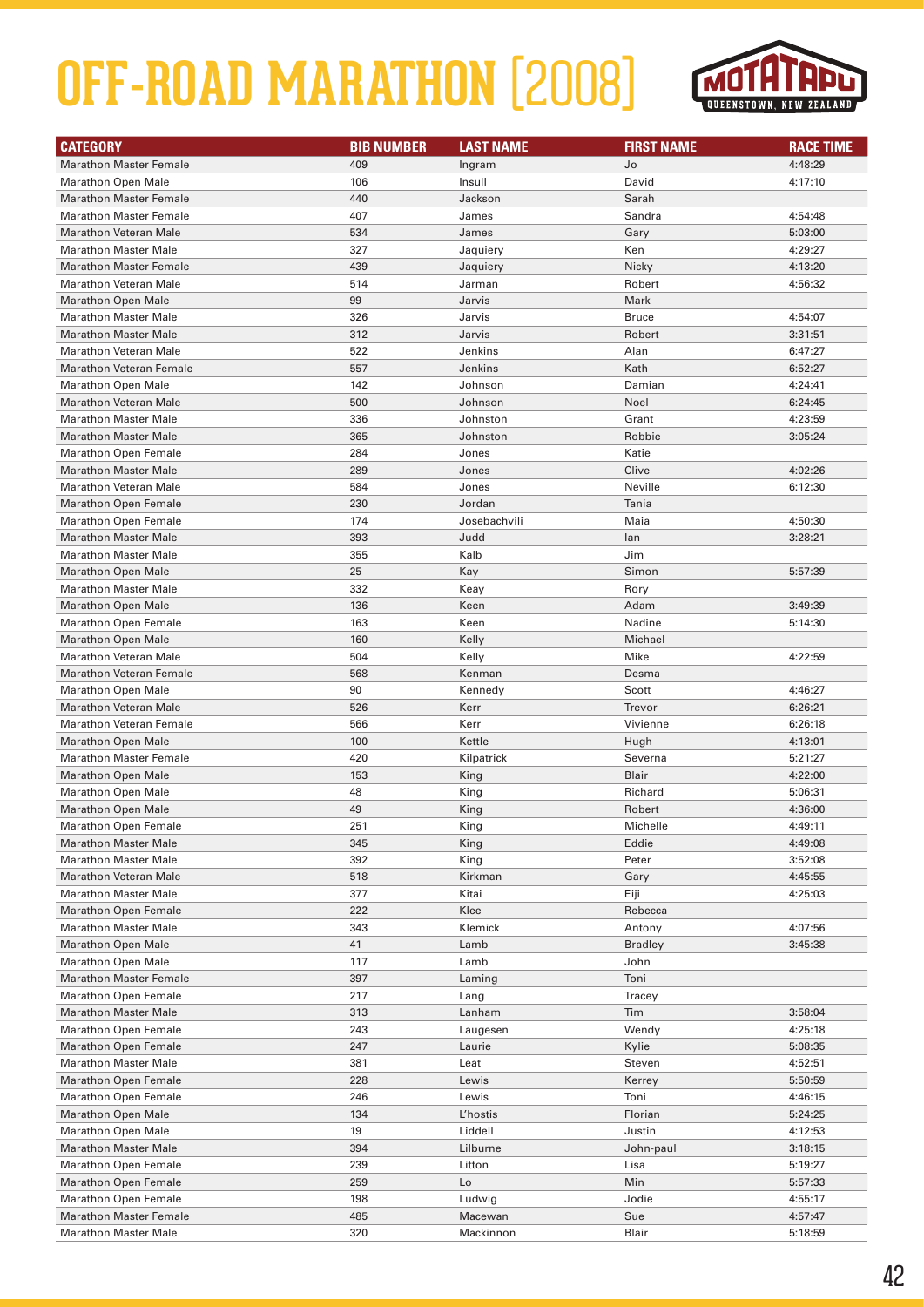

| <b>CATEGORY</b>                | <b>BIB NUMBER</b> | <b>LAST NAME</b> | <b>FIRST NAME</b> | <b>RACE TIME</b> |
|--------------------------------|-------------------|------------------|-------------------|------------------|
| <b>Marathon Master Female</b>  | 409               | Ingram           | Jo                | 4:48:29          |
| <b>Marathon Open Male</b>      | 106               | Insull           | David             | 4:17:10          |
| <b>Marathon Master Female</b>  | 440               | Jackson          | Sarah             |                  |
| <b>Marathon Master Female</b>  | 407               | James            | Sandra            | 4:54:48          |
| <b>Marathon Veteran Male</b>   | 534               | James            | Gary              | 5:03:00          |
| <b>Marathon Master Male</b>    | 327               | Jaquiery         | Ken               | 4:29:27          |
| <b>Marathon Master Female</b>  | 439               | Jaquiery         | Nicky             | 4:13:20          |
| <b>Marathon Veteran Male</b>   | 514               | Jarman           | Robert            | 4:56:32          |
| <b>Marathon Open Male</b>      | 99                | Jarvis           | Mark              |                  |
| <b>Marathon Master Male</b>    | 326               | Jarvis           | <b>Bruce</b>      | 4:54:07          |
| <b>Marathon Master Male</b>    | 312               | Jarvis           | Robert            | 3:31:51          |
| <b>Marathon Veteran Male</b>   | 522               | Jenkins          | Alan              | 6:47:27          |
| <b>Marathon Veteran Female</b> | 557               | Jenkins          | Kath              | 6:52:27          |
| <b>Marathon Open Male</b>      | 142               | Johnson          | Damian            | 4:24:41          |
| <b>Marathon Veteran Male</b>   | 500               | Johnson          | Noel              | 6:24:45          |
| <b>Marathon Master Male</b>    | 336               | Johnston         | Grant             | 4:23:59          |
| <b>Marathon Master Male</b>    | 365               | Johnston         | Robbie            | 3:05:24          |
| <b>Marathon Open Female</b>    | 284               | Jones            | Katie             |                  |
| <b>Marathon Master Male</b>    | 289               | Jones            | Clive             | 4:02:26          |
| <b>Marathon Veteran Male</b>   | 584               | Jones            | Neville           | 6:12:30          |
| <b>Marathon Open Female</b>    | 230               | Jordan           | Tania             |                  |
| <b>Marathon Open Female</b>    | 174               | Josebachvili     | Maia              | 4:50:30          |
| <b>Marathon Master Male</b>    | 393               | Judd             | lan               | 3:28:21          |
| <b>Marathon Master Male</b>    | 355               | Kalb             | Jim               |                  |
| <b>Marathon Open Male</b>      | 25                | Kay              | Simon             | 5:57:39          |
| <b>Marathon Master Male</b>    | 332               | Keay             | Rory              |                  |
| <b>Marathon Open Male</b>      | 136               | Keen             | Adam              | 3:49:39          |
| <b>Marathon Open Female</b>    | 163               | Keen             | Nadine            | 5:14:30          |
| <b>Marathon Open Male</b>      | 160               | Kelly            | Michael           |                  |
| <b>Marathon Veteran Male</b>   | 504               | Kelly            | Mike              | 4:22:59          |
| <b>Marathon Veteran Female</b> | 568               | Kenman           | Desma             |                  |
| <b>Marathon Open Male</b>      | 90                | Kennedy          | Scott             | 4:46:27          |
| <b>Marathon Veteran Male</b>   | 526               | Kerr             | Trevor            | 6:26:21          |
| <b>Marathon Veteran Female</b> | 566               | Kerr             | Vivienne          | 6:26:18          |
| <b>Marathon Open Male</b>      | 100               | Kettle           | Hugh              | 4:13:01          |
| <b>Marathon Master Female</b>  | 420               | Kilpatrick       | Severna           | 5:21:27          |
| <b>Marathon Open Male</b>      | 153               | King             | Blair             | 4:22:00          |
| <b>Marathon Open Male</b>      | 48                | King             | Richard           | 5:06:31          |
| <b>Marathon Open Male</b>      | 49                | King             | Robert            | 4:36:00          |
| <b>Marathon Open Female</b>    | 251               | King             | Michelle          | 4:49:11          |
| <b>Marathon Master Male</b>    | 345               | King             | Eddie             | 4:49:08          |
| <b>Marathon Master Male</b>    | 392               | King             | Peter             | 3:52:08          |
| <b>Marathon Veteran Male</b>   | 518               | Kirkman          | Gary              | 4:45:55          |
| <b>Marathon Master Male</b>    | 377               | Kitai            | Eiji              | 4:25:03          |
| <b>Marathon Open Female</b>    | 222               | Klee             | Rebecca           |                  |
| <b>Marathon Master Male</b>    | 343               | Klemick          | Antony            | 4:07:56          |
| <b>Marathon Open Male</b>      | 41                | Lamb             | <b>Bradley</b>    | 3:45:38          |
| <b>Marathon Open Male</b>      | 117               | Lamb             | John              |                  |
| <b>Marathon Master Female</b>  | 397               | Laming           | Toni              |                  |
| <b>Marathon Open Female</b>    | 217               | Lang             | Tracey            |                  |
| <b>Marathon Master Male</b>    | 313               | Lanham           | Tim               | 3:58:04          |
| <b>Marathon Open Female</b>    | 243               | Laugesen         | Wendy             | 4:25:18          |
| <b>Marathon Open Female</b>    | 247               | Laurie           | Kylie             | 5:08:35          |
| <b>Marathon Master Male</b>    | 381               | Leat             | Steven            | 4:52:51          |
| <b>Marathon Open Female</b>    | 228               | Lewis            | Kerrey            | 5:50:59          |
| <b>Marathon Open Female</b>    | 246               | Lewis            | Toni              | 4:46:15          |
| <b>Marathon Open Male</b>      | 134               | L'hostis         | Florian           | 5:24:25          |
| <b>Marathon Open Male</b>      | 19                | Liddell          | Justin            | 4:12:53          |
| <b>Marathon Master Male</b>    | 394               | Lilburne         | John-paul         | 3:18:15          |
| <b>Marathon Open Female</b>    | 239               | Litton           | Lisa              | 5:19:27          |
| <b>Marathon Open Female</b>    | 259               | Lo               | Min               | 5:57:33          |
| <b>Marathon Open Female</b>    | 198               | Ludwig           | Jodie             | 4:55:17          |
| <b>Marathon Master Female</b>  | 485               | Macewan          | Sue               | 4:57:47          |
| <b>Marathon Master Male</b>    | 320               | Mackinnon        | Blair             | 5:18:59          |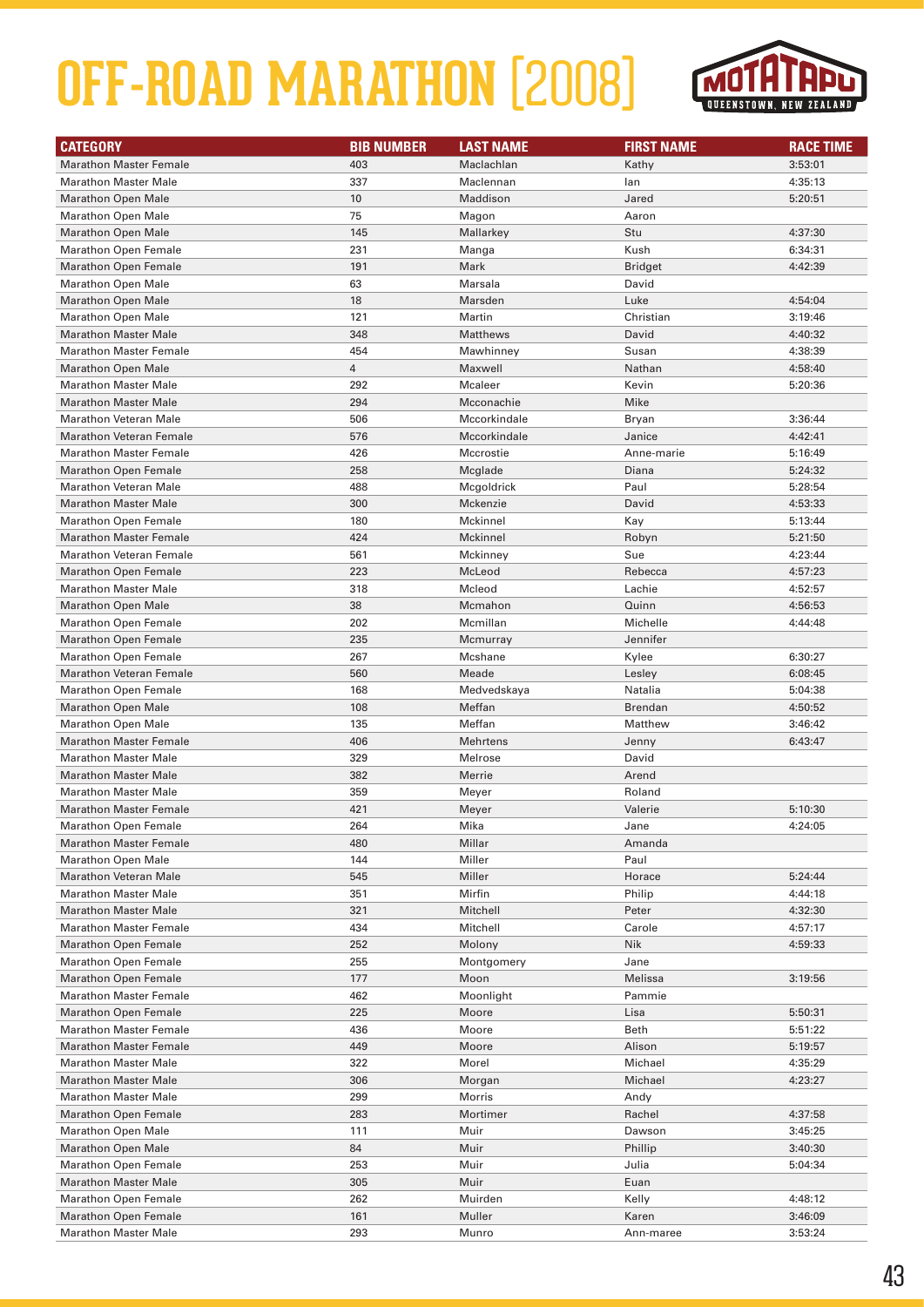

| <b>CATEGORY</b>                | <b>BIB NUMBER</b> | <b>LAST NAME</b> | <b>FIRST NAME</b> | <b>RACE TIME</b> |
|--------------------------------|-------------------|------------------|-------------------|------------------|
| <b>Marathon Master Female</b>  | 403               | Maclachlan       | Kathy             | 3:53:01          |
| <b>Marathon Master Male</b>    | 337               | Maclennan        | lan               | 4:35:13          |
| <b>Marathon Open Male</b>      | 10                | Maddison         | Jared             | 5:20:51          |
| <b>Marathon Open Male</b>      | 75                | Magon            | Aaron             |                  |
| <b>Marathon Open Male</b>      | 145               | Mallarkey        | Stu               | 4:37:30          |
| <b>Marathon Open Female</b>    | 231               | Manga            | Kush              | 6:34:31          |
| <b>Marathon Open Female</b>    | 191               | Mark             | <b>Bridget</b>    | 4:42:39          |
| <b>Marathon Open Male</b>      | 63                | Marsala          | David             |                  |
| <b>Marathon Open Male</b>      | 18                | Marsden          | Luke              | 4:54:04          |
| <b>Marathon Open Male</b>      | 121               | Martin           | Christian         | 3:19:46          |
| <b>Marathon Master Male</b>    | 348               | Matthews         | David             | 4:40:32          |
| <b>Marathon Master Female</b>  | 454               | Mawhinney        | Susan             | 4:38:39          |
| <b>Marathon Open Male</b>      | $\overline{4}$    | Maxwell          | Nathan            | 4:58:40          |
| <b>Marathon Master Male</b>    | 292               | Mcaleer          | Kevin             | 5:20:36          |
| <b>Marathon Master Male</b>    | 294               | Mcconachie       | Mike              |                  |
| <b>Marathon Veteran Male</b>   | 506               | Mccorkindale     | Bryan             | 3:36:44          |
| <b>Marathon Veteran Female</b> | 576               | Mccorkindale     | Janice            | 4:42:41          |
| <b>Marathon Master Female</b>  | 426               | Mccrostie        | Anne-marie        | 5:16:49          |
| <b>Marathon Open Female</b>    | 258               | Mcglade          | Diana             | 5:24:32          |
| <b>Marathon Veteran Male</b>   | 488               | Mcgoldrick       | Paul              | 5:28:54          |
| <b>Marathon Master Male</b>    | 300               | Mckenzie         | David             | 4:53:33          |
| <b>Marathon Open Female</b>    | 180               | Mckinnel         | Kay               | 5:13:44          |
| <b>Marathon Master Female</b>  | 424               | <b>Mckinnel</b>  | Robyn             | 5:21:50          |
| <b>Marathon Veteran Female</b> | 561               | Mckinney         | Sue               | 4:23:44          |
| <b>Marathon Open Female</b>    | 223               | McLeod           | Rebecca           | 4:57:23          |
| <b>Marathon Master Male</b>    | 318               | Mcleod           | Lachie            | 4:52:57          |
| <b>Marathon Open Male</b>      | 38                | Mcmahon          | Quinn             | 4:56:53          |
| <b>Marathon Open Female</b>    | 202               | Mcmillan         | Michelle          | 4:44:48          |
| <b>Marathon Open Female</b>    | 235               | Mcmurray         | Jennifer          |                  |
| <b>Marathon Open Female</b>    | 267               | Mcshane          | Kylee             | 6:30:27          |
| <b>Marathon Veteran Female</b> | 560               | Meade            | Lesley            | 6:08:45          |
| <b>Marathon Open Female</b>    | 168               | Medvedskaya      | Natalia           | 5:04:38          |
| <b>Marathon Open Male</b>      | 108               | Meffan           | <b>Brendan</b>    | 4:50:52          |
| <b>Marathon Open Male</b>      | 135               | Meffan           | Matthew           | 3:46:42          |
| <b>Marathon Master Female</b>  | 406               | <b>Mehrtens</b>  | Jenny             | 6:43:47          |
| <b>Marathon Master Male</b>    | 329               | Melrose          | David             |                  |
| <b>Marathon Master Male</b>    | 382               | Merrie           | Arend             |                  |
| <b>Marathon Master Male</b>    | 359               | Meyer            | Roland            |                  |
| <b>Marathon Master Female</b>  | 421               | Meyer            | Valerie           | 5:10:30          |
| <b>Marathon Open Female</b>    | 264               | Mika             | Jane              | 4:24:05          |
| <b>Marathon Master Female</b>  | 480               | Millar           | Amanda            |                  |
| <b>Marathon Open Male</b>      | 144               | Miller           | Paul              |                  |
| <b>Marathon Veteran Male</b>   | 545               | Miller           | Horace            | 5:24:44          |
| <b>Marathon Master Male</b>    | 351               | Mirfin           | Philip            | 4:44:18          |
| <b>Marathon Master Male</b>    | 321               | Mitchell         | Peter             | 4:32:30          |
| <b>Marathon Master Female</b>  | 434               | Mitchell         | Carole            | 4:57:17          |
| <b>Marathon Open Female</b>    | 252               | Molony           | Nik               | 4:59:33          |
| <b>Marathon Open Female</b>    | 255               | Montgomery       | Jane              |                  |
| <b>Marathon Open Female</b>    | 177               | Moon             | Melissa           | 3:19:56          |
| <b>Marathon Master Female</b>  | 462               | Moonlight        | Pammie            |                  |
| <b>Marathon Open Female</b>    | 225               | Moore            | Lisa              | 5:50:31          |
| <b>Marathon Master Female</b>  | 436               | Moore            | Beth              | 5:51:22          |
| <b>Marathon Master Female</b>  | 449               | Moore            | Alison            | 5:19:57          |
| <b>Marathon Master Male</b>    | 322               | Morel            | Michael           | 4:35:29          |
| <b>Marathon Master Male</b>    | 306               | Morgan           | Michael           | 4:23:27          |
| <b>Marathon Master Male</b>    | 299               | Morris           | Andy              |                  |
| <b>Marathon Open Female</b>    | 283               | Mortimer         | Rachel            | 4:37:58          |
| <b>Marathon Open Male</b>      | 111               | Muir             | Dawson            | 3:45:25          |
| <b>Marathon Open Male</b>      | 84                | Muir             | Phillip           | 3:40:30          |
| <b>Marathon Open Female</b>    | 253               | Muir             | Julia             | 5:04:34          |
| <b>Marathon Master Male</b>    | 305               | Muir             | Euan              |                  |
| <b>Marathon Open Female</b>    | 262               | Muirden          | Kelly             | 4:48:12          |
| Marathon Open Female           | 161               | Muller           | Karen             | 3:46:09          |
| <b>Marathon Master Male</b>    | 293               | Munro            | Ann-maree         | 3:53:24          |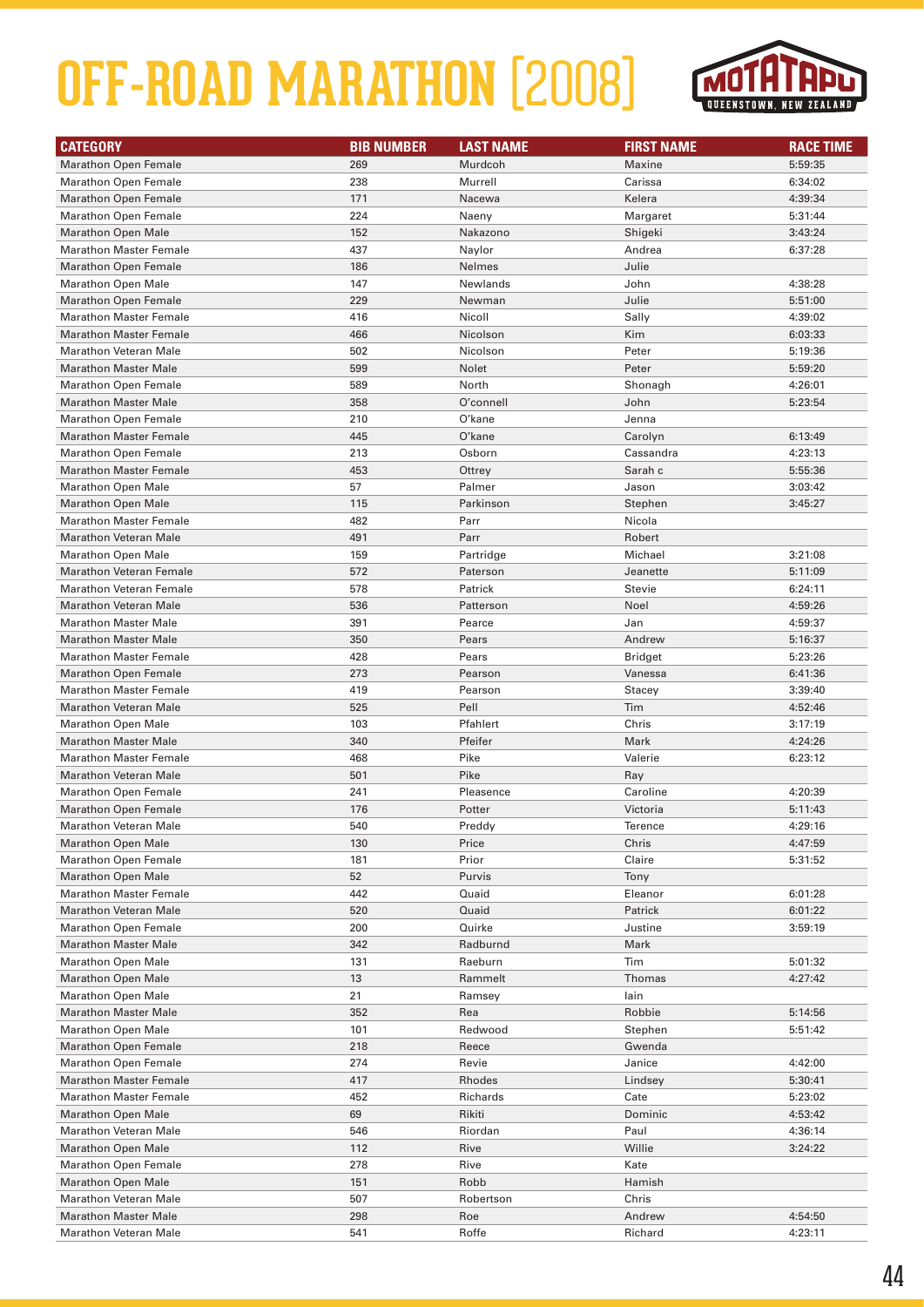

| <b>CATEGORY</b>                                                | <b>BIB NUMBER</b> | <b>LAST NAME</b>   | <b>FIRST NAME</b> | <b>RACE TIME</b> |
|----------------------------------------------------------------|-------------------|--------------------|-------------------|------------------|
| <b>Marathon Open Female</b>                                    | 269               | Murdcoh            | Maxine            | 5:59:35          |
| <b>Marathon Open Female</b>                                    | 238               | Murrell            | Carissa           | 6:34:02          |
| <b>Marathon Open Female</b>                                    | 171               | Nacewa             | Kelera            | 4:39:34          |
| <b>Marathon Open Female</b>                                    | 224               | Naeny              | Margaret          | 5:31:44          |
| <b>Marathon Open Male</b>                                      | 152               | Nakazono           | Shigeki           | 3:43:24          |
| <b>Marathon Master Female</b>                                  | 437               | Naylor             | Andrea            | 6:37:28          |
| <b>Marathon Open Female</b>                                    | 186               | <b>Nelmes</b>      | Julie             |                  |
| <b>Marathon Open Male</b>                                      | 147               | Newlands           | John              | 4:38:28          |
| <b>Marathon Open Female</b>                                    | 229               | Newman             | Julie             | 5:51:00          |
| <b>Marathon Master Female</b>                                  | 416               | Nicoll             | Sally             | 4:39:02          |
| <b>Marathon Master Female</b>                                  | 466               | Nicolson           | Kim               | 6:03:33          |
| <b>Marathon Veteran Male</b>                                   | 502               | Nicolson           | Peter             | 5:19:36          |
| <b>Marathon Master Male</b>                                    | 599               | Nolet              | Peter             | 5:59:20          |
| <b>Marathon Open Female</b>                                    | 589               | North              | Shonagh           | 4:26:01          |
| <b>Marathon Master Male</b>                                    | 358               | O'connell          | John              | 5:23:54          |
| <b>Marathon Open Female</b>                                    | 210               | O'kane             | Jenna             |                  |
| <b>Marathon Master Female</b>                                  | 445               | O'kane             | Carolyn           | 6:13:49          |
| <b>Marathon Open Female</b>                                    | 213               | Osborn             | Cassandra         | 4:23:13          |
| <b>Marathon Master Female</b>                                  | 453               | Ottrey             | Sarah c           | 5:55:36          |
| <b>Marathon Open Male</b>                                      | 57                | Palmer             | Jason             | 3:03:42          |
| <b>Marathon Open Male</b>                                      | 115               | Parkinson          | Stephen           | 3:45:27          |
| <b>Marathon Master Female</b>                                  | 482               | Parr               | Nicola            |                  |
| <b>Marathon Veteran Male</b>                                   | 491               | Parr               | Robert            |                  |
| <b>Marathon Open Male</b>                                      | 159               | Partridge          | Michael           | 3:21:08          |
| <b>Marathon Veteran Female</b>                                 | 572               | Paterson           | Jeanette          | 5:11:09          |
| <b>Marathon Veteran Female</b>                                 | 578               | Patrick            | Stevie            | 6:24:11          |
| <b>Marathon Veteran Male</b>                                   | 536               | Patterson          | Noel              | 4:59:26          |
| <b>Marathon Master Male</b>                                    | 391               | Pearce             | Jan               | 4:59:37          |
| <b>Marathon Master Male</b>                                    | 350               | Pears              | Andrew            | 5:16:37          |
| <b>Marathon Master Female</b>                                  | 428               | Pears              | <b>Bridget</b>    | 5:23:26          |
| <b>Marathon Open Female</b>                                    | 273               | Pearson            | Vanessa           | 6:41:36          |
| <b>Marathon Master Female</b>                                  | 419               | Pearson            | Stacey            | 3:39:40          |
| <b>Marathon Veteran Male</b>                                   | 525               | Pell               | Tim               | 4:52:46          |
| <b>Marathon Open Male</b>                                      | 103               | Pfahlert           | Chris             | 3:17:19          |
| <b>Marathon Master Male</b>                                    | 340               | Pfeifer            | Mark              | 4:24:26          |
| <b>Marathon Master Female</b>                                  | 468               | Pike               | Valerie           | 6:23:12          |
| <b>Marathon Veteran Male</b>                                   | 501               | Pike               | Ray               |                  |
| <b>Marathon Open Female</b>                                    | 241               | Pleasence          | Caroline          | 4:20:39          |
| <b>Marathon Open Female</b>                                    | 176               | Potter             | Victoria          | 5:11:43          |
| <b>Marathon Veteran Male</b>                                   | 540               | Preddy             | Terence           | 4:29:16          |
| <b>Marathon Open Male</b>                                      | 130               | Price              | Chris             | 4:47:59          |
| <b>Marathon Open Female</b>                                    | 181               | Prior              | Claire            | 5:31:52          |
| <b>Marathon Open Male</b>                                      | 52                | Purvis             | Tony              |                  |
| <b>Marathon Master Female</b>                                  | 442               | Quaid              | Eleanor           | 6:01:28          |
| <b>Marathon Veteran Male</b>                                   | 520               | Quaid              | Patrick           | 6:01:22          |
| <b>Marathon Open Female</b>                                    | 200               | Quirke             | Justine           | 3:59:19          |
| <b>Marathon Master Male</b>                                    | 342               | Radburnd           | Mark              |                  |
| <b>Marathon Open Male</b>                                      | 131               | Raeburn            | Tim               | 5:01:32          |
| <b>Marathon Open Male</b>                                      | 13                | Rammelt            | Thomas            | 4:27:42          |
| <b>Marathon Open Male</b>                                      | 21                | Ramsey             | lain              |                  |
| <b>Marathon Master Male</b>                                    | 352               | Rea                | Robbie            | 5:14:56          |
| <b>Marathon Open Male</b>                                      | 101               | Redwood            | Stephen           | 5:51:42          |
| <b>Marathon Open Female</b>                                    | 218               | Reece              | Gwenda            |                  |
| <b>Marathon Open Female</b>                                    | 274               | Revie              | Janice            | 4:42:00          |
| <b>Marathon Master Female</b><br><b>Marathon Master Female</b> | 417               | Rhodes<br>Richards | Lindsey<br>Cate   | 5:30:41          |
|                                                                | 452               |                    |                   | 5:23:02          |
| <b>Marathon Open Male</b>                                      | 69                | Rikiti             | Dominic           | 4:53:42          |
| <b>Marathon Veteran Male</b>                                   | 546               | Riordan            | Paul              | 4:36:14          |
| <b>Marathon Open Male</b>                                      | 112               | Rive               | Willie            | 3:24:22          |
| <b>Marathon Open Female</b>                                    | 278               | Rive               | Kate              |                  |
| <b>Marathon Open Male</b><br><b>Marathon Veteran Male</b>      | 151               | Robb               | Hamish            |                  |
| <b>Marathon Master Male</b>                                    | 507               | Robertson          | Chris             |                  |
|                                                                | 298               | Roe                | Andrew            | 4:54:50          |
| <b>Marathon Veteran Male</b>                                   | 541               | Roffe              | Richard           | 4:23:11          |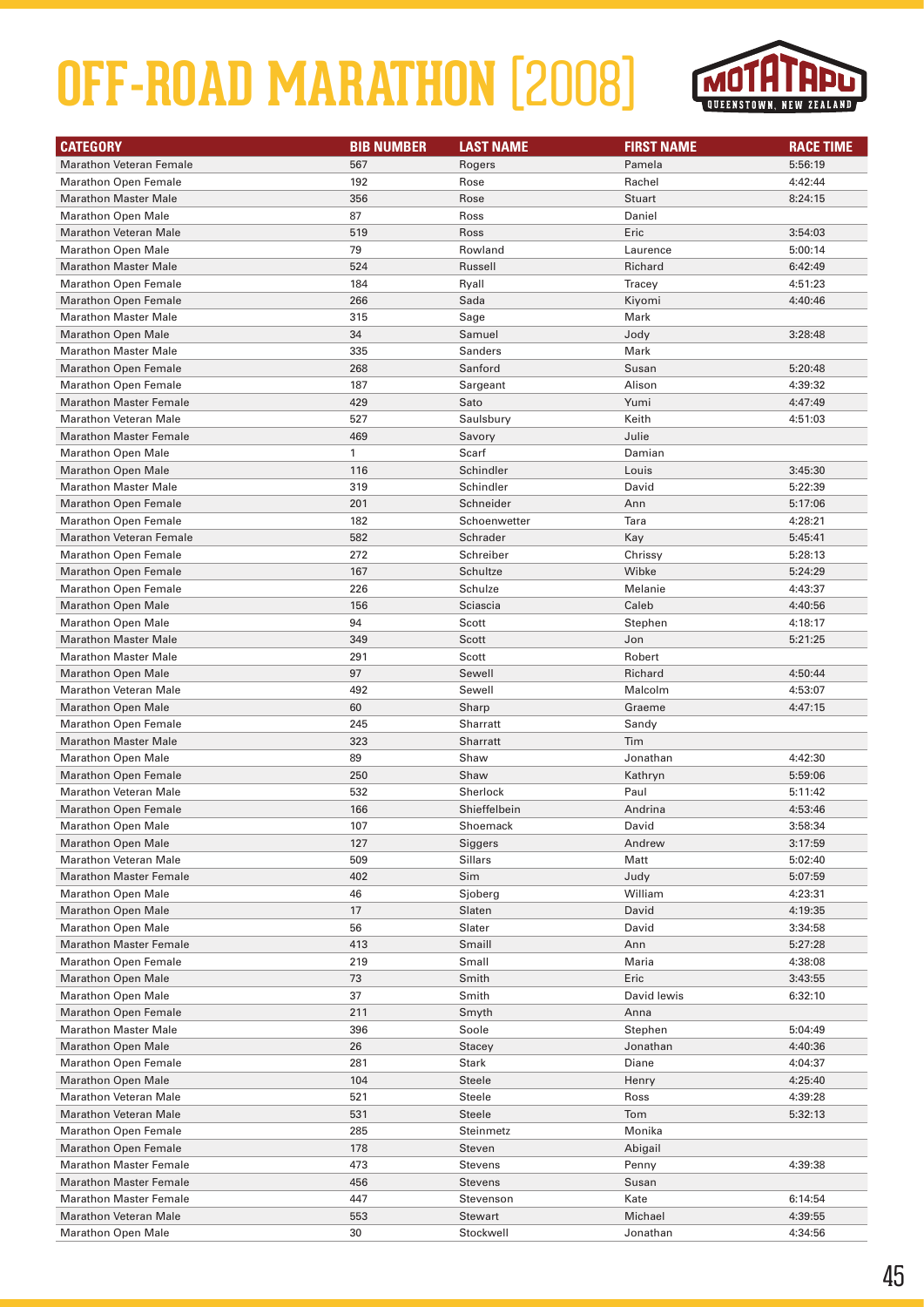

| <b>CATEGORY</b>                                            | <b>BIB NUMBER</b> | <b>LAST NAME</b> | <b>FIRST NAME</b>   | <b>RACE TIME</b>   |
|------------------------------------------------------------|-------------------|------------------|---------------------|--------------------|
| <b>Marathon Veteran Female</b>                             | 567               | Rogers           | Pamela              | 5:56:19            |
| <b>Marathon Open Female</b>                                | 192               | Rose             | Rachel              | 4:42:44            |
| <b>Marathon Master Male</b>                                | 356               | Rose             | Stuart              | 8:24:15            |
| <b>Marathon Open Male</b>                                  | 87                | Ross             | Daniel              |                    |
| <b>Marathon Veteran Male</b>                               | 519               | Ross             | Eric                | 3:54:03            |
| <b>Marathon Open Male</b>                                  | 79                | Rowland          | Laurence            | 5:00:14            |
| <b>Marathon Master Male</b>                                | 524               | Russell          | Richard             | 6:42:49            |
| <b>Marathon Open Female</b>                                | 184               | Ryall            | Tracey              | 4:51:23            |
| <b>Marathon Open Female</b>                                | 266               | Sada             | Kiyomi              | 4:40:46            |
| <b>Marathon Master Male</b>                                | 315               | Sage             | Mark                |                    |
| <b>Marathon Open Male</b>                                  | 34                | Samuel           | Jody                | 3:28:48            |
| <b>Marathon Master Male</b>                                | 335               | Sanders          | Mark                |                    |
| <b>Marathon Open Female</b>                                | 268               | Sanford          | Susan               | 5:20:48            |
| <b>Marathon Open Female</b>                                | 187               | Sargeant         | Alison              | 4:39:32            |
| <b>Marathon Master Female</b>                              | 429               | Sato             | Yumi                | 4:47:49            |
| <b>Marathon Veteran Male</b>                               | 527               | Saulsbury        | Keith               | 4:51:03            |
| <b>Marathon Master Female</b>                              | 469               | Savory           | Julie               |                    |
| <b>Marathon Open Male</b>                                  | $\mathbf{1}$      | Scarf            | Damian              |                    |
| <b>Marathon Open Male</b>                                  | 116               | Schindler        | Louis               | 3:45:30            |
| <b>Marathon Master Male</b>                                | 319               | Schindler        | David               | 5:22:39            |
| <b>Marathon Open Female</b>                                | 201               | Schneider        | Ann                 | 5:17:06            |
| <b>Marathon Open Female</b>                                | 182               | Schoenwetter     | Tara                | 4:28:21            |
| <b>Marathon Veteran Female</b>                             | 582               | Schrader         | Kay                 | 5:45:41            |
| <b>Marathon Open Female</b>                                | 272               | Schreiber        | Chrissy             | 5:28:13            |
| <b>Marathon Open Female</b>                                | 167               | Schultze         | Wibke               | 5:24:29            |
| <b>Marathon Open Female</b>                                | 226               | Schulze          | Melanie             | 4:43:37            |
| <b>Marathon Open Male</b>                                  | 156               | Sciascia         | Caleb               | 4:40:56            |
| <b>Marathon Open Male</b>                                  | 94                | Scott            | Stephen             | 4:18:17            |
| <b>Marathon Master Male</b>                                | 349               | Scott            | Jon                 | 5:21:25            |
| <b>Marathon Master Male</b>                                | 291               | Scott            | Robert              |                    |
| <b>Marathon Open Male</b>                                  | 97                | Sewell           | Richard             | 4:50:44            |
| <b>Marathon Veteran Male</b>                               | 492               | Sewell           | Malcolm             | 4:53:07            |
| <b>Marathon Open Male</b>                                  | 60                | Sharp            | Graeme              | 4:47:15            |
| <b>Marathon Open Female</b>                                | 245               | Sharratt         | Sandy               |                    |
| <b>Marathon Master Male</b>                                | 323               | Sharratt         | Tim                 |                    |
| <b>Marathon Open Male</b>                                  | 89                | Shaw             | Jonathan            | 4:42:30            |
| <b>Marathon Open Female</b>                                | 250               | Shaw             | Kathryn             | 5:59:06            |
| <b>Marathon Veteran Male</b>                               | 532               | Sherlock         | Paul                | 5:11:42            |
| <b>Marathon Open Female</b>                                | 166               | Shieffelbein     | Andrina             | 4:53:46            |
| <b>Marathon Open Male</b>                                  | 107               | Shoemack         | David               | 3:58:34            |
| <b>Marathon Open Male</b>                                  | 127               | Siggers          | Andrew              | 3:17:59            |
| <b>Marathon Veteran Male</b>                               | 509               | <b>Sillars</b>   | Matt                | 5:02:40            |
| <b>Marathon Master Female</b>                              | 402               | Sim              | Judy                | 5:07:59            |
| <b>Marathon Open Male</b>                                  | 46                | Sjoberg          | William             | 4:23:31            |
| <b>Marathon Open Male</b>                                  | 17                | Slaten           | David               | 4:19:35            |
| <b>Marathon Open Male</b><br><b>Marathon Master Female</b> | 56<br>413         | Slater<br>Smaill | David               | 3:34:58<br>5:27:28 |
| <b>Marathon Open Female</b>                                | 219               | Small            | Ann<br>Maria        |                    |
|                                                            |                   |                  |                     | 4:38:08            |
| <b>Marathon Open Male</b><br><b>Marathon Open Male</b>     | 73<br>37          | Smith<br>Smith   | Eric<br>David lewis | 3:43:55<br>6:32:10 |
| <b>Marathon Open Female</b>                                | 211               | Smyth            | Anna                |                    |
| <b>Marathon Master Male</b>                                | 396               | Soole            | Stephen             | 5:04:49            |
| <b>Marathon Open Male</b>                                  | 26                | Stacey           | Jonathan            | 4:40:36            |
| <b>Marathon Open Female</b>                                | 281               | Stark            | Diane               | 4:04:37            |
| <b>Marathon Open Male</b>                                  | 104               | Steele           | Henry               | 4:25:40            |
| <b>Marathon Veteran Male</b>                               | 521               | Steele           | Ross                | 4:39:28            |
| <b>Marathon Veteran Male</b>                               | 531               | Steele           | Tom                 | 5:32:13            |
| <b>Marathon Open Female</b>                                | 285               | Steinmetz        | Monika              |                    |
| <b>Marathon Open Female</b>                                | 178               | Steven           | Abigail             |                    |
| <b>Marathon Master Female</b>                              | 473               | Stevens          | Penny               | 4:39:38            |
| <b>Marathon Master Female</b>                              | 456               | <b>Stevens</b>   | Susan               |                    |
| <b>Marathon Master Female</b>                              | 447               | Stevenson        | Kate                | 6:14:54            |
| <b>Marathon Veteran Male</b>                               | 553               | Stewart          | Michael             | 4:39:55            |
| <b>Marathon Open Male</b>                                  | 30                | Stockwell        | Jonathan            | 4:34:56            |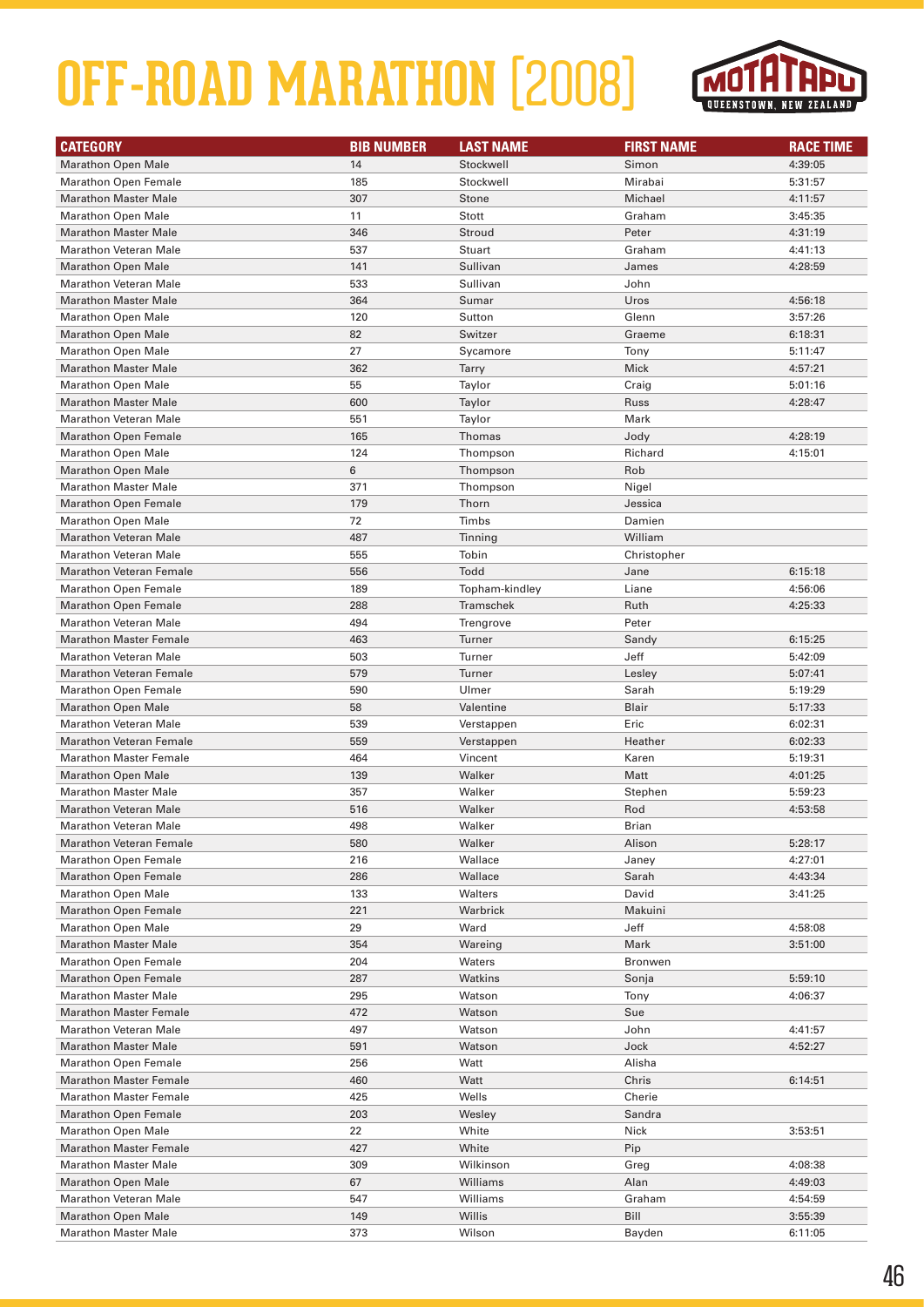

| <b>CATEGORY</b>                | <b>BIB NUMBER</b> | <b>LAST NAME</b> | <b>FIRST NAME</b> | <b>RACE TIME</b> |
|--------------------------------|-------------------|------------------|-------------------|------------------|
| <b>Marathon Open Male</b>      | 14                | Stockwell        | Simon             | 4:39:05          |
| <b>Marathon Open Female</b>    | 185               | Stockwell        | Mirabai           | 5:31:57          |
| <b>Marathon Master Male</b>    | 307               | Stone            | Michael           | 4:11:57          |
| <b>Marathon Open Male</b>      | 11                | Stott            | Graham            | 3:45:35          |
| <b>Marathon Master Male</b>    | 346               | Stroud           | Peter             | 4:31:19          |
| <b>Marathon Veteran Male</b>   | 537               | Stuart           | Graham            | 4:41:13          |
| <b>Marathon Open Male</b>      | 141               | Sullivan         | James             | 4:28:59          |
| <b>Marathon Veteran Male</b>   | 533               | Sullivan         | John              |                  |
| <b>Marathon Master Male</b>    | 364               | Sumar            | Uros              | 4:56:18          |
| <b>Marathon Open Male</b>      | 120               | Sutton           | Glenn             | 3:57:26          |
| <b>Marathon Open Male</b>      | 82                | Switzer          | Graeme            | 6:18:31          |
| <b>Marathon Open Male</b>      | 27                | Sycamore         | Tony              | 5:11:47          |
| <b>Marathon Master Male</b>    | 362               | Tarry            | <b>Mick</b>       | 4:57:21          |
| <b>Marathon Open Male</b>      | 55                | Taylor           | Craig             | 5:01:16          |
| <b>Marathon Master Male</b>    | 600               | Taylor           | Russ              | 4:28:47          |
| <b>Marathon Veteran Male</b>   | 551               | Taylor           | Mark              |                  |
| <b>Marathon Open Female</b>    | 165               | Thomas           | Jody              | 4:28:19          |
| <b>Marathon Open Male</b>      | 124               | Thompson         | Richard           | 4:15:01          |
| <b>Marathon Open Male</b>      | 6                 | Thompson         | Rob               |                  |
| <b>Marathon Master Male</b>    | 371               | Thompson         | Nigel             |                  |
| <b>Marathon Open Female</b>    | 179               | Thorn            | Jessica           |                  |
| <b>Marathon Open Male</b>      | 72                | Timbs            | Damien            |                  |
| <b>Marathon Veteran Male</b>   | 487               | Tinning          | William           |                  |
| <b>Marathon Veteran Male</b>   | 555               | Tobin            |                   |                  |
| <b>Marathon Veteran Female</b> | 556               | Todd             | Christopher       |                  |
|                                |                   |                  | Jane              | 6:15:18          |
| <b>Marathon Open Female</b>    | 189               | Topham-kindley   | Liane             | 4:56:06          |
| <b>Marathon Open Female</b>    | 288               | Tramschek        | Ruth              | 4:25:33          |
| <b>Marathon Veteran Male</b>   | 494               | Trengrove        | Peter             |                  |
| <b>Marathon Master Female</b>  | 463               | Turner           | Sandy             | 6:15:25          |
| <b>Marathon Veteran Male</b>   | 503               | Turner           | Jeff              | 5:42:09          |
| <b>Marathon Veteran Female</b> | 579               | Turner           | Lesley            | 5:07:41          |
| <b>Marathon Open Female</b>    | 590               | Ulmer            | Sarah             | 5:19:29          |
| <b>Marathon Open Male</b>      | 58                | Valentine        | <b>Blair</b>      | 5:17:33          |
| <b>Marathon Veteran Male</b>   | 539               | Verstappen       | Eric              | 6:02:31          |
| Marathon Veteran Female        | 559               | Verstappen       | Heather           | 6:02:33          |
| <b>Marathon Master Female</b>  | 464               | Vincent          | Karen             | 5:19:31          |
| <b>Marathon Open Male</b>      | 139               | Walker           | Matt              | 4:01:25          |
| <b>Marathon Master Male</b>    | 357               | Walker           | Stephen           | 5:59:23          |
| <b>Marathon Veteran Male</b>   | 516               | Walker           | Rod               | 4:53:58          |
| <b>Marathon Veteran Male</b>   | 498               | Walker           | <b>Brian</b>      |                  |
| <b>Marathon Veteran Female</b> | 580               | Walker           | Alison            | 5:28:17          |
| <b>Marathon Open Female</b>    | 216               | Wallace          | Janey             | 4:27:01          |
| <b>Marathon Open Female</b>    | 286               | Wallace          | Sarah             | 4:43:34          |
| <b>Marathon Open Male</b>      | 133               | Walters          | David             | 3:41:25          |
| <b>Marathon Open Female</b>    | 221               | Warbrick         | Makuini           |                  |
| <b>Marathon Open Male</b>      | 29                | Ward             | Jeff              | 4:58:08          |
| <b>Marathon Master Male</b>    | 354               | Wareing          | Mark              | 3:51:00          |
| <b>Marathon Open Female</b>    | 204               | Waters           | Bronwen           |                  |
| <b>Marathon Open Female</b>    | 287               | Watkins          | Sonja             | 5:59:10          |
| <b>Marathon Master Male</b>    | 295               | Watson           | Tony              | 4:06:37          |
| <b>Marathon Master Female</b>  | 472               | Watson           | Sue               |                  |
| <b>Marathon Veteran Male</b>   | 497               | Watson           | John              | 4:41:57          |
| <b>Marathon Master Male</b>    | 591               | Watson           | Jock              | 4:52:27          |
| <b>Marathon Open Female</b>    | 256               | Watt             | Alisha            |                  |
| <b>Marathon Master Female</b>  | 460               | Watt             | Chris             | 6:14:51          |
| <b>Marathon Master Female</b>  | 425               | Wells            | Cherie            |                  |
| <b>Marathon Open Female</b>    | 203               | Wesley           | Sandra            |                  |
| <b>Marathon Open Male</b>      | 22                | White            | Nick              | 3:53:51          |
| <b>Marathon Master Female</b>  | 427               | White            | Pip               |                  |
| <b>Marathon Master Male</b>    | 309               | Wilkinson        | Greg              | 4:08:38          |
| <b>Marathon Open Male</b>      | 67                | Williams         | Alan              | 4:49:03          |
| <b>Marathon Veteran Male</b>   | 547               | Williams         | Graham            | 4:54:59          |
| <b>Marathon Open Male</b>      | 149               | Willis           | Bill              | 3:55:39          |
| <b>Marathon Master Male</b>    | 373               | Wilson           | Bayden            | 6:11:05          |